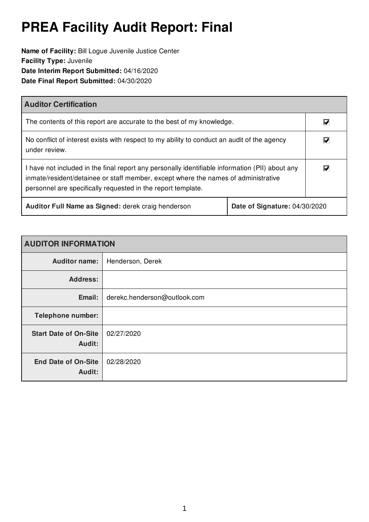# **PREA Facility Audit Report: Final**

**Name of Facility:** Bill Logue Juvenile Justice Center **Facility Type:** Juvenile **Date Interim Report Submitted:** 04/16/2020 **Date Final Report Submitted:** 04/30/2020

| <b>Auditor Certification</b>                                                                                                                                                                                                                          |  |                         |
|-------------------------------------------------------------------------------------------------------------------------------------------------------------------------------------------------------------------------------------------------------|--|-------------------------|
| The contents of this report are accurate to the best of my knowledge.                                                                                                                                                                                 |  | M                       |
| No conflict of interest exists with respect to my ability to conduct an audit of the agency<br>under review.                                                                                                                                          |  | $\overline{\mathbf{v}}$ |
| I have not included in the final report any personally identifiable information (PII) about any<br>inmate/resident/detainee or staff member, except where the names of administrative<br>personnel are specifically requested in the report template. |  | $\overline{\mathbf{v}}$ |
| Auditor Full Name as Signed: derek craig henderson<br>Date of Signature: 04/30/2020                                                                                                                                                                   |  |                         |

| <b>AUDITOR INFORMATION</b>             |                              |  |
|----------------------------------------|------------------------------|--|
| <b>Auditor name:</b>                   | Henderson, Derek             |  |
| <b>Address:</b>                        |                              |  |
| Email:                                 | derekc.henderson@outlook.com |  |
| <b>Telephone number:</b>               |                              |  |
| <b>Start Date of On-Site</b><br>Audit: | 02/27/2020                   |  |
| <b>End Date of On-Site</b><br>Audit:   | 02/28/2020                   |  |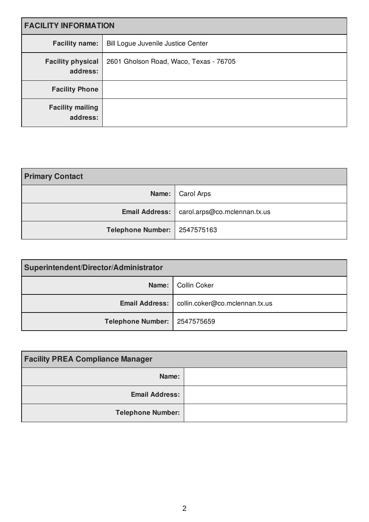| <b>FACILITY INFORMATION</b>          |                                           |  |
|--------------------------------------|-------------------------------------------|--|
| <b>Facility name:</b>                | <b>Bill Logue Juvenile Justice Center</b> |  |
| <b>Facility physical</b><br>address: | 2601 Gholson Road, Waco, Texas - 76705    |  |
| <b>Facility Phone</b>                |                                           |  |
| <b>Facility mailing</b><br>address:  |                                           |  |

| <b>Primary Contact</b>         |                                               |
|--------------------------------|-----------------------------------------------|
|                                | Name:   Carol Arps                            |
|                                | Email Address:   carol.arps@co.mclennan.tx.us |
| Telephone Number:   2547575163 |                                               |

| Superintendent/Director/Administrator |                                                 |
|---------------------------------------|-------------------------------------------------|
|                                       | Name:   Collin Coker                            |
|                                       | Email Address:   collin.coker@co.mclennan.tx.us |
| Telephone Number:   2547575659        |                                                 |

| <b>Facility PREA Compliance Manager</b> |  |
|-----------------------------------------|--|
| Name:                                   |  |
| <b>Email Address:</b>                   |  |
| <b>Telephone Number:</b>                |  |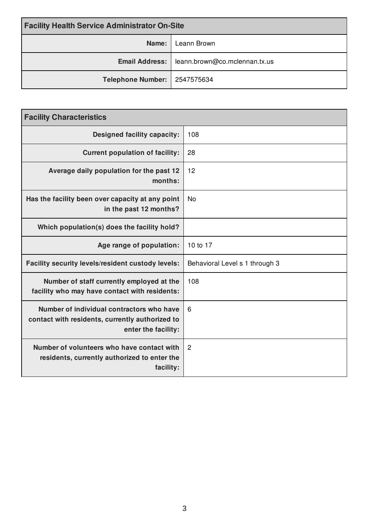| <b>Facility Health Service Administrator On-Site</b> |                                                       |
|------------------------------------------------------|-------------------------------------------------------|
| Name:                                                | Leann Brown                                           |
|                                                      | <b>Email Address:</b>   leann.brown@co.mclennan.tx.us |
| Telephone Number:   2547575634                       |                                                       |

| <b>Facility Characteristics</b>                                                                                     |                                |  |
|---------------------------------------------------------------------------------------------------------------------|--------------------------------|--|
| <b>Designed facility capacity:</b>                                                                                  | 108                            |  |
| <b>Current population of facility:</b>                                                                              | 28                             |  |
| Average daily population for the past 12<br>months:                                                                 | 12                             |  |
| Has the facility been over capacity at any point<br>in the past 12 months?                                          | <b>No</b>                      |  |
| Which population(s) does the facility hold?                                                                         |                                |  |
| Age range of population:                                                                                            | 10 to 17                       |  |
| Facility security levels/resident custody levels:                                                                   | Behavioral Level s 1 through 3 |  |
| Number of staff currently employed at the<br>facility who may have contact with residents:                          | 108                            |  |
| Number of individual contractors who have<br>contact with residents, currently authorized to<br>enter the facility: | 6                              |  |
| Number of volunteers who have contact with<br>residents, currently authorized to enter the<br>facility:             | $\overline{2}$                 |  |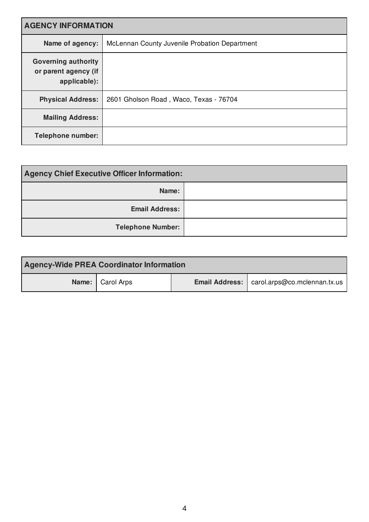| <b>AGENCY INFORMATION</b>                                          |                                               |  |
|--------------------------------------------------------------------|-----------------------------------------------|--|
| Name of agency:                                                    | McLennan County Juvenile Probation Department |  |
| <b>Governing authority</b><br>or parent agency (if<br>applicable): |                                               |  |
| <b>Physical Address:</b>                                           | 2601 Gholson Road, Waco, Texas - 76704        |  |
| <b>Mailing Address:</b>                                            |                                               |  |
| <b>Telephone number:</b>                                           |                                               |  |

| <b>Agency Chief Executive Officer Information:</b> |  |
|----------------------------------------------------|--|
| Name:                                              |  |
| <b>Email Address:</b>                              |  |
| <b>Telephone Number:</b>                           |  |

| <b>Agency-Wide PREA Coordinator Information</b> |                    |  |                                                      |
|-------------------------------------------------|--------------------|--|------------------------------------------------------|
|                                                 | Name:   Carol Arps |  | <b>Email Address:</b>   carol.arps@co.mclennan.tx.us |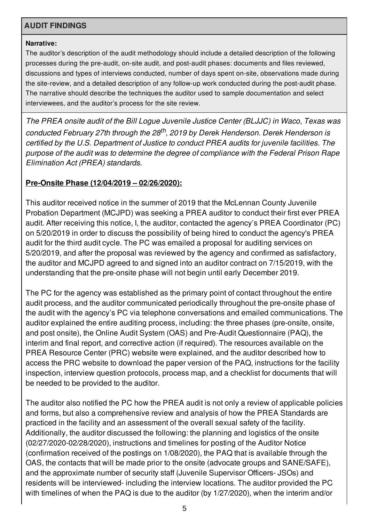# **AUDIT FINDINGS**

#### **Narrative:**

The auditor's description of the audit methodology should include a detailed description of the following processes during the pre-audit, on-site audit, and post-audit phases: documents and files reviewed, discussions and types of interviews conducted, number of days spent on-site, observations made during the site-review, and a detailed description of any follow-up work conducted during the post-audit phase. The narrative should describe the techniques the auditor used to sample documentation and select interviewees, and the auditor's process for the site review.

*The PREA onsite audit of the Bill Logue Juvenile Justice Center (BLJJC) in Waco, Texas was conducted February 27th through the 28 th , 2019 by Derek Henderson. Derek Henderson is certified by the U.S. Department of Justice to conduct PREA audits for juvenile facilities. The purpose of the audit was to determine the degree of compliance with the Federal Prison Rape Elimination Act (PREA) standards.*

## **Pre-Onsite Phase (12/04/2019 – 02/26/2020):**

This auditor received notice in the summer of 2019 that the McLennan County Juvenile Probation Department (MCJPD) was seeking a PREA auditor to conduct their first ever PREA audit. After receiving this notice, I, the auditor, contacted the agency's PREA Coordinator (PC) on 5/20/2019 in order to discuss the possibility of being hired to conduct the agency's PREA audit for the third audit cycle. The PC was emailed a proposal for auditing services on 5/20/2019, and after the proposal was reviewed by the agency and confirmed as satisfactory, the auditor and MCJPD agreed to and signed into an auditor contract on 7/15/2019, with the understanding that the pre-onsite phase will not begin until early December 2019.

The PC for the agency was established as the primary point of contact throughout the entire audit process, and the auditor communicated periodically throughout the pre-onsite phase of the audit with the agency's PC via telephone conversations and emailed communications. The auditor explained the entire auditing process, including: the three phases (pre-onsite, onsite, and post onsite), the Online Audit System (OAS) and Pre-Audit Questionnaire (PAQ), the interim and final report, and corrective action (if required). The resources available on the PREA Resource Center (PRC) website were explained, and the auditor described how to access the PRC website to download the paper version of the PAQ, instructions for the facility inspection, interview question protocols, process map, and a checklist for documents that will be needed to be provided to the auditor.

The auditor also notified the PC how the PREA audit is not only a review of applicable policies and forms, but also a comprehensive review and analysis of how the PREA Standards are practiced in the facility and an assessment of the overall sexual safety of the facility. Additionally, the auditor discussed the following: the planning and logistics of the onsite (02/27/2020-02/28/2020), instructions and timelines for posting of the Auditor Notice (confirmation received of the postings on 1/08/2020), the PAQ that is available through the OAS, the contacts that will be made prior to the onsite (advocate groups and SANE/SAFE), and the approximate number of security staff (Juvenile Supervisor Officers- JSOs) and residents will be interviewed- including the interview locations. The auditor provided the PC with timelines of when the PAQ is due to the auditor (by 1/27/2020), when the interim and/or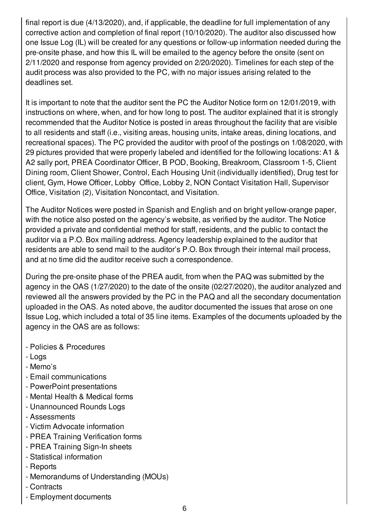final report is due (4/13/2020), and, if applicable, the deadline for full implementation of any corrective action and completion of final report (10/10/2020). The auditor also discussed how one Issue Log (IL) will be created for any questions or follow-up information needed during the pre-onsite phase, and how this IL will be emailed to the agency before the onsite (sent on 2/11/2020 and response from agency provided on 2/20/2020). Timelines for each step of the audit process was also provided to the PC, with no major issues arising related to the deadlines set.

It is important to note that the auditor sent the PC the Auditor Notice form on 12/01/2019, with instructions on where, when, and for how long to post. The auditor explained that it is strongly recommended that the Auditor Notice is posted in areas throughout the facility that are visible to all residents and staff (i.e., visiting areas, housing units, intake areas, dining locations, and recreational spaces). The PC provided the auditor with proof of the postings on 1/08/2020, with 29 pictures provided that were properly labeled and identified for the following locations: A1 & A2 sally port, PREA Coordinator Officer, B POD, Booking, Breakroom, Classroom 1-5, Client Dining room, Client Shower, Control, Each Housing Unit (individually identified), Drug test for client, Gym, Howe Officer, Lobby Office, Lobby 2, NON Contact Visitation Hall, Supervisor Office, Visitation (2), Visitation Noncontact, and Visitation.

The Auditor Notices were posted in Spanish and English and on bright yellow-orange paper, with the notice also posted on the agency's website, as verified by the auditor. The Notice provided a private and confidential method for staff, residents, and the public to contact the auditor via a P.O. Box mailing address. Agency leadership explained to the auditor that residents are able to send mail to the auditor's P.O. Box through their internal mail process, and at no time did the auditor receive such a correspondence.

During the pre-onsite phase of the PREA audit, from when the PAQ was submitted by the agency in the OAS (1/27/2020) to the date of the onsite (02/27/2020), the auditor analyzed and reviewed all the answers provided by the PC in the PAQ and all the secondary documentation uploaded in the OAS. As noted above, the auditor documented the issues that arose on one Issue Log, which included a total of 35 line items. Examples of the documents uploaded by the agency in the OAS are as follows:

- Policies & Procedures
- Logs
- Memo's
- Email communications
- PowerPoint presentations
- Mental Health & Medical forms
- Unannounced Rounds Logs
- Assessments
- Victim Advocate information
- PREA Training Verification forms
- PREA Training Sign-In sheets
- Statistical information
- Reports
- Memorandums of Understanding (MOUs)
- Contracts
- Employment documents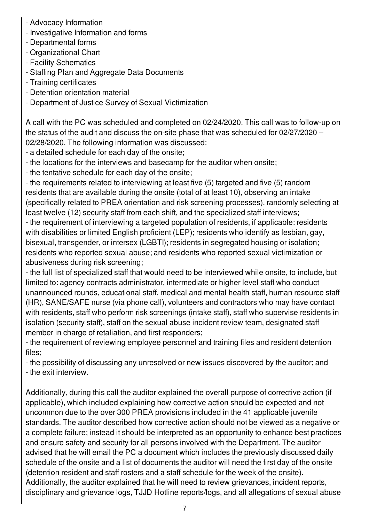- Advocacy Information
- Investigative Information and forms
- Departmental forms
- Organizational Chart
- Facility Schematics
- Staffing Plan and Aggregate Data Documents
- Training certificates
- Detention orientation material
- Department of Justice Survey of Sexual Victimization

A call with the PC was scheduled and completed on 02/24/2020. This call was to follow-up on the status of the audit and discuss the on-site phase that was scheduled for 02/27/2020 – 02/28/2020. The following information was discussed:

- a detailed schedule for each day of the onsite;
- the locations for the interviews and basecamp for the auditor when onsite;
- the tentative schedule for each day of the onsite;

- the requirements related to interviewing at least five (5) targeted and five (5) random residents that are available during the onsite (total of at least 10), observing an intake (specifically related to PREA orientation and risk screening processes), randomly selecting at least twelve (12) security staff from each shift, and the specialized staff interviews;

- the requirement of interviewing a targeted population of residents, if applicable: residents with disabilities or limited English proficient (LEP); residents who identify as lesbian, gay, bisexual, transgender, or intersex (LGBTI); residents in segregated housing or isolation; residents who reported sexual abuse; and residents who reported sexual victimization or abusiveness during risk screening;

- the full list of specialized staff that would need to be interviewed while onsite, to include, but limited to: agency contracts administrator, intermediate or higher level staff who conduct unannounced rounds, educational staff, medical and mental health staff, human resource staff (HR), SANE/SAFE nurse (via phone call), volunteers and contractors who may have contact with residents, staff who perform risk screenings (intake staff), staff who supervise residents in isolation (security staff), staff on the sexual abuse incident review team, designated staff member in charge of retaliation, and first responders;

- the requirement of reviewing employee personnel and training files and resident detention files;

- the possibility of discussing any unresolved or new issues discovered by the auditor; and - the exit interview.

Additionally, during this call the auditor explained the overall purpose of corrective action (if applicable), which included explaining how corrective action should be expected and not uncommon due to the over 300 PREA provisions included in the 41 applicable juvenile standards. The auditor described how corrective action should not be viewed as a negative or a complete failure; instead it should be interpreted as an opportunity to enhance best practices and ensure safety and security for all persons involved with the Department. The auditor advised that he will email the PC a document which includes the previously discussed daily schedule of the onsite and a list of documents the auditor will need the first day of the onsite (detention resident and staff rosters and a staff schedule for the week of the onsite). Additionally, the auditor explained that he will need to review grievances, incident reports, disciplinary and grievance logs, TJJD Hotline reports/logs, and all allegations of sexual abuse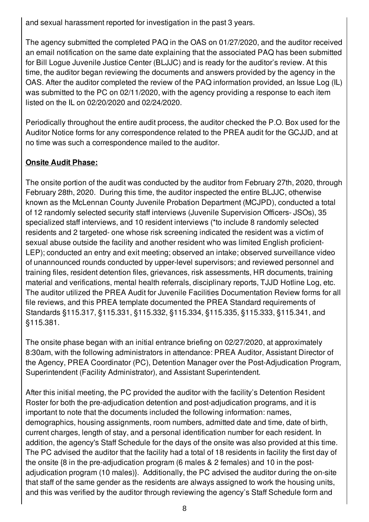and sexual harassment reported for investigation in the past 3 years.

The agency submitted the completed PAQ in the OAS on 01/27/2020, and the auditor received an email notification on the same date explaining that the associated PAQ has been submitted for Bill Logue Juvenile Justice Center (BLJJC) and is ready for the auditor's review. At this time, the auditor began reviewing the documents and answers provided by the agency in the OAS. After the auditor completed the review of the PAQ information provided, an Issue Log (IL) was submitted to the PC on 02/11/2020, with the agency providing a response to each item listed on the IL on 02/20/2020 and 02/24/2020.

Periodically throughout the entire audit process, the auditor checked the P.O. Box used for the Auditor Notice forms for any correspondence related to the PREA audit for the GCJJD, and at no time was such a correspondence mailed to the auditor.

# **Onsite Audit Phase:**

The onsite portion of the audit was conducted by the auditor from February 27th, 2020, through February 28th, 2020. During this time, the auditor inspected the entire BLJJC, otherwise known as the McLennan County Juvenile Probation Department (MCJPD), conducted a total of 12 randomly selected security staff interviews (Juvenile Supervision Officers- JSOs), 35 specialized staff interviews, and 10 resident interviews (\*to include 8 randomly selected residents and 2 targeted- one whose risk screening indicated the resident was a victim of sexual abuse outside the facility and another resident who was limited English proficient-LEP); conducted an entry and exit meeting; observed an intake; observed surveillance video of unannounced rounds conducted by upper-level supervisors; and reviewed personnel and training files, resident detention files, grievances, risk assessments, HR documents, training material and verifications, mental health referrals, disciplinary reports, TJJD Hotline Log, etc. The auditor utilized the PREA Audit for Juvenile Facilities Documentation Review forms for all file reviews, and this PREA template documented the PREA Standard requirements of Standards §115.317, §115.331, §115.332, §115.334, §115.335, §115.333, §115.341, and §115.381.

The onsite phase began with an initial entrance briefing on 02/27/2020, at approximately 8:30am, with the following administrators in attendance: PREA Auditor, Assistant Director of the Agency, PREA Coordinator (PC), Detention Manager over the Post-Adjudication Program, Superintendent (Facility Administrator), and Assistant Superintendent.

After this initial meeting, the PC provided the auditor with the facility's Detention Resident Roster for both the pre-adjudication detention and post-adjudication programs, and it is important to note that the documents included the following information: names, demographics, housing assignments, room numbers, admitted date and time, date of birth, current charges, length of stay, and a personal identification number for each resident. In addition, the agency's Staff Schedule for the days of the onsite was also provided at this time. The PC advised the auditor that the facility had a total of 18 residents in facility the first day of the onsite {8 in the pre-adjudication program (6 males & 2 females) and 10 in the postadjudication program (10 males)}. Additionally, the PC advised the auditor during the on-site that staff of the same gender as the residents are always assigned to work the housing units, and this was verified by the auditor through reviewing the agency's Staff Schedule form and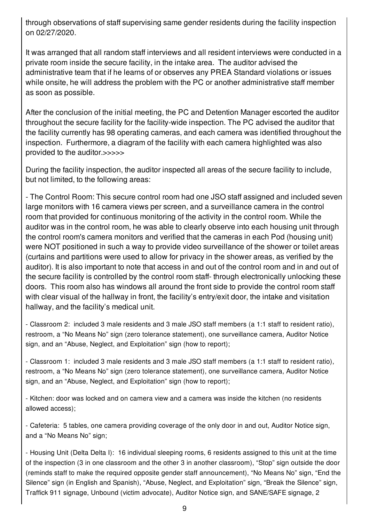through observations of staff supervising same gender residents during the facility inspection on 02/27/2020.

It was arranged that all random staff interviews and all resident interviews were conducted in a private room inside the secure facility, in the intake area. The auditor advised the administrative team that if he learns of or observes any PREA Standard violations or issues while onsite, he will address the problem with the PC or another administrative staff member as soon as possible.

After the conclusion of the initial meeting, the PC and Detention Manager escorted the auditor throughout the secure facility for the facility-wide inspection. The PC advised the auditor that the facility currently has 98 operating cameras, and each camera was identified throughout the inspection. Furthermore, a diagram of the facility with each camera highlighted was also provided to the auditor.>>>>>

During the facility inspection, the auditor inspected all areas of the secure facility to include, but not limited, to the following areas:

- The Control Room: This secure control room had one JSO staff assigned and included seven large monitors with 16 camera views per screen, and a surveillance camera in the control room that provided for continuous monitoring of the activity in the control room. While the auditor was in the control room, he was able to clearly observe into each housing unit through the control room's camera monitors and verified that the cameras in each Pod (housing unit) were NOT positioned in such a way to provide video surveillance of the shower or toilet areas (curtains and partitions were used to allow for privacy in the shower areas, as verified by the auditor). It is also important to note that access in and out of the control room and in and out of the secure facility is controlled by the control room staff- through electronically unlocking these doors. This room also has windows all around the front side to provide the control room staff with clear visual of the hallway in front, the facility's entry/exit door, the intake and visitation hallway, and the facility's medical unit.

- Classroom 2: included 3 male residents and 3 male JSO staff members (a 1:1 staff to resident ratio), restroom, a "No Means No" sign (zero tolerance statement), one surveillance camera, Auditor Notice sign, and an "Abuse, Neglect, and Exploitation" sign (how to report);

- Classroom 1: included 3 male residents and 3 male JSO staff members (a 1:1 staff to resident ratio), restroom, a "No Means No" sign (zero tolerance statement), one surveillance camera, Auditor Notice sign, and an "Abuse, Neglect, and Exploitation" sign (how to report);

- Kitchen: door was locked and on camera view and a camera was inside the kitchen (no residents allowed access);

- Cafeteria: 5 tables, one camera providing coverage of the only door in and out, Auditor Notice sign, and a "No Means No" sign;

- Housing Unit (Delta Delta I): 16 individual sleeping rooms, 6 residents assigned to this unit at the time of the inspection (3 in one classroom and the other 3 in another classroom), "Stop" sign outside the door (reminds staff to make the required opposite gender staff announcement), "No Means No" sign, "End the Silence" sign (in English and Spanish), "Abuse, Neglect, and Exploitation" sign, "Break the Silence" sign, Traffick 911 signage, Unbound (victim advocate), Auditor Notice sign, and SANE/SAFE signage, 2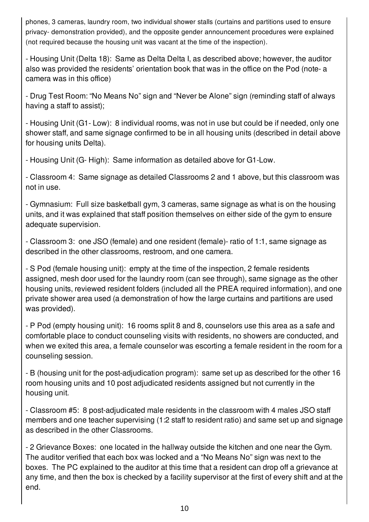phones, 3 cameras, laundry room, two individual shower stalls (curtains and partitions used to ensure privacy- demonstration provided), and the opposite gender announcement procedures were explained (not required because the housing unit was vacant at the time of the inspection).

- Housing Unit (Delta 18): Same as Delta Delta I, as described above; however, the auditor also was provided the residents' orientation book that was in the office on the Pod (note- a camera was in this office)

- Drug Test Room: "No Means No" sign and "Never be Alone" sign (reminding staff of always having a staff to assist);

- Housing Unit (G1- Low): 8 individual rooms, was not in use but could be if needed, only one shower staff, and same signage confirmed to be in all housing units (described in detail above for housing units Delta).

- Housing Unit (G- High): Same information as detailed above for G1-Low.

- Classroom 4: Same signage as detailed Classrooms 2 and 1 above, but this classroom was not in use.

- Gymnasium: Full size basketball gym, 3 cameras, same signage as what is on the housing units, and it was explained that staff position themselves on either side of the gym to ensure adequate supervision.

- Classroom 3: one JSO (female) and one resident (female)- ratio of 1:1, same signage as described in the other classrooms, restroom, and one camera.

- S Pod (female housing unit): empty at the time of the inspection, 2 female residents assigned, mesh door used for the laundry room (can see through), same signage as the other housing units, reviewed resident folders (included all the PREA required information), and one private shower area used (a demonstration of how the large curtains and partitions are used was provided).

- P Pod (empty housing unit): 16 rooms split 8 and 8, counselors use this area as a safe and comfortable place to conduct counseling visits with residents, no showers are conducted, and when we exited this area, a female counselor was escorting a female resident in the room for a counseling session.

- B (housing unit for the post-adjudication program): same set up as described for the other 16 room housing units and 10 post adjudicated residents assigned but not currently in the housing unit.

- Classroom #5: 8 post-adjudicated male residents in the classroom with 4 males JSO staff members and one teacher supervising (1:2 staff to resident ratio) and same set up and signage as described in the other Classrooms.

- 2 Grievance Boxes: one located in the hallway outside the kitchen and one near the Gym. The auditor verified that each box was locked and a "No Means No" sign was next to the boxes. The PC explained to the auditor at this time that a resident can drop off a grievance at any time, and then the box is checked by a facility supervisor at the first of every shift and at the end.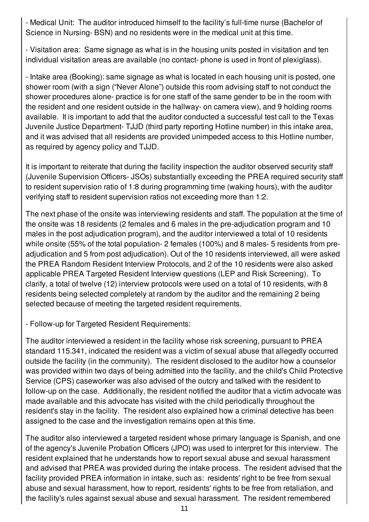- Medical Unit: The auditor introduced himself to the facility's full-time nurse (Bachelor of Science in Nursing- BSN) and no residents were in the medical unit at this time.

- Visitation area: Same signage as what is in the housing units posted in visitation and ten individual visitation areas are available (no contact- phone is used in front of plexiglass).

- Intake area (Booking): same signage as what is located in each housing unit is posted, one shower room (with a sign ("Never Alone") outside this room advising staff to not conduct the shower procedures alone- practice is for one staff of the same gender to be in the room with the resident and one resident outside in the hallway- on camera view), and 9 holding rooms available. It is important to add that the auditor conducted a successful test call to the Texas Juvenile Justice Department- TJJD (third party reporting Hotline number) in this intake area, and it was advised that all residents are provided unimpeded access to this Hotline number, as required by agency policy and TJJD.

It is important to reiterate that during the facility inspection the auditor observed security staff (Juvenile Supervision Officers- JSOs) substantially exceeding the PREA required security staff to resident supervision ratio of 1:8 during programming time (waking hours), with the auditor verifying staff to resident supervision ratios not exceeding more than 1:2.

The next phase of the onsite was interviewing residents and staff. The population at the time of the onsite was 18 residents (2 females and 6 males in the pre-adjudication program and 10 males in the post adjudication program), and the auditor interviewed a total of 10 residents while onsite (55% of the total population- 2 females (100%) and 8 males- 5 residents from preadjudication and 5 from post adjudication). Out of the 10 residents interviewed, all were asked the PREA Random Resident Interview Protocols, and 2 of the 10 residents were also asked applicable PREA Targeted Resident Interview questions (LEP and Risk Screening). To clarify, a total of twelve (12) interview protocols were used on a total of 10 residents, with 8 residents being selected completely at random by the auditor and the remaining 2 being selected because of meeting the targeted resident requirements.

- Follow-up for Targeted Resident Requirements:

The auditor interviewed a resident in the facility whose risk screening, pursuant to PREA standard 115.341, indicated the resident was a victim of sexual abuse that allegedly occurred outside the facility (in the community). The resident disclosed to the auditor how a counselor was provided within two days of being admitted into the facility, and the child's Child Protective Service (CPS) caseworker was also advised of the outcry and talked with the resident to follow-up on the case. Additionally, the resident notified the auditor that a victim advocate was made available and this advocate has visited with the child periodically throughout the resident's stay in the facility. The resident also explained how a criminal detective has been assigned to the case and the investigation remains open at this time.

The auditor also interviewed a targeted resident whose primary language is Spanish, and one of the agency's Juvenile Probation Officers (JPO) was used to interpret for this interview. The resident explained that he understands how to report sexual abuse and sexual harassment and advised that PREA was provided during the intake process. The resident advised that the facility provided PREA information in intake, such as: residents' right to be free from sexual abuse and sexual harassment, how to report, residents' rights to be free from retaliation, and the facility's rules against sexual abuse and sexual harassment. The resident remembered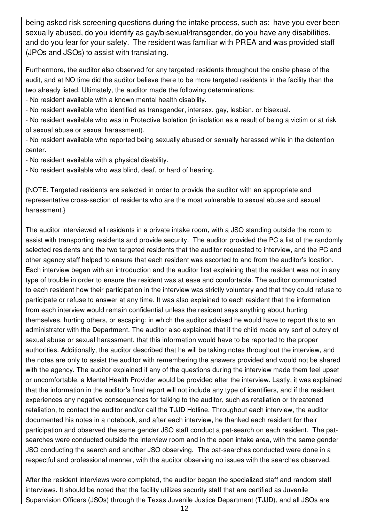being asked risk screening questions during the intake process, such as: have you ever been sexually abused, do you identify as gay/bisexual/transgender, do you have any disabilities, and do you fear for your safety. The resident was familiar with PREA and was provided staff (JPOs and JSOs) to assist with translating.

Furthermore, the auditor also observed for any targeted residents throughout the onsite phase of the audit, and at NO time did the auditor believe there to be more targeted residents in the facility than the two already listed. Ultimately, the auditor made the following determinations:

- No resident available with a known mental health disability.

- No resident available who identified as transgender, intersex, gay, lesbian, or bisexual.

- No resident available who was in Protective Isolation (in isolation as a result of being a victim or at risk of sexual abuse or sexual harassment).

- No resident available who reported being sexually abused or sexually harassed while in the detention center.

- No resident available with a physical disability.

- No resident available who was blind, deaf, or hard of hearing.

{NOTE: Targeted residents are selected in order to provide the auditor with an appropriate and representative cross-section of residents who are the most vulnerable to sexual abuse and sexual harassment.}

The auditor interviewed all residents in a private intake room, with a JSO standing outside the room to assist with transporting residents and provide security. The auditor provided the PC a list of the randomly selected residents and the two targeted residents that the auditor requested to interview, and the PC and other agency staff helped to ensure that each resident was escorted to and from the auditor's location. Each interview began with an introduction and the auditor first explaining that the resident was not in any type of trouble in order to ensure the resident was at ease and comfortable. The auditor communicated to each resident how their participation in the interview was strictly voluntary and that they could refuse to participate or refuse to answer at any time. It was also explained to each resident that the information from each interview would remain confidential unless the resident says anything about hurting themselves, hurting others, or escaping; in which the auditor advised he would have to report this to an administrator with the Department. The auditor also explained that if the child made any sort of outcry of sexual abuse or sexual harassment, that this information would have to be reported to the proper authorities. Additionally, the auditor described that he will be taking notes throughout the interview, and the notes are only to assist the auditor with remembering the answers provided and would not be shared with the agency. The auditor explained if any of the questions during the interview made them feel upset or uncomfortable, a Mental Health Provider would be provided after the interview. Lastly, it was explained that the information in the auditor's final report will not include any type of identifiers, and if the resident experiences any negative consequences for talking to the auditor, such as retaliation or threatened retaliation, to contact the auditor and/or call the TJJD Hotline. Throughout each interview, the auditor documented his notes in a notebook, and after each interview, he thanked each resident for their participation and observed the same gender JSO staff conduct a pat-search on each resident. The patsearches were conducted outside the interview room and in the open intake area, with the same gender JSO conducting the search and another JSO observing. The pat-searches conducted were done in a respectful and professional manner, with the auditor observing no issues with the searches observed.

After the resident interviews were completed, the auditor began the specialized staff and random staff interviews. It should be noted that the facility utilizes security staff that are certified as Juvenile Supervision Officers (JSOs) through the Texas Juvenile Justice Department (TJJD), and all JSOs are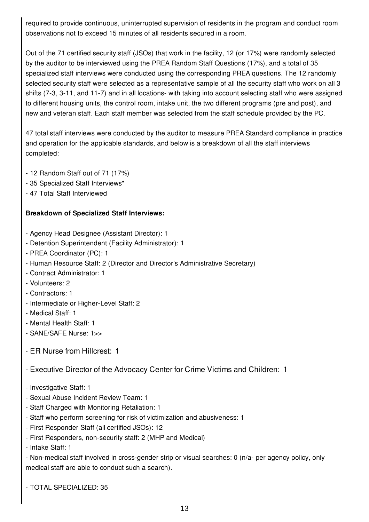required to provide continuous, uninterrupted supervision of residents in the program and conduct room observations not to exceed 15 minutes of all residents secured in a room.

Out of the 71 certified security staff (JSOs) that work in the facility, 12 (or 17%) were randomly selected by the auditor to be interviewed using the PREA Random Staff Questions (17%), and a total of 35 specialized staff interviews were conducted using the corresponding PREA questions. The 12 randomly selected security staff were selected as a representative sample of all the security staff who work on all 3 shifts (7-3, 3-11, and 11-7) and in all locations- with taking into account selecting staff who were assigned to different housing units, the control room, intake unit, the two different programs (pre and post), and new and veteran staff. Each staff member was selected from the staff schedule provided by the PC.

47 total staff interviews were conducted by the auditor to measure PREA Standard compliance in practice and operation for the applicable standards, and below is a breakdown of all the staff interviews completed:

- 12 Random Staff out of 71 (17%)
- 35 Specialized Staff Interviews\*
- 47 Total Staff Interviewed

#### **Breakdown of Specialized Staff Interviews:**

- Agency Head Designee (Assistant Director): 1
- Detention Superintendent (Facility Administrator): 1
- PREA Coordinator (PC): 1
- Human Resource Staff: 2 (Director and Director's Administrative Secretary)
- Contract Administrator: 1
- Volunteers: 2
- Contractors: 1
- Intermediate or Higher-Level Staff: 2
- Medical Staff: 1
- Mental Health Staff: 1
- SANE/SAFE Nurse: 1>>
- ER Nurse from Hillcrest: 1
- Executive Director of the Advocacy Center for Crime Victims and Children: 1
- Investigative Staff: 1
- Sexual Abuse Incident Review Team: 1
- Staff Charged with Monitoring Retaliation: 1
- Staff who perform screening for risk of victimization and abusiveness: 1
- First Responder Staff (all certified JSOs): 12
- First Responders, non-security staff: 2 (MHP and Medical)
- Intake Staff: 1

- Non-medical staff involved in cross-gender strip or visual searches: 0 (n/a- per agency policy, only medical staff are able to conduct such a search).

- TOTAL SPECIALIZED: 35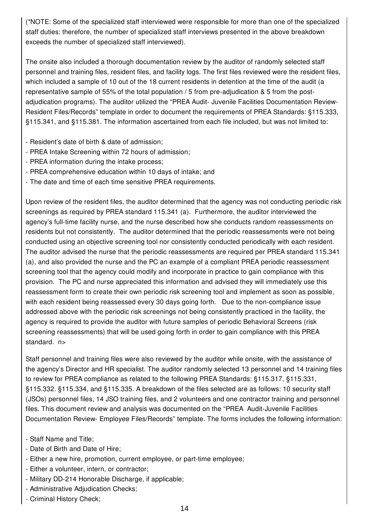(\*NOTE: Some of the specialized staff interviewed were responsible for more than one of the specialized staff duties: therefore, the number of specialized staff interviews presented in the above breakdown exceeds the number of specialized staff interviewed).

The onsite also included a thorough documentation review by the auditor of randomly selected staff personnel and training files, resident files, and facility logs. The first files reviewed were the resident files, which included a sample of 10 out of the 18 current residents in detention at the time of the audit (a representative sample of 55% of the total population / 5 from pre-adjudication & 5 from the postadjudication programs). The auditor utilized the "PREA Audit- Juvenile Facilities Documentation Review-Resident Files/Records" template in order to document the requirements of PREA Standards: §115.333, §115.341, and §115.381. The information ascertained from each file included, but was not limited to:

- Resident's date of birth & date of admission;
- PREA Intake Screening within 72 hours of admission;
- PREA information during the intake process;
- PREA comprehensive education within 10 days of intake; and
- The date and time of each time sensitive PREA requirements.

Upon review of the resident files, the auditor determined that the agency was not conducting periodic risk screenings as required by PREA standard 115.341 (a). Furthermore, the auditor interviewed the agency's full-time facility nurse, and the nurse described how she conducts random reassessments on residents but not consistently. The auditor determined that the periodic reassessments were not being conducted using an objective screening tool nor consistently conducted periodically with each resident. The auditor advised the nurse that the periodic reassessments are required per PREA standard 115.341 (a), and also provided the nurse and the PC an example of a compliant PREA periodic reassessment screening tool that the agency could modify and incorporate in practice to gain compliance with this provision. The PC and nurse appreciated this information and advised they will immediately use this reassessment form to create their own periodic risk screening tool and implement as soon as possible, with each resident being reassessed every 30 days going forth. Due to the non-compliance issue addressed above with the periodic risk screenings not being consistently practiced in the facility, the agency is required to provide the auditor with future samples of periodic Behavioral Screens (risk screening reassessments) that will be used going forth in order to gain compliance with this PREA standard. n>

Staff personnel and training files were also reviewed by the auditor while onsite, with the assistance of the agency's Director and HR specialist. The auditor randomly selected 13 personnel and 14 training files to review for PREA compliance as related to the following PREA Standards: §115.317, §115.331, §115.332. §115.334, and §115.335. A breakdown of the files selected are as follows: 10 security staff (JSOs) personnel files, 14 JSO training files, and 2 volunteers and one contractor training and personnel files. This document review and analysis was documented on the "PREA Audit-Juvenile Facilities Documentation Review- Employee Files/Records" template. The forms includes the following information:

- Staff Name and Title;
- Date of Birth and Date of Hire;
- Either a new hire, promotion, current employee, or part-time employee;
- Either a volunteer, intern, or contractor;
- Military DD-214 Honorable Discharge, if applicable;
- Administrative Adjudication Checks;
- Criminal History Check;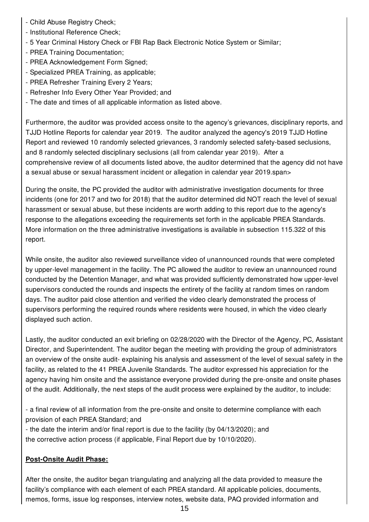- Child Abuse Registry Check;
- Institutional Reference Check;
- 5 Year Criminal History Check or FBI Rap Back Electronic Notice System or Similar;
- PREA Training Documentation;
- PREA Acknowledgement Form Signed;
- Specialized PREA Training, as applicable;
- PREA Refresher Training Every 2 Years;
- Refresher Info Every Other Year Provided; and
- The date and times of all applicable information as listed above.

Furthermore, the auditor was provided access onsite to the agency's grievances, disciplinary reports, and TJJD Hotline Reports for calendar year 2019. The auditor analyzed the agency's 2019 TJJD Hotline Report and reviewed 10 randomly selected grievances, 3 randomly selected safety-based seclusions, and 8 randomly selected disciplinary seclusions (all from calendar year 2019). After a comprehensive review of all documents listed above, the auditor determined that the agency did not have a sexual abuse or sexual harassment incident or allegation in calendar year 2019.span>

During the onsite, the PC provided the auditor with administrative investigation documents for three incidents (one for 2017 and two for 2018) that the auditor determined did NOT reach the level of sexual harassment or sexual abuse, but these incidents are worth adding to this report due to the agency's response to the allegations exceeding the requirements set forth in the applicable PREA Standards. More information on the three administrative investigations is available in subsection 115.322 of this report.

While onsite, the auditor also reviewed surveillance video of unannounced rounds that were completed by upper-level management in the facility. The PC allowed the auditor to review an unannounced round conducted by the Detention Manager, and what was provided sufficiently demonstrated how upper-level supervisors conducted the rounds and inspects the entirety of the facility at random times on random days. The auditor paid close attention and verified the video clearly demonstrated the process of supervisors performing the required rounds where residents were housed, in which the video clearly displayed such action.

Lastly, the auditor conducted an exit briefing on 02/28/2020 with the Director of the Agency, PC, Assistant Director, and Superintendent. The auditor began the meeting with providing the group of administrators an overview of the onsite audit- explaining his analysis and assessment of the level of sexual safety in the facility, as related to the 41 PREA Juvenile Standards. The auditor expressed his appreciation for the agency having him onsite and the assistance everyone provided during the pre-onsite and onsite phases of the audit. Additionally, the next steps of the audit process were explained by the auditor, to include:

- a final review of all information from the pre-onsite and onsite to determine compliance with each provision of each PREA Standard; and

- the date the interim and/or final report is due to the facility (by 04/13/2020); and the corrective action process (if applicable, Final Report due by 10/10/2020).

## **Post-Onsite Audit Phase:**

After the onsite, the auditor began triangulating and analyzing all the data provided to measure the facility's compliance with each element of each PREA standard. All applicable policies, documents, memos, forms, issue log responses, interview notes, website data, PAQ provided information and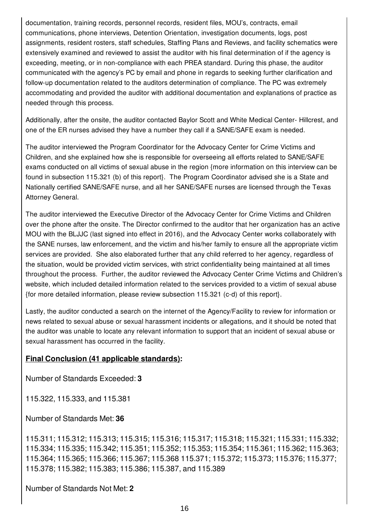documentation, training records, personnel records, resident files, MOU's, contracts, email communications, phone interviews, Detention Orientation, investigation documents, logs, post assignments, resident rosters, staff schedules, Staffing Plans and Reviews, and facility schematics were extensively examined and reviewed to assist the auditor with his final determination of if the agency is exceeding, meeting, or in non-compliance with each PREA standard. During this phase, the auditor communicated with the agency's PC by email and phone in regards to seeking further clarification and follow-up documentation related to the auditors determination of compliance. The PC was extremely accommodating and provided the auditor with additional documentation and explanations of practice as needed through this process.

Additionally, after the onsite, the auditor contacted Baylor Scott and White Medical Center- Hillcrest, and one of the ER nurses advised they have a number they call if a SANE/SAFE exam is needed.

The auditor interviewed the Program Coordinator for the Advocacy Center for Crime Victims and Children, and she explained how she is responsible for overseeing all efforts related to SANE/SAFE exams conducted on all victims of sexual abuse in the region {more information on this interview can be found in subsection 115.321 (b) of this report}. The Program Coordinator advised she is a State and Nationally certified SANE/SAFE nurse, and all her SANE/SAFE nurses are licensed through the Texas Attorney General.

The auditor interviewed the Executive Director of the Advocacy Center for Crime Victims and Children over the phone after the onsite. The Director confirmed to the auditor that her organization has an active MOU with the BLJJC (last signed into effect in 2016), and the Advocacy Center works collaborately with the SANE nurses, law enforcement, and the victim and his/her family to ensure all the appropriate victim services are provided. She also elaborated further that any child referred to her agency, regardless of the situation, would be provided victim services, with strict confidentiality being maintained at all times throughout the process. Further, the auditor reviewed the Advocacy Center Crime Victims and Children's website, which included detailed information related to the services provided to a victim of sexual abuse {for more detailed information, please review subsection 115.321 (c-d) of this report}.

Lastly, the auditor conducted a search on the internet of the Agency/Facility to review for information or news related to sexual abuse or sexual harassment incidents or allegations, and it should be noted that the auditor was unable to locate any relevant information to support that an incident of sexual abuse or sexual harassment has occurred in the facility.

## **Final Conclusion (41 applicable standards):**

Number of Standards Exceeded: **3**

115.322, 115.333, and 115.381

Number of Standards Met: **36**

115.311; 115.312; 115.313; 115.315; 115.316; 115.317; 115.318; 115.321; 115.331; 115.332; 115.334; 115.335; 115.342; 115.351; 115.352; 115.353; 115.354; 115.361; 115.362; 115.363; 115.364; 115.365; 115.366; 115.367; 115.368 115.371; 115.372; 115.373; 115.376; 115.377; 115.378; 115.382; 115.383; 115.386; 115.387, and 115.389

Number of Standards Not Met: **2**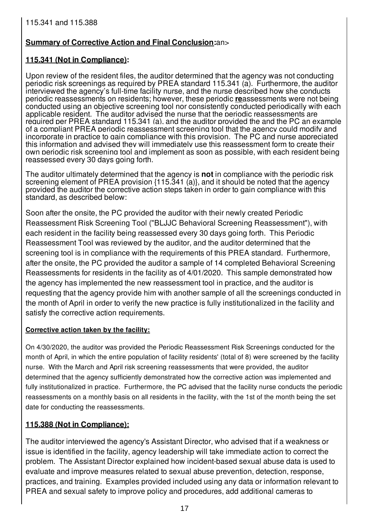# **Summary of Corrective Action and Final Conclusion:**an>

# **115.341 (Not in Compliance):**

Upon review of the resident files, the auditor determined that the agency was not conducting periodic risk screenings as required by PREA standard 115.341 (a). Furthermore, the auditor interviewed the agency's full-time facility nurse, and the nurse described how she conducts periodic reassessments on residents; however, these periodic **re**assessments were not being conducted using an objective screening tool nor consistently conducted periodically with each applicable resident. The auditor advised the nurse that the periodic reassessments are required per PREA standard 115.341 (a), and the auditor provided the and the PC an example of a compliant PREA periodic reassessment screening tool that the agency could modify and incorporate in practice to gain compliance with this provision. The PC and nurse appreciated this information and advised they will immediately use this reassessment form to create their own periodic risk screening tool and implement as soon as possible, with each resident being reassessed every 30 days going forth.

The auditor ultimately determined that the agency is **not** in compliance with the periodic risk screening element of PREA provision {115.341 (a)}, and it should be noted that the agency provided the auditor the corrective action steps taken in order to gain compliance with this standard, as described below:

Soon after the onsite, the PC provided the auditor with their newly created Periodic Reassessment Risk Screening Tool ("BLJJC Behavioral Screening Reassessment"), with each resident in the facility being reassessed every 30 days going forth. This Periodic Reassessment Tool was reviewed by the auditor, and the auditor determined that the screening tool is in compliance with the requirements of this PREA standard. Furthermore, after the onsite, the PC provided the auditor a sample of 14 completed Behavioral Screening Reassessments for residents in the facility as of 4/01/2020. This sample demonstrated how the agency has implemented the new reassessment tool in practice, and the auditor is requesting that the agency provide him with another sample of all the screenings conducted in the month of April in order to verify the new practice is fully institutionalized in the facility and satisfy the corrective action requirements.

## **Corrective action taken by the facility:**

On 4/30/2020, the auditor was provided the Periodic Reassessment Risk Screenings conducted for the month of April, in which the entire population of facility residents' (total of 8) were screened by the facility nurse. With the March and April risk screening reassessments that were provided, the auditor determined that the agency sufficiently demonstrated how the corrective action was implemented and fully institutionalized in practice. Furthermore, the PC advised that the facility nurse conducts the periodic reassessments on a monthly basis on all residents in the facility, with the 1st of the month being the set date for conducting the reassessments.

## **115.388 (Not in Compliance):**

The auditor interviewed the agency's Assistant Director, who advised that if a weakness or issue is identified in the facility, agency leadership will take immediate action to correct the problem. The Assistant Director explained how incident-based sexual abuse data is used to evaluate and improve measures related to sexual abuse prevention, detection, response, practices, and training. Examples provided included using any data or information relevant to PREA and sexual safety to improve policy and procedures, add additional cameras to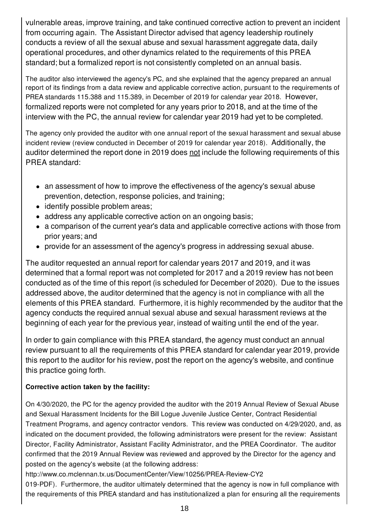vulnerable areas, improve training, and take continued corrective action to prevent an incident from occurring again. The Assistant Director advised that agency leadership routinely conducts a review of all the sexual abuse and sexual harassment aggregate data, daily operational procedures, and other dynamics related to the requirements of this PREA standard; but a formalized report is not consistently completed on an annual basis.

The auditor also interviewed the agency's PC, and she explained that the agency prepared an annual report of its findings from a data review and applicable corrective action, pursuant to the requirements of PREA standards 115.388 and 115.389, in December of 2019 for calendar year 2018. However, formalized reports were not completed for any years prior to 2018, and at the time of the interview with the PC, the annual review for calendar year 2019 had yet to be completed.

The agency only provided the auditor with one annual report of the sexual harassment and sexual abuse incident review (review conducted in December of 2019 for calendar year 2018). Additionally, the auditor determined the report done in 2019 does not include the following requirements of this PREA standard:

- an assessment of how to improve the effectiveness of the agency's sexual abuse prevention, detection, response policies, and training;
- identify possible problem areas;
- address any applicable corrective action on an ongoing basis;
- a comparison of the current year's data and applicable corrective actions with those from prior years; and
- provide for an assessment of the agency's progress in addressing sexual abuse.

The auditor requested an annual report for calendar years 2017 and 2019, and it was determined that a formal report was not completed for 2017 and a 2019 review has not been conducted as of the time of this report (is scheduled for December of 2020). Due to the issues addressed above, the auditor determined that the agency is not in compliance with all the elements of this PREA standard. Furthermore, it is highly recommended by the auditor that the agency conducts the required annual sexual abuse and sexual harassment reviews at the beginning of each year for the previous year, instead of waiting until the end of the year.

In order to gain compliance with this PREA standard, the agency must conduct an annual review pursuant to all the requirements of this PREA standard for calendar year 2019, provide this report to the auditor for his review, post the report on the agency's website, and continue this practice going forth.

## **Corrective action taken by the facility:**

On 4/30/2020, the PC for the agency provided the auditor with the 2019 Annual Review of Sexual Abuse and Sexual Harassment Incidents for the Bill Logue Juvenile Justice Center, Contract Residential Treatment Programs, and agency contractor vendors. This review was conducted on 4/29/2020, and, as indicated on the document provided, the following administrators were present for the review: Assistant Director, Facility Administrator, Assistant Facility Administrator, and the PREA Coordinator. The auditor confirmed that the 2019 Annual Review was reviewed and approved by the Director for the agency and posted on the agency's website (at the following address:

http://www.co.mclennan.tx.us/DocumentCenter/View/10256/PREA-Review-CY2

019-PDF). Furthermore, the auditor ultimately determined that the agency is now in full compliance with the requirements of this PREA standard and has institutionalized a plan for ensuring all the requirements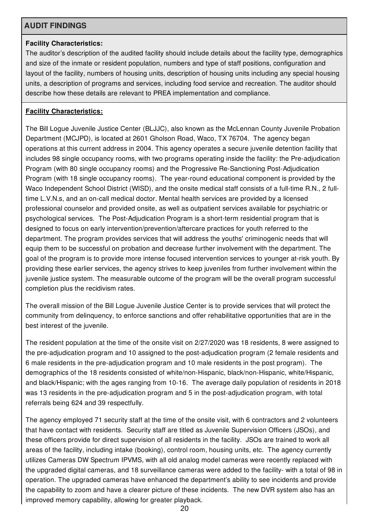## **AUDIT FINDINGS**

#### **Facility Characteristics:**

The auditor's description of the audited facility should include details about the facility type, demographics and size of the inmate or resident population, numbers and type of staff positions, configuration and layout of the facility, numbers of housing units, description of housing units including any special housing units, a description of programs and services, including food service and recreation. The auditor should describe how these details are relevant to PREA implementation and compliance.

## **Facility Characteristics:**

The Bill Logue Juvenile Justice Center (BLJJC), also known as the McLennan County Juvenile Probation Department (MCJPD), is located at 2601 Gholson Road, Waco, TX 76704. The agency began operations at this current address in 2004. This agency operates a secure juvenile detention facility that includes 98 single occupancy rooms, with two programs operating inside the facility: the Pre-adjudication Program (with 80 single occupancy rooms) and the Progressive Re-Sanctioning Post-Adjudication Program (with 18 single occupancy rooms). The year-round educational component is provided by the Waco Independent School District (WISD), and the onsite medical staff consists of a full-time R.N., 2 fulltime L.V.N.s, and an on-call medical doctor. Mental health services are provided by a licensed professional counselor and provided onsite, as well as outpatient services available for psychiatric or psychological services. The Post-Adjudication Program is a short-term residential program that is designed to focus on early intervention/prevention/aftercare practices for youth referred to the department. The program provides services that will address the youths' criminogenic needs that will equip them to be successful on probation and decrease further involvement with the department. The goal of the program is to provide more intense focused intervention services to younger at-risk youth. By providing these earlier services, the agency strives to keep juveniles from further involvement within the juvenile justice system. The measurable outcome of the program will be the overall program successful completion plus the recidivism rates.

The overall mission of the Bill Logue Juvenile Justice Center is to provide services that will protect the community from delinquency, to enforce sanctions and offer rehabilitative opportunities that are in the best interest of the juvenile.

The resident population at the time of the onsite visit on 2/27/2020 was 18 residents, 8 were assigned to the pre-adjudication program and 10 assigned to the post-adjudication program (2 female residents and 6 male residents in the pre-adjudication program and 10 male residents in the post program). The demographics of the 18 residents consisted of white/non-Hispanic, black/non-Hispanic, white/Hispanic, and black/Hispanic; with the ages ranging from 10-16. The average daily population of residents in 2018 was 13 residents in the pre-adjudication program and 5 in the post-adjudication program, with total referrals being 624 and 39 respectfully.

The agency employed 71 security staff at the time of the onsite visit, with 6 contractors and 2 volunteers that have contact with residents. Security staff are titled as Juvenile Supervision Officers (JSOs), and these officers provide for direct supervision of all residents in the facility. JSOs are trained to work all areas of the facility, including intake (booking), control room, housing units, etc. The agency currently utilizes Cameras DW Spectrum IPVMS, with all old analog model cameras were recently replaced with the upgraded digital cameras, and 18 surveillance cameras were added to the facility- with a total of 98 in operation. The upgraded cameras have enhanced the department's ability to see incidents and provide the capability to zoom and have a clearer picture of these incidents. The new DVR system also has an improved memory capability, allowing for greater playback.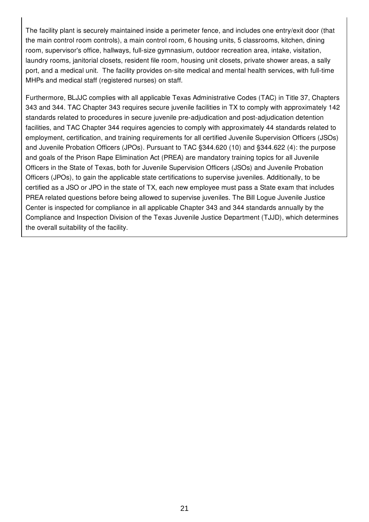The facility plant is securely maintained inside a perimeter fence, and includes one entry/exit door (that the main control room controls), a main control room, 6 housing units, 5 classrooms, kitchen, dining room, supervisor's office, hallways, full-size gymnasium, outdoor recreation area, intake, visitation, laundry rooms, janitorial closets, resident file room, housing unit closets, private shower areas, a sally port, and a medical unit. The facility provides on-site medical and mental health services, with full-time MHPs and medical staff (registered nurses) on staff.

Furthermore, BLJJC complies with all applicable Texas Administrative Codes (TAC) in Title 37, Chapters 343 and 344. TAC Chapter 343 requires secure juvenile facilities in TX to comply with approximately 142 standards related to procedures in secure juvenile pre-adjudication and post-adjudication detention facilities, and TAC Chapter 344 requires agencies to comply with approximately 44 standards related to employment, certification, and training requirements for all certified Juvenile Supervision Officers (JSOs) and Juvenile Probation Officers (JPOs). Pursuant to TAC §344.620 (10) and §344.622 (4): the purpose and goals of the Prison Rape Elimination Act (PREA) are mandatory training topics for all Juvenile Officers in the State of Texas, both for Juvenile Supervision Officers (JSOs) and Juvenile Probation Officers (JPOs), to gain the applicable state certifications to supervise juveniles. Additionally, to be certified as a JSO or JPO in the state of TX, each new employee must pass a State exam that includes PREA related questions before being allowed to supervise juveniles. The Bill Logue Juvenile Justice Center is inspected for compliance in all applicable Chapter 343 and 344 standards annually by the Compliance and Inspection Division of the Texas Juvenile Justice Department (TJJD), which determines the overall suitability of the facility.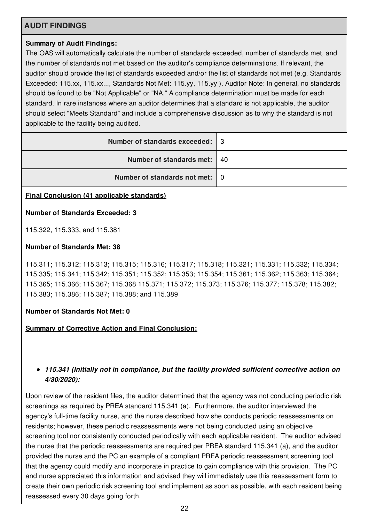## **AUDIT FINDINGS**

#### **Summary of Audit Findings:**

The OAS will automatically calculate the number of standards exceeded, number of standards met, and the number of standards not met based on the auditor's compliance determinations. If relevant, the auditor should provide the list of standards exceeded and/or the list of standards not met (e.g. Standards Exceeded: 115.xx, 115.xx..., Standards Not Met: 115.yy, 115.yy ). Auditor Note: In general, no standards should be found to be "Not Applicable" or "NA." A compliance determination must be made for each standard. In rare instances where an auditor determines that a standard is not applicable, the auditor should select "Meets Standard" and include a comprehensive discussion as to why the standard is not applicable to the facility being audited.

| Number of standards exceeded:   3 |  |
|-----------------------------------|--|
| Number of standards met:   40     |  |
| Number of standards not met: 0    |  |
|                                   |  |

#### **Final Conclusion (41 applicable standards)**

#### **Number of Standards Exceeded: 3**

115.322, 115.333, and 115.381

#### **Number of Standards Met: 38**

115.311; 115.312; 115.313; 115.315; 115.316; 115.317; 115.318; 115.321; 115.331; 115.332; 115.334; 115.335; 115.341; 115.342; 115.351; 115.352; 115.353; 115.354; 115.361; 115.362; 115.363; 115.364; 115.365; 115.366; 115.367; 115.368 115.371; 115.372; 115.373; 115.376; 115.377; 115.378; 115.382; 115.383; 115.386; 115.387; 115.388; and 115.389

#### **Number of Standards Not Met: 0**

**Summary of Corrective Action and Final Conclusion:**

#### *115.341 (Initially not in compliance, but the facility provided sufficient corrective action on 4/30/2020):*

Upon review of the resident files, the auditor determined that the agency was not conducting periodic risk screenings as required by PREA standard 115.341 (a). Furthermore, the auditor interviewed the agency's full-time facility nurse, and the nurse described how she conducts periodic reassessments on residents; however, these periodic reassessments were not being conducted using an objective screening tool nor consistently conducted periodically with each applicable resident. The auditor advised the nurse that the periodic reassessments are required per PREA standard 115.341 (a), and the auditor provided the nurse and the PC an example of a compliant PREA periodic reassessment screening tool that the agency could modify and incorporate in practice to gain compliance with this provision. The PC and nurse appreciated this information and advised they will immediately use this reassessment form to create their own periodic risk screening tool and implement as soon as possible, with each resident being reassessed every 30 days going forth.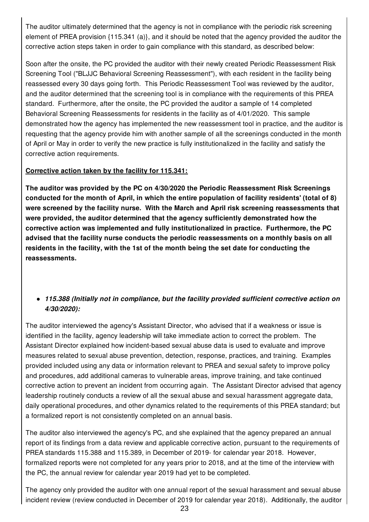The auditor ultimately determined that the agency is not in compliance with the periodic risk screening element of PREA provision {115.341 (a)}, and it should be noted that the agency provided the auditor the corrective action steps taken in order to gain compliance with this standard, as described below:

Soon after the onsite, the PC provided the auditor with their newly created Periodic Reassessment Risk Screening Tool ("BLJJC Behavioral Screening Reassessment"), with each resident in the facility being reassessed every 30 days going forth. This Periodic Reassessment Tool was reviewed by the auditor, and the auditor determined that the screening tool is in compliance with the requirements of this PREA standard. Furthermore, after the onsite, the PC provided the auditor a sample of 14 completed Behavioral Screening Reassessments for residents in the facility as of 4/01/2020. This sample demonstrated how the agency has implemented the new reassessment tool in practice, and the auditor is requesting that the agency provide him with another sample of all the screenings conducted in the month of April or May in order to verify the new practice is fully institutionalized in the facility and satisfy the corrective action requirements.

#### **Corrective action taken by the facility for 115.341:**

**The auditor was provided by the PC on 4/30/2020 the Periodic Reassessment Risk Screenings conducted for the month of April, in which the entire population of facility residents' (total of 8) were screened by the facility nurse. With the March and April risk screening reassessments that were provided, the auditor determined that the agency sufficiently demonstrated how the corrective action was implemented and fully institutionalized in practice. Furthermore, the PC advised that the facility nurse conducts the periodic reassessments on a monthly basis on all residents in the facility, with the 1st of the month being the set date for conducting the reassessments.**

## *115.388 (Initially not in compliance, but the facility provided sufficient corrective action on 4/30/2020):*

The auditor interviewed the agency's Assistant Director, who advised that if a weakness or issue is identified in the facility, agency leadership will take immediate action to correct the problem. The Assistant Director explained how incident-based sexual abuse data is used to evaluate and improve measures related to sexual abuse prevention, detection, response, practices, and training. Examples provided included using any data or information relevant to PREA and sexual safety to improve policy and procedures, add additional cameras to vulnerable areas, improve training, and take continued corrective action to prevent an incident from occurring again. The Assistant Director advised that agency leadership routinely conducts a review of all the sexual abuse and sexual harassment aggregate data, daily operational procedures, and other dynamics related to the requirements of this PREA standard; but a formalized report is not consistently completed on an annual basis.

The auditor also interviewed the agency's PC, and she explained that the agency prepared an annual report of its findings from a data review and applicable corrective action, pursuant to the requirements of PREA standards 115.388 and 115.389, in December of 2019- for calendar year 2018. However, formalized reports were not completed for any years prior to 2018, and at the time of the interview with the PC, the annual review for calendar year 2019 had yet to be completed.

The agency only provided the auditor with one annual report of the sexual harassment and sexual abuse incident review (review conducted in December of 2019 for calendar year 2018). Additionally, the auditor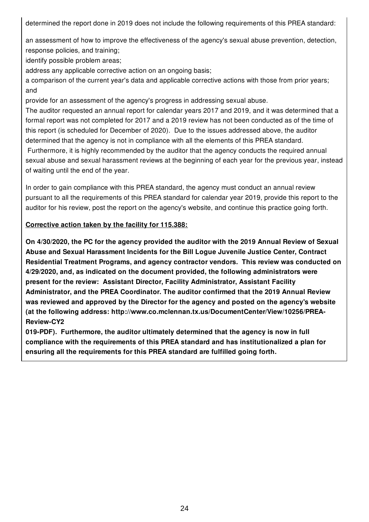determined the report done in 2019 does not include the following requirements of this PREA standard:

an assessment of how to improve the effectiveness of the agency's sexual abuse prevention, detection, response policies, and training;

identify possible problem areas;

address any applicable corrective action on an ongoing basis;

a comparison of the current year's data and applicable corrective actions with those from prior years; and

provide for an assessment of the agency's progress in addressing sexual abuse.

The auditor requested an annual report for calendar years 2017 and 2019, and it was determined that a formal report was not completed for 2017 and a 2019 review has not been conducted as of the time of this report (is scheduled for December of 2020). Due to the issues addressed above, the auditor determined that the agency is not in compliance with all the elements of this PREA standard. Furthermore, it is highly recommended by the auditor that the agency conducts the required annual

sexual abuse and sexual harassment reviews at the beginning of each year for the previous year, instead of waiting until the end of the year.

In order to gain compliance with this PREA standard, the agency must conduct an annual review pursuant to all the requirements of this PREA standard for calendar year 2019, provide this report to the auditor for his review, post the report on the agency's website, and continue this practice going forth.

#### **Corrective action taken by the facility for 115.388:**

**On 4/30/2020, the PC for the agency provided the auditor with the 2019 Annual Review of Sexual Abuse and Sexual Harassment Incidents for the Bill Logue Juvenile Justice Center, Contract Residential Treatment Programs, and agency contractor vendors. This review was conducted on 4/29/2020, and, as indicated on the document provided, the following administrators were present for the review: Assistant Director, Facility Administrator, Assistant Facility Administrator, and the PREA Coordinator. The auditor confirmed that the 2019 Annual Review was reviewed and approved by the Director for the agency and posted on the agency's website (at the following address: http://www.co.mclennan.tx.us/DocumentCenter/View/10256/PREA-Review-CY2**

**019-PDF). Furthermore, the auditor ultimately determined that the agency is now in full compliance with the requirements of this PREA standard and has institutionalized a plan for ensuring all the requirements for this PREA standard are fulfilled going forth.**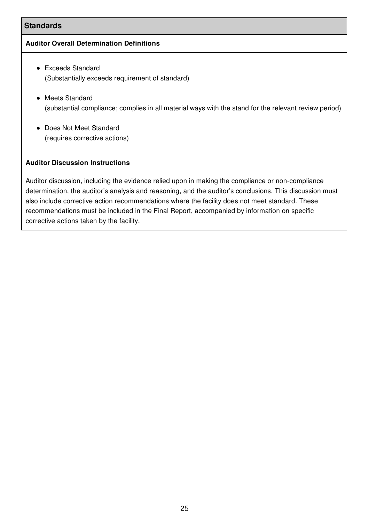#### **Standards**

#### **Auditor Overall Determination Definitions**

- Exceeds Standard (Substantially exceeds requirement of standard)
- Meets Standard (substantial compliance; complies in all material ways with the stand for the relevant review period)
- Does Not Meet Standard (requires corrective actions)

#### **Auditor Discussion Instructions**

Auditor discussion, including the evidence relied upon in making the compliance or non-compliance determination, the auditor's analysis and reasoning, and the auditor's conclusions. This discussion must also include corrective action recommendations where the facility does not meet standard. These recommendations must be included in the Final Report, accompanied by information on specific corrective actions taken by the facility.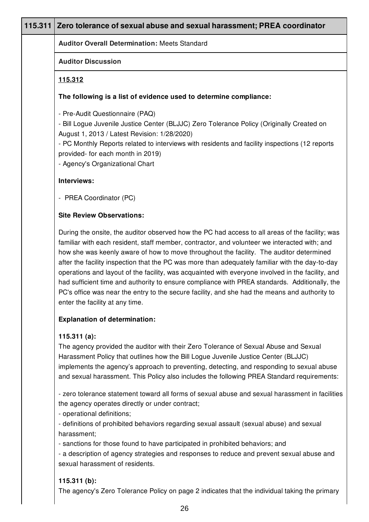| 115.311 | Zero tolerance of sexual abuse and sexual harassment; PREA coordinator                                                                                                                                                                                                                                                                                                                                                                                                                                                                                                                                                                                                                                                                  |
|---------|-----------------------------------------------------------------------------------------------------------------------------------------------------------------------------------------------------------------------------------------------------------------------------------------------------------------------------------------------------------------------------------------------------------------------------------------------------------------------------------------------------------------------------------------------------------------------------------------------------------------------------------------------------------------------------------------------------------------------------------------|
|         | <b>Auditor Overall Determination: Meets Standard</b>                                                                                                                                                                                                                                                                                                                                                                                                                                                                                                                                                                                                                                                                                    |
|         | <b>Auditor Discussion</b>                                                                                                                                                                                                                                                                                                                                                                                                                                                                                                                                                                                                                                                                                                               |
|         | 115.312                                                                                                                                                                                                                                                                                                                                                                                                                                                                                                                                                                                                                                                                                                                                 |
|         | The following is a list of evidence used to determine compliance:                                                                                                                                                                                                                                                                                                                                                                                                                                                                                                                                                                                                                                                                       |
|         | - Pre-Audit Questionnaire (PAQ)<br>- Bill Logue Juvenile Justice Center (BLJJC) Zero Tolerance Policy (Originally Created on<br>August 1, 2013 / Latest Revision: 1/28/2020)<br>- PC Monthly Reports related to interviews with residents and facility inspections (12 reports<br>provided- for each month in 2019)<br>- Agency's Organizational Chart                                                                                                                                                                                                                                                                                                                                                                                  |
|         | Interviews:                                                                                                                                                                                                                                                                                                                                                                                                                                                                                                                                                                                                                                                                                                                             |
|         | - PREA Coordinator (PC)                                                                                                                                                                                                                                                                                                                                                                                                                                                                                                                                                                                                                                                                                                                 |
|         | <b>Site Review Observations:</b>                                                                                                                                                                                                                                                                                                                                                                                                                                                                                                                                                                                                                                                                                                        |
|         | During the onsite, the auditor observed how the PC had access to all areas of the facility; was<br>familiar with each resident, staff member, contractor, and volunteer we interacted with; and<br>how she was keenly aware of how to move throughout the facility. The auditor determined<br>after the facility inspection that the PC was more than adequately familiar with the day-to-day<br>operations and layout of the facility, was acquainted with everyone involved in the facility, and<br>had sufficient time and authority to ensure compliance with PREA standards. Additionally, the<br>PC's office was near the entry to the secure facility, and she had the means and authority to<br>enter the facility at any time. |
|         | <b>Explanation of determination:</b>                                                                                                                                                                                                                                                                                                                                                                                                                                                                                                                                                                                                                                                                                                    |
|         | 115.311(a):<br>The agency provided the auditor with their Zero Tolerance of Sexual Abuse and Sexual<br>Harassment Policy that outlines how the Bill Logue Juvenile Justice Center (BLJJC)<br>implements the agency's approach to preventing, detecting, and responding to sexual abuse<br>and sexual harassment. This Policy also includes the following PREA Standard requirements:                                                                                                                                                                                                                                                                                                                                                    |
|         | - zero tolerance statement toward all forms of sexual abuse and sexual harassment in facilities<br>the agency operates directly or under contract;<br>- operational definitions;                                                                                                                                                                                                                                                                                                                                                                                                                                                                                                                                                        |
|         | - definitions of prohibited behaviors regarding sexual assault (sexual abuse) and sexual<br>harassment;                                                                                                                                                                                                                                                                                                                                                                                                                                                                                                                                                                                                                                 |
|         | - sanctions for those found to have participated in prohibited behaviors; and<br>- a description of agency strategies and responses to reduce and prevent sexual abuse and<br>sexual harassment of residents.                                                                                                                                                                                                                                                                                                                                                                                                                                                                                                                           |
|         | 115.311 $(b)$ :<br>The agency's Zero Tolerance Policy on page 2 indicates that the individual taking the primary                                                                                                                                                                                                                                                                                                                                                                                                                                                                                                                                                                                                                        |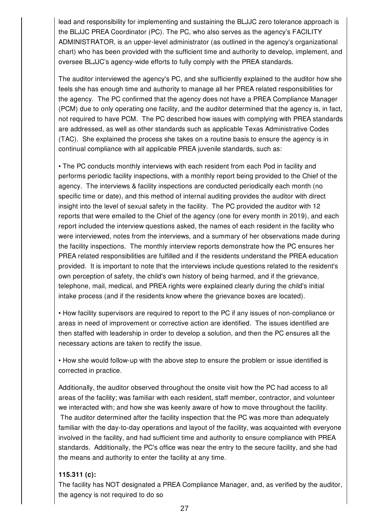lead and responsibility for implementing and sustaining the BLJJC zero tolerance approach is the BLJJC PREA Coordinator (PC). The PC, who also serves as the agency's FACILITY ADMINISTRATOR, is an upper-level administrator (as outlined in the agency's organizational chart) who has been provided with the sufficient time and authority to develop, implement, and oversee BLJJC's agency-wide efforts to fully comply with the PREA standards.

The auditor interviewed the agency's PC, and she sufficiently explained to the auditor how she feels she has enough time and authority to manage all her PREA related responsibilities for the agency. The PC confirmed that the agency does not have a PREA Compliance Manager (PCM) due to only operating one facility, and the auditor determined that the agency is, in fact, not required to have PCM. The PC described how issues with complying with PREA standards are addressed, as well as other standards such as applicable Texas Administrative Codes (TAC). She explained the process she takes on a routine basis to ensure the agency is in continual compliance with all applicable PREA juvenile standards, such as:

• The PC conducts monthly interviews with each resident from each Pod in facility and performs periodic facility inspections, with a monthly report being provided to the Chief of the agency. The interviews & facility inspections are conducted periodically each month (no specific time or date), and this method of internal auditing provides the auditor with direct insight into the level of sexual safety in the facility. The PC provided the auditor with 12 reports that were emailed to the Chief of the agency (one for every month in 2019), and each report included the interview questions asked, the names of each resident in the facility who were interviewed, notes from the interviews, and a summary of her observations made during the facility inspections. The monthly interview reports demonstrate how the PC ensures her PREA related responsibilities are fulfilled and if the residents understand the PREA education provided. It is important to note that the interviews include questions related to the resident's own perception of safety, the child's own history of being harmed, and if the grievance, telephone, mail, medical, and PREA rights were explained clearly during the child's initial intake process (and if the residents know where the grievance boxes are located).

• How facility supervisors are required to report to the PC if any issues of non-compliance or areas in need of improvement or corrective action are identified. The issues identified are then staffed with leadership in order to develop a solution, and then the PC ensures all the necessary actions are taken to rectify the issue.

• How she would follow-up with the above step to ensure the problem or issue identified is corrected in practice.

Additionally, the auditor observed throughout the onsite visit how the PC had access to all areas of the facility; was familiar with each resident, staff member, contractor, and volunteer we interacted with; and how she was keenly aware of how to move throughout the facility. The auditor determined after the facility inspection that the PC was more than adequately familiar with the day-to-day operations and layout of the facility, was acquainted with everyone involved in the facility, and had sufficient time and authority to ensure compliance with PREA standards. Additionally, the PC's office was near the entry to the secure facility, and she had the means and authority to enter the facility at any time.

## **115.311 (c):**

The facility has NOT designated a PREA Compliance Manager, and, as verified by the auditor, the agency is not required to do so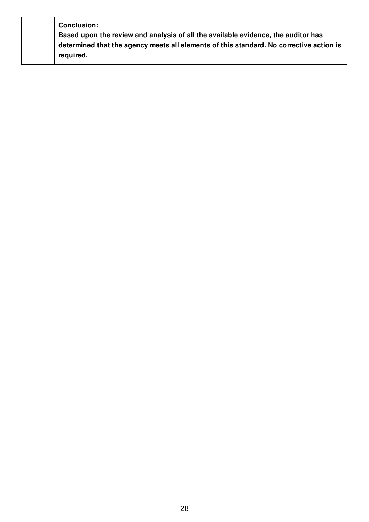| <b>Conclusion:</b>                                                                      |  |
|-----------------------------------------------------------------------------------------|--|
| Based upon the review and analysis of all the available evidence, the auditor has       |  |
| determined that the agency meets all elements of this standard. No corrective action is |  |
| required.                                                                               |  |
|                                                                                         |  |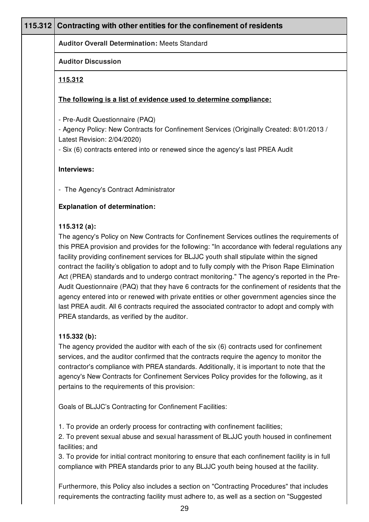## **115.312 Contracting with other entities for the confinement of residents**

**Auditor Overall Determination:** Meets Standard

### **Auditor Discussion**

## **115.312**

## **The following is a list of evidence used to determine compliance:**

- Pre-Audit Questionnaire (PAQ)

- Agency Policy: New Contracts for Confinement Services (Originally Created: 8/01/2013 / Latest Revision: 2/04/2020)

- Six (6) contracts entered into or renewed since the agency's last PREA Audit

## **Interviews:**

- The Agency's Contract Administrator

## **Explanation of determination:**

## **115.312 (a):**

The agency's Policy on New Contracts for Confinement Services outlines the requirements of this PREA provision and provides for the following: "In accordance with federal regulations any facility providing confinement services for BLJJC youth shall stipulate within the signed contract the facility's obligation to adopt and to fully comply with the Prison Rape Elimination Act (PREA) standards and to undergo contract monitoring." The agency's reported in the Pre-Audit Questionnaire (PAQ) that they have 6 contracts for the confinement of residents that the agency entered into or renewed with private entities or other government agencies since the last PREA audit. All 6 contracts required the associated contractor to adopt and comply with PREA standards, as verified by the auditor.

## **115.332 (b):**

The agency provided the auditor with each of the six (6) contracts used for confinement services, and the auditor confirmed that the contracts require the agency to monitor the contractor's compliance with PREA standards. Additionally, it is important to note that the agency's New Contracts for Confinement Services Policy provides for the following, as it pertains to the requirements of this provision:

Goals of BLJJC's Contracting for Confinement Facilities:

1. To provide an orderly process for contracting with confinement facilities;

2. To prevent sexual abuse and sexual harassment of BLJJC youth housed in confinement facilities; and

3. To provide for initial contract monitoring to ensure that each confinement facility is in full compliance with PREA standards prior to any BLJJC youth being housed at the facility.

Furthermore, this Policy also includes a section on "Contracting Procedures" that includes requirements the contracting facility must adhere to, as well as a section on "Suggested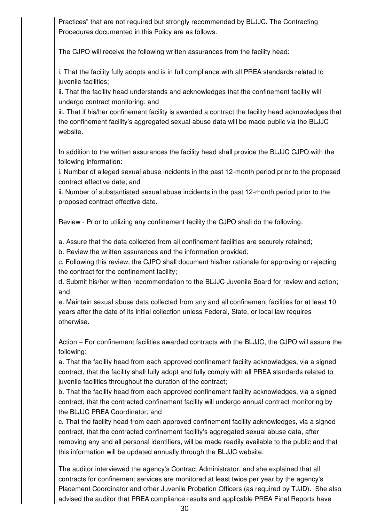Practices" that are not required but strongly recommended by BLJJC. The Contracting Procedures documented in this Policy are as follows:

The CJPO will receive the following written assurances from the facility head:

i. That the facility fully adopts and is in full compliance with all PREA standards related to juvenile facilities;

ii. That the facility head understands and acknowledges that the confinement facility will undergo contract monitoring; and

iii. That if his/her confinement facility is awarded a contract the facility head acknowledges that the confinement facility's aggregated sexual abuse data will be made public via the BLJJC website.

In addition to the written assurances the facility head shall provide the BLJJC CJPO with the following information:

i. Number of alleged sexual abuse incidents in the past 12-month period prior to the proposed contract effective date; and

ii. Number of substantiated sexual abuse incidents in the past 12-month period prior to the proposed contract effective date.

Review - Prior to utilizing any confinement facility the CJPO shall do the following:

a. Assure that the data collected from all confinement facilities are securely retained;

b. Review the written assurances and the information provided;

c. Following this review, the CJPO shall document his/her rationale for approving or rejecting the contract for the confinement facility;

d. Submit his/her written recommendation to the BLJJC Juvenile Board for review and action; and

e. Maintain sexual abuse data collected from any and all confinement facilities for at least 10 years after the date of its initial collection unless Federal, State, or local law requires otherwise.

Action – For confinement facilities awarded contracts with the BLJJC, the CJPO will assure the following:

a. That the facility head from each approved confinement facility acknowledges, via a signed contract, that the facility shall fully adopt and fully comply with all PREA standards related to juvenile facilities throughout the duration of the contract;

b. That the facility head from each approved confinement facility acknowledges, via a signed contract, that the contracted confinement facility will undergo annual contract monitoring by the BLJJC PREA Coordinator; and

c. That the facility head from each approved confinement facility acknowledges, via a signed contract, that the contracted confinement facility's aggregated sexual abuse data, after removing any and all personal identifiers, will be made readily available to the public and that this information will be updated annually through the BLJJC website.

The auditor interviewed the agency's Contract Administrator, and she explained that all contracts for confinement services are monitored at least twice per year by the agency's Placement Coordinator and other Juvenile Probation Officers (as required by TJJD). She also advised the auditor that PREA compliance results and applicable PREA Final Reports have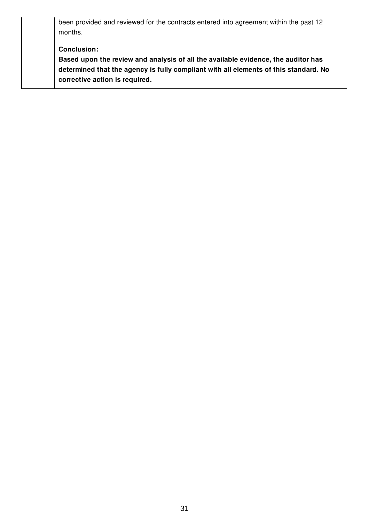been provided and reviewed for the contracts entered into agreement within the past 12 months.

**Conclusion:**

**Based upon the review and analysis of all the available evidence, the auditor has determined that the agency is fully compliant with all elements of this standard. No corrective action is required.**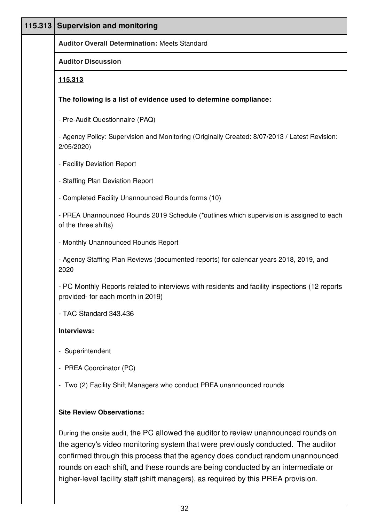| 115.313 | <b>Supervision and monitoring</b>                                                                                                                                                                                                                                                                                                                                                                                                  |
|---------|------------------------------------------------------------------------------------------------------------------------------------------------------------------------------------------------------------------------------------------------------------------------------------------------------------------------------------------------------------------------------------------------------------------------------------|
|         | <b>Auditor Overall Determination: Meets Standard</b>                                                                                                                                                                                                                                                                                                                                                                               |
|         | <b>Auditor Discussion</b>                                                                                                                                                                                                                                                                                                                                                                                                          |
|         | 115.313                                                                                                                                                                                                                                                                                                                                                                                                                            |
|         | The following is a list of evidence used to determine compliance:                                                                                                                                                                                                                                                                                                                                                                  |
|         | - Pre-Audit Questionnaire (PAQ)                                                                                                                                                                                                                                                                                                                                                                                                    |
|         | - Agency Policy: Supervision and Monitoring (Originally Created: 8/07/2013 / Latest Revision:<br>2/05/2020)                                                                                                                                                                                                                                                                                                                        |
|         | - Facility Deviation Report                                                                                                                                                                                                                                                                                                                                                                                                        |
|         | - Staffing Plan Deviation Report                                                                                                                                                                                                                                                                                                                                                                                                   |
|         | - Completed Facility Unannounced Rounds forms (10)                                                                                                                                                                                                                                                                                                                                                                                 |
|         | - PREA Unannounced Rounds 2019 Schedule (*outlines which supervision is assigned to each<br>of the three shifts)                                                                                                                                                                                                                                                                                                                   |
|         | - Monthly Unannounced Rounds Report                                                                                                                                                                                                                                                                                                                                                                                                |
|         | - Agency Staffing Plan Reviews (documented reports) for calendar years 2018, 2019, and<br>2020                                                                                                                                                                                                                                                                                                                                     |
|         | - PC Monthly Reports related to interviews with residents and facility inspections (12 reports<br>provided- for each month in 2019)                                                                                                                                                                                                                                                                                                |
|         | - TAC Standard 343.436                                                                                                                                                                                                                                                                                                                                                                                                             |
|         | Interviews:                                                                                                                                                                                                                                                                                                                                                                                                                        |
|         | - Superintendent                                                                                                                                                                                                                                                                                                                                                                                                                   |
|         | - PREA Coordinator (PC)                                                                                                                                                                                                                                                                                                                                                                                                            |
|         | - Two (2) Facility Shift Managers who conduct PREA unannounced rounds                                                                                                                                                                                                                                                                                                                                                              |
|         |                                                                                                                                                                                                                                                                                                                                                                                                                                    |
|         | <b>Site Review Observations:</b>                                                                                                                                                                                                                                                                                                                                                                                                   |
|         | During the onsite audit, the PC allowed the auditor to review unannounced rounds on<br>the agency's video monitoring system that were previously conducted. The auditor<br>confirmed through this process that the agency does conduct random unannounced<br>rounds on each shift, and these rounds are being conducted by an intermediate or<br>higher-level facility staff (shift managers), as required by this PREA provision. |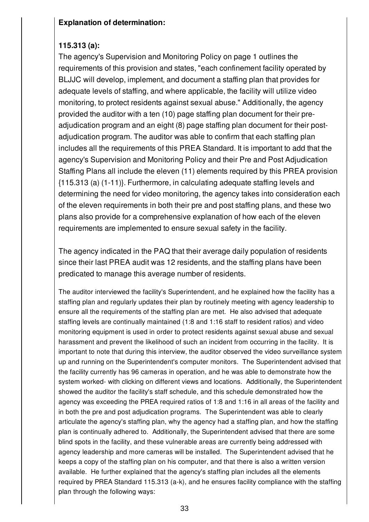## **Explanation of determination:**

# **115.313 (a):**

The agency's Supervision and Monitoring Policy on page 1 outlines the requirements of this provision and states, "each confinement facility operated by BLJJC will develop, implement, and document a staffing plan that provides for adequate levels of staffing, and where applicable, the facility will utilize video monitoring, to protect residents against sexual abuse." Additionally, the agency provided the auditor with a ten (10) page staffing plan document for their preadjudication program and an eight (8) page staffing plan document for their postadjudication program. The auditor was able to confirm that each staffing plan includes all the requirements of this PREA Standard. It is important to add that the agency's Supervision and Monitoring Policy and their Pre and Post Adjudication Staffing Plans all include the eleven (11) elements required by this PREA provision {115.313 (a) (1-11)}. Furthermore, in calculating adequate staffing levels and determining the need for video monitoring, the agency takes into consideration each of the eleven requirements in both their pre and post staffing plans, and these two plans also provide for a comprehensive explanation of how each of the eleven requirements are implemented to ensure sexual safety in the facility.

The agency indicated in the PAQ that their average daily population of residents since their last PREA audit was 12 residents, and the staffing plans have been predicated to manage this average number of residents.

The auditor interviewed the facility's Superintendent, and he explained how the facility has a staffing plan and regularly updates their plan by routinely meeting with agency leadership to ensure all the requirements of the staffing plan are met. He also advised that adequate staffing levels are continually maintained (1:8 and 1:16 staff to resident ratios) and video monitoring equipment is used in order to protect residents against sexual abuse and sexual harassment and prevent the likelihood of such an incident from occurring in the facility. It is important to note that during this interview, the auditor observed the video surveillance system up and running on the Superintendent's computer monitors. The Superintendent advised that the facility currently has 96 cameras in operation, and he was able to demonstrate how the system worked- with clicking on different views and locations. Additionally, the Superintendent showed the auditor the facility's staff schedule, and this schedule demonstrated how the agency was exceeding the PREA required ratios of 1:8 and 1:16 in all areas of the facility and in both the pre and post adjudication programs. The Superintendent was able to clearly articulate the agency's staffing plan, why the agency had a staffing plan, and how the staffing plan is continually adhered to. Additionally, the Superintendent advised that there are some blind spots in the facility, and these vulnerable areas are currently being addressed with agency leadership and more cameras will be installed. The Superintendent advised that he keeps a copy of the staffing plan on his computer, and that there is also a written version available. He further explained that the agency's staffing plan includes all the elements required by PREA Standard 115.313 (a-k), and he ensures facility compliance with the staffing plan through the following ways: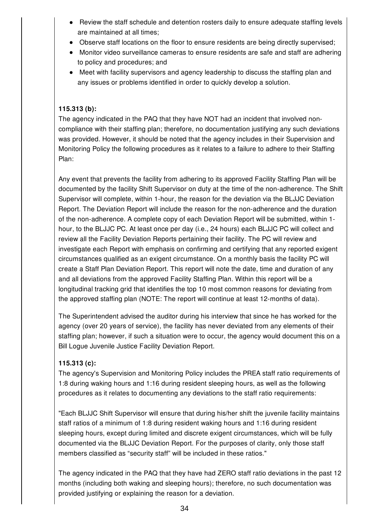- Review the staff schedule and detention rosters daily to ensure adequate staffing levels are maintained at all times;
- Observe staff locations on the floor to ensure residents are being directly supervised;
- Monitor video surveillance cameras to ensure residents are safe and staff are adhering to policy and procedures; and
- Meet with facility supervisors and agency leadership to discuss the staffing plan and any issues or problems identified in order to quickly develop a solution.

## **115.313 (b):**

The agency indicated in the PAQ that they have NOT had an incident that involved noncompliance with their staffing plan; therefore, no documentation justifying any such deviations was provided. However, it should be noted that the agency includes in their Supervision and Monitoring Policy the following procedures as it relates to a failure to adhere to their Staffing Plan:

Any event that prevents the facility from adhering to its approved Facility Staffing Plan will be documented by the facility Shift Supervisor on duty at the time of the non-adherence. The Shift Supervisor will complete, within 1-hour, the reason for the deviation via the BLJJC Deviation Report. The Deviation Report will include the reason for the non-adherence and the duration of the non-adherence. A complete copy of each Deviation Report will be submitted, within 1 hour, to the BLJJC PC. At least once per day (i.e., 24 hours) each BLJJC PC will collect and review all the Facility Deviation Reports pertaining their facility. The PC will review and investigate each Report with emphasis on confirming and certifying that any reported exigent circumstances qualified as an exigent circumstance. On a monthly basis the facility PC will create a Staff Plan Deviation Report. This report will note the date, time and duration of any and all deviations from the approved Facility Staffing Plan. Within this report will be a longitudinal tracking grid that identifies the top 10 most common reasons for deviating from the approved staffing plan (NOTE: The report will continue at least 12-months of data).

The Superintendent advised the auditor during his interview that since he has worked for the agency (over 20 years of service), the facility has never deviated from any elements of their staffing plan; however, if such a situation were to occur, the agency would document this on a Bill Logue Juvenile Justice Facility Deviation Report.

## **115.313 (c):**

The agency's Supervision and Monitoring Policy includes the PREA staff ratio requirements of 1:8 during waking hours and 1:16 during resident sleeping hours, as well as the following procedures as it relates to documenting any deviations to the staff ratio requirements:

"Each BLJJC Shift Supervisor will ensure that during his/her shift the juvenile facility maintains staff ratios of a minimum of 1:8 during resident waking hours and 1:16 during resident sleeping hours, except during limited and discrete exigent circumstances, which will be fully documented via the BLJJC Deviation Report. For the purposes of clarity, only those staff members classified as "security staff" will be included in these ratios."

The agency indicated in the PAQ that they have had ZERO staff ratio deviations in the past 12 months (including both waking and sleeping hours); therefore, no such documentation was provided justifying or explaining the reason for a deviation.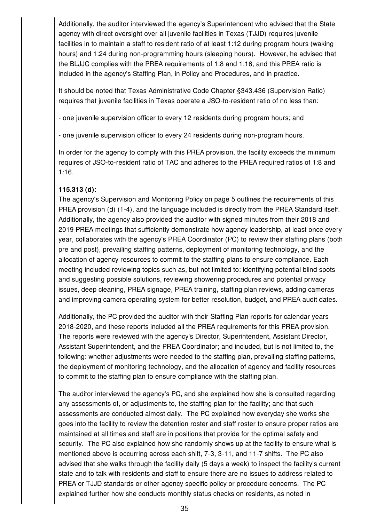Additionally, the auditor interviewed the agency's Superintendent who advised that the State agency with direct oversight over all juvenile facilities in Texas (TJJD) requires juvenile facilities in to maintain a staff to resident ratio of at least 1:12 during program hours (waking hours) and 1:24 during non-programming hours (sleeping hours). However, he advised that the BLJJC complies with the PREA requirements of 1:8 and 1:16, and this PREA ratio is included in the agency's Staffing Plan, in Policy and Procedures, and in practice.

It should be noted that Texas Administrative Code Chapter §343.436 (Supervision Ratio) requires that juvenile facilities in Texas operate a JSO-to-resident ratio of no less than:

- one juvenile supervision officer to every 12 residents during program hours; and

- one juvenile supervision officer to every 24 residents during non-program hours.

In order for the agency to comply with this PREA provision, the facility exceeds the minimum requires of JSO-to-resident ratio of TAC and adheres to the PREA required ratios of 1:8 and 1:16.

#### **115.313 (d):**

The agency's Supervision and Monitoring Policy on page 5 outlines the requirements of this PREA provision (d) (1-4), and the language included is directly from the PREA Standard itself. Additionally, the agency also provided the auditor with signed minutes from their 2018 and 2019 PREA meetings that sufficiently demonstrate how agency leadership, at least once every year, collaborates with the agency's PREA Coordinator (PC) to review their staffing plans (both pre and post), prevailing staffing patterns, deployment of monitoring technology, and the allocation of agency resources to commit to the staffing plans to ensure compliance. Each meeting included reviewing topics such as, but not limited to: identifying potential blind spots and suggesting possible solutions, reviewing showering procedures and potential privacy issues, deep cleaning, PREA signage, PREA training, staffing plan reviews, adding cameras and improving camera operating system for better resolution, budget, and PREA audit dates.

Additionally, the PC provided the auditor with their Staffing Plan reports for calendar years 2018-2020, and these reports included all the PREA requirements for this PREA provision. The reports were reviewed with the agency's Director, Superintendent, Assistant Director, Assistant Superintendent, and the PREA Coordinator; and included, but is not limited to, the following: whether adjustments were needed to the staffing plan, prevailing staffing patterns, the deployment of monitoring technology, and the allocation of agency and facility resources to commit to the staffing plan to ensure compliance with the staffing plan.

The auditor interviewed the agency's PC, and she explained how she is consulted regarding any assessments of, or adjustments to, the staffing plan for the facility; and that such assessments are conducted almost daily. The PC explained how everyday she works she goes into the facility to review the detention roster and staff roster to ensure proper ratios are maintained at all times and staff are in positions that provide for the optimal safety and security. The PC also explained how she randomly shows up at the facility to ensure what is mentioned above is occurring across each shift, 7-3, 3-11, and 11-7 shifts. The PC also advised that she walks through the facility daily (5 days a week) to inspect the facility's current state and to talk with residents and staff to ensure there are no issues to address related to PREA or TJJD standards or other agency specific policy or procedure concerns. The PC explained further how she conducts monthly status checks on residents, as noted in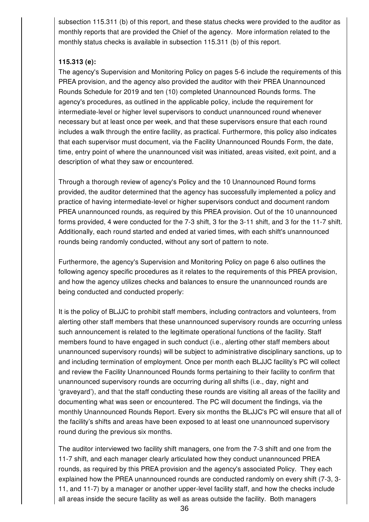subsection 115.311 (b) of this report, and these status checks were provided to the auditor as monthly reports that are provided the Chief of the agency. More information related to the monthly status checks is available in subsection 115.311 (b) of this report.

## **115.313 (e):**

The agency's Supervision and Monitoring Policy on pages 5-6 include the requirements of this PREA provision, and the agency also provided the auditor with their PREA Unannounced Rounds Schedule for 2019 and ten (10) completed Unannounced Rounds forms. The agency's procedures, as outlined in the applicable policy, include the requirement for intermediate-level or higher level supervisors to conduct unannounced round whenever necessary but at least once per week, and that these supervisors ensure that each round includes a walk through the entire facility, as practical. Furthermore, this policy also indicates that each supervisor must document, via the Facility Unannounced Rounds Form, the date, time, entry point of where the unannounced visit was initiated, areas visited, exit point, and a description of what they saw or encountered.

Through a thorough review of agency's Policy and the 10 Unannounced Round forms provided, the auditor determined that the agency has successfully implemented a policy and practice of having intermediate-level or higher supervisors conduct and document random PREA unannounced rounds, as required by this PREA provision. Out of the 10 unannounced forms provided, 4 were conducted for the 7-3 shift, 3 for the 3-11 shift, and 3 for the 11-7 shift. Additionally, each round started and ended at varied times, with each shift's unannounced rounds being randomly conducted, without any sort of pattern to note.

Furthermore, the agency's Supervision and Monitoring Policy on page 6 also outlines the following agency specific procedures as it relates to the requirements of this PREA provision, and how the agency utilizes checks and balances to ensure the unannounced rounds are being conducted and conducted properly:

It is the policy of BLJJC to prohibit staff members, including contractors and volunteers, from alerting other staff members that these unannounced supervisory rounds are occurring unless such announcement is related to the legitimate operational functions of the facility. Staff members found to have engaged in such conduct (i.e., alerting other staff members about unannounced supervisory rounds) will be subject to administrative disciplinary sanctions, up to and including termination of employment. Once per month each BLJJC facility's PC will collect and review the Facility Unannounced Rounds forms pertaining to their facility to confirm that unannounced supervisory rounds are occurring during all shifts (i.e., day, night and 'graveyard'), and that the staff conducting these rounds are visiting all areas of the facility and documenting what was seen or encountered. The PC will document the findings, via the monthly Unannounced Rounds Report. Every six months the BLJJC's PC will ensure that all of the facility's shifts and areas have been exposed to at least one unannounced supervisory round during the previous six months.

The auditor interviewed two facility shift managers, one from the 7-3 shift and one from the 11-7 shift, and each manager clearly articulated how they conduct unannounced PREA rounds, as required by this PREA provision and the agency's associated Policy. They each explained how the PREA unannounced rounds are conducted randomly on every shift (7-3, 3- 11, and 11-7) by a manager or another upper-level facility staff, and how the checks include all areas inside the secure facility as well as areas outside the facility. Both managers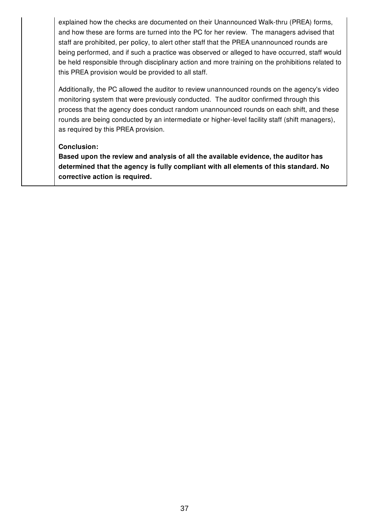explained how the checks are documented on their Unannounced Walk-thru (PREA) forms, and how these are forms are turned into the PC for her review. The managers advised that staff are prohibited, per policy, to alert other staff that the PREA unannounced rounds are being performed, and if such a practice was observed or alleged to have occurred, staff would be held responsible through disciplinary action and more training on the prohibitions related to this PREA provision would be provided to all staff.

Additionally, the PC allowed the auditor to review unannounced rounds on the agency's video monitoring system that were previously conducted. The auditor confirmed through this process that the agency does conduct random unannounced rounds on each shift, and these rounds are being conducted by an intermediate or higher-level facility staff (shift managers), as required by this PREA provision.

### **Conclusion:**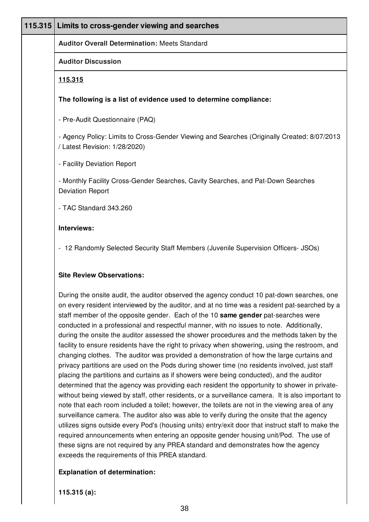| 115.315 Limits to cross-gender viewing and searches                                                                                                                                                                                                                                                                                                                                                                                                                                                                                                                                                                                                                                                                                                                      |
|--------------------------------------------------------------------------------------------------------------------------------------------------------------------------------------------------------------------------------------------------------------------------------------------------------------------------------------------------------------------------------------------------------------------------------------------------------------------------------------------------------------------------------------------------------------------------------------------------------------------------------------------------------------------------------------------------------------------------------------------------------------------------|
| <b>Auditor Overall Determination: Meets Standard</b>                                                                                                                                                                                                                                                                                                                                                                                                                                                                                                                                                                                                                                                                                                                     |
| <b>Auditor Discussion</b>                                                                                                                                                                                                                                                                                                                                                                                                                                                                                                                                                                                                                                                                                                                                                |
| <u>115.315</u>                                                                                                                                                                                                                                                                                                                                                                                                                                                                                                                                                                                                                                                                                                                                                           |
| The following is a list of evidence used to determine compliance:                                                                                                                                                                                                                                                                                                                                                                                                                                                                                                                                                                                                                                                                                                        |
| - Pre-Audit Questionnaire (PAQ)                                                                                                                                                                                                                                                                                                                                                                                                                                                                                                                                                                                                                                                                                                                                          |
| - Agency Policy: Limits to Cross-Gender Viewing and Searches (Originally Created: 8/07/2013<br>/ Latest Revision: 1/28/2020)                                                                                                                                                                                                                                                                                                                                                                                                                                                                                                                                                                                                                                             |
| - Facility Deviation Report                                                                                                                                                                                                                                                                                                                                                                                                                                                                                                                                                                                                                                                                                                                                              |
| - Monthly Facility Cross-Gender Searches, Cavity Searches, and Pat-Down Searches<br><b>Deviation Report</b>                                                                                                                                                                                                                                                                                                                                                                                                                                                                                                                                                                                                                                                              |
| - TAC Standard 343.260                                                                                                                                                                                                                                                                                                                                                                                                                                                                                                                                                                                                                                                                                                                                                   |
| Interviews:                                                                                                                                                                                                                                                                                                                                                                                                                                                                                                                                                                                                                                                                                                                                                              |
| - 12 Randomly Selected Security Staff Members (Juvenile Supervision Officers- JSOs)                                                                                                                                                                                                                                                                                                                                                                                                                                                                                                                                                                                                                                                                                      |
| <b>Site Review Observations:</b>                                                                                                                                                                                                                                                                                                                                                                                                                                                                                                                                                                                                                                                                                                                                         |
| During the onsite audit, the auditor observed the agency conduct 10 pat-down searches, one<br>on every resident interviewed by the auditor, and at no time was a resident pat-searched by a<br>staff member of the opposite gender. Each of the 10 same gender pat-searches were<br>conducted in a professional and respectful manner, with no issues to note. Additionally,<br>during the onsite the auditor assessed the shower procedures and the methods taken by the<br>facility to ensure residents have the right to privacy when showering, using the restroom, and<br>changing clothes. The auditor was provided a demonstration of how the large curtains and<br>privacy partitions are used on the Pods during shower time (no residents involved, just staff |

placing the partitions and curtains as if showers were being conducted), and the auditor determined that the agency was providing each resident the opportunity to shower in privatewithout being viewed by staff, other residents, or a surveillance camera. It is also important to note that each room included a toilet; however, the toilets are not in the viewing area of any surveillance camera. The auditor also was able to verify during the onsite that the agency utilizes signs outside every Pod's (housing units) entry/exit door that instruct staff to make the required announcements when entering an opposite gender housing unit/Pod. The use of these signs are not required by any PREA standard and demonstrates how the agency exceeds the requirements of this PREA standard.

### **Explanation of determination:**

**115.315 (a):**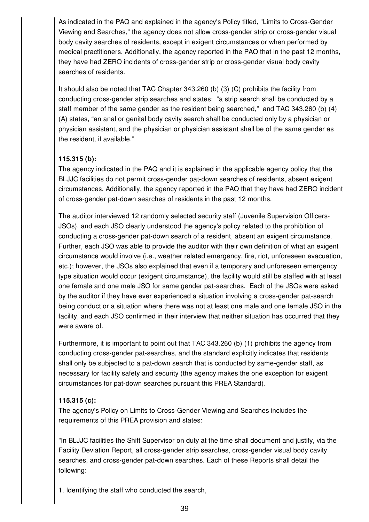As indicated in the PAQ and explained in the agency's Policy titled, "Limits to Cross-Gender Viewing and Searches," the agency does not allow cross-gender strip or cross-gender visual body cavity searches of residents, except in exigent circumstances or when performed by medical practitioners. Additionally, the agency reported in the PAQ that in the past 12 months, they have had ZERO incidents of cross-gender strip or cross-gender visual body cavity searches of residents.

It should also be noted that TAC Chapter 343.260 (b) (3) (C) prohibits the facility from conducting cross-gender strip searches and states: "a strip search shall be conducted by a staff member of the same gender as the resident being searched," and TAC 343.260 (b) (4) (A) states, "an anal or genital body cavity search shall be conducted only by a physician or physician assistant, and the physician or physician assistant shall be of the same gender as the resident, if available."

# **115.315 (b):**

The agency indicated in the PAQ and it is explained in the applicable agency policy that the BLJJC facilities do not permit cross-gender pat-down searches of residents, absent exigent circumstances. Additionally, the agency reported in the PAQ that they have had ZERO incident of cross-gender pat-down searches of residents in the past 12 months.

The auditor interviewed 12 randomly selected security staff (Juvenile Supervision Officers-JSOs), and each JSO clearly understood the agency's policy related to the prohibition of conducting a cross-gender pat-down search of a resident, absent an exigent circumstance. Further, each JSO was able to provide the auditor with their own definition of what an exigent circumstance would involve (i.e., weather related emergency, fire, riot, unforeseen evacuation, etc.); however, the JSOs also explained that even if a temporary and unforeseen emergency type situation would occur (exigent circumstance), the facility would still be staffed with at least one female and one male JSO for same gender pat-searches. Each of the JSOs were asked by the auditor if they have ever experienced a situation involving a cross-gender pat-search being conduct or a situation where there was not at least one male and one female JSO in the facility, and each JSO confirmed in their interview that neither situation has occurred that they were aware of.

Furthermore, it is important to point out that TAC 343.260 (b) (1) prohibits the agency from conducting cross-gender pat-searches, and the standard explicitly indicates that residents shall only be subjected to a pat-down search that is conducted by same-gender staff, as necessary for facility safety and security (the agency makes the one exception for exigent circumstances for pat-down searches pursuant this PREA Standard).

## **115.315 (c):**

The agency's Policy on Limits to Cross-Gender Viewing and Searches includes the requirements of this PREA provision and states:

"In BLJJC facilities the Shift Supervisor on duty at the time shall document and justify, via the Facility Deviation Report, all cross-gender strip searches, cross-gender visual body cavity searches, and cross-gender pat-down searches. Each of these Reports shall detail the following:

1. Identifying the staff who conducted the search,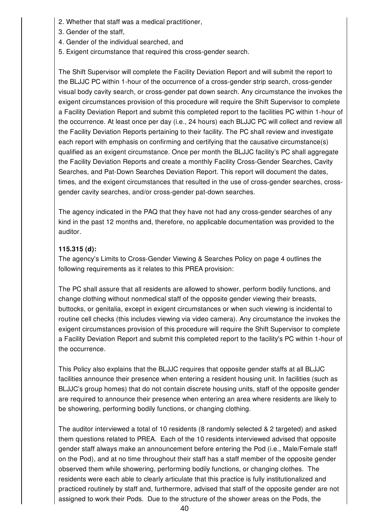- 2. Whether that staff was a medical practitioner,
- 3. Gender of the staff,
- 4. Gender of the individual searched, and
- 5. Exigent circumstance that required this cross-gender search.

The Shift Supervisor will complete the Facility Deviation Report and will submit the report to the BLJJC PC within 1-hour of the occurrence of a cross-gender strip search, cross-gender visual body cavity search, or cross-gender pat down search. Any circumstance the invokes the exigent circumstances provision of this procedure will require the Shift Supervisor to complete a Facility Deviation Report and submit this completed report to the facilities PC within 1-hour of the occurrence. At least once per day (i.e., 24 hours) each BLJJC PC will collect and review all the Facility Deviation Reports pertaining to their facility. The PC shall review and investigate each report with emphasis on confirming and certifying that the causative circumstance(s) qualified as an exigent circumstance. Once per month the BLJJC facility's PC shall aggregate the Facility Deviation Reports and create a monthly Facility Cross-Gender Searches, Cavity Searches, and Pat-Down Searches Deviation Report. This report will document the dates, times, and the exigent circumstances that resulted in the use of cross-gender searches, crossgender cavity searches, and/or cross-gender pat-down searches.

The agency indicated in the PAQ that they have not had any cross-gender searches of any kind in the past 12 months and, therefore, no applicable documentation was provided to the auditor.

## **115.315 (d):**

The agency's Limits to Cross-Gender Viewing & Searches Policy on page 4 outlines the following requirements as it relates to this PREA provision:

The PC shall assure that all residents are allowed to shower, perform bodily functions, and change clothing without nonmedical staff of the opposite gender viewing their breasts, buttocks, or genitalia, except in exigent circumstances or when such viewing is incidental to routine cell checks (this includes viewing via video camera). Any circumstance the invokes the exigent circumstances provision of this procedure will require the Shift Supervisor to complete a Facility Deviation Report and submit this completed report to the facility's PC within 1-hour of the occurrence.

This Policy also explains that the BLJJC requires that opposite gender staffs at all BLJJC facilities announce their presence when entering a resident housing unit. In facilities (such as BLJJC's group homes) that do not contain discrete housing units, staff of the opposite gender are required to announce their presence when entering an area where residents are likely to be showering, performing bodily functions, or changing clothing.

The auditor interviewed a total of 10 residents (8 randomly selected & 2 targeted) and asked them questions related to PREA. Each of the 10 residents interviewed advised that opposite gender staff always make an announcement before entering the Pod (i.e., Male/Female staff on the Pod), and at no time throughout their staff has a staff member of the opposite gender observed them while showering, performing bodily functions, or changing clothes. The residents were each able to clearly articulate that this practice is fully institutionalized and practiced routinely by staff and, furthermore, advised that staff of the opposite gender are not assigned to work their Pods. Due to the structure of the shower areas on the Pods, the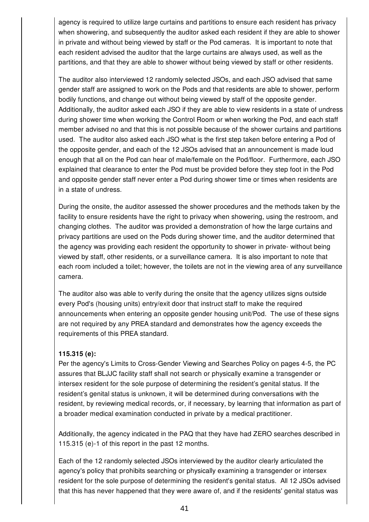agency is required to utilize large curtains and partitions to ensure each resident has privacy when showering, and subsequently the auditor asked each resident if they are able to shower in private and without being viewed by staff or the Pod cameras. It is important to note that each resident advised the auditor that the large curtains are always used, as well as the partitions, and that they are able to shower without being viewed by staff or other residents.

The auditor also interviewed 12 randomly selected JSOs, and each JSO advised that same gender staff are assigned to work on the Pods and that residents are able to shower, perform bodily functions, and change out without being viewed by staff of the opposite gender. Additionally, the auditor asked each JSO if they are able to view residents in a state of undress during shower time when working the Control Room or when working the Pod, and each staff member advised no and that this is not possible because of the shower curtains and partitions used. The auditor also asked each JSO what is the first step taken before entering a Pod of the opposite gender, and each of the 12 JSOs advised that an announcement is made loud enough that all on the Pod can hear of male/female on the Pod/floor. Furthermore, each JSO explained that clearance to enter the Pod must be provided before they step foot in the Pod and opposite gender staff never enter a Pod during shower time or times when residents are in a state of undress.

During the onsite, the auditor assessed the shower procedures and the methods taken by the facility to ensure residents have the right to privacy when showering, using the restroom, and changing clothes. The auditor was provided a demonstration of how the large curtains and privacy partitions are used on the Pods during shower time, and the auditor determined that the agency was providing each resident the opportunity to shower in private- without being viewed by staff, other residents, or a surveillance camera. It is also important to note that each room included a toilet; however, the toilets are not in the viewing area of any surveillance camera.

The auditor also was able to verify during the onsite that the agency utilizes signs outside every Pod's (housing units) entry/exit door that instruct staff to make the required announcements when entering an opposite gender housing unit/Pod. The use of these signs are not required by any PREA standard and demonstrates how the agency exceeds the requirements of this PREA standard.

### **115.315 (e):**

Per the agency's Limits to Cross-Gender Viewing and Searches Policy on pages 4-5, the PC assures that BLJJC facility staff shall not search or physically examine a transgender or intersex resident for the sole purpose of determining the resident's genital status. If the resident's genital status is unknown, it will be determined during conversations with the resident, by reviewing medical records, or, if necessary, by learning that information as part of a broader medical examination conducted in private by a medical practitioner.

Additionally, the agency indicated in the PAQ that they have had ZERO searches described in 115.315 (e)-1 of this report in the past 12 months.

Each of the 12 randomly selected JSOs interviewed by the auditor clearly articulated the agency's policy that prohibits searching or physically examining a transgender or intersex resident for the sole purpose of determining the resident's genital status. All 12 JSOs advised that this has never happened that they were aware of, and if the residents' genital status was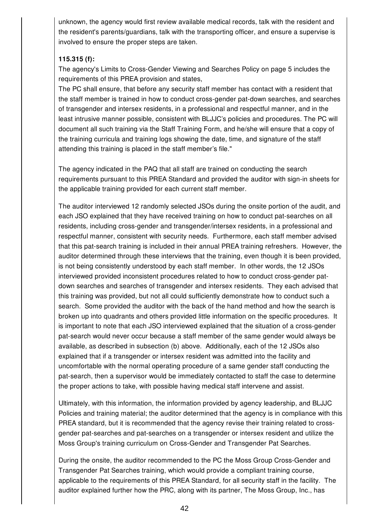unknown, the agency would first review available medical records, talk with the resident and the resident's parents/guardians, talk with the transporting officer, and ensure a supervise is involved to ensure the proper steps are taken.

### **115.315 (f):**

The agency's Limits to Cross-Gender Viewing and Searches Policy on page 5 includes the requirements of this PREA provision and states,

The PC shall ensure, that before any security staff member has contact with a resident that the staff member is trained in how to conduct cross-gender pat-down searches, and searches of transgender and intersex residents, in a professional and respectful manner, and in the least intrusive manner possible, consistent with BLJJC's policies and procedures. The PC will document all such training via the Staff Training Form, and he/she will ensure that a copy of the training curricula and training logs showing the date, time, and signature of the staff attending this training is placed in the staff member's file."

The agency indicated in the PAQ that all staff are trained on conducting the search requirements pursuant to this PREA Standard and provided the auditor with sign-in sheets for the applicable training provided for each current staff member.

The auditor interviewed 12 randomly selected JSOs during the onsite portion of the audit, and each JSO explained that they have received training on how to conduct pat-searches on all residents, including cross-gender and transgender/intersex residents, in a professional and respectful manner, consistent with security needs. Furthermore, each staff member advised that this pat-search training is included in their annual PREA training refreshers. However, the auditor determined through these interviews that the training, even though it is been provided, is not being consistently understood by each staff member. In other words, the 12 JSOs interviewed provided inconsistent procedures related to how to conduct cross-gender patdown searches and searches of transgender and intersex residents. They each advised that this training was provided, but not all could sufficiently demonstrate how to conduct such a search. Some provided the auditor with the back of the hand method and how the search is broken up into quadrants and others provided little information on the specific procedures. It is important to note that each JSO interviewed explained that the situation of a cross-gender pat-search would never occur because a staff member of the same gender would always be available, as described in subsection (b) above. Additionally, each of the 12 JSOs also explained that if a transgender or intersex resident was admitted into the facility and uncomfortable with the normal operating procedure of a same gender staff conducting the pat-search, then a supervisor would be immediately contacted to staff the case to determine the proper actions to take, with possible having medical staff intervene and assist.

Ultimately, with this information, the information provided by agency leadership, and BLJJC Policies and training material; the auditor determined that the agency is in compliance with this PREA standard, but it is recommended that the agency revise their training related to crossgender pat-searches and pat-searches on a transgender or intersex resident and utilize the Moss Group's training curriculum on Cross-Gender and Transgender Pat Searches.

During the onsite, the auditor recommended to the PC the Moss Group Cross-Gender and Transgender Pat Searches training, which would provide a compliant training course, applicable to the requirements of this PREA Standard, for all security staff in the facility. The auditor explained further how the PRC, along with its partner, The Moss Group, Inc., has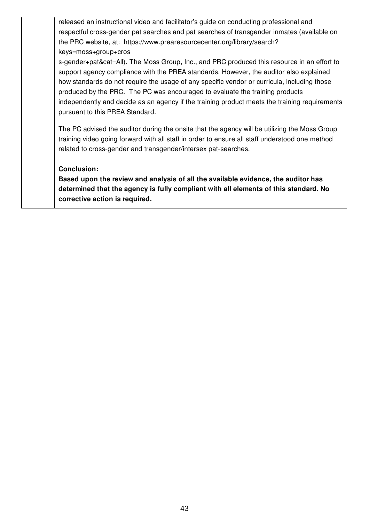released an instructional video and facilitator's guide on conducting professional and respectful cross-gender pat searches and pat searches of transgender inmates (available on the PRC website, at: https://www.prearesourcecenter.org/library/search? keys=moss+group+cros

s-gender+pat&cat=All). The Moss Group, Inc., and PRC produced this resource in an effort to support agency compliance with the PREA standards. However, the auditor also explained how standards do not require the usage of any specific vendor or curricula, including those produced by the PRC. The PC was encouraged to evaluate the training products independently and decide as an agency if the training product meets the training requirements pursuant to this PREA Standard.

The PC advised the auditor during the onsite that the agency will be utilizing the Moss Group training video going forward with all staff in order to ensure all staff understood one method related to cross-gender and transgender/intersex pat-searches.

### **Conclusion:**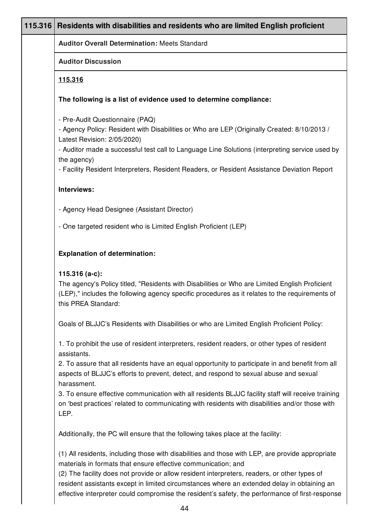| 115.316 | Residents with disabilities and residents who are limited English proficient                                                                                                                                                                                                                                                                                     |
|---------|------------------------------------------------------------------------------------------------------------------------------------------------------------------------------------------------------------------------------------------------------------------------------------------------------------------------------------------------------------------|
|         | <b>Auditor Overall Determination: Meets Standard</b>                                                                                                                                                                                                                                                                                                             |
|         | <b>Auditor Discussion</b>                                                                                                                                                                                                                                                                                                                                        |
|         | 115.316                                                                                                                                                                                                                                                                                                                                                          |
|         | The following is a list of evidence used to determine compliance:                                                                                                                                                                                                                                                                                                |
|         | - Pre-Audit Questionnaire (PAQ)<br>- Agency Policy: Resident with Disabilities or Who are LEP (Originally Created: 8/10/2013 /<br>Latest Revision: 2/05/2020)<br>- Auditor made a successful test call to Language Line Solutions (interpreting service used by                                                                                                  |
|         | the agency)<br>- Facility Resident Interpreters, Resident Readers, or Resident Assistance Deviation Report                                                                                                                                                                                                                                                       |
|         | Interviews:                                                                                                                                                                                                                                                                                                                                                      |
|         | - Agency Head Designee (Assistant Director)                                                                                                                                                                                                                                                                                                                      |
|         | - One targeted resident who is Limited English Proficient (LEP)                                                                                                                                                                                                                                                                                                  |
|         | <b>Explanation of determination:</b>                                                                                                                                                                                                                                                                                                                             |
|         | 115.316 (a-c):<br>The agency's Policy titled, "Residents with Disabilities or Who are Limited English Proficient<br>(LEP)," includes the following agency specific procedures as it relates to the requirements of<br>this PREA Standard:                                                                                                                        |
|         | Goals of BLJJC's Residents with Disabilities or who are Limited English Proficient Policy:                                                                                                                                                                                                                                                                       |
|         | 1. To prohibit the use of resident interpreters, resident readers, or other types of resident<br>assistants.                                                                                                                                                                                                                                                     |
|         | 2. To assure that all residents have an equal opportunity to participate in and benefit from all<br>aspects of BLJJC's efforts to prevent, detect, and respond to sexual abuse and sexual<br>harassment.                                                                                                                                                         |
|         | 3. To ensure effective communication with all residents BLJJC facility staff will receive training<br>on 'best practices' related to communicating with residents with disabilities and/or those with<br>LEP.                                                                                                                                                    |
|         | Additionally, the PC will ensure that the following takes place at the facility:                                                                                                                                                                                                                                                                                 |
|         | (1) All residents, including those with disabilities and those with LEP, are provide appropriate<br>materials in formats that ensure effective communication; and<br>(2) The facility does not provide or allow resident interpreters, readers, or other types of<br>resident assistants except in limited circumstances where an extended delay in obtaining an |

effective interpreter could compromise the resident's safety, the performance of first-response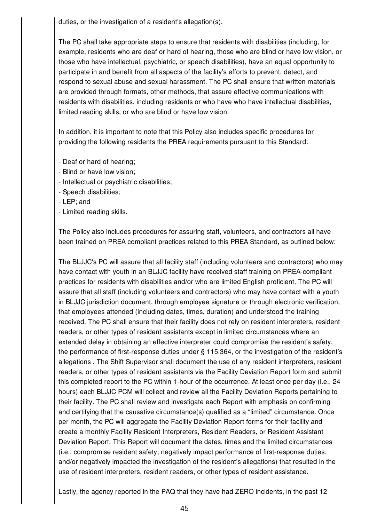duties, or the investigation of a resident's allegation(s).

The PC shall take appropriate steps to ensure that residents with disabilities (including, for example, residents who are deaf or hard of hearing, those who are blind or have low vision, or those who have intellectual, psychiatric, or speech disabilities), have an equal opportunity to participate in and benefit from all aspects of the facility's efforts to prevent, detect, and respond to sexual abuse and sexual harassment. The PC shall ensure that written materials are provided through formats, other methods, that assure effective communications with residents with disabilities, including residents or who have who have intellectual disabilities, limited reading skills, or who are blind or have low vision.

In addition, it is important to note that this Policy also includes specific procedures for providing the following residents the PREA requirements pursuant to this Standard:

- Deaf or hard of hearing;
- Blind or have low vision;
- Intellectual or psychiatric disabilities;
- Speech disabilities;
- LEP; and
- Limited reading skills.

The Policy also includes procedures for assuring staff, volunteers, and contractors all have been trained on PREA compliant practices related to this PREA Standard, as outlined below:

The BLJJC's PC will assure that all facility staff (including volunteers and contractors) who may have contact with youth in an BLJJC facility have received staff training on PREA-compliant practices for residents with disabilities and/or who are limited English proficient. The PC will assure that all staff (including volunteers and contractors) who may have contact with a youth in BLJJC jurisdiction document, through employee signature or through electronic verification, that employees attended (including dates, times, duration) and understood the training received. The PC shall ensure that their facility does not rely on resident interpreters, resident readers, or other types of resident assistants except in limited circumstances where an extended delay in obtaining an effective interpreter could compromise the resident's safety, the performance of first-response duties under § 115.364, or the investigation of the resident's allegations . The Shift Supervisor shall document the use of any resident interpreters, resident readers, or other types of resident assistants via the Facility Deviation Report form and submit this completed report to the PC within 1-hour of the occurrence. At least once per day (i.e., 24 hours) each BLJJC PCM will collect and review all the Facility Deviation Reports pertaining to their facility. The PC shall review and investigate each Report with emphasis on confirming and certifying that the causative circumstance(s) qualified as a "limited" circumstance. Once per month, the PC will aggregate the Facility Deviation Report forms for their facility and create a monthly Facility Resident Interpreters, Resident Readers, or Resident Assistant Deviation Report. This Report will document the dates, times and the limited circumstances (i.e., compromise resident safety; negatively impact performance of first-response duties; and/or negatively impacted the investigation of the resident's allegations) that resulted in the use of resident interpreters, resident readers, or other types of resident assistance.

Lastly, the agency reported in the PAQ that they have had ZERO incidents, in the past 12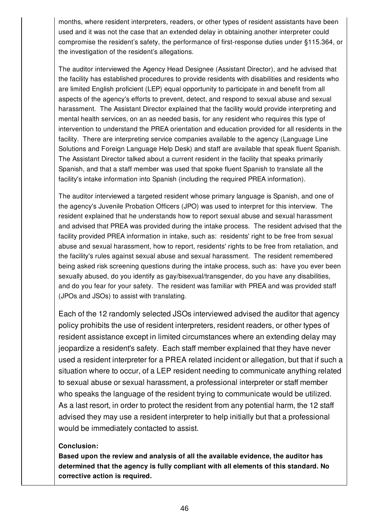months, where resident interpreters, readers, or other types of resident assistants have been used and it was not the case that an extended delay in obtaining another interpreter could compromise the resident's safety, the performance of first-response duties under §115.364, or the investigation of the resident's allegations.

The auditor interviewed the Agency Head Designee (Assistant Director), and he advised that the facility has established procedures to provide residents with disabilities and residents who are limited English proficient (LEP) equal opportunity to participate in and benefit from all aspects of the agency's efforts to prevent, detect, and respond to sexual abuse and sexual harassment. The Assistant Director explained that the facility would provide interpreting and mental health services, on an as needed basis, for any resident who requires this type of intervention to understand the PREA orientation and education provided for all residents in the facility. There are interpreting service companies available to the agency (Language Line Solutions and Foreign Language Help Desk) and staff are available that speak fluent Spanish. The Assistant Director talked about a current resident in the facility that speaks primarily Spanish, and that a staff member was used that spoke fluent Spanish to translate all the facility's intake information into Spanish (including the required PREA information).

The auditor interviewed a targeted resident whose primary language is Spanish, and one of the agency's Juvenile Probation Officers (JPO) was used to interpret for this interview. The resident explained that he understands how to report sexual abuse and sexual harassment and advised that PREA was provided during the intake process. The resident advised that the facility provided PREA information in intake, such as: residents' right to be free from sexual abuse and sexual harassment, how to report, residents' rights to be free from retaliation, and the facility's rules against sexual abuse and sexual harassment. The resident remembered being asked risk screening questions during the intake process, such as: have you ever been sexually abused, do you identify as gay/bisexual/transgender, do you have any disabilities, and do you fear for your safety. The resident was familiar with PREA and was provided staff (JPOs and JSOs) to assist with translating.

Each of the 12 randomly selected JSOs interviewed advised the auditor that agency policy prohibits the use of resident interpreters, resident readers, or other types of resident assistance except in limited circumstances where an extending delay may jeopardize a resident's safety. Each staff member explained that they have never used a resident interpreter for a PREA related incident or allegation, but that if such a situation where to occur, of a LEP resident needing to communicate anything related to sexual abuse or sexual harassment, a professional interpreter or staff member who speaks the language of the resident trying to communicate would be utilized. As a last resort, in order to protect the resident from any potential harm, the 12 staff advised they may use a resident interpreter to help initially but that a professional would be immediately contacted to assist.

### **Conclusion:**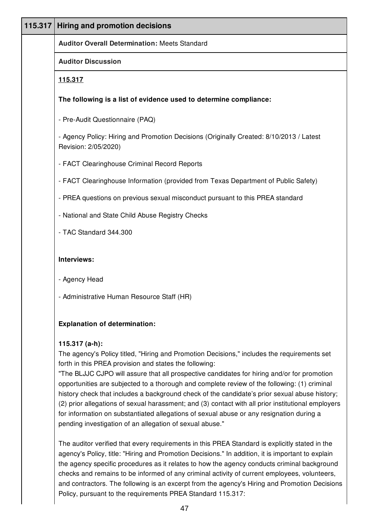| 115.317 | <b>Hiring and promotion decisions</b>                                                                                                                                                                                                                                                                                                                                                                                                                                                                                                                                                                                                                                                                                                    |
|---------|------------------------------------------------------------------------------------------------------------------------------------------------------------------------------------------------------------------------------------------------------------------------------------------------------------------------------------------------------------------------------------------------------------------------------------------------------------------------------------------------------------------------------------------------------------------------------------------------------------------------------------------------------------------------------------------------------------------------------------------|
|         | <b>Auditor Overall Determination: Meets Standard</b>                                                                                                                                                                                                                                                                                                                                                                                                                                                                                                                                                                                                                                                                                     |
|         | <b>Auditor Discussion</b>                                                                                                                                                                                                                                                                                                                                                                                                                                                                                                                                                                                                                                                                                                                |
|         | 115.317                                                                                                                                                                                                                                                                                                                                                                                                                                                                                                                                                                                                                                                                                                                                  |
|         | The following is a list of evidence used to determine compliance:                                                                                                                                                                                                                                                                                                                                                                                                                                                                                                                                                                                                                                                                        |
|         | - Pre-Audit Questionnaire (PAQ)                                                                                                                                                                                                                                                                                                                                                                                                                                                                                                                                                                                                                                                                                                          |
|         | - Agency Policy: Hiring and Promotion Decisions (Originally Created: 8/10/2013 / Latest<br>Revision: 2/05/2020)                                                                                                                                                                                                                                                                                                                                                                                                                                                                                                                                                                                                                          |
|         | - FACT Clearinghouse Criminal Record Reports                                                                                                                                                                                                                                                                                                                                                                                                                                                                                                                                                                                                                                                                                             |
|         | - FACT Clearinghouse Information (provided from Texas Department of Public Safety)                                                                                                                                                                                                                                                                                                                                                                                                                                                                                                                                                                                                                                                       |
|         | - PREA questions on previous sexual misconduct pursuant to this PREA standard                                                                                                                                                                                                                                                                                                                                                                                                                                                                                                                                                                                                                                                            |
|         | - National and State Child Abuse Registry Checks                                                                                                                                                                                                                                                                                                                                                                                                                                                                                                                                                                                                                                                                                         |
|         | - TAC Standard 344.300                                                                                                                                                                                                                                                                                                                                                                                                                                                                                                                                                                                                                                                                                                                   |
|         | Interviews:                                                                                                                                                                                                                                                                                                                                                                                                                                                                                                                                                                                                                                                                                                                              |
|         | - Agency Head                                                                                                                                                                                                                                                                                                                                                                                                                                                                                                                                                                                                                                                                                                                            |
|         | - Administrative Human Resource Staff (HR)                                                                                                                                                                                                                                                                                                                                                                                                                                                                                                                                                                                                                                                                                               |
|         | <b>Explanation of determination:</b>                                                                                                                                                                                                                                                                                                                                                                                                                                                                                                                                                                                                                                                                                                     |
|         | 115.317 $(a-h)$ :<br>The agency's Policy titled, "Hiring and Promotion Decisions," includes the requirements set<br>forth in this PREA provision and states the following:<br>"The BLJJC CJPO will assure that all prospective candidates for hiring and/or for promotion<br>opportunities are subjected to a thorough and complete review of the following: (1) criminal<br>history check that includes a background check of the candidate's prior sexual abuse history;<br>(2) prior allegations of sexual harassment; and (3) contact with all prior institutional employers<br>for information on substantiated allegations of sexual abuse or any resignation during a<br>pending investigation of an allegation of sexual abuse." |

The auditor verified that every requirements in this PREA Standard is explicitly stated in the agency's Policy, title: "Hiring and Promotion Decisions." In addition, it is important to explain the agency specific procedures as it relates to how the agency conducts criminal background checks and remains to be informed of any criminal activity of current employees, volunteers, and contractors. The following is an excerpt from the agency's Hiring and Promotion Decisions Policy, pursuant to the requirements PREA Standard 115.317: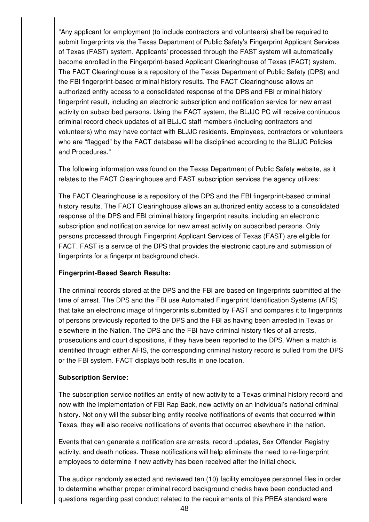"Any applicant for employment (to include contractors and volunteers) shall be required to submit fingerprints via the Texas Department of Public Safety's Fingerprint Applicant Services of Texas (FAST) system. Applicants' processed through the FAST system will automatically become enrolled in the Fingerprint-based Applicant Clearinghouse of Texas (FACT) system. The FACT Clearinghouse is a repository of the Texas Department of Public Safety (DPS) and the FBI fingerprint-based criminal history results. The FACT Clearinghouse allows an authorized entity access to a consolidated response of the DPS and FBI criminal history fingerprint result, including an electronic subscription and notification service for new arrest activity on subscribed persons. Using the FACT system, the BLJJC PC will receive continuous criminal record check updates of all BLJJC staff members (including contractors and volunteers) who may have contact with BLJJC residents. Employees, contractors or volunteers who are "flagged" by the FACT database will be disciplined according to the BLJJC Policies and Procedures."

The following information was found on the Texas Department of Public Safety website, as it relates to the FACT Clearinghouse and FAST subscription services the agency utilizes:

The FACT Clearinghouse is a repository of the DPS and the FBI fingerprint-based criminal history results. The FACT Clearinghouse allows an authorized entity access to a consolidated response of the DPS and FBI criminal history fingerprint results, including an electronic subscription and notification service for new arrest activity on subscribed persons. Only persons processed through Fingerprint Applicant Services of Texas (FAST) are eligible for FACT. FAST is a service of the DPS that provides the electronic capture and submission of fingerprints for a fingerprint background check.

## **Fingerprint-Based Search Results:**

The criminal records stored at the DPS and the FBI are based on fingerprints submitted at the time of arrest. The DPS and the FBI use Automated Fingerprint Identification Systems (AFIS) that take an electronic image of fingerprints submitted by FAST and compares it to fingerprints of persons previously reported to the DPS and the FBI as having been arrested in Texas or elsewhere in the Nation. The DPS and the FBI have criminal history files of all arrests, prosecutions and court dispositions, if they have been reported to the DPS. When a match is identified through either AFIS, the corresponding criminal history record is pulled from the DPS or the FBI system. FACT displays both results in one location.

## **Subscription Service:**

The subscription service notifies an entity of new activity to a Texas criminal history record and now with the implementation of FBI Rap Back, new activity on an individual's national criminal history. Not only will the subscribing entity receive notifications of events that occurred within Texas, they will also receive notifications of events that occurred elsewhere in the nation.

Events that can generate a notification are arrests, record updates, Sex Offender Registry activity, and death notices. These notifications will help eliminate the need to re-fingerprint employees to determine if new activity has been received after the initial check.

The auditor randomly selected and reviewed ten (10) facility employee personnel files in order to determine whether proper criminal record background checks have been conducted and questions regarding past conduct related to the requirements of this PREA standard were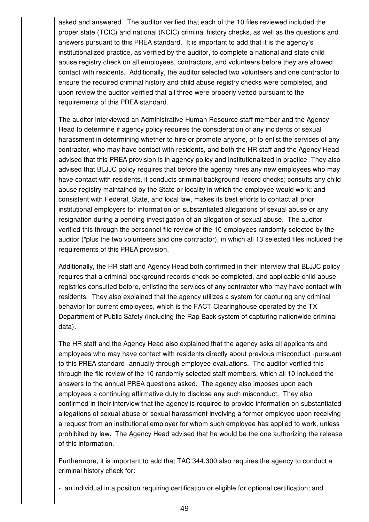asked and answered. The auditor verified that each of the 10 files reviewed included the proper state (TCIC) and national (NCIC) criminal history checks, as well as the questions and answers pursuant to this PREA standard. It is important to add that it is the agency's institutionalized practice, as verified by the auditor, to complete a national and state child abuse registry check on all employees, contractors, and volunteers before they are allowed contact with residents. Additionally, the auditor selected two volunteers and one contractor to ensure the required criminal history and child abuse registry checks were completed, and upon review the auditor verified that all three were properly vetted pursuant to the requirements of this PREA standard.

The auditor interviewed an Administrative Human Resource staff member and the Agency Head to determine if agency policy requires the consideration of any incidents of sexual harassment in determining whether to hire or promote anyone, or to enlist the services of any contractor, who may have contact with residents, and both the HR staff and the Agency Head advised that this PREA provision is in agency policy and institutionalized in practice. They also advised that BLJJC policy requires that before the agency hires any new employees who may have contact with residents, it conducts criminal background record checks; consults any child abuse registry maintained by the State or locality in which the employee would work; and consistent with Federal, State, and local law, makes its best efforts to contact all prior institutional employers for information on substantiated allegations of sexual abuse or any resignation during a pending investigation of an allegation of sexual abuse. The auditor verified this through the personnel file review of the 10 employees randomly selected by the auditor (\*plus the two volunteers and one contractor), in which all 13 selected files included the requirements of this PREA provision.

Additionally, the HR staff and Agency Head both confirmed in their interview that BLJJC policy requires that a criminal background records check be completed, and applicable child abuse registries consulted before, enlisting the services of any contractor who may have contact with residents. They also explained that the agency utilizes a system for capturing any criminal behavior for current employees, which is the FACT Clearinghouse operated by the TX Department of Public Safety (including the Rap Back system of capturing nationwide criminal data).

The HR staff and the Agency Head also explained that the agency asks all applicants and employees who may have contact with residents directly about previous misconduct -pursuant to this PREA standard- annually through employee evaluations. The auditor verified this through the file review of the 10 randomly selected staff members, which all 10 included the answers to the annual PREA questions asked. The agency also imposes upon each employees a continuing affirmative duty to disclose any such misconduct. They also confirmed in their interview that the agency is required to provide information on substantiated allegations of sexual abuse or sexual harassment involving a former employee upon receiving a request from an institutional employer for whom such employee has applied to work, unless prohibited by law. The Agency Head advised that he would be the one authorizing the release of this information.

Furthermore, it is important to add that TAC 344.300 also requires the agency to conduct a criminal history check for:

- an individual in a position requiring certification or eligible for optional certification; and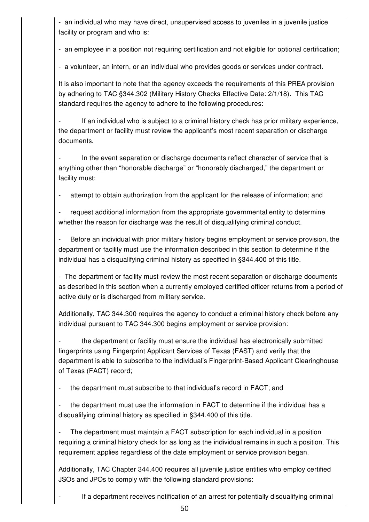- an individual who may have direct, unsupervised access to juveniles in a juvenile justice facility or program and who is:

- an employee in a position not requiring certification and not eligible for optional certification;

- a volunteer, an intern, or an individual who provides goods or services under contract.

It is also important to note that the agency exceeds the requirements of this PREA provision by adhering to TAC §344.302 (Military History Checks Effective Date: 2/1/18). This TAC standard requires the agency to adhere to the following procedures:

If an individual who is subject to a criminal history check has prior military experience, the department or facility must review the applicant's most recent separation or discharge documents.

In the event separation or discharge documents reflect character of service that is anything other than "honorable discharge" or "honorably discharged," the department or facility must:

attempt to obtain authorization from the applicant for the release of information; and

request additional information from the appropriate governmental entity to determine whether the reason for discharge was the result of disqualifying criminal conduct.

Before an individual with prior military history begins employment or service provision, the department or facility must use the information described in this section to determine if the individual has a disqualifying criminal history as specified in §344.400 of this title.

- The department or facility must review the most recent separation or discharge documents as described in this section when a currently employed certified officer returns from a period of active duty or is discharged from military service.

Additionally, TAC 344.300 requires the agency to conduct a criminal history check before any individual pursuant to TAC 344.300 begins employment or service provision:

the department or facility must ensure the individual has electronically submitted fingerprints using Fingerprint Applicant Services of Texas (FAST) and verify that the department is able to subscribe to the individual's Fingerprint-Based Applicant Clearinghouse of Texas (FACT) record;

the department must subscribe to that individual's record in FACT; and

the department must use the information in FACT to determine if the individual has a disqualifying criminal history as specified in §344.400 of this title.

The department must maintain a FACT subscription for each individual in a position requiring a criminal history check for as long as the individual remains in such a position. This requirement applies regardless of the date employment or service provision began.

Additionally, TAC Chapter 344.400 requires all juvenile justice entities who employ certified JSOs and JPOs to comply with the following standard provisions:

If a department receives notification of an arrest for potentially disqualifying criminal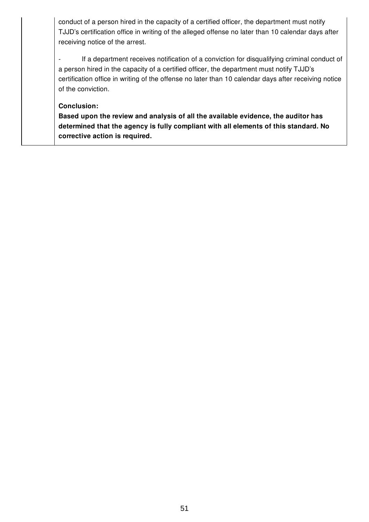conduct of a person hired in the capacity of a certified officer, the department must notify TJJD's certification office in writing of the alleged offense no later than 10 calendar days after receiving notice of the arrest.

- If a department receives notification of a conviction for disqualifying criminal conduct of a person hired in the capacity of a certified officer, the department must notify TJJD's certification office in writing of the offense no later than 10 calendar days after receiving notice of the conviction.

### **Conclusion:**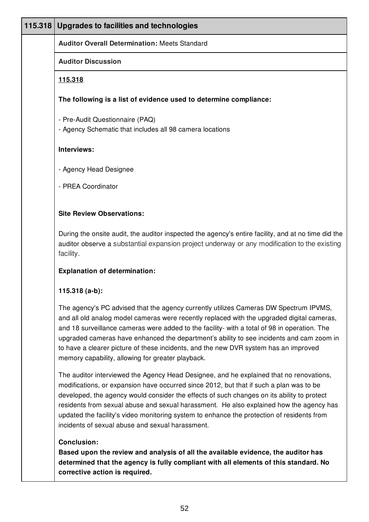| 115.318 | Upgrades to facilities and technologies                                                                                                                                                                                                                                                                                                                                                                                                                                                                                       |
|---------|-------------------------------------------------------------------------------------------------------------------------------------------------------------------------------------------------------------------------------------------------------------------------------------------------------------------------------------------------------------------------------------------------------------------------------------------------------------------------------------------------------------------------------|
|         | <b>Auditor Overall Determination: Meets Standard</b>                                                                                                                                                                                                                                                                                                                                                                                                                                                                          |
|         | <b>Auditor Discussion</b>                                                                                                                                                                                                                                                                                                                                                                                                                                                                                                     |
|         | <u>115.318</u>                                                                                                                                                                                                                                                                                                                                                                                                                                                                                                                |
|         | The following is a list of evidence used to determine compliance:                                                                                                                                                                                                                                                                                                                                                                                                                                                             |
|         | - Pre-Audit Questionnaire (PAQ)<br>- Agency Schematic that includes all 98 camera locations                                                                                                                                                                                                                                                                                                                                                                                                                                   |
|         | Interviews:                                                                                                                                                                                                                                                                                                                                                                                                                                                                                                                   |
|         | - Agency Head Designee                                                                                                                                                                                                                                                                                                                                                                                                                                                                                                        |
|         | - PREA Coordinator                                                                                                                                                                                                                                                                                                                                                                                                                                                                                                            |
|         | <b>Site Review Observations:</b>                                                                                                                                                                                                                                                                                                                                                                                                                                                                                              |
|         | During the onsite audit, the auditor inspected the agency's entire facility, and at no time did the<br>auditor observe a substantial expansion project underway or any modification to the existing<br>facility.                                                                                                                                                                                                                                                                                                              |
|         | <b>Explanation of determination:</b>                                                                                                                                                                                                                                                                                                                                                                                                                                                                                          |
|         | 115.318 (a-b):                                                                                                                                                                                                                                                                                                                                                                                                                                                                                                                |
|         | The agency's PC advised that the agency currently utilizes Cameras DW Spectrum IPVMS,<br>and all old analog model cameras were recently replaced with the upgraded digital cameras,<br>and 18 surveillance cameras were added to the facility- with a total of 98 in operation. The<br>upgraded cameras have enhanced the department's ability to see incidents and cam zoom in<br>to have a clearer picture of these incidents, and the new DVR system has an improved<br>memory capability, allowing for greater playback.  |
|         | The auditor interviewed the Agency Head Designee, and he explained that no renovations,<br>modifications, or expansion have occurred since 2012, but that if such a plan was to be<br>developed, the agency would consider the effects of such changes on its ability to protect<br>residents from sexual abuse and sexual harassment. He also explained how the agency has<br>updated the facility's video monitoring system to enhance the protection of residents from<br>incidents of sexual abuse and sexual harassment. |
|         | <b>Conclusion:</b><br>Based upon the review and analysis of all the available evidence, the auditor has<br>determined that the agency is fully compliant with all elements of this standard. No<br>corrective action is required.                                                                                                                                                                                                                                                                                             |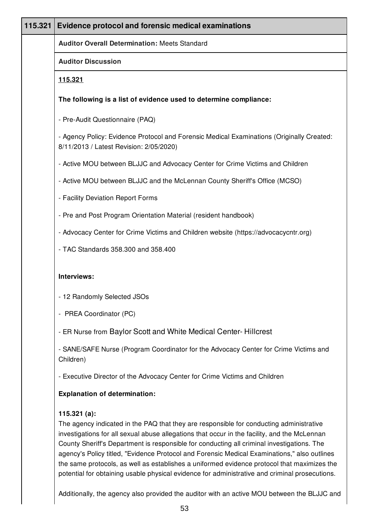| 115.321 | Evidence protocol and forensic medical examinations                                                                                                                                                                                                                                                  |
|---------|------------------------------------------------------------------------------------------------------------------------------------------------------------------------------------------------------------------------------------------------------------------------------------------------------|
|         | <b>Auditor Overall Determination: Meets Standard</b>                                                                                                                                                                                                                                                 |
|         | <b>Auditor Discussion</b>                                                                                                                                                                                                                                                                            |
|         | <u>115.321</u>                                                                                                                                                                                                                                                                                       |
|         | The following is a list of evidence used to determine compliance:                                                                                                                                                                                                                                    |
|         | - Pre-Audit Questionnaire (PAQ)                                                                                                                                                                                                                                                                      |
|         | - Agency Policy: Evidence Protocol and Forensic Medical Examinations (Originally Created:<br>8/11/2013 / Latest Revision: 2/05/2020)                                                                                                                                                                 |
|         | - Active MOU between BLJJC and Advocacy Center for Crime Victims and Children                                                                                                                                                                                                                        |
|         | - Active MOU between BLJJC and the McLennan County Sheriff's Office (MCSO)                                                                                                                                                                                                                           |
|         | - Facility Deviation Report Forms                                                                                                                                                                                                                                                                    |
|         | - Pre and Post Program Orientation Material (resident handbook)                                                                                                                                                                                                                                      |
|         | - Advocacy Center for Crime Victims and Children website (https://advocacycntr.org)                                                                                                                                                                                                                  |
|         | - TAC Standards 358.300 and 358.400                                                                                                                                                                                                                                                                  |
|         | Interviews:                                                                                                                                                                                                                                                                                          |
|         | - 12 Randomly Selected JSOs                                                                                                                                                                                                                                                                          |
|         | - PREA Coordinator (PC)                                                                                                                                                                                                                                                                              |
|         | - ER Nurse from Baylor Scott and White Medical Center-Hillcrest                                                                                                                                                                                                                                      |
|         | - SANE/SAFE Nurse (Program Coordinator for the Advocacy Center for Crime Victims and<br>Children)                                                                                                                                                                                                    |
|         | - Executive Director of the Advocacy Center for Crime Victims and Children                                                                                                                                                                                                                           |
|         | <b>Explanation of determination:</b>                                                                                                                                                                                                                                                                 |
|         | 115.321(a):<br>The agency indicated in the PAQ that they are responsible for conducting administrative<br>investigations for all sexual abuse allegations that occur in the facility, and the McLennan<br>County Sheriff's Department is responsible for conducting all criminal investigations. The |

agency's Policy titled, "Evidence Protocol and Forensic Medical Examinations," also outlines the same protocols, as well as establishes a uniformed evidence protocol that maximizes the potential for obtaining usable physical evidence for administrative and criminal prosecutions.

Additionally, the agency also provided the auditor with an active MOU between the BLJJC and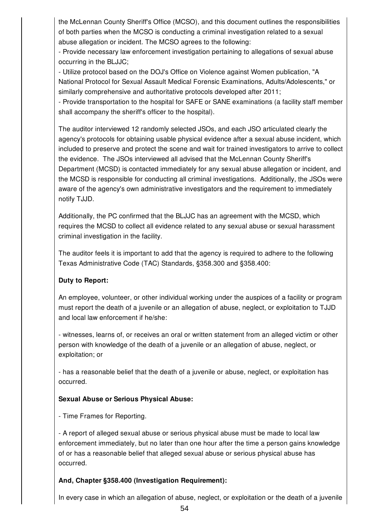the McLennan County Sheriff's Office (MCSO), and this document outlines the responsibilities of both parties when the MCSO is conducting a criminal investigation related to a sexual abuse allegation or incident. The MCSO agrees to the following:

- Provide necessary law enforcement investigation pertaining to allegations of sexual abuse occurring in the BLJJC;

- Utilize protocol based on the DOJ's Office on Violence against Women publication, "A National Protocol for Sexual Assault Medical Forensic Examinations, Adults/Adolescents," or similarly comprehensive and authoritative protocols developed after 2011;

- Provide transportation to the hospital for SAFE or SANE examinations (a facility staff member shall accompany the sheriff's officer to the hospital).

The auditor interviewed 12 randomly selected JSOs, and each JSO articulated clearly the agency's protocols for obtaining usable physical evidence after a sexual abuse incident, which included to preserve and protect the scene and wait for trained investigators to arrive to collect the evidence. The JSOs interviewed all advised that the McLennan County Sheriff's Department (MCSD) is contacted immediately for any sexual abuse allegation or incident, and the MCSD is responsible for conducting all criminal investigations. Additionally, the JSOs were aware of the agency's own administrative investigators and the requirement to immediately notify TJJD.

Additionally, the PC confirmed that the BLJJC has an agreement with the MCSD, which requires the MCSD to collect all evidence related to any sexual abuse or sexual harassment criminal investigation in the facility.

The auditor feels it is important to add that the agency is required to adhere to the following Texas Administrative Code (TAC) Standards, §358.300 and §358.400:

## **Duty to Report:**

An employee, volunteer, or other individual working under the auspices of a facility or program must report the death of a juvenile or an allegation of abuse, neglect, or exploitation to TJJD and local law enforcement if he/she:

- witnesses, learns of, or receives an oral or written statement from an alleged victim or other person with knowledge of the death of a juvenile or an allegation of abuse, neglect, or exploitation; or

- has a reasonable belief that the death of a juvenile or abuse, neglect, or exploitation has occurred.

## **Sexual Abuse or Serious Physical Abuse:**

- Time Frames for Reporting.

- A report of alleged sexual abuse or serious physical abuse must be made to local law enforcement immediately, but no later than one hour after the time a person gains knowledge of or has a reasonable belief that alleged sexual abuse or serious physical abuse has occurred.

# **And, Chapter §358.400 (Investigation Requirement):**

In every case in which an allegation of abuse, neglect, or exploitation or the death of a juvenile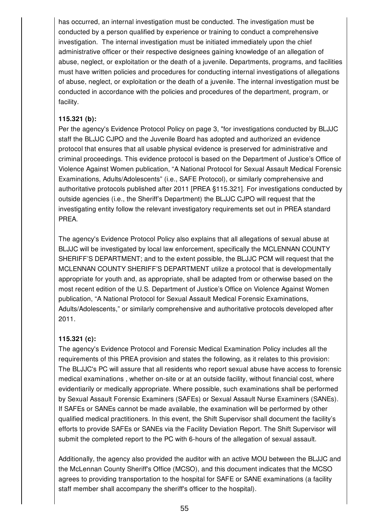has occurred, an internal investigation must be conducted. The investigation must be conducted by a person qualified by experience or training to conduct a comprehensive investigation. The internal investigation must be initiated immediately upon the chief administrative officer or their respective designees gaining knowledge of an allegation of abuse, neglect, or exploitation or the death of a juvenile. Departments, programs, and facilities must have written policies and procedures for conducting internal investigations of allegations of abuse, neglect, or exploitation or the death of a juvenile. The internal investigation must be conducted in accordance with the policies and procedures of the department, program, or facility.

### **115.321 (b):**

Per the agency's Evidence Protocol Policy on page 3, "for investigations conducted by BLJJC staff the BLJJC CJPO and the Juvenile Board has adopted and authorized an evidence protocol that ensures that all usable physical evidence is preserved for administrative and criminal proceedings. This evidence protocol is based on the Department of Justice's Office of Violence Against Women publication, "A National Protocol for Sexual Assault Medical Forensic Examinations, Adults/Adolescents" (i.e., SAFE Protocol), or similarly comprehensive and authoritative protocols published after 2011 [PREA §115.321]. For investigations conducted by outside agencies (i.e., the Sheriff's Department) the BLJJC CJPO will request that the investigating entity follow the relevant investigatory requirements set out in PREA standard PREA.

The agency's Evidence Protocol Policy also explains that all allegations of sexual abuse at BLJJC will be investigated by local law enforcement, specifically the MCLENNAN COUNTY SHERIFF'S DEPARTMENT; and to the extent possible, the BLJJC PCM will request that the MCLENNAN COUNTY SHERIFF'S DEPARTMENT utilize a protocol that is developmentally appropriate for youth and, as appropriate, shall be adapted from or otherwise based on the most recent edition of the U.S. Department of Justice's Office on Violence Against Women publication, "A National Protocol for Sexual Assault Medical Forensic Examinations, Adults/Adolescents," or similarly comprehensive and authoritative protocols developed after 2011.

### **115.321 (c):**

The agency's Evidence Protocol and Forensic Medical Examination Policy includes all the requirements of this PREA provision and states the following, as it relates to this provision: The BLJJC's PC will assure that all residents who report sexual abuse have access to forensic medical examinations , whether on-site or at an outside facility, without financial cost, where evidentiarily or medically appropriate. Where possible, such examinations shall be performed by Sexual Assault Forensic Examiners (SAFEs) or Sexual Assault Nurse Examiners (SANEs). If SAFEs or SANEs cannot be made available, the examination will be performed by other qualified medical practitioners. In this event, the Shift Supervisor shall document the facility's efforts to provide SAFEs or SANEs via the Facility Deviation Report. The Shift Supervisor will submit the completed report to the PC with 6-hours of the allegation of sexual assault.

Additionally, the agency also provided the auditor with an active MOU between the BLJJC and the McLennan County Sheriff's Office (MCSO), and this document indicates that the MCSO agrees to providing transportation to the hospital for SAFE or SANE examinations (a facility staff member shall accompany the sheriff's officer to the hospital).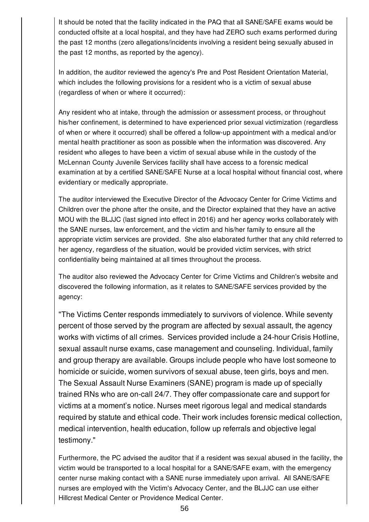It should be noted that the facility indicated in the PAQ that all SANE/SAFE exams would be conducted offsite at a local hospital, and they have had ZERO such exams performed during the past 12 months (zero allegations/incidents involving a resident being sexually abused in the past 12 months, as reported by the agency).

In addition, the auditor reviewed the agency's Pre and Post Resident Orientation Material, which includes the following provisions for a resident who is a victim of sexual abuse (regardless of when or where it occurred):

Any resident who at intake, through the admission or assessment process, or throughout his/her confinement, is determined to have experienced prior sexual victimization (regardless of when or where it occurred) shall be offered a follow-up appointment with a medical and/or mental health practitioner as soon as possible when the information was discovered. Any resident who alleges to have been a victim of sexual abuse while in the custody of the McLennan County Juvenile Services facility shall have access to a forensic medical examination at by a certified SANE/SAFE Nurse at a local hospital without financial cost, where evidentiary or medically appropriate.

The auditor interviewed the Executive Director of the Advocacy Center for Crime Victims and Children over the phone after the onsite, and the Director explained that they have an active MOU with the BLJJC (last signed into effect in 2016) and her agency works collaborately with the SANE nurses, law enforcement, and the victim and his/her family to ensure all the appropriate victim services are provided. She also elaborated further that any child referred to her agency, regardless of the situation, would be provided victim services, with strict confidentiality being maintained at all times throughout the process.

The auditor also reviewed the Advocacy Center for Crime Victims and Children's website and discovered the following information, as it relates to SANE/SAFE services provided by the agency:

"The Victims Center responds immediately to survivors of violence. While seventy percent of those served by the program are affected by sexual assault, the agency works with victims of all crimes. Services provided include a 24-hour Crisis Hotline, sexual assault nurse exams, case management and counseling. Individual, family and group therapy are available. Groups include people who have lost someone to homicide or suicide, women survivors of sexual abuse, teen girls, boys and men. The Sexual Assault Nurse Examiners (SANE) program is made up of specially trained RNs who are on-call 24/7. They offer compassionate care and support for victims at a moment's notice. Nurses meet rigorous legal and medical standards required by statute and ethical code. Their work includes forensic medical collection, medical intervention, health education, follow up referrals and objective legal testimony."

Furthermore, the PC advised the auditor that if a resident was sexual abused in the facility, the victim would be transported to a local hospital for a SANE/SAFE exam, with the emergency center nurse making contact with a SANE nurse immediately upon arrival. All SANE/SAFE nurses are employed with the Victim's Advocacy Center, and the BLJJC can use either Hillcrest Medical Center or Providence Medical Center.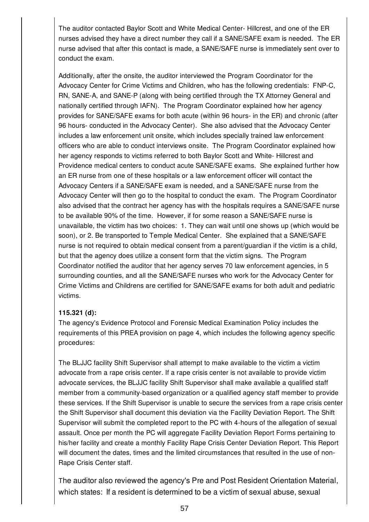The auditor contacted Baylor Scott and White Medical Center- Hillcrest, and one of the ER nurses advised they have a direct number they call if a SANE/SAFE exam is needed. The ER nurse advised that after this contact is made, a SANE/SAFE nurse is immediately sent over to conduct the exam.

Additionally, after the onsite, the auditor interviewed the Program Coordinator for the Advocacy Center for Crime Victims and Children, who has the following credentials: FNP-C, RN, SANE-A, and SANE-P (along with being certified through the TX Attorney General and nationally certified through IAFN). The Program Coordinator explained how her agency provides for SANE/SAFE exams for both acute (within 96 hours- in the ER) and chronic (after 96 hours- conducted in the Advocacy Center). She also advised that the Advocacy Center includes a law enforcement unit onsite, which includes specially trained law enforcement officers who are able to conduct interviews onsite. The Program Coordinator explained how her agency responds to victims referred to both Baylor Scott and White- Hillcrest and Providence medical centers to conduct acute SANE/SAFE exams. She explained further how an ER nurse from one of these hospitals or a law enforcement officer will contact the Advocacy Centers if a SANE/SAFE exam is needed, and a SANE/SAFE nurse from the Advocacy Center will then go to the hospital to conduct the exam. The Program Coordinator also advised that the contract her agency has with the hospitals requires a SANE/SAFE nurse to be available 90% of the time. However, if for some reason a SANE/SAFE nurse is unavailable, the victim has two choices: 1. They can wait until one shows up (which would be soon), or 2. Be transported to Temple Medical Center. She explained that a SANE/SAFE nurse is not required to obtain medical consent from a parent/guardian if the victim is a child, but that the agency does utilize a consent form that the victim signs. The Program Coordinator notified the auditor that her agency serves 70 law enforcement agencies, in 5 surrounding counties, and all the SANE/SAFE nurses who work for the Advocacy Center for Crime Victims and Childrens are certified for SANE/SAFE exams for both adult and pediatric victims.

## **115.321 (d):**

The agency's Evidence Protocol and Forensic Medical Examination Policy includes the requirements of this PREA provision on page 4, which includes the following agency specific procedures:

The BLJJC facility Shift Supervisor shall attempt to make available to the victim a victim advocate from a rape crisis center. If a rape crisis center is not available to provide victim advocate services, the BLJJC facility Shift Supervisor shall make available a qualified staff member from a community-based organization or a qualified agency staff member to provide these services. If the Shift Supervisor is unable to secure the services from a rape crisis center the Shift Supervisor shall document this deviation via the Facility Deviation Report. The Shift Supervisor will submit the completed report to the PC with 4-hours of the allegation of sexual assault. Once per month the PC will aggregate Facility Deviation Report Forms pertaining to his/her facility and create a monthly Facility Rape Crisis Center Deviation Report. This Report will document the dates, times and the limited circumstances that resulted in the use of non-Rape Crisis Center staff.

The auditor also reviewed the agency's Pre and Post Resident Orientation Material, which states: If a resident is determined to be a victim of sexual abuse, sexual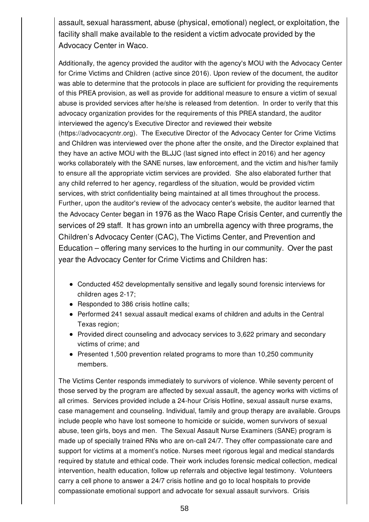assault, sexual harassment, abuse (physical, emotional) neglect, or exploitation, the facility shall make available to the resident a victim advocate provided by the Advocacy Center in Waco.

Additionally, the agency provided the auditor with the agency's MOU with the Advocacy Center for Crime Victims and Children (active since 2016). Upon review of the document, the auditor was able to determine that the protocols in place are sufficient for providing the requirements of this PREA provision, as well as provide for additional measure to ensure a victim of sexual abuse is provided services after he/she is released from detention. In order to verify that this advocacy organization provides for the requirements of this PREA standard, the auditor interviewed the agency's Executive Director and reviewed their website (https://advocacycntr.org). The Executive Director of the Advocacy Center for Crime Victims and Children was interviewed over the phone after the onsite, and the Director explained that they have an active MOU with the BLJJC (last signed into effect in 2016) and her agency works collaborately with the SANE nurses, law enforcement, and the victim and his/her family to ensure all the appropriate victim services are provided. She also elaborated further that any child referred to her agency, regardless of the situation, would be provided victim services, with strict confidentiality being maintained at all times throughout the process. Further, upon the auditor's review of the advocacy center's website, the auditor learned that the Advocacy Center began in 1976 as the Waco Rape Crisis Center, and currently the services of 29 staff. It has grown into an umbrella agency with three programs, the Children's Advocacy Center (CAC), The Victims Center, and Prevention and Education – offering many services to the hurting in our community. Over the past year the Advocacy Center for Crime Victims and Children has:

- Conducted 452 developmentally sensitive and legally sound forensic interviews for children ages 2-17;
- Responded to 386 crisis hotline calls;
- Performed 241 sexual assault medical exams of children and adults in the Central Texas region;
- Provided direct counseling and advocacy services to 3,622 primary and secondary victims of crime; and
- Presented 1,500 prevention related programs to more than 10,250 community members.

The Victims Center responds immediately to survivors of violence. While seventy percent of those served by the program are affected by sexual assault, the agency works with victims of all crimes. Services provided include a 24-hour Crisis Hotline, sexual assault nurse exams, case management and counseling. Individual, family and group therapy are available. Groups include people who have lost someone to homicide or suicide, women survivors of sexual abuse, teen girls, boys and men. The Sexual Assault Nurse Examiners (SANE) program is made up of specially trained RNs who are on-call 24/7. They offer compassionate care and support for victims at a moment's notice. Nurses meet rigorous legal and medical standards required by statute and ethical code. Their work includes forensic medical collection, medical intervention, health education, follow up referrals and objective legal testimony. Volunteers carry a cell phone to answer a 24/7 crisis hotline and go to local hospitals to provide compassionate emotional support and advocate for sexual assault survivors. Crisis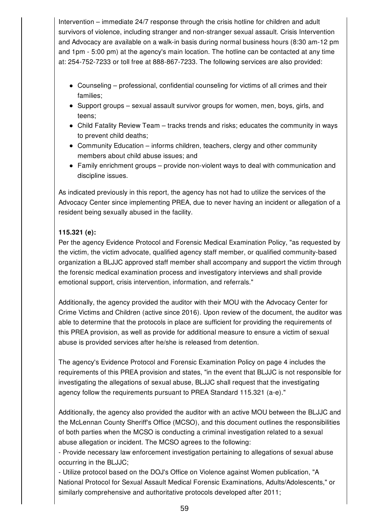Intervention – immediate 24/7 response through the crisis hotline for children and adult survivors of violence, including stranger and non-stranger sexual assault. Crisis Intervention and Advocacy are available on a walk-in basis during normal business hours (8:30 am-12 pm and 1pm - 5:00 pm) at the agency's main location. The hotline can be contacted at any time at: 254-752-7233 or toll free at 888-867-7233. The following services are also provided:

- Counseling professional, confidential counseling for victims of all crimes and their families;
- $\bullet$  Support groups sexual assault survivor groups for women, men, boys, girls, and teens;
- Child Fatality Review Team tracks trends and risks; educates the community in ways to prevent child deaths;
- Community Education informs children, teachers, clergy and other community members about child abuse issues; and
- Family enrichment groups provide non-violent ways to deal with communication and discipline issues.

As indicated previously in this report, the agency has not had to utilize the services of the Advocacy Center since implementing PREA, due to never having an incident or allegation of a resident being sexually abused in the facility.

## **115.321 (e):**

Per the agency Evidence Protocol and Forensic Medical Examination Policy, "as requested by the victim, the victim advocate, qualified agency staff member, or qualified community-based organization a BLJJC approved staff member shall accompany and support the victim through the forensic medical examination process and investigatory interviews and shall provide emotional support, crisis intervention, information, and referrals."

Additionally, the agency provided the auditor with their MOU with the Advocacy Center for Crime Victims and Children (active since 2016). Upon review of the document, the auditor was able to determine that the protocols in place are sufficient for providing the requirements of this PREA provision, as well as provide for additional measure to ensure a victim of sexual abuse is provided services after he/she is released from detention.

The agency's Evidence Protocol and Forensic Examination Policy on page 4 includes the requirements of this PREA provision and states, "in the event that BLJJC is not responsible for investigating the allegations of sexual abuse, BLJJC shall request that the investigating agency follow the requirements pursuant to PREA Standard 115.321 (a-e)."

Additionally, the agency also provided the auditor with an active MOU between the BLJJC and the McLennan County Sheriff's Office (MCSO), and this document outlines the responsibilities of both parties when the MCSO is conducting a criminal investigation related to a sexual abuse allegation or incident. The MCSO agrees to the following:

- Provide necessary law enforcement investigation pertaining to allegations of sexual abuse occurring in the BLJJC;

- Utilize protocol based on the DOJ's Office on Violence against Women publication, "A National Protocol for Sexual Assault Medical Forensic Examinations, Adults/Adolescents," or similarly comprehensive and authoritative protocols developed after 2011;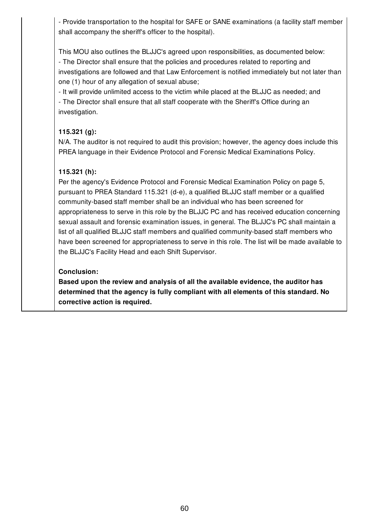- Provide transportation to the hospital for SAFE or SANE examinations (a facility staff member shall accompany the sheriff's officer to the hospital).

This MOU also outlines the BLJJC's agreed upon responsibilities, as documented below: - The Director shall ensure that the policies and procedures related to reporting and investigations are followed and that Law Enforcement is notified immediately but not later than one (1) hour of any allegation of sexual abuse;

- It will provide unlimited access to the victim while placed at the BLJJC as needed; and - The Director shall ensure that all staff cooperate with the Sheriff's Office during an investigation.

## **115.321 (g):**

N/A. The auditor is not required to audit this provision; however, the agency does include this PREA language in their Evidence Protocol and Forensic Medical Examinations Policy.

# **115.321 (h):**

Per the agency's Evidence Protocol and Forensic Medical Examination Policy on page 5, pursuant to PREA Standard 115.321 (d-e), a qualified BLJJC staff member or a qualified community-based staff member shall be an individual who has been screened for appropriateness to serve in this role by the BLJJC PC and has received education concerning sexual assault and forensic examination issues, in general. The BLJJC's PC shall maintain a list of all qualified BLJJC staff members and qualified community-based staff members who have been screened for appropriateness to serve in this role. The list will be made available to the BLJJC's Facility Head and each Shift Supervisor.

## **Conclusion:**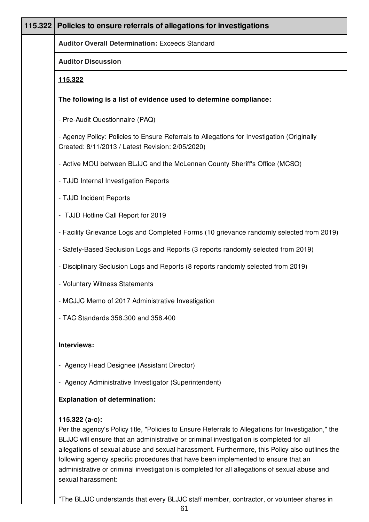| 115.322 | Policies to ensure referrals of allegations for investigations                                                                                                                                                                                                                                                                                                                                                                                                                                                                |
|---------|-------------------------------------------------------------------------------------------------------------------------------------------------------------------------------------------------------------------------------------------------------------------------------------------------------------------------------------------------------------------------------------------------------------------------------------------------------------------------------------------------------------------------------|
|         | <b>Auditor Overall Determination: Exceeds Standard</b>                                                                                                                                                                                                                                                                                                                                                                                                                                                                        |
|         | <b>Auditor Discussion</b>                                                                                                                                                                                                                                                                                                                                                                                                                                                                                                     |
|         | 115.322                                                                                                                                                                                                                                                                                                                                                                                                                                                                                                                       |
|         | The following is a list of evidence used to determine compliance:                                                                                                                                                                                                                                                                                                                                                                                                                                                             |
|         | - Pre-Audit Questionnaire (PAQ)                                                                                                                                                                                                                                                                                                                                                                                                                                                                                               |
|         | - Agency Policy: Policies to Ensure Referrals to Allegations for Investigation (Originally<br>Created: 8/11/2013 / Latest Revision: 2/05/2020)                                                                                                                                                                                                                                                                                                                                                                                |
|         | - Active MOU between BLJJC and the McLennan County Sheriff's Office (MCSO)                                                                                                                                                                                                                                                                                                                                                                                                                                                    |
|         | - TJJD Internal Investigation Reports                                                                                                                                                                                                                                                                                                                                                                                                                                                                                         |
|         | - TJJD Incident Reports                                                                                                                                                                                                                                                                                                                                                                                                                                                                                                       |
|         | - TJJD Hotline Call Report for 2019                                                                                                                                                                                                                                                                                                                                                                                                                                                                                           |
|         | - Facility Grievance Logs and Completed Forms (10 grievance randomly selected from 2019)                                                                                                                                                                                                                                                                                                                                                                                                                                      |
|         | - Safety-Based Seclusion Logs and Reports (3 reports randomly selected from 2019)                                                                                                                                                                                                                                                                                                                                                                                                                                             |
|         | - Disciplinary Seclusion Logs and Reports (8 reports randomly selected from 2019)                                                                                                                                                                                                                                                                                                                                                                                                                                             |
|         | - Voluntary Witness Statements                                                                                                                                                                                                                                                                                                                                                                                                                                                                                                |
|         | - MCJJC Memo of 2017 Administrative Investigation                                                                                                                                                                                                                                                                                                                                                                                                                                                                             |
|         | - TAC Standards 358.300 and 358.400                                                                                                                                                                                                                                                                                                                                                                                                                                                                                           |
|         | Interviews:                                                                                                                                                                                                                                                                                                                                                                                                                                                                                                                   |
|         | - Agency Head Designee (Assistant Director)                                                                                                                                                                                                                                                                                                                                                                                                                                                                                   |
|         | - Agency Administrative Investigator (Superintendent)                                                                                                                                                                                                                                                                                                                                                                                                                                                                         |
|         | <b>Explanation of determination:</b>                                                                                                                                                                                                                                                                                                                                                                                                                                                                                          |
|         | 115.322 (a-c):<br>Per the agency's Policy title, "Policies to Ensure Referrals to Allegations for Investigation," the<br>BLJJC will ensure that an administrative or criminal investigation is completed for all<br>allegations of sexual abuse and sexual harassment. Furthermore, this Policy also outlines the<br>following agency specific procedures that have been implemented to ensure that an<br>administrative or criminal investigation is completed for all allegations of sexual abuse and<br>sexual harassment: |

"The BLJJC understands that every BLJJC staff member, contractor, or volunteer shares in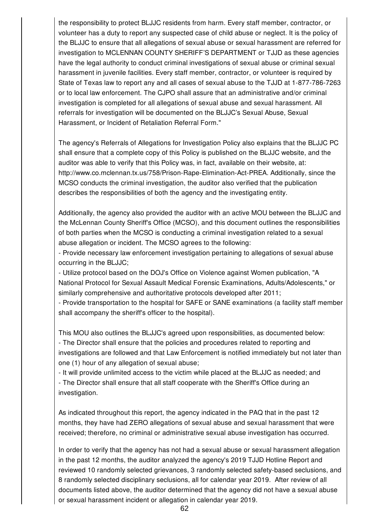the responsibility to protect BLJJC residents from harm. Every staff member, contractor, or volunteer has a duty to report any suspected case of child abuse or neglect. It is the policy of the BLJJC to ensure that all allegations of sexual abuse or sexual harassment are referred for investigation to MCLENNAN COUNTY SHERIFF'S DEPARTMENT or TJJD as these agencies have the legal authority to conduct criminal investigations of sexual abuse or criminal sexual harassment in juvenile facilities. Every staff member, contractor, or volunteer is required by State of Texas law to report any and all cases of sexual abuse to the TJJD at 1-877-786-7263 or to local law enforcement. The CJPO shall assure that an administrative and/or criminal investigation is completed for all allegations of sexual abuse and sexual harassment. All referrals for investigation will be documented on the BLJJC's Sexual Abuse, Sexual Harassment, or Incident of Retaliation Referral Form."

The agency's Referrals of Allegations for Investigation Policy also explains that the BLJJC PC shall ensure that a complete copy of this Policy is published on the BLJJC website, and the auditor was able to verify that this Policy was, in fact, available on their website, at: http://www.co.mclennan.tx.us/758/Prison-Rape-Elimination-Act-PREA. Additionally, since the MCSO conducts the criminal investigation, the auditor also verified that the publication describes the responsibilities of both the agency and the investigating entity.

Additionally, the agency also provided the auditor with an active MOU between the BLJJC and the McLennan County Sheriff's Office (MCSO), and this document outlines the responsibilities of both parties when the MCSO is conducting a criminal investigation related to a sexual abuse allegation or incident. The MCSO agrees to the following:

- Provide necessary law enforcement investigation pertaining to allegations of sexual abuse occurring in the BLJJC;

- Utilize protocol based on the DOJ's Office on Violence against Women publication, "A National Protocol for Sexual Assault Medical Forensic Examinations, Adults/Adolescents," or similarly comprehensive and authoritative protocols developed after 2011;

- Provide transportation to the hospital for SAFE or SANE examinations (a facility staff member shall accompany the sheriff's officer to the hospital).

This MOU also outlines the BLJJC's agreed upon responsibilities, as documented below: - The Director shall ensure that the policies and procedures related to reporting and investigations are followed and that Law Enforcement is notified immediately but not later than one (1) hour of any allegation of sexual abuse;

- It will provide unlimited access to the victim while placed at the BLJJC as needed; and - The Director shall ensure that all staff cooperate with the Sheriff's Office during an investigation.

As indicated throughout this report, the agency indicated in the PAQ that in the past 12 months, they have had ZERO allegations of sexual abuse and sexual harassment that were received; therefore, no criminal or administrative sexual abuse investigation has occurred.

In order to verify that the agency has not had a sexual abuse or sexual harassment allegation in the past 12 months, the auditor analyzed the agency's 2019 TJJD Hotline Report and reviewed 10 randomly selected grievances, 3 randomly selected safety-based seclusions, and 8 randomly selected disciplinary seclusions, all for calendar year 2019. After review of all documents listed above, the auditor determined that the agency did not have a sexual abuse or sexual harassment incident or allegation in calendar year 2019.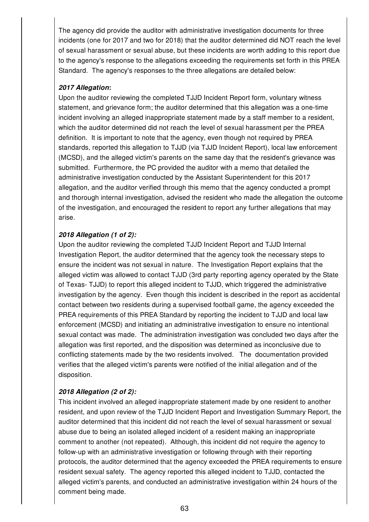The agency did provide the auditor with administrative investigation documents for three incidents (one for 2017 and two for 2018) that the auditor determined did NOT reach the level of sexual harassment or sexual abuse, but these incidents are worth adding to this report due to the agency's response to the allegations exceeding the requirements set forth in this PREA Standard. The agency's responses to the three allegations are detailed below:

### *2017 Allegation***:**

Upon the auditor reviewing the completed TJJD Incident Report form, voluntary witness statement, and grievance form; the auditor determined that this allegation was a one-time incident involving an alleged inappropriate statement made by a staff member to a resident, which the auditor determined did not reach the level of sexual harassment per the PREA definition. It is important to note that the agency, even though not required by PREA standards, reported this allegation to TJJD (via TJJD Incident Report), local law enforcement (MCSD), and the alleged victim's parents on the same day that the resident's grievance was submitted. Furthermore, the PC provided the auditor with a memo that detailed the administrative investigation conducted by the Assistant Superintendent for this 2017 allegation, and the auditor verified through this memo that the agency conducted a prompt and thorough internal investigation, advised the resident who made the allegation the outcome of the investigation, and encouraged the resident to report any further allegations that may arise.

## *2018 Allegation (1 of 2):*

Upon the auditor reviewing the completed TJJD Incident Report and TJJD Internal Investigation Report, the auditor determined that the agency took the necessary steps to ensure the incident was not sexual in nature. The Investigation Report explains that the alleged victim was allowed to contact TJJD (3rd party reporting agency operated by the State of Texas- TJJD) to report this alleged incident to TJJD, which triggered the administrative investigation by the agency. Even though this incident is described in the report as accidental contact between two residents during a supervised football game, the agency exceeded the PREA requirements of this PREA Standard by reporting the incident to TJJD and local law enforcement (MCSD) and initiating an administrative investigation to ensure no intentional sexual contact was made. The administration investigation was concluded two days after the allegation was first reported, and the disposition was determined as inconclusive due to conflicting statements made by the two residents involved. The documentation provided verifies that the alleged victim's parents were notified of the initial allegation and of the disposition.

## *2018 Allegation (2 of 2):*

This incident involved an alleged inappropriate statement made by one resident to another resident, and upon review of the TJJD Incident Report and Investigation Summary Report, the auditor determined that this incident did not reach the level of sexual harassment or sexual abuse due to being an isolated alleged incident of a resident making an inappropriate comment to another (not repeated). Although, this incident did not require the agency to follow-up with an administrative investigation or following through with their reporting protocols, the auditor determined that the agency exceeded the PREA requirements to ensure resident sexual safety. The agency reported this alleged incident to TJJD, contacted the alleged victim's parents, and conducted an administrative investigation within 24 hours of the comment being made.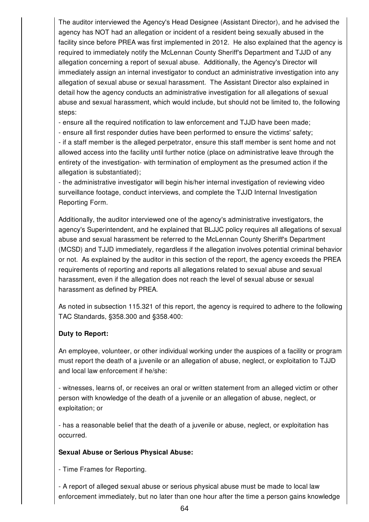The auditor interviewed the Agency's Head Designee (Assistant Director), and he advised the agency has NOT had an allegation or incident of a resident being sexually abused in the facility since before PREA was first implemented in 2012. He also explained that the agency is required to immediately notify the McLennan County Sheriff's Department and TJJD of any allegation concerning a report of sexual abuse. Additionally, the Agency's Director will immediately assign an internal investigator to conduct an administrative investigation into any allegation of sexual abuse or sexual harassment. The Assistant Director also explained in detail how the agency conducts an administrative investigation for all allegations of sexual abuse and sexual harassment, which would include, but should not be limited to, the following steps:

- ensure all the required notification to law enforcement and TJJD have been made;

- ensure all first responder duties have been performed to ensure the victims' safety;

- if a staff member is the alleged perpetrator, ensure this staff member is sent home and not allowed access into the facility until further notice (place on administrative leave through the entirety of the investigation- with termination of employment as the presumed action if the allegation is substantiated);

- the administrative investigator will begin his/her internal investigation of reviewing video surveillance footage, conduct interviews, and complete the TJJD Internal Investigation Reporting Form.

Additionally, the auditor interviewed one of the agency's administrative investigators, the agency's Superintendent, and he explained that BLJJC policy requires all allegations of sexual abuse and sexual harassment be referred to the McLennan County Sheriff's Department (MCSD) and TJJD immediately, regardless if the allegation involves potential criminal behavior or not. As explained by the auditor in this section of the report, the agency exceeds the PREA requirements of reporting and reports all allegations related to sexual abuse and sexual harassment, even if the allegation does not reach the level of sexual abuse or sexual harassment as defined by PREA.

As noted in subsection 115.321 of this report, the agency is required to adhere to the following TAC Standards, §358.300 and §358.400:

## **Duty to Report:**

An employee, volunteer, or other individual working under the auspices of a facility or program must report the death of a juvenile or an allegation of abuse, neglect, or exploitation to TJJD and local law enforcement if he/she:

- witnesses, learns of, or receives an oral or written statement from an alleged victim or other person with knowledge of the death of a juvenile or an allegation of abuse, neglect, or exploitation; or

- has a reasonable belief that the death of a juvenile or abuse, neglect, or exploitation has occurred.

## **Sexual Abuse or Serious Physical Abuse:**

- Time Frames for Reporting.

- A report of alleged sexual abuse or serious physical abuse must be made to local law enforcement immediately, but no later than one hour after the time a person gains knowledge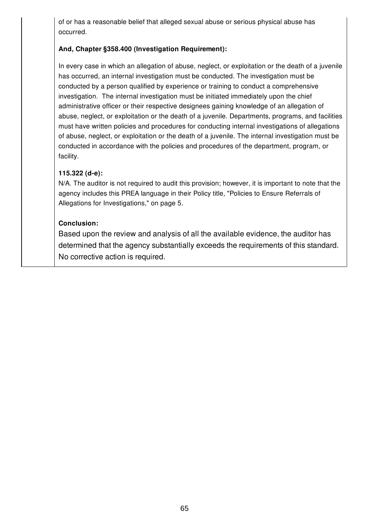of or has a reasonable belief that alleged sexual abuse or serious physical abuse has occurred.

## **And, Chapter §358.400 (Investigation Requirement):**

In every case in which an allegation of abuse, neglect, or exploitation or the death of a juvenile has occurred, an internal investigation must be conducted. The investigation must be conducted by a person qualified by experience or training to conduct a comprehensive investigation. The internal investigation must be initiated immediately upon the chief administrative officer or their respective designees gaining knowledge of an allegation of abuse, neglect, or exploitation or the death of a juvenile. Departments, programs, and facilities must have written policies and procedures for conducting internal investigations of allegations of abuse, neglect, or exploitation or the death of a juvenile. The internal investigation must be conducted in accordance with the policies and procedures of the department, program, or facility.

## **115.322 (d-e):**

N/A. The auditor is not required to audit this provision; however, it is important to note that the agency includes this PREA language in their Policy title, "Policies to Ensure Referrals of Allegations for Investigations," on page 5.

## **Conclusion:**

Based upon the review and analysis of all the available evidence, the auditor has determined that the agency substantially exceeds the requirements of this standard. No corrective action is required.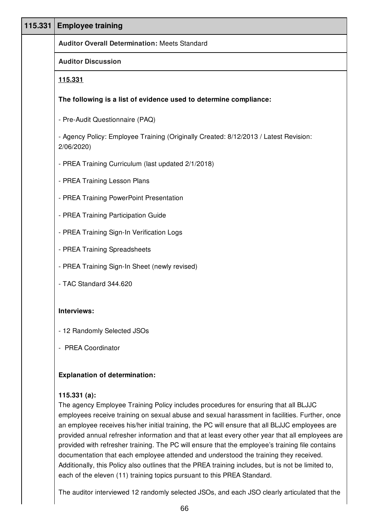| 115.331 | <b>Employee training</b>                                                                           |
|---------|----------------------------------------------------------------------------------------------------|
|         | <b>Auditor Overall Determination: Meets Standard</b>                                               |
|         | <b>Auditor Discussion</b>                                                                          |
|         | 115.331                                                                                            |
|         | The following is a list of evidence used to determine compliance:                                  |
|         | - Pre-Audit Questionnaire (PAQ)                                                                    |
|         | - Agency Policy: Employee Training (Originally Created: 8/12/2013 / Latest Revision:<br>2/06/2020) |
|         | - PREA Training Curriculum (last updated 2/1/2018)                                                 |
|         | - PREA Training Lesson Plans                                                                       |
|         | - PREA Training PowerPoint Presentation                                                            |
|         | - PREA Training Participation Guide                                                                |
|         | - PREA Training Sign-In Verification Logs                                                          |
|         | - PREA Training Spreadsheets                                                                       |
|         | - PREA Training Sign-In Sheet (newly revised)                                                      |
|         | - TAC Standard 344.620                                                                             |
|         | Interviews:                                                                                        |
|         | - 12 Randomly Selected JSOs                                                                        |
|         | - PREA Coordinator                                                                                 |
|         | <b>Explanation of determination:</b>                                                               |

## **115.331 (a):**

The agency Employee Training Policy includes procedures for ensuring that all BLJJC employees receive training on sexual abuse and sexual harassment in facilities. Further, once an employee receives his/her initial training, the PC will ensure that all BLJJC employees are provided annual refresher information and that at least every other year that all employees are provided with refresher training. The PC will ensure that the employee's training file contains documentation that each employee attended and understood the training they received. Additionally, this Policy also outlines that the PREA training includes, but is not be limited to, each of the eleven (11) training topics pursuant to this PREA Standard.

The auditor interviewed 12 randomly selected JSOs, and each JSO clearly articulated that the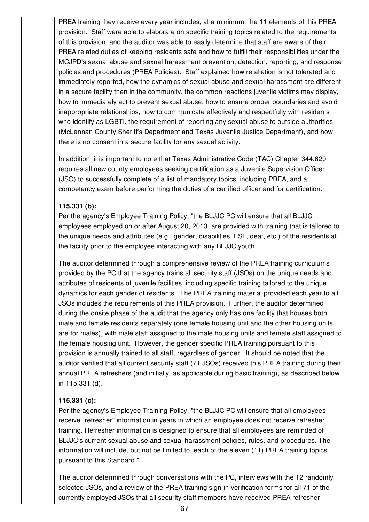PREA training they receive every year includes, at a minimum, the 11 elements of this PREA provision. Staff were able to elaborate on specific training topics related to the requirements of this provision, and the auditor was able to easily determine that staff are aware of their PREA related duties of keeping residents safe and how to fulfill their responsibilities under the MCJPD's sexual abuse and sexual harassment prevention, detection, reporting, and response policies and procedures (PREA Policies). Staff explained how retaliation is not tolerated and immediately reported, how the dynamics of sexual abuse and sexual harassment are different in a secure facility then in the community, the common reactions juvenile victims may display, how to immediately act to prevent sexual abuse, how to ensure proper boundaries and avoid inappropriate relationships, how to communicate effectively and respectfully with residents who identify as LGBTI, the requirement of reporting any sexual abuse to outside authorities (McLennan County Sheriff's Department and Texas Juvenile Justice Department), and how there is no consent in a secure facility for any sexual activity.

In addition, it is important to note that Texas Administrative Code (TAC) Chapter 344.620 requires all new county employees seeking certification as a Juvenile Supervision Officer (JSO) to successfully complete of a list of mandatory topics, including PREA, and a competency exam before performing the duties of a certified officer and for certification.

## **115.331 (b):**

Per the agency's Employee Training Policy, "the BLJJC PC will ensure that all BLJJC employees employed on or after August 20, 2013, are provided with training that is tailored to the unique needs and attributes (e.g., gender, disabilities, ESL, deaf, etc.) of the residents at the facility prior to the employee interacting with any BLJJC youth.

The auditor determined through a comprehensive review of the PREA training curriculums provided by the PC that the agency trains all security staff (JSOs) on the unique needs and attributes of residents of juvenile facilities, including specific training tailored to the unique dynamics for each gender of residents. The PREA training material provided each year to all JSOs includes the requirements of this PREA provision. Further, the auditor determined during the onsite phase of the audit that the agency only has one facility that houses both male and female residents separately (one female housing unit and the other housing units are for males), with male staff assigned to the male housing units and female staff assigned to the female housing unit. However, the gender specific PREA training pursuant to this provision is annually trained to all staff, regardless of gender. It should be noted that the auditor verified that all current security staff (71 JSOs) received this PREA training during their annual PREA refreshers (and initially, as applicable during basic training), as described below in 115.331 (d).

## **115.331 (c):**

Per the agency's Employee Training Policy, "the BLJJC PC will ensure that all employees receive "refresher" information in years in which an employee does not receive refresher training. Refresher information is designed to ensure that all employees are reminded of BLJJC's current sexual abuse and sexual harassment policies, rules, and procedures. The information will include, but not be limited to, each of the eleven (11) PREA training topics pursuant to this Standard."

The auditor determined through conversations with the PC, interviews with the 12 randomly selected JSOs, and a review of the PREA training sign-in verification forms for all 71 of the currently employed JSOs that all security staff members have received PREA refresher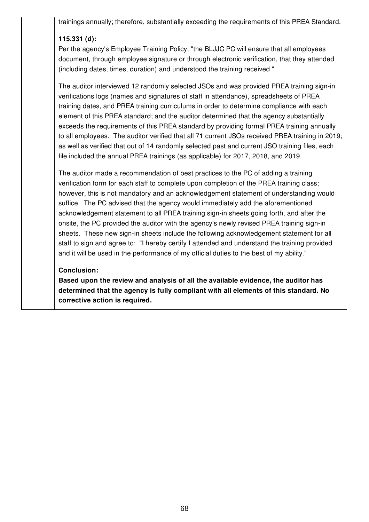trainings annually; therefore, substantially exceeding the requirements of this PREA Standard.

# **115.331 (d):**

Per the agency's Employee Training Policy, "the BLJJC PC will ensure that all employees document, through employee signature or through electronic verification, that they attended (including dates, times, duration) and understood the training received."

The auditor interviewed 12 randomly selected JSOs and was provided PREA training sign-in verifications logs (names and signatures of staff in attendance), spreadsheets of PREA training dates, and PREA training curriculums in order to determine compliance with each element of this PREA standard; and the auditor determined that the agency substantially exceeds the requirements of this PREA standard by providing formal PREA training annually to all employees. The auditor verified that all 71 current JSOs received PREA training in 2019; as well as verified that out of 14 randomly selected past and current JSO training files, each file included the annual PREA trainings (as applicable) for 2017, 2018, and 2019.

The auditor made a recommendation of best practices to the PC of adding a training verification form for each staff to complete upon completion of the PREA training class; however, this is not mandatory and an acknowledgement statement of understanding would suffice. The PC advised that the agency would immediately add the aforementioned acknowledgement statement to all PREA training sign-in sheets going forth, and after the onsite, the PC provided the auditor with the agency's newly revised PREA training sign-in sheets. These new sign-in sheets include the following acknowledgement statement for all staff to sign and agree to: "I hereby certify I attended and understand the training provided and it will be used in the performance of my official duties to the best of my ability."

### **Conclusion:**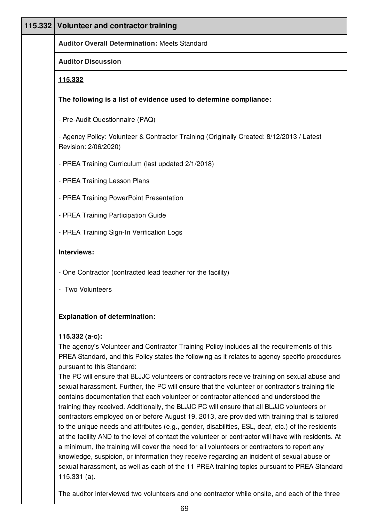| 115.332 Volunteer and contractor training                                                                                                                                                                                                         |
|---------------------------------------------------------------------------------------------------------------------------------------------------------------------------------------------------------------------------------------------------|
| <b>Auditor Overall Determination: Meets Standard</b>                                                                                                                                                                                              |
| <b>Auditor Discussion</b>                                                                                                                                                                                                                         |
| <u>115.332</u>                                                                                                                                                                                                                                    |
| The following is a list of evidence used to determine compliance:                                                                                                                                                                                 |
| - Pre-Audit Questionnaire (PAQ)                                                                                                                                                                                                                   |
| - Agency Policy: Volunteer & Contractor Training (Originally Created: 8/12/2013 / Latest<br>Revision: 2/06/2020)                                                                                                                                  |
| - PREA Training Curriculum (last updated 2/1/2018)                                                                                                                                                                                                |
| - PREA Training Lesson Plans                                                                                                                                                                                                                      |
| - PREA Training PowerPoint Presentation                                                                                                                                                                                                           |
| - PREA Training Participation Guide                                                                                                                                                                                                               |
| - PREA Training Sign-In Verification Logs                                                                                                                                                                                                         |
| Interviews:                                                                                                                                                                                                                                       |
| - One Contractor (contracted lead teacher for the facility)                                                                                                                                                                                       |
| - Two Volunteers                                                                                                                                                                                                                                  |
| <b>Explanation of determination:</b>                                                                                                                                                                                                              |
| 115.332 $(a-c)$ :<br>The agency's Volunteer and Contractor Training Policy includes all the requirements of this<br>PREA Standard, and this Policy states the following as it relates to agency specific procedures<br>pursuant to this Standard: |

The PC will ensure that BLJJC volunteers or contractors receive training on sexual abuse and sexual harassment. Further, the PC will ensure that the volunteer or contractor's training file contains documentation that each volunteer or contractor attended and understood the training they received. Additionally, the BLJJC PC will ensure that all BLJJC volunteers or contractors employed on or before August 19, 2013, are provided with training that is tailored to the unique needs and attributes (e.g., gender, disabilities, ESL, deaf, etc.) of the residents at the facility AND to the level of contact the volunteer or contractor will have with residents. At a minimum, the training will cover the need for all volunteers or contractors to report any knowledge, suspicion, or information they receive regarding an incident of sexual abuse or sexual harassment, as well as each of the 11 PREA training topics pursuant to PREA Standard 115.331 (a).

The auditor interviewed two volunteers and one contractor while onsite, and each of the three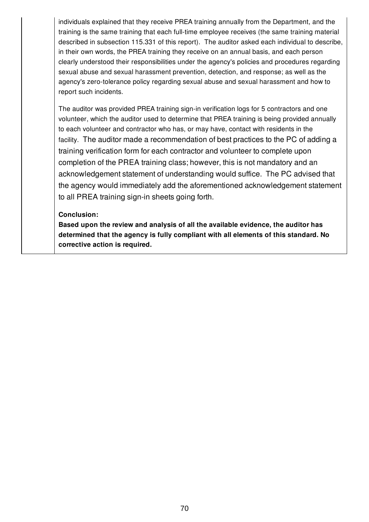individuals explained that they receive PREA training annually from the Department, and the training is the same training that each full-time employee receives (the same training material described in subsection 115.331 of this report). The auditor asked each individual to describe, in their own words, the PREA training they receive on an annual basis, and each person clearly understood their responsibilities under the agency's policies and procedures regarding sexual abuse and sexual harassment prevention, detection, and response; as well as the agency's zero-tolerance policy regarding sexual abuse and sexual harassment and how to report such incidents.

The auditor was provided PREA training sign-in verification logs for 5 contractors and one volunteer, which the auditor used to determine that PREA training is being provided annually to each volunteer and contractor who has, or may have, contact with residents in the facility. The auditor made a recommendation of best practices to the PC of adding a training verification form for each contractor and volunteer to complete upon completion of the PREA training class; however, this is not mandatory and an acknowledgement statement of understanding would suffice. The PC advised that the agency would immediately add the aforementioned acknowledgement statement to all PREA training sign-in sheets going forth.

### **Conclusion:**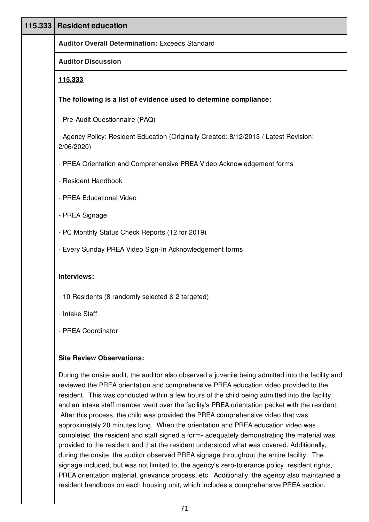| 115.333 | <b>Resident education</b>                                                                                                                                                                                          |
|---------|--------------------------------------------------------------------------------------------------------------------------------------------------------------------------------------------------------------------|
|         | <b>Auditor Overall Determination: Exceeds Standard</b>                                                                                                                                                             |
|         | <b>Auditor Discussion</b>                                                                                                                                                                                          |
|         | 115.333                                                                                                                                                                                                            |
|         | The following is a list of evidence used to determine compliance:                                                                                                                                                  |
|         | - Pre-Audit Questionnaire (PAQ)                                                                                                                                                                                    |
|         | - Agency Policy: Resident Education (Originally Created: 8/12/2013 / Latest Revision:<br>2/06/2020)                                                                                                                |
|         | - PREA Orientation and Comprehensive PREA Video Acknowledgement forms                                                                                                                                              |
|         | - Resident Handbook                                                                                                                                                                                                |
|         | - PREA Educational Video                                                                                                                                                                                           |
|         | - PREA Signage                                                                                                                                                                                                     |
|         | - PC Monthly Status Check Reports (12 for 2019)                                                                                                                                                                    |
|         | - Every Sunday PREA Video Sign-In Acknowledgement forms                                                                                                                                                            |
|         | Interviews:                                                                                                                                                                                                        |
|         | - 10 Residents (8 randomly selected & 2 targeted)                                                                                                                                                                  |
|         | - Intake Staff                                                                                                                                                                                                     |
|         | - PREA Coordinator                                                                                                                                                                                                 |
|         | <b>Site Review Observations:</b>                                                                                                                                                                                   |
|         | During the onsite audit, the auditor also observed a juvenile being admitted into the facility and<br>reviewed the PREA orientation and comprehensive PREA education video provided to the<br>لمستمط بديمة لمرشاها |

resident. This was conducted within a few hours of the child being admitted into the facility, and an intake staff member went over the facility's PREA orientation packet with the resident. After this process, the child was provided the PREA comprehensive video that was approximately 20 minutes long. When the orientation and PREA education video was completed, the resident and staff signed a form- adequately demonstrating the material was provided to the resident and that the resident understood what was covered. Additionally, during the onsite, the auditor observed PREA signage throughout the entire facility. The signage included, but was not limited to, the agency's zero-tolerance policy, resident rights, PREA orientation material, grievance process, etc. Additionally, the agency also maintained a resident handbook on each housing unit, which includes a comprehensive PREA section.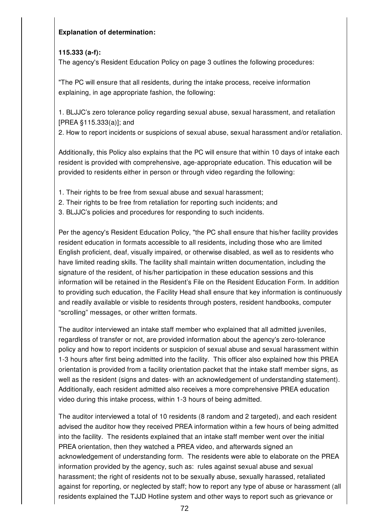### **Explanation of determination:**

## **115.333 (a-f):**

The agency's Resident Education Policy on page 3 outlines the following procedures:

"The PC will ensure that all residents, during the intake process, receive information explaining, in age appropriate fashion, the following:

1. BLJJC's zero tolerance policy regarding sexual abuse, sexual harassment, and retaliation [PREA §115.333(a)]; and

2. How to report incidents or suspicions of sexual abuse, sexual harassment and/or retaliation.

Additionally, this Policy also explains that the PC will ensure that within 10 days of intake each resident is provided with comprehensive, age-appropriate education. This education will be provided to residents either in person or through video regarding the following:

- 1. Their rights to be free from sexual abuse and sexual harassment;
- 2. Their rights to be free from retaliation for reporting such incidents; and
- 3. BLJJC's policies and procedures for responding to such incidents.

Per the agency's Resident Education Policy, "the PC shall ensure that his/her facility provides resident education in formats accessible to all residents, including those who are limited English proficient, deaf, visually impaired, or otherwise disabled, as well as to residents who have limited reading skills. The facility shall maintain written documentation, including the signature of the resident, of his/her participation in these education sessions and this information will be retained in the Resident's File on the Resident Education Form. In addition to providing such education, the Facility Head shall ensure that key information is continuously and readily available or visible to residents through posters, resident handbooks, computer "scrolling" messages, or other written formats.

The auditor interviewed an intake staff member who explained that all admitted juveniles, regardless of transfer or not, are provided information about the agency's zero-tolerance policy and how to report incidents or suspicion of sexual abuse and sexual harassment within 1-3 hours after first being admitted into the facility. This officer also explained how this PREA orientation is provided from a facility orientation packet that the intake staff member signs, as well as the resident (signs and dates- with an acknowledgement of understanding statement). Additionally, each resident admitted also receives a more comprehensive PREA education video during this intake process, within 1-3 hours of being admitted.

The auditor interviewed a total of 10 residents (8 random and 2 targeted), and each resident advised the auditor how they received PREA information within a few hours of being admitted into the facility. The residents explained that an intake staff member went over the initial PREA orientation, then they watched a PREA video, and afterwards signed an acknowledgement of understanding form. The residents were able to elaborate on the PREA information provided by the agency, such as: rules against sexual abuse and sexual harassment; the right of residents not to be sexually abuse, sexually harassed, retaliated against for reporting, or neglected by staff; how to report any type of abuse or harassment (all residents explained the TJJD Hotline system and other ways to report such as grievance or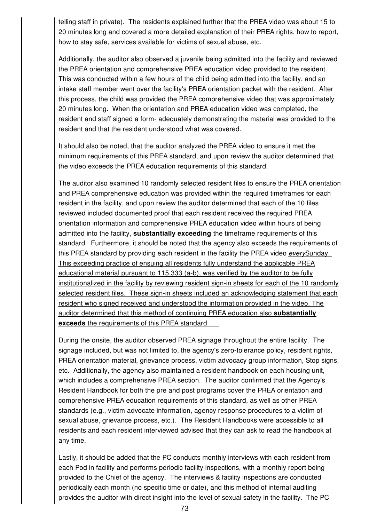telling staff in private). The residents explained further that the PREA video was about 15 to 20 minutes long and covered a more detailed explanation of their PREA rights, how to report, how to stay safe, services available for victims of sexual abuse, etc.

Additionally, the auditor also observed a juvenile being admitted into the facility and reviewed the PREA orientation and comprehensive PREA education video provided to the resident. This was conducted within a few hours of the child being admitted into the facility, and an intake staff member went over the facility's PREA orientation packet with the resident. After this process, the child was provided the PREA comprehensive video that was approximately 20 minutes long. When the orientation and PREA education video was completed, the resident and staff signed a form- adequately demonstrating the material was provided to the resident and that the resident understood what was covered.

It should also be noted, that the auditor analyzed the PREA video to ensure it met the minimum requirements of this PREA standard, and upon review the auditor determined that the video exceeds the PREA education requirements of this standard.

The auditor also examined 10 randomly selected resident files to ensure the PREA orientation and PREA comprehensive education was provided within the required timeframes for each resident in the facility, and upon review the auditor determined that each of the 10 files reviewed included documented proof that each resident received the required PREA orientation information and comprehensive PREA education video within hours of being admitted into the facility, **substantially exceeding** the timeframe requirements of this standard. Furthermore, it should be noted that the agency also exceeds the requirements of this PREA standard by providing each resident in the facility the PREA video *every*Sunday. This exceeding practice of ensuing all residents fully understand the applicable PREA educational material pursuant to 115.333 (a-b), was verified by the auditor to be fully institutionalized in the facility by reviewing resident sign-in sheets for each of the 10 randomly selected resident files. These sign-in sheets included an acknowledging statement that each resident who signed received and understood the information provided in the video. The auditor determined that this method of continuing PREA education also **substantially exceeds** the requirements of this PREA standard.

During the onsite, the auditor observed PREA signage throughout the entire facility. The signage included, but was not limited to, the agency's zero-tolerance policy, resident rights, PREA orientation material, grievance process, victim advocacy group information, Stop signs, etc. Additionally, the agency also maintained a resident handbook on each housing unit, which includes a comprehensive PREA section. The auditor confirmed that the Agency's Resident Handbook for both the pre and post programs cover the PREA orientation and comprehensive PREA education requirements of this standard, as well as other PREA standards (e.g., victim advocate information, agency response procedures to a victim of sexual abuse, grievance process, etc.). The Resident Handbooks were accessible to all residents and each resident interviewed advised that they can ask to read the handbook at any time.

Lastly, it should be added that the PC conducts monthly interviews with each resident from each Pod in facility and performs periodic facility inspections, with a monthly report being provided to the Chief of the agency. The interviews & facility inspections are conducted periodically each month (no specific time or date), and this method of internal auditing provides the auditor with direct insight into the level of sexual safety in the facility. The PC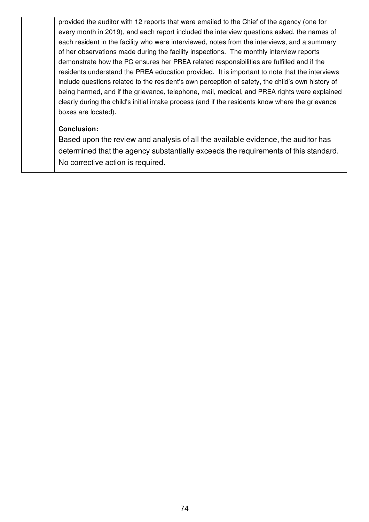provided the auditor with 12 reports that were emailed to the Chief of the agency (one for every month in 2019), and each report included the interview questions asked, the names of each resident in the facility who were interviewed, notes from the interviews, and a summary of her observations made during the facility inspections. The monthly interview reports demonstrate how the PC ensures her PREA related responsibilities are fulfilled and if the residents understand the PREA education provided. It is important to note that the interviews include questions related to the resident's own perception of safety, the child's own history of being harmed, and if the grievance, telephone, mail, medical, and PREA rights were explained clearly during the child's initial intake process (and if the residents know where the grievance boxes are located).

# **Conclusion:**

Based upon the review and analysis of all the available evidence, the auditor has determined that the agency substantially exceeds the requirements of this standard. No corrective action is required.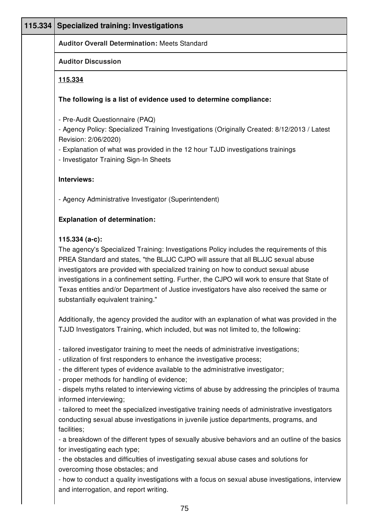| 115.334 Specialized training: Investigations                                                                                                                                                                                                                                                                                                                                                                                                                                                                                                                                                                                                                                                                                                                                                                                                                                                                                                                                                                 |
|--------------------------------------------------------------------------------------------------------------------------------------------------------------------------------------------------------------------------------------------------------------------------------------------------------------------------------------------------------------------------------------------------------------------------------------------------------------------------------------------------------------------------------------------------------------------------------------------------------------------------------------------------------------------------------------------------------------------------------------------------------------------------------------------------------------------------------------------------------------------------------------------------------------------------------------------------------------------------------------------------------------|
| <b>Auditor Overall Determination: Meets Standard</b>                                                                                                                                                                                                                                                                                                                                                                                                                                                                                                                                                                                                                                                                                                                                                                                                                                                                                                                                                         |
| <b>Auditor Discussion</b>                                                                                                                                                                                                                                                                                                                                                                                                                                                                                                                                                                                                                                                                                                                                                                                                                                                                                                                                                                                    |
| 115.334                                                                                                                                                                                                                                                                                                                                                                                                                                                                                                                                                                                                                                                                                                                                                                                                                                                                                                                                                                                                      |
| The following is a list of evidence used to determine compliance:                                                                                                                                                                                                                                                                                                                                                                                                                                                                                                                                                                                                                                                                                                                                                                                                                                                                                                                                            |
| - Pre-Audit Questionnaire (PAQ)<br>- Agency Policy: Specialized Training Investigations (Originally Created: 8/12/2013 / Latest<br>Revision: 2/06/2020)<br>- Explanation of what was provided in the 12 hour TJJD investigations trainings<br>- Investigator Training Sign-In Sheets                                                                                                                                                                                                                                                                                                                                                                                                                                                                                                                                                                                                                                                                                                                         |
| Interviews:                                                                                                                                                                                                                                                                                                                                                                                                                                                                                                                                                                                                                                                                                                                                                                                                                                                                                                                                                                                                  |
| - Agency Administrative Investigator (Superintendent)                                                                                                                                                                                                                                                                                                                                                                                                                                                                                                                                                                                                                                                                                                                                                                                                                                                                                                                                                        |
| <b>Explanation of determination:</b>                                                                                                                                                                                                                                                                                                                                                                                                                                                                                                                                                                                                                                                                                                                                                                                                                                                                                                                                                                         |
| $115.334(a-c)$ :<br>The agency's Specialized Training: Investigations Policy includes the requirements of this<br>PREA Standard and states, "the BLJJC CJPO will assure that all BLJJC sexual abuse<br>investigators are provided with specialized training on how to conduct sexual abuse<br>investigations in a confinement setting. Further, the CJPO will work to ensure that State of<br>Texas entities and/or Department of Justice investigators have also received the same or<br>substantially equivalent training."                                                                                                                                                                                                                                                                                                                                                                                                                                                                                |
| Additionally, the agency provided the auditor with an explanation of what was provided in the<br>TJJD Investigators Training, which included, but was not limited to, the following:                                                                                                                                                                                                                                                                                                                                                                                                                                                                                                                                                                                                                                                                                                                                                                                                                         |
| - tailored investigator training to meet the needs of administrative investigations;<br>- utilization of first responders to enhance the investigative process;<br>- the different types of evidence available to the administrative investigator;<br>- proper methods for handling of evidence;<br>- dispels myths related to interviewing victims of abuse by addressing the principles of trauma<br>informed interviewing;<br>- tailored to meet the specialized investigative training needs of administrative investigators<br>conducting sexual abuse investigations in juvenile justice departments, programs, and<br>facilities;<br>- a breakdown of the different types of sexually abusive behaviors and an outline of the basics<br>for investigating each type;<br>- the obstacles and difficulties of investigating sexual abuse cases and solutions for<br>overcoming those obstacles; and<br>- how to conduct a quality investigations with a focus on sexual abuse investigations, interview |
| and interrogation, and report writing.                                                                                                                                                                                                                                                                                                                                                                                                                                                                                                                                                                                                                                                                                                                                                                                                                                                                                                                                                                       |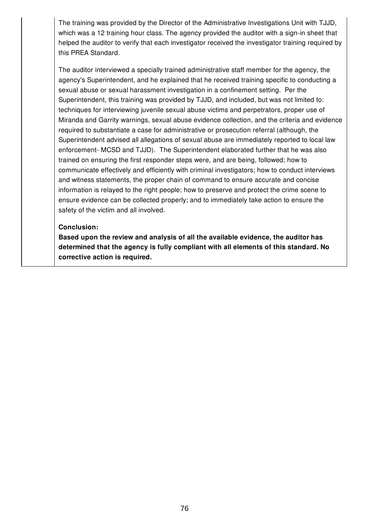The training was provided by the Director of the Administrative Investigations Unit with TJJD, which was a 12 training hour class. The agency provided the auditor with a sign-in sheet that helped the auditor to verify that each investigator received the investigator training required by this PREA Standard.

The auditor interviewed a specially trained administrative staff member for the agency, the agency's Superintendent, and he explained that he received training specific to conducting a sexual abuse or sexual harassment investigation in a confinement setting. Per the Superintendent, this training was provided by TJJD, and included, but was not limited to: techniques for interviewing juvenile sexual abuse victims and perpetrators, proper use of Miranda and Garrity warnings, sexual abuse evidence collection, and the criteria and evidence required to substantiate a case for administrative or prosecution referral (although, the Superintendent advised all allegations of sexual abuse are immediately reported to local law enforcement- MCSD and TJJD). The Superintendent elaborated further that he was also trained on ensuring the first responder steps were, and are being, followed; how to communicate effectively and efficiently with criminal investigators; how to conduct interviews and witness statements, the proper chain of command to ensure accurate and concise information is relayed to the right people; how to preserve and protect the crime scene to ensure evidence can be collected properly; and to immediately take action to ensure the safety of the victim and all involved.

#### **Conclusion:**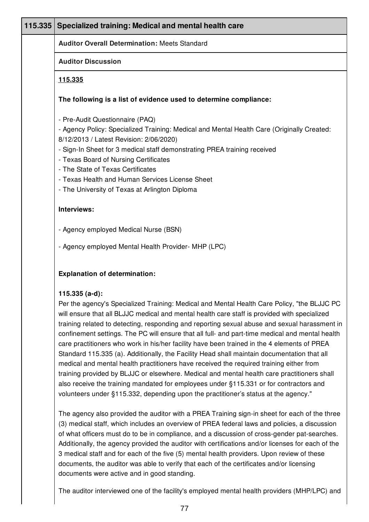| 115.335 | Specialized training: Medical and mental health care                                                                                                                                                                                                                                                                                                                                                                                                                                                                                                                                                                                                                                                                                                                                                                                                                                                                                                                                       |
|---------|--------------------------------------------------------------------------------------------------------------------------------------------------------------------------------------------------------------------------------------------------------------------------------------------------------------------------------------------------------------------------------------------------------------------------------------------------------------------------------------------------------------------------------------------------------------------------------------------------------------------------------------------------------------------------------------------------------------------------------------------------------------------------------------------------------------------------------------------------------------------------------------------------------------------------------------------------------------------------------------------|
|         | <b>Auditor Overall Determination: Meets Standard</b>                                                                                                                                                                                                                                                                                                                                                                                                                                                                                                                                                                                                                                                                                                                                                                                                                                                                                                                                       |
|         | <b>Auditor Discussion</b>                                                                                                                                                                                                                                                                                                                                                                                                                                                                                                                                                                                                                                                                                                                                                                                                                                                                                                                                                                  |
|         | <u>115.335</u>                                                                                                                                                                                                                                                                                                                                                                                                                                                                                                                                                                                                                                                                                                                                                                                                                                                                                                                                                                             |
|         | The following is a list of evidence used to determine compliance:                                                                                                                                                                                                                                                                                                                                                                                                                                                                                                                                                                                                                                                                                                                                                                                                                                                                                                                          |
|         | - Pre-Audit Questionnaire (PAQ)<br>- Agency Policy: Specialized Training: Medical and Mental Health Care (Originally Created:<br>8/12/2013 / Latest Revision: 2/06/2020)<br>- Sign-In Sheet for 3 medical staff demonstrating PREA training received<br>- Texas Board of Nursing Certificates<br>- The State of Texas Certificates<br>- Texas Health and Human Services License Sheet                                                                                                                                                                                                                                                                                                                                                                                                                                                                                                                                                                                                      |
|         | - The University of Texas at Arlington Diploma                                                                                                                                                                                                                                                                                                                                                                                                                                                                                                                                                                                                                                                                                                                                                                                                                                                                                                                                             |
|         | Interviews:                                                                                                                                                                                                                                                                                                                                                                                                                                                                                                                                                                                                                                                                                                                                                                                                                                                                                                                                                                                |
|         | - Agency employed Medical Nurse (BSN)                                                                                                                                                                                                                                                                                                                                                                                                                                                                                                                                                                                                                                                                                                                                                                                                                                                                                                                                                      |
|         | - Agency employed Mental Health Provider-MHP (LPC)                                                                                                                                                                                                                                                                                                                                                                                                                                                                                                                                                                                                                                                                                                                                                                                                                                                                                                                                         |
|         | <b>Explanation of determination:</b>                                                                                                                                                                                                                                                                                                                                                                                                                                                                                                                                                                                                                                                                                                                                                                                                                                                                                                                                                       |
|         | 115.335 (a-d):<br>Per the agency's Specialized Training: Medical and Mental Health Care Policy, "the BLJJC PC<br>will ensure that all BLJJC medical and mental health care staff is provided with specialized<br>training related to detecting, responding and reporting sexual abuse and sexual harassment in<br>confinement settings. The PC will ensure that all full- and part-time medical and mental health<br>care practitioners who work in his/her facility have been trained in the 4 elements of PREA<br>Standard 115.335 (a). Additionally, the Facility Head shall maintain documentation that all<br>medical and mental health practitioners have received the required training either from<br>training provided by BLJJC or elsewhere. Medical and mental health care practitioners shall<br>also receive the training mandated for employees under §115.331 or for contractors and<br>volunteers under §115.332, depending upon the practitioner's status at the agency." |
|         | The agency also provided the auditor with a PREA Training sign-in sheet for each of the three<br>(3) medical staff, which includes an overview of PREA federal laws and policies, a discussion<br>of what officers must do to be in compliance, and a discussion of cross-gender pat-searches.<br>Additionally, the agency provided the auditor with certifications and/or licenses for each of the<br>3 medical staff and for each of the five (5) mental health providers. Upon review of these                                                                                                                                                                                                                                                                                                                                                                                                                                                                                          |

3 medical staff and for each of the five (5) mental health providers. Upon review of these documents, the auditor was able to verify that each of the certificates and/or licensing documents were active and in good standing.

The auditor interviewed one of the facility's employed mental health providers (MHP/LPC) and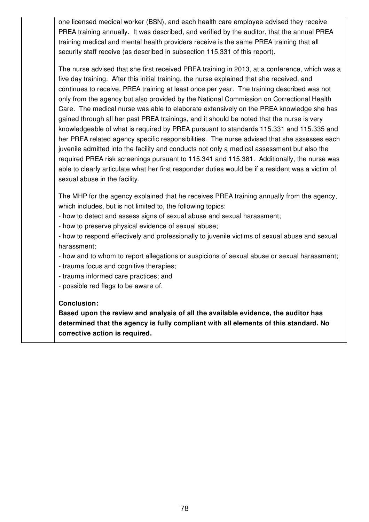one licensed medical worker (BSN), and each health care employee advised they receive PREA training annually. It was described, and verified by the auditor, that the annual PREA training medical and mental health providers receive is the same PREA training that all security staff receive (as described in subsection 115.331 of this report).

The nurse advised that she first received PREA training in 2013, at a conference, which was a five day training. After this initial training, the nurse explained that she received, and continues to receive, PREA training at least once per year. The training described was not only from the agency but also provided by the National Commission on Correctional Health Care. The medical nurse was able to elaborate extensively on the PREA knowledge she has gained through all her past PREA trainings, and it should be noted that the nurse is very knowledgeable of what is required by PREA pursuant to standards 115.331 and 115.335 and her PREA related agency specific responsibilities. The nurse advised that she assesses each juvenile admitted into the facility and conducts not only a medical assessment but also the required PREA risk screenings pursuant to 115.341 and 115.381. Additionally, the nurse was able to clearly articulate what her first responder duties would be if a resident was a victim of sexual abuse in the facility.

The MHP for the agency explained that he receives PREA training annually from the agency, which includes, but is not limited to, the following topics:

- how to detect and assess signs of sexual abuse and sexual harassment;
- how to preserve physical evidence of sexual abuse;
- how to respond effectively and professionally to juvenile victims of sexual abuse and sexual harassment;
- how and to whom to report allegations or suspicions of sexual abuse or sexual harassment;
- trauma focus and cognitive therapies;
- trauma informed care practices; and
- possible red flags to be aware of.

#### **Conclusion:**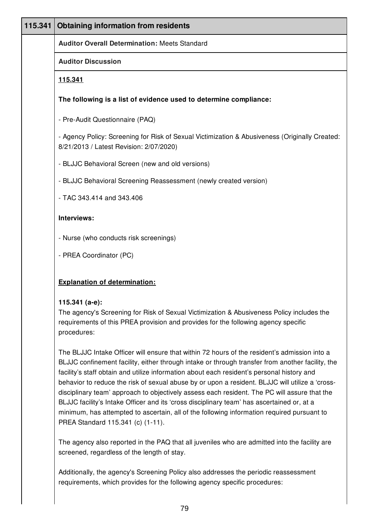| 115.341 | <b>Obtaining information from residents</b>                                                                                                                                                                      |
|---------|------------------------------------------------------------------------------------------------------------------------------------------------------------------------------------------------------------------|
|         | <b>Auditor Overall Determination: Meets Standard</b>                                                                                                                                                             |
|         | <b>Auditor Discussion</b>                                                                                                                                                                                        |
|         | 115.341                                                                                                                                                                                                          |
|         | The following is a list of evidence used to determine compliance:                                                                                                                                                |
|         | - Pre-Audit Questionnaire (PAQ)                                                                                                                                                                                  |
|         | - Agency Policy: Screening for Risk of Sexual Victimization & Abusiveness (Originally Created:<br>8/21/2013 / Latest Revision: 2/07/2020)                                                                        |
|         | - BLJJC Behavioral Screen (new and old versions)                                                                                                                                                                 |
|         | - BLJJC Behavioral Screening Reassessment (newly created version)                                                                                                                                                |
|         | - TAC 343.414 and 343.406                                                                                                                                                                                        |
|         | Interviews:                                                                                                                                                                                                      |
|         | - Nurse (who conducts risk screenings)                                                                                                                                                                           |
|         | - PREA Coordinator (PC)                                                                                                                                                                                          |
|         | <b>Explanation of determination:</b>                                                                                                                                                                             |
|         | 115.341 (a-e):<br>The agency's Screening for Risk of Sexual Victimization & Abusiveness Policy includes the<br>requirements of this PREA provision and provides for the following agency specific<br>procedures: |

The BLJJC Intake Officer will ensure that within 72 hours of the resident's admission into a BLJJC confinement facility, either through intake or through transfer from another facility, the facility's staff obtain and utilize information about each resident's personal history and behavior to reduce the risk of sexual abuse by or upon a resident. BLJJC will utilize a 'crossdisciplinary team' approach to objectively assess each resident. The PC will assure that the BLJJC facility's Intake Officer and its 'cross disciplinary team' has ascertained or, at a minimum, has attempted to ascertain, all of the following information required pursuant to PREA Standard 115.341 (c) (1-11).

The agency also reported in the PAQ that all juveniles who are admitted into the facility are screened, regardless of the length of stay.

Additionally, the agency's Screening Policy also addresses the periodic reassessment requirements, which provides for the following agency specific procedures: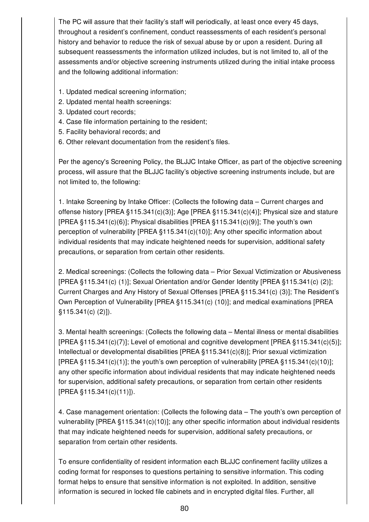The PC will assure that their facility's staff will periodically, at least once every 45 days, throughout a resident's confinement, conduct reassessments of each resident's personal history and behavior to reduce the risk of sexual abuse by or upon a resident. During all subsequent reassessments the information utilized includes, but is not limited to, all of the assessments and/or objective screening instruments utilized during the initial intake process and the following additional information:

- 1. Updated medical screening information;
- 2. Updated mental health screenings:
- 3. Updated court records;
- 4. Case file information pertaining to the resident;
- 5. Facility behavioral records; and
- 6. Other relevant documentation from the resident's files.

Per the agency's Screening Policy, the BLJJC Intake Officer, as part of the objective screening process, will assure that the BLJJC facility's objective screening instruments include, but are not limited to, the following:

1. Intake Screening by Intake Officer: (Collects the following data – Current charges and offense history [PREA §115.341(c)(3)]; Age [PREA §115.341(c)(4)]; Physical size and stature [PREA §115.341(c)(6)]; Physical disabilities [PREA §115.341(c)(9)]; The youth's own perception of vulnerability [PREA §115.341(c)(10)]; Any other specific information about individual residents that may indicate heightened needs for supervision, additional safety precautions, or separation from certain other residents.

2. Medical screenings: (Collects the following data – Prior Sexual Victimization or Abusiveness [PREA §115.341(c) (1)]; Sexual Orientation and/or Gender Identity [PREA §115.341(c) (2)]; Current Charges and Any History of Sexual Offenses [PREA §115.341(c) (3)]; The Resident's Own Perception of Vulnerability [PREA §115.341(c) (10)]; and medical examinations [PREA §115.341(c) (2)]).

3. Mental health screenings: (Collects the following data – Mental illness or mental disabilities [PREA §115.341(c)(7)]; Level of emotional and cognitive development [PREA §115.341(c)(5)]; Intellectual or developmental disabilities [PREA §115.341(c)(8)]; Prior sexual victimization  $[PREA \, §115.341(c)(1)]$ ; the youth's own perception of vulnerability  $[PREA \, §115.341(c)(10)]$ ; any other specific information about individual residents that may indicate heightened needs for supervision, additional safety precautions, or separation from certain other residents [PREA §115.341(c)(11)]).

4. Case management orientation: (Collects the following data – The youth's own perception of vulnerability [PREA §115.341(c)(10)]; any other specific information about individual residents that may indicate heightened needs for supervision, additional safety precautions, or separation from certain other residents.

To ensure confidentiality of resident information each BLJJC confinement facility utilizes a coding format for responses to questions pertaining to sensitive information. This coding format helps to ensure that sensitive information is not exploited. In addition, sensitive information is secured in locked file cabinets and in encrypted digital files. Further, all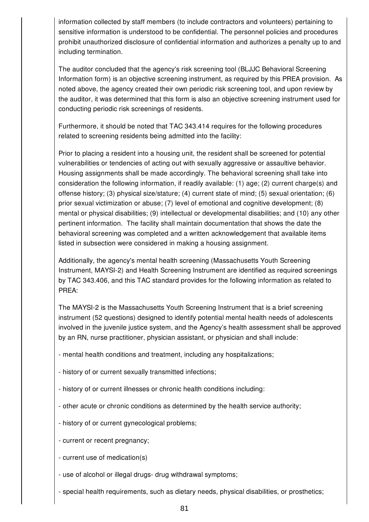information collected by staff members (to include contractors and volunteers) pertaining to sensitive information is understood to be confidential. The personnel policies and procedures prohibit unauthorized disclosure of confidential information and authorizes a penalty up to and including termination.

The auditor concluded that the agency's risk screening tool (BLJJC Behavioral Screening Information form) is an objective screening instrument, as required by this PREA provision. As noted above, the agency created their own periodic risk screening tool, and upon review by the auditor, it was determined that this form is also an objective screening instrument used for conducting periodic risk screenings of residents.

Furthermore, it should be noted that TAC 343.414 requires for the following procedures related to screening residents being admitted into the facility:

Prior to placing a resident into a housing unit, the resident shall be screened for potential vulnerabilities or tendencies of acting out with sexually aggressive or assaultive behavior. Housing assignments shall be made accordingly. The behavioral screening shall take into consideration the following information, if readily available: (1) age; (2) current charge(s) and offense history; (3) physical size/stature; (4) current state of mind; (5) sexual orientation; (6) prior sexual victimization or abuse; (7) level of emotional and cognitive development; (8) mental or physical disabilities; (9) intellectual or developmental disabilities; and (10) any other pertinent information. The facility shall maintain documentation that shows the date the behavioral screening was completed and a written acknowledgement that available items listed in subsection were considered in making a housing assignment.

Additionally, the agency's mental health screening (Massachusetts Youth Screening Instrument, MAYSI-2) and Health Screening Instrument are identified as required screenings by TAC 343.406, and this TAC standard provides for the following information as related to PREA:

The MAYSI-2 is the Massachusetts Youth Screening Instrument that is a brief screening instrument (52 questions) designed to identify potential mental health needs of adolescents involved in the juvenile justice system, and the Agency's health assessment shall be approved by an RN, nurse practitioner, physician assistant, or physician and shall include:

- mental health conditions and treatment, including any hospitalizations;
- history of or current sexually transmitted infections;
- history of or current illnesses or chronic health conditions including:
- other acute or chronic conditions as determined by the health service authority;
- history of or current gynecological problems;
- current or recent pregnancy;
- current use of medication(s)
- use of alcohol or illegal drugs- drug withdrawal symptoms;
- special health requirements, such as dietary needs, physical disabilities, or prosthetics;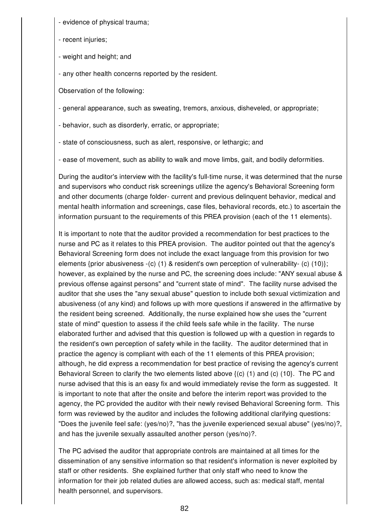- evidence of physical trauma;

- recent injuries;

- weight and height; and
- any other health concerns reported by the resident.

Observation of the following:

- general appearance, such as sweating, tremors, anxious, disheveled, or appropriate;

- behavior, such as disorderly, erratic, or appropriate;

- state of consciousness, such as alert, responsive, or lethargic; and

- ease of movement, such as ability to walk and move limbs, gait, and bodily deformities.

During the auditor's interview with the facility's full-time nurse, it was determined that the nurse and supervisors who conduct risk screenings utilize the agency's Behavioral Screening form and other documents (charge folder- current and previous delinquent behavior, medical and mental health information and screenings, case files, behavioral records, etc.) to ascertain the information pursuant to the requirements of this PREA provision (each of the 11 elements).

It is important to note that the auditor provided a recommendation for best practices to the nurse and PC as it relates to this PREA provision. The auditor pointed out that the agency's Behavioral Screening form does not include the exact language from this provision for two elements {prior abusiveness -(c) (1) & resident's own perception of vulnerability- (c) (10)}; however, as explained by the nurse and PC, the screening does include: "ANY sexual abuse & previous offense against persons" and "current state of mind". The facility nurse advised the auditor that she uses the "any sexual abuse" question to include both sexual victimization and abusiveness (of any kind) and follows up with more questions if answered in the affirmative by the resident being screened. Additionally, the nurse explained how she uses the "current state of mind" question to assess if the child feels safe while in the facility. The nurse elaborated further and advised that this question is followed up with a question in regards to the resident's own perception of safety while in the facility. The auditor determined that in practice the agency is compliant with each of the 11 elements of this PREA provision; although, he did express a recommendation for best practice of revising the agency's current Behavioral Screen to clarify the two elements listed above  $\{(c)$  (1) and  $(c)$  (10}. The PC and nurse advised that this is an easy fix and would immediately revise the form as suggested. It is important to note that after the onsite and before the interim report was provided to the agency, the PC provided the auditor with their newly revised Behavioral Screening form. This form was reviewed by the auditor and includes the following additional clarifying questions: "Does the juvenile feel safe: (yes/no)?, "has the juvenile experienced sexual abuse" (yes/no)?, and has the juvenile sexually assaulted another person (yes/no)?.

The PC advised the auditor that appropriate controls are maintained at all times for the dissemination of any sensitive information so that resident's information is never exploited by staff or other residents. She explained further that only staff who need to know the information for their job related duties are allowed access, such as: medical staff, mental health personnel, and supervisors.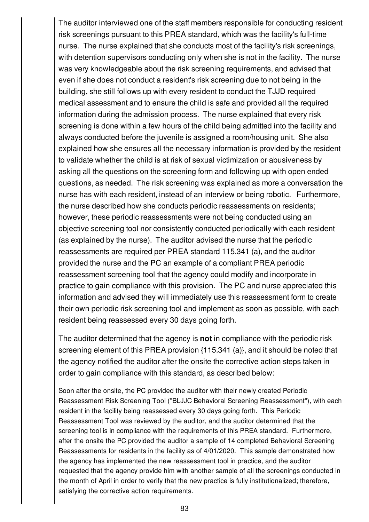The auditor interviewed one of the staff members responsible for conducting resident risk screenings pursuant to this PREA standard, which was the facility's full-time nurse. The nurse explained that she conducts most of the facility's risk screenings, with detention supervisors conducting only when she is not in the facility. The nurse was very knowledgeable about the risk screening requirements, and advised that even if she does not conduct a resident's risk screening due to not being in the building, she still follows up with every resident to conduct the TJJD required medical assessment and to ensure the child is safe and provided all the required information during the admission process. The nurse explained that every risk screening is done within a few hours of the child being admitted into the facility and always conducted before the juvenile is assigned a room/housing unit. She also explained how she ensures all the necessary information is provided by the resident to validate whether the child is at risk of sexual victimization or abusiveness by asking all the questions on the screening form and following up with open ended questions, as needed. The risk screening was explained as more a conversation the nurse has with each resident, instead of an interview or being robotic. Furthermore, the nurse described how she conducts periodic reassessments on residents; however, these periodic reassessments were not being conducted using an objective screening tool nor consistently conducted periodically with each resident (as explained by the nurse). The auditor advised the nurse that the periodic reassessments are required per PREA standard 115.341 (a), and the auditor provided the nurse and the PC an example of a compliant PREA periodic reassessment screening tool that the agency could modify and incorporate in practice to gain compliance with this provision. The PC and nurse appreciated this information and advised they will immediately use this reassessment form to create their own periodic risk screening tool and implement as soon as possible, with each resident being reassessed every 30 days going forth.

The auditor determined that the agency is **not** in compliance with the periodic risk screening element of this PREA provision {115.341 (a)}, and it should be noted that the agency notified the auditor after the onsite the corrective action steps taken in order to gain compliance with this standard, as described below:

Soon after the onsite, the PC provided the auditor with their newly created Periodic Reassessment Risk Screening Tool ("BLJJC Behavioral Screening Reassessment"), with each resident in the facility being reassessed every 30 days going forth. This Periodic Reassessment Tool was reviewed by the auditor, and the auditor determined that the screening tool is in compliance with the requirements of this PREA standard. Furthermore, after the onsite the PC provided the auditor a sample of 14 completed Behavioral Screening Reassessments for residents in the facility as of 4/01/2020. This sample demonstrated how the agency has implemented the new reassessment tool in practice, and the auditor requested that the agency provide him with another sample of all the screenings conducted in the month of April in order to verify that the new practice is fully institutionalized; therefore, satisfying the corrective action requirements.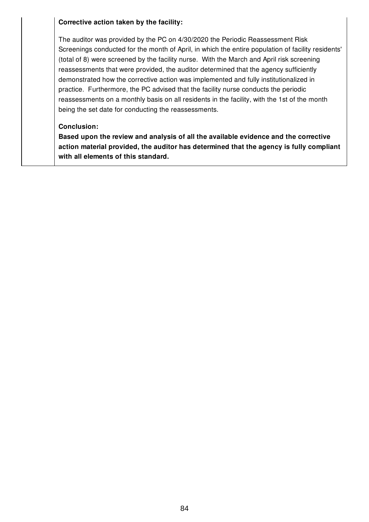#### **Corrective action taken by the facility:**

The auditor was provided by the PC on 4/30/2020 the Periodic Reassessment Risk Screenings conducted for the month of April, in which the entire population of facility residents' (total of 8) were screened by the facility nurse. With the March and April risk screening reassessments that were provided, the auditor determined that the agency sufficiently demonstrated how the corrective action was implemented and fully institutionalized in practice. Furthermore, the PC advised that the facility nurse conducts the periodic reassessments on a monthly basis on all residents in the facility, with the 1st of the month being the set date for conducting the reassessments.

#### **Conclusion:**

**Based upon the review and analysis of all the available evidence and the corrective action material provided, the auditor has determined that the agency is fully compliant with all elements of this standard.**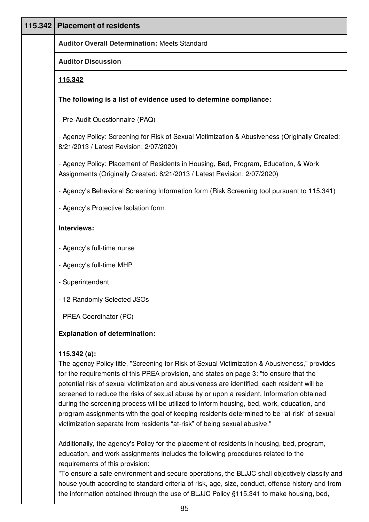| 115.342 | <b>Placement of residents</b>                                                                                                                                                                                                                                                                                                                                                                                                                                                                                                                                                                                                                                                    |
|---------|----------------------------------------------------------------------------------------------------------------------------------------------------------------------------------------------------------------------------------------------------------------------------------------------------------------------------------------------------------------------------------------------------------------------------------------------------------------------------------------------------------------------------------------------------------------------------------------------------------------------------------------------------------------------------------|
|         | <b>Auditor Overall Determination: Meets Standard</b>                                                                                                                                                                                                                                                                                                                                                                                                                                                                                                                                                                                                                             |
|         | <b>Auditor Discussion</b>                                                                                                                                                                                                                                                                                                                                                                                                                                                                                                                                                                                                                                                        |
|         | 115.342                                                                                                                                                                                                                                                                                                                                                                                                                                                                                                                                                                                                                                                                          |
|         | The following is a list of evidence used to determine compliance:                                                                                                                                                                                                                                                                                                                                                                                                                                                                                                                                                                                                                |
|         | - Pre-Audit Questionnaire (PAQ)                                                                                                                                                                                                                                                                                                                                                                                                                                                                                                                                                                                                                                                  |
|         | - Agency Policy: Screening for Risk of Sexual Victimization & Abusiveness (Originally Created:<br>8/21/2013 / Latest Revision: 2/07/2020)                                                                                                                                                                                                                                                                                                                                                                                                                                                                                                                                        |
|         | - Agency Policy: Placement of Residents in Housing, Bed, Program, Education, & Work<br>Assignments (Originally Created: 8/21/2013 / Latest Revision: 2/07/2020)                                                                                                                                                                                                                                                                                                                                                                                                                                                                                                                  |
|         | - Agency's Behavioral Screening Information form (Risk Screening tool pursuant to 115.341)                                                                                                                                                                                                                                                                                                                                                                                                                                                                                                                                                                                       |
|         | - Agency's Protective Isolation form                                                                                                                                                                                                                                                                                                                                                                                                                                                                                                                                                                                                                                             |
|         | Interviews:                                                                                                                                                                                                                                                                                                                                                                                                                                                                                                                                                                                                                                                                      |
|         | - Agency's full-time nurse                                                                                                                                                                                                                                                                                                                                                                                                                                                                                                                                                                                                                                                       |
|         | - Agency's full-time MHP                                                                                                                                                                                                                                                                                                                                                                                                                                                                                                                                                                                                                                                         |
|         | - Superintendent                                                                                                                                                                                                                                                                                                                                                                                                                                                                                                                                                                                                                                                                 |
|         | - 12 Randomly Selected JSOs                                                                                                                                                                                                                                                                                                                                                                                                                                                                                                                                                                                                                                                      |
|         | - PREA Coordinator (PC)                                                                                                                                                                                                                                                                                                                                                                                                                                                                                                                                                                                                                                                          |
|         | <b>Explanation of determination:</b>                                                                                                                                                                                                                                                                                                                                                                                                                                                                                                                                                                                                                                             |
|         | 115.342 $(a)$ :<br>The agency Policy title, "Screening for Risk of Sexual Victimization & Abusiveness," provides<br>for the requirements of this PREA provision, and states on page 3: "to ensure that the<br>potential risk of sexual victimization and abusiveness are identified, each resident will be<br>screened to reduce the risks of sexual abuse by or upon a resident. Information obtained<br>during the screening process will be utilized to inform housing, bed, work, education, and<br>program assignments with the goal of keeping residents determined to be "at-risk" of sexual<br>victimization separate from residents "at-risk" of being sexual abusive." |
|         | Additionally, the agency's Policy for the placement of residents in housing, bed, program,<br>education, and work assignments includes the following procedures related to the                                                                                                                                                                                                                                                                                                                                                                                                                                                                                                   |

requirements of this provision:

"To ensure a safe environment and secure operations, the BLJJC shall objectively classify and house youth according to standard criteria of risk, age, size, conduct, offense history and from the information obtained through the use of BLJJC Policy §115.341 to make housing, bed,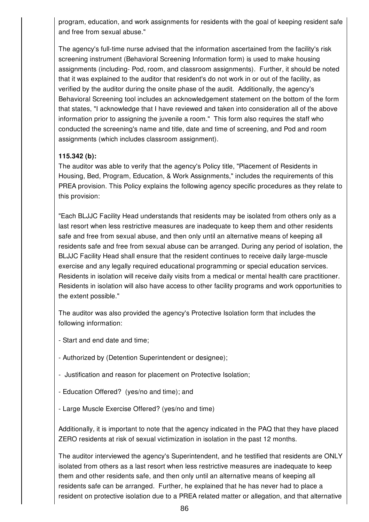program, education, and work assignments for residents with the goal of keeping resident safe and free from sexual abuse."

The agency's full-time nurse advised that the information ascertained from the facility's risk screening instrument (Behavioral Screening Information form) is used to make housing assignments (including- Pod, room, and classroom assignments). Further, it should be noted that it was explained to the auditor that resident's do not work in or out of the facility, as verified by the auditor during the onsite phase of the audit. Additionally, the agency's Behavioral Screening tool includes an acknowledgement statement on the bottom of the form that states, "I acknowledge that I have reviewed and taken into consideration all of the above information prior to assigning the juvenile a room." This form also requires the staff who conducted the screening's name and title, date and time of screening, and Pod and room assignments (which includes classroom assignment).

# **115.342 (b):**

The auditor was able to verify that the agency's Policy title, "Placement of Residents in Housing, Bed, Program, Education, & Work Assignments," includes the requirements of this PREA provision. This Policy explains the following agency specific procedures as they relate to this provision:

"Each BLJJC Facility Head understands that residents may be isolated from others only as a last resort when less restrictive measures are inadequate to keep them and other residents safe and free from sexual abuse, and then only until an alternative means of keeping all residents safe and free from sexual abuse can be arranged. During any period of isolation, the BLJJC Facility Head shall ensure that the resident continues to receive daily large-muscle exercise and any legally required educational programming or special education services. Residents in isolation will receive daily visits from a medical or mental health care practitioner. Residents in isolation will also have access to other facility programs and work opportunities to the extent possible."

The auditor was also provided the agency's Protective Isolation form that includes the following information:

- Start and end date and time;
- Authorized by (Detention Superintendent or designee);
- Justification and reason for placement on Protective Isolation;
- Education Offered? (yes/no and time); and
- Large Muscle Exercise Offered? (yes/no and time)

Additionally, it is important to note that the agency indicated in the PAQ that they have placed ZERO residents at risk of sexual victimization in isolation in the past 12 months.

The auditor interviewed the agency's Superintendent, and he testified that residents are ONLY isolated from others as a last resort when less restrictive measures are inadequate to keep them and other residents safe, and then only until an alternative means of keeping all residents safe can be arranged. Further, he explained that he has never had to place a resident on protective isolation due to a PREA related matter or allegation, and that alternative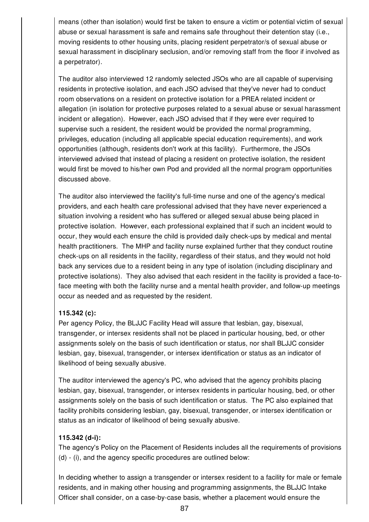means (other than isolation) would first be taken to ensure a victim or potential victim of sexual abuse or sexual harassment is safe and remains safe throughout their detention stay (i.e., moving residents to other housing units, placing resident perpetrator/s of sexual abuse or sexual harassment in disciplinary seclusion, and/or removing staff from the floor if involved as a perpetrator).

The auditor also interviewed 12 randomly selected JSOs who are all capable of supervising residents in protective isolation, and each JSO advised that they've never had to conduct room observations on a resident on protective isolation for a PREA related incident or allegation (in isolation for protective purposes related to a sexual abuse or sexual harassment incident or allegation). However, each JSO advised that if they were ever required to supervise such a resident, the resident would be provided the normal programming, privileges, education (including all applicable special education requirements), and work opportunities (although, residents don't work at this facility). Furthermore, the JSOs interviewed advised that instead of placing a resident on protective isolation, the resident would first be moved to his/her own Pod and provided all the normal program opportunities discussed above.

The auditor also interviewed the facility's full-time nurse and one of the agency's medical providers, and each health care professional advised that they have never experienced a situation involving a resident who has suffered or alleged sexual abuse being placed in protective isolation. However, each professional explained that if such an incident would to occur, they would each ensure the child is provided daily check-ups by medical and mental health practitioners. The MHP and facility nurse explained further that they conduct routine check-ups on all residents in the facility, regardless of their status, and they would not hold back any services due to a resident being in any type of isolation (including disciplinary and protective isolations). They also advised that each resident in the facility is provided a face-toface meeting with both the facility nurse and a mental health provider, and follow-up meetings occur as needed and as requested by the resident.

# **115.342 (c):**

Per agency Policy, the BLJJC Facility Head will assure that lesbian, gay, bisexual, transgender, or intersex residents shall not be placed in particular housing, bed, or other assignments solely on the basis of such identification or status, nor shall BLJJC consider lesbian, gay, bisexual, transgender, or intersex identification or status as an indicator of likelihood of being sexually abusive.

The auditor interviewed the agency's PC, who advised that the agency prohibits placing lesbian, gay, bisexual, transgender, or intersex residents in particular housing, bed, or other assignments solely on the basis of such identification or status. The PC also explained that facility prohibits considering lesbian, gay, bisexual, transgender, or intersex identification or status as an indicator of likelihood of being sexually abusive.

# **115.342 (d-i):**

The agency's Policy on the Placement of Residents includes all the requirements of provisions (d) - (i), and the agency specific procedures are outlined below:

In deciding whether to assign a transgender or intersex resident to a facility for male or female residents, and in making other housing and programming assignments, the BLJJC Intake Officer shall consider, on a case-by-case basis, whether a placement would ensure the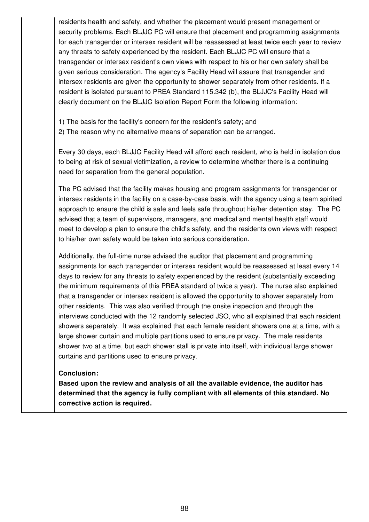residents health and safety, and whether the placement would present management or security problems. Each BLJJC PC will ensure that placement and programming assignments for each transgender or intersex resident will be reassessed at least twice each year to review any threats to safety experienced by the resident. Each BLJJC PC will ensure that a transgender or intersex resident's own views with respect to his or her own safety shall be given serious consideration. The agency's Facility Head will assure that transgender and intersex residents are given the opportunity to shower separately from other residents. If a resident is isolated pursuant to PREA Standard 115.342 (b), the BLJJC's Facility Head will clearly document on the BLJJC Isolation Report Form the following information:

- 1) The basis for the facility's concern for the resident's safety; and
- 2) The reason why no alternative means of separation can be arranged.

Every 30 days, each BLJJC Facility Head will afford each resident, who is held in isolation due to being at risk of sexual victimization, a review to determine whether there is a continuing need for separation from the general population.

The PC advised that the facility makes housing and program assignments for transgender or intersex residents in the facility on a case-by-case basis, with the agency using a team spirited approach to ensure the child is safe and feels safe throughout his/her detention stay. The PC advised that a team of supervisors, managers, and medical and mental health staff would meet to develop a plan to ensure the child's safety, and the residents own views with respect to his/her own safety would be taken into serious consideration.

Additionally, the full-time nurse advised the auditor that placement and programming assignments for each transgender or intersex resident would be reassessed at least every 14 days to review for any threats to safety experienced by the resident (substantially exceeding the minimum requirements of this PREA standard of twice a year). The nurse also explained that a transgender or intersex resident is allowed the opportunity to shower separately from other residents. This was also verified through the onsite inspection and through the interviews conducted with the 12 randomly selected JSO, who all explained that each resident showers separately. It was explained that each female resident showers one at a time, with a large shower curtain and multiple partitions used to ensure privacy. The male residents shower two at a time, but each shower stall is private into itself, with individual large shower curtains and partitions used to ensure privacy.

#### **Conclusion:**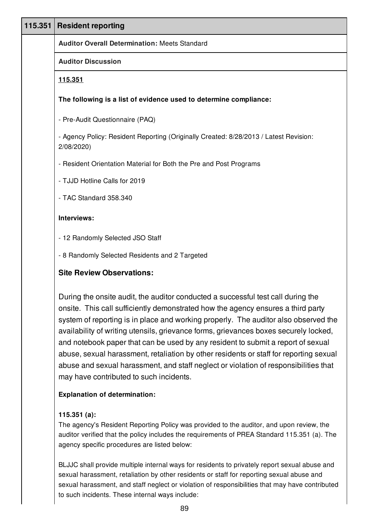| 115.351   Resident reporting                                                                        |
|-----------------------------------------------------------------------------------------------------|
| <b>Auditor Overall Determination: Meets Standard</b>                                                |
| <b>Auditor Discussion</b>                                                                           |
| 115.351                                                                                             |
| The following is a list of evidence used to determine compliance:                                   |
| - Pre-Audit Questionnaire (PAQ)                                                                     |
| - Agency Policy: Resident Reporting (Originally Created: 8/28/2013 / Latest Revision:<br>2/08/2020) |
| - Resident Orientation Material for Both the Pre and Post Programs                                  |
| - TJJD Hotline Calls for 2019                                                                       |
| - TAC Standard 358.340                                                                              |
| Interviews:                                                                                         |
| - 12 Randomly Selected JSO Staff                                                                    |
| - 8 Randomly Selected Residents and 2 Targeted                                                      |
| <b>Site Review Observations:</b>                                                                    |
| During the onsite audit, the auditor conducted a successful test call during the                    |

onsite. This call sufficiently demonstrated how the agency ensures a third party system of reporting is in place and working properly. The auditor also observed the availability of writing utensils, grievance forms, grievances boxes securely locked, and notebook paper that can be used by any resident to submit a report of sexual abuse, sexual harassment, retaliation by other residents or staff for reporting sexual abuse and sexual harassment, and staff neglect or violation of responsibilities that may have contributed to such incidents.

# **Explanation of determination:**

# **115.351 (a):**

The agency's Resident Reporting Policy was provided to the auditor, and upon review, the auditor verified that the policy includes the requirements of PREA Standard 115.351 (a). The agency specific procedures are listed below:

BLJJC shall provide multiple internal ways for residents to privately report sexual abuse and sexual harassment, retaliation by other residents or staff for reporting sexual abuse and sexual harassment, and staff neglect or violation of responsibilities that may have contributed to such incidents. These internal ways include: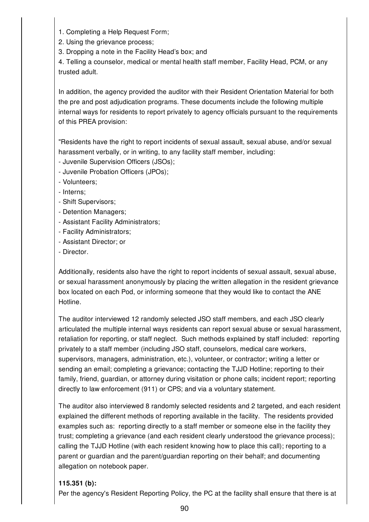1. Completing a Help Request Form;

2. Using the grievance process;

3. Dropping a note in the Facility Head's box; and

4. Telling a counselor, medical or mental health staff member, Facility Head, PCM, or any trusted adult.

In addition, the agency provided the auditor with their Resident Orientation Material for both the pre and post adjudication programs. These documents include the following multiple internal ways for residents to report privately to agency officials pursuant to the requirements of this PREA provision:

"Residents have the right to report incidents of sexual assault, sexual abuse, and/or sexual harassment verbally, or in writing, to any facility staff member, including:

- Juvenile Supervision Officers (JSOs);

- Juvenile Probation Officers (JPOs);

- Volunteers;

- Interns;

- Shift Supervisors;
- Detention Managers;
- Assistant Facility Administrators;
- Facility Administrators;
- Assistant Director; or
- Director.

Additionally, residents also have the right to report incidents of sexual assault, sexual abuse, or sexual harassment anonymously by placing the written allegation in the resident grievance box located on each Pod, or informing someone that they would like to contact the ANE Hotline.

The auditor interviewed 12 randomly selected JSO staff members, and each JSO clearly articulated the multiple internal ways residents can report sexual abuse or sexual harassment, retaliation for reporting, or staff neglect. Such methods explained by staff included: reporting privately to a staff member (including JSO staff, counselors, medical care workers, supervisors, managers, administration, etc.), volunteer, or contractor; writing a letter or sending an email; completing a grievance; contacting the TJJD Hotline; reporting to their family, friend, guardian, or attorney during visitation or phone calls; incident report; reporting directly to law enforcement (911) or CPS; and via a voluntary statement.

The auditor also interviewed 8 randomly selected residents and 2 targeted, and each resident explained the different methods of reporting available in the facility. The residents provided examples such as: reporting directly to a staff member or someone else in the facility they trust; completing a grievance (and each resident clearly understood the grievance process); calling the TJJD Hotline (with each resident knowing how to place this call); reporting to a parent or guardian and the parent/guardian reporting on their behalf; and documenting allegation on notebook paper.

# **115.351 (b):**

Per the agency's Resident Reporting Policy, the PC at the facility shall ensure that there is at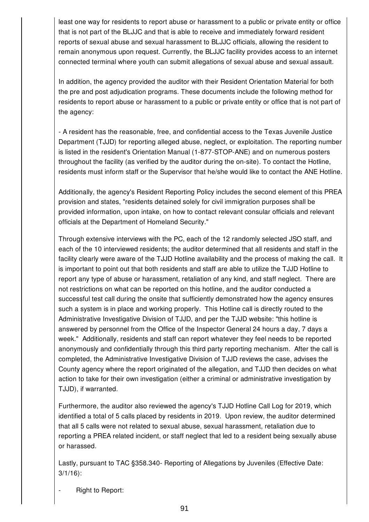least one way for residents to report abuse or harassment to a public or private entity or office that is not part of the BLJJC and that is able to receive and immediately forward resident reports of sexual abuse and sexual harassment to BLJJC officials, allowing the resident to remain anonymous upon request. Currently, the BLJJC facility provides access to an internet connected terminal where youth can submit allegations of sexual abuse and sexual assault.

In addition, the agency provided the auditor with their Resident Orientation Material for both the pre and post adjudication programs. These documents include the following method for residents to report abuse or harassment to a public or private entity or office that is not part of the agency:

- A resident has the reasonable, free, and confidential access to the Texas Juvenile Justice Department (TJJD) for reporting alleged abuse, neglect, or exploitation. The reporting number is listed in the resident's Orientation Manual (1-877-STOP-ANE) and on numerous posters throughout the facility (as verified by the auditor during the on-site). To contact the Hotline, residents must inform staff or the Supervisor that he/she would like to contact the ANE Hotline.

Additionally, the agency's Resident Reporting Policy includes the second element of this PREA provision and states, "residents detained solely for civil immigration purposes shall be provided information, upon intake, on how to contact relevant consular officials and relevant officials at the Department of Homeland Security."

Through extensive interviews with the PC, each of the 12 randomly selected JSO staff, and each of the 10 interviewed residents; the auditor determined that all residents and staff in the facility clearly were aware of the TJJD Hotline availability and the process of making the call. It is important to point out that both residents and staff are able to utilize the TJJD Hotline to report any type of abuse or harassment, retaliation of any kind, and staff neglect. There are not restrictions on what can be reported on this hotline, and the auditor conducted a successful test call during the onsite that sufficiently demonstrated how the agency ensures such a system is in place and working properly. This Hotline call is directly routed to the Administrative Investigative Division of TJJD, and per the TJJD website: "this hotline is answered by personnel from the Office of the Inspector General 24 hours a day, 7 days a week." Additionally, residents and staff can report whatever they feel needs to be reported anonymously and confidentially through this third party reporting mechanism. After the call is completed, the Administrative Investigative Division of TJJD reviews the case, advises the County agency where the report originated of the allegation, and TJJD then decides on what action to take for their own investigation (either a criminal or administrative investigation by TJJD), if warranted.

Furthermore, the auditor also reviewed the agency's TJJD Hotline Call Log for 2019, which identified a total of 5 calls placed by residents in 2019. Upon review, the auditor determined that all 5 calls were not related to sexual abuse, sexual harassment, retaliation due to reporting a PREA related incident, or staff neglect that led to a resident being sexually abuse or harassed.

Lastly, pursuant to TAC §358.340- Reporting of Allegations by Juveniles (Effective Date: 3/1/16):

Right to Report: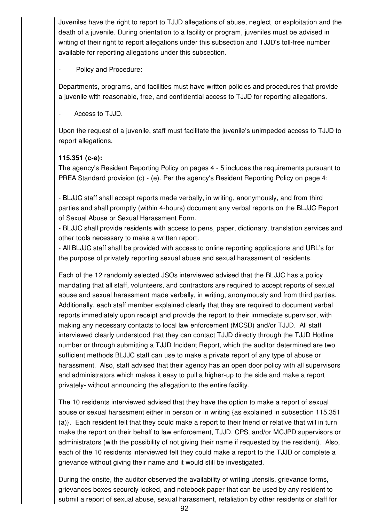Juveniles have the right to report to TJJD allegations of abuse, neglect, or exploitation and the death of a juvenile. During orientation to a facility or program, juveniles must be advised in writing of their right to report allegations under this subsection and TJJD's toll-free number available for reporting allegations under this subsection.

Policy and Procedure:

Departments, programs, and facilities must have written policies and procedures that provide a juvenile with reasonable, free, and confidential access to TJJD for reporting allegations.

Access to TJJD.

Upon the request of a juvenile, staff must facilitate the juvenile's unimpeded access to TJJD to report allegations.

# **115.351 (c-e):**

The agency's Resident Reporting Policy on pages 4 - 5 includes the requirements pursuant to PREA Standard provision (c) - (e). Per the agency's Resident Reporting Policy on page 4:

- BLJJC staff shall accept reports made verbally, in writing, anonymously, and from third parties and shall promptly (within 4-hours) document any verbal reports on the BLJJC Report of Sexual Abuse or Sexual Harassment Form.

- BLJJC shall provide residents with access to pens, paper, dictionary, translation services and other tools necessary to make a written report.

- All BLJJC staff shall be provided with access to online reporting applications and URL's for the purpose of privately reporting sexual abuse and sexual harassment of residents.

Each of the 12 randomly selected JSOs interviewed advised that the BLJJC has a policy mandating that all staff, volunteers, and contractors are required to accept reports of sexual abuse and sexual harassment made verbally, in writing, anonymously and from third parties. Additionally, each staff member explained clearly that they are required to document verbal reports immediately upon receipt and provide the report to their immediate supervisor, with making any necessary contacts to local law enforcement (MCSD) and/or TJJD. All staff interviewed clearly understood that they can contact TJJD directly through the TJJD Hotline number or through submitting a TJJD Incident Report, which the auditor determined are two sufficient methods BLJJC staff can use to make a private report of any type of abuse or harassment. Also, staff advised that their agency has an open door policy with all supervisors and administrators which makes it easy to pull a higher-up to the side and make a report privately- without announcing the allegation to the entire facility.

The 10 residents interviewed advised that they have the option to make a report of sexual abuse or sexual harassment either in person or in writing {as explained in subsection 115.351 (a)}. Each resident felt that they could make a report to their friend or relative that will in turn make the report on their behalf to law enforcement, TJJD, CPS, and/or MCJPD supervisors or administrators (with the possibility of not giving their name if requested by the resident). Also, each of the 10 residents interviewed felt they could make a report to the TJJD or complete a grievance without giving their name and it would still be investigated.

During the onsite, the auditor observed the availability of writing utensils, grievance forms, grievances boxes securely locked, and notebook paper that can be used by any resident to submit a report of sexual abuse, sexual harassment, retaliation by other residents or staff for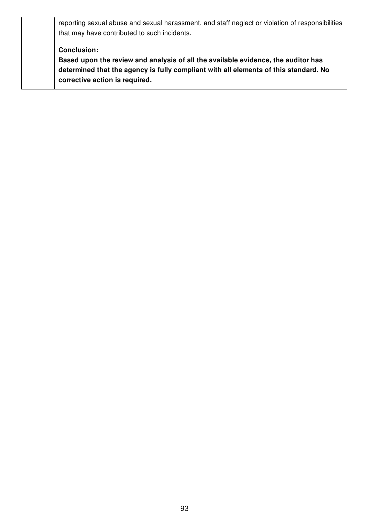reporting sexual abuse and sexual harassment, and staff neglect or violation of responsibilities that may have contributed to such incidents.

#### **Conclusion:**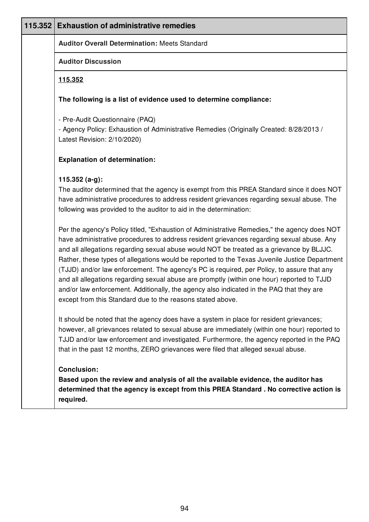| 115.352 | <b>Exhaustion of administrative remedies</b>                                                                                                                                                                                                                                                                                                                                                                                                                                                                                                                                                                                                                                                                                                 |
|---------|----------------------------------------------------------------------------------------------------------------------------------------------------------------------------------------------------------------------------------------------------------------------------------------------------------------------------------------------------------------------------------------------------------------------------------------------------------------------------------------------------------------------------------------------------------------------------------------------------------------------------------------------------------------------------------------------------------------------------------------------|
|         | <b>Auditor Overall Determination: Meets Standard</b>                                                                                                                                                                                                                                                                                                                                                                                                                                                                                                                                                                                                                                                                                         |
|         | <b>Auditor Discussion</b>                                                                                                                                                                                                                                                                                                                                                                                                                                                                                                                                                                                                                                                                                                                    |
|         | <u>115.352</u>                                                                                                                                                                                                                                                                                                                                                                                                                                                                                                                                                                                                                                                                                                                               |
|         | The following is a list of evidence used to determine compliance:                                                                                                                                                                                                                                                                                                                                                                                                                                                                                                                                                                                                                                                                            |
|         | - Pre-Audit Questionnaire (PAQ)<br>- Agency Policy: Exhaustion of Administrative Remedies (Originally Created: 8/28/2013 /<br>Latest Revision: 2/10/2020)                                                                                                                                                                                                                                                                                                                                                                                                                                                                                                                                                                                    |
|         | <b>Explanation of determination:</b>                                                                                                                                                                                                                                                                                                                                                                                                                                                                                                                                                                                                                                                                                                         |
|         | 115.352 (a-g):<br>The auditor determined that the agency is exempt from this PREA Standard since it does NOT<br>have administrative procedures to address resident grievances regarding sexual abuse. The<br>following was provided to the auditor to aid in the determination:                                                                                                                                                                                                                                                                                                                                                                                                                                                              |
|         | Per the agency's Policy titled, "Exhaustion of Administrative Remedies," the agency does NOT<br>have administrative procedures to address resident grievances regarding sexual abuse. Any<br>and all allegations regarding sexual abuse would NOT be treated as a grievance by BLJJC.<br>Rather, these types of allegations would be reported to the Texas Juvenile Justice Department<br>(TJJD) and/or law enforcement. The agency's PC is required, per Policy, to assure that any<br>and all allegations regarding sexual abuse are promptly (within one hour) reported to TJJD<br>and/or law enforcement. Additionally, the agency also indicated in the PAQ that they are<br>except from this Standard due to the reasons stated above. |
|         | It should be noted that the agency does have a system in place for resident grievances;<br>however, all grievances related to sexual abuse are immediately (within one hour) reported to<br>TJJD and/or law enforcement and investigated. Furthermore, the agency reported in the PAQ<br>that in the past 12 months, ZERO grievances were filed that alleged sexual abuse.                                                                                                                                                                                                                                                                                                                                                                   |
|         | <b>Conclusion:</b><br>Based upon the review and analysis of all the available evidence, the auditor has<br>determined that the agency is except from this PREA Standard . No corrective action is<br>required.                                                                                                                                                                                                                                                                                                                                                                                                                                                                                                                               |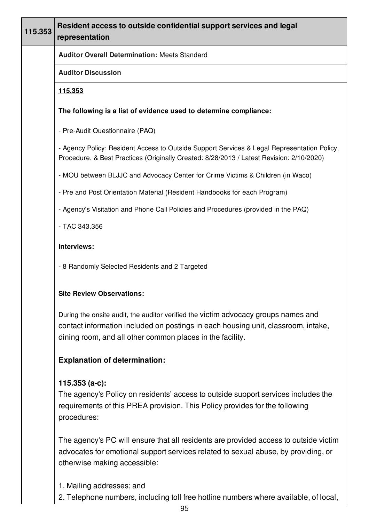| 115.353 | Resident access to outside confidential support services and legal<br>representation                                                                                                                                                 |
|---------|--------------------------------------------------------------------------------------------------------------------------------------------------------------------------------------------------------------------------------------|
|         | <b>Auditor Overall Determination: Meets Standard</b>                                                                                                                                                                                 |
|         | <b>Auditor Discussion</b>                                                                                                                                                                                                            |
|         | <u>115.353</u>                                                                                                                                                                                                                       |
|         | The following is a list of evidence used to determine compliance:                                                                                                                                                                    |
|         | - Pre-Audit Questionnaire (PAQ)                                                                                                                                                                                                      |
|         | - Agency Policy: Resident Access to Outside Support Services & Legal Representation Policy,<br>Procedure, & Best Practices (Originally Created: 8/28/2013 / Latest Revision: 2/10/2020)                                              |
|         | - MOU between BLJJC and Advocacy Center for Crime Victims & Children (in Waco)                                                                                                                                                       |
|         | - Pre and Post Orientation Material (Resident Handbooks for each Program)                                                                                                                                                            |
|         | - Agency's Visitation and Phone Call Policies and Procedures (provided in the PAQ)                                                                                                                                                   |
|         | - TAC 343.356                                                                                                                                                                                                                        |
|         | Interviews:                                                                                                                                                                                                                          |
|         | - 8 Randomly Selected Residents and 2 Targeted                                                                                                                                                                                       |
|         | <b>Site Review Observations:</b>                                                                                                                                                                                                     |
|         | During the onsite audit, the auditor verified the victim advocacy groups names and<br>contact information included on postings in each housing unit, classroom, intake,<br>dining room, and all other common places in the facility. |
|         | <b>Explanation of determination:</b>                                                                                                                                                                                                 |
|         | 115.353 (a-c):<br>The agency's Policy on residents' access to outside support services includes the<br>requirements of this PREA provision. This Policy provides for the following<br>procedures:                                    |
|         |                                                                                                                                                                                                                                      |

The agency's PC will ensure that all residents are provided access to outside victim advocates for emotional support services related to sexual abuse, by providing, or otherwise making accessible:

- 1. Mailing addresses; and
- 2. Telephone numbers, including toll free hotline numbers where available, of local,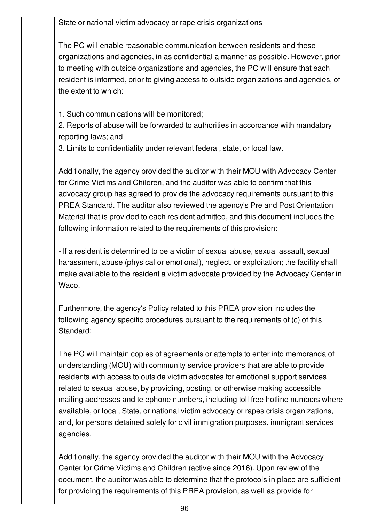State or national victim advocacy or rape crisis organizations

The PC will enable reasonable communication between residents and these organizations and agencies, in as confidential a manner as possible. However, prior to meeting with outside organizations and agencies, the PC will ensure that each resident is informed, prior to giving access to outside organizations and agencies, of the extent to which:

1. Such communications will be monitored;

2. Reports of abuse will be forwarded to authorities in accordance with mandatory reporting laws; and

3. Limits to confidentiality under relevant federal, state, or local law.

Additionally, the agency provided the auditor with their MOU with Advocacy Center for Crime Victims and Children, and the auditor was able to confirm that this advocacy group has agreed to provide the advocacy requirements pursuant to this PREA Standard. The auditor also reviewed the agency's Pre and Post Orientation Material that is provided to each resident admitted, and this document includes the following information related to the requirements of this provision:

- If a resident is determined to be a victim of sexual abuse, sexual assault, sexual harassment, abuse (physical or emotional), neglect, or exploitation; the facility shall make available to the resident a victim advocate provided by the Advocacy Center in Waco.

Furthermore, the agency's Policy related to this PREA provision includes the following agency specific procedures pursuant to the requirements of (c) of this Standard:

The PC will maintain copies of agreements or attempts to enter into memoranda of understanding (MOU) with community service providers that are able to provide residents with access to outside victim advocates for emotional support services related to sexual abuse, by providing, posting, or otherwise making accessible mailing addresses and telephone numbers, including toll free hotline numbers where available, or local, State, or national victim advocacy or rapes crisis organizations, and, for persons detained solely for civil immigration purposes, immigrant services agencies.

Additionally, the agency provided the auditor with their MOU with the Advocacy Center for Crime Victims and Children (active since 2016). Upon review of the document, the auditor was able to determine that the protocols in place are sufficient for providing the requirements of this PREA provision, as well as provide for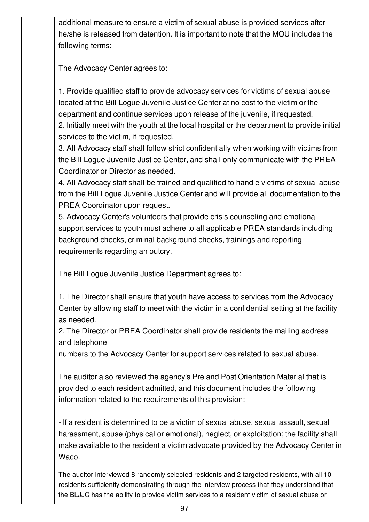additional measure to ensure a victim of sexual abuse is provided services after he/she is released from detention. It is important to note that the MOU includes the following terms:

The Advocacy Center agrees to:

1. Provide qualified staff to provide advocacy services for victims of sexual abuse located at the Bill Logue Juvenile Justice Center at no cost to the victim or the department and continue services upon release of the juvenile, if requested. 2. Initially meet with the youth at the local hospital or the department to provide initial services to the victim, if requested.

3. All Advocacy staff shall follow strict confidentially when working with victims from the Bill Logue Juvenile Justice Center, and shall only communicate with the PREA Coordinator or Director as needed.

4. All Advocacy staff shall be trained and qualified to handle victims of sexual abuse from the Bill Logue Juvenile Justice Center and will provide all documentation to the PREA Coordinator upon request.

5. Advocacy Center's volunteers that provide crisis counseling and emotional support services to youth must adhere to all applicable PREA standards including background checks, criminal background checks, trainings and reporting requirements regarding an outcry.

The Bill Logue Juvenile Justice Department agrees to:

1. The Director shall ensure that youth have access to services from the Advocacy Center by allowing staff to meet with the victim in a confidential setting at the facility as needed.

2. The Director or PREA Coordinator shall provide residents the mailing address and telephone

numbers to the Advocacy Center for support services related to sexual abuse.

The auditor also reviewed the agency's Pre and Post Orientation Material that is provided to each resident admitted, and this document includes the following information related to the requirements of this provision:

- If a resident is determined to be a victim of sexual abuse, sexual assault, sexual harassment, abuse (physical or emotional), neglect, or exploitation; the facility shall make available to the resident a victim advocate provided by the Advocacy Center in Waco.

The auditor interviewed 8 randomly selected residents and 2 targeted residents, with all 10 residents sufficiently demonstrating through the interview process that they understand that the BLJJC has the ability to provide victim services to a resident victim of sexual abuse or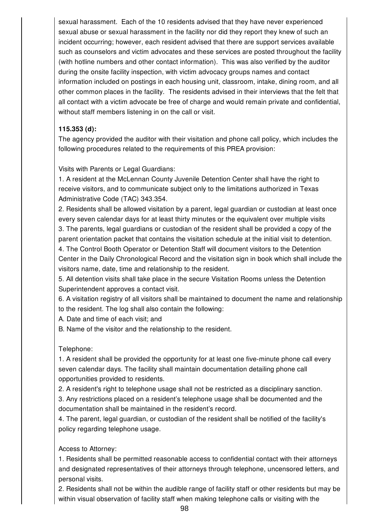sexual harassment. Each of the 10 residents advised that they have never experienced sexual abuse or sexual harassment in the facility nor did they report they knew of such an incident occurring; however, each resident advised that there are support services available such as counselors and victim advocates and these services are posted throughout the facility (with hotline numbers and other contact information). This was also verified by the auditor during the onsite facility inspection, with victim advocacy groups names and contact information included on postings in each housing unit, classroom, intake, dining room, and all other common places in the facility. The residents advised in their interviews that the felt that all contact with a victim advocate be free of charge and would remain private and confidential, without staff members listening in on the call or visit.

## **115.353 (d):**

The agency provided the auditor with their visitation and phone call policy, which includes the following procedures related to the requirements of this PREA provision:

Visits with Parents or Legal Guardians:

1. A resident at the McLennan County Juvenile Detention Center shall have the right to receive visitors, and to communicate subject only to the limitations authorized in Texas Administrative Code (TAC) 343.354.

2. Residents shall be allowed visitation by a parent, legal guardian or custodian at least once every seven calendar days for at least thirty minutes or the equivalent over multiple visits 3. The parents, legal guardians or custodian of the resident shall be provided a copy of the parent orientation packet that contains the visitation schedule at the initial visit to detention. 4. The Control Booth Operator or Detention Staff will document visitors to the Detention

Center in the Daily Chronological Record and the visitation sign in book which shall include the visitors name, date, time and relationship to the resident.

5. All detention visits shall take place in the secure Visitation Rooms unless the Detention Superintendent approves a contact visit.

6. A visitation registry of all visitors shall be maintained to document the name and relationship to the resident. The log shall also contain the following:

A. Date and time of each visit; and

B. Name of the visitor and the relationship to the resident.

# Telephone:

1. A resident shall be provided the opportunity for at least one five-minute phone call every seven calendar days. The facility shall maintain documentation detailing phone call opportunities provided to residents.

2. A resident's right to telephone usage shall not be restricted as a disciplinary sanction.

3. Any restrictions placed on a resident's telephone usage shall be documented and the documentation shall be maintained in the resident's record.

4. The parent, legal guardian, or custodian of the resident shall be notified of the facility's policy regarding telephone usage.

# Access to Attorney:

1. Residents shall be permitted reasonable access to confidential contact with their attorneys and designated representatives of their attorneys through telephone, uncensored letters, and personal visits.

2. Residents shall not be within the audible range of facility staff or other residents but may be within visual observation of facility staff when making telephone calls or visiting with the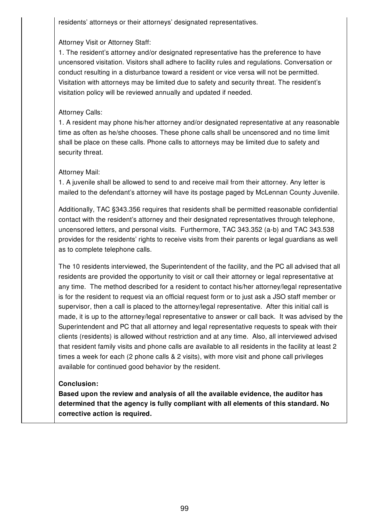residents' attorneys or their attorneys' designated representatives.

# Attorney Visit or Attorney Staff:

1. The resident's attorney and/or designated representative has the preference to have uncensored visitation. Visitors shall adhere to facility rules and regulations. Conversation or conduct resulting in a disturbance toward a resident or vice versa will not be permitted. Visitation with attorneys may be limited due to safety and security threat. The resident's visitation policy will be reviewed annually and updated if needed.

## Attorney Calls:

1. A resident may phone his/her attorney and/or designated representative at any reasonable time as often as he/she chooses. These phone calls shall be uncensored and no time limit shall be place on these calls. Phone calls to attorneys may be limited due to safety and security threat.

## Attorney Mail:

1. A juvenile shall be allowed to send to and receive mail from their attorney. Any letter is mailed to the defendant's attorney will have its postage paged by McLennan County Juvenile.

Additionally, TAC §343.356 requires that residents shall be permitted reasonable confidential contact with the resident's attorney and their designated representatives through telephone, uncensored letters, and personal visits. Furthermore, TAC 343.352 (a-b) and TAC 343.538 provides for the residents' rights to receive visits from their parents or legal guardians as well as to complete telephone calls.

The 10 residents interviewed, the Superintendent of the facility, and the PC all advised that all residents are provided the opportunity to visit or call their attorney or legal representative at any time. The method described for a resident to contact his/her attorney/legal representative is for the resident to request via an official request form or to just ask a JSO staff member or supervisor, then a call is placed to the attorney/legal representative. After this initial call is made, it is up to the attorney/legal representative to answer or call back. It was advised by the Superintendent and PC that all attorney and legal representative requests to speak with their clients (residents) is allowed without restriction and at any time. Also, all interviewed advised that resident family visits and phone calls are available to all residents in the facility at least 2 times a week for each (2 phone calls & 2 visits), with more visit and phone call privileges available for continued good behavior by the resident.

#### **Conclusion:**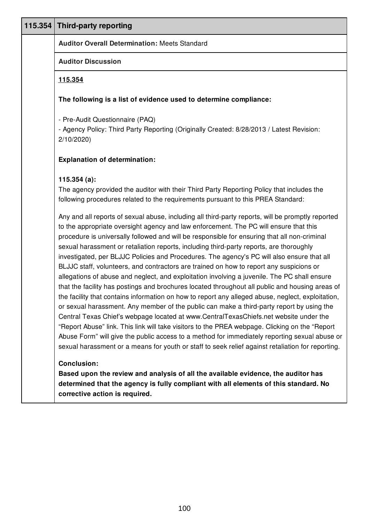| 115.354 Third-party reporting                                                                                                                                                                                                                                                                                                                                                                                                                                                                                                                                                                                                                                                                                                                                                                                                                                                                                                                                                                                                                                                                                                                                                                                                                                                                                                                                                                                                                                                                                                                                                        |
|--------------------------------------------------------------------------------------------------------------------------------------------------------------------------------------------------------------------------------------------------------------------------------------------------------------------------------------------------------------------------------------------------------------------------------------------------------------------------------------------------------------------------------------------------------------------------------------------------------------------------------------------------------------------------------------------------------------------------------------------------------------------------------------------------------------------------------------------------------------------------------------------------------------------------------------------------------------------------------------------------------------------------------------------------------------------------------------------------------------------------------------------------------------------------------------------------------------------------------------------------------------------------------------------------------------------------------------------------------------------------------------------------------------------------------------------------------------------------------------------------------------------------------------------------------------------------------------|
| <b>Auditor Overall Determination: Meets Standard</b>                                                                                                                                                                                                                                                                                                                                                                                                                                                                                                                                                                                                                                                                                                                                                                                                                                                                                                                                                                                                                                                                                                                                                                                                                                                                                                                                                                                                                                                                                                                                 |
| <b>Auditor Discussion</b>                                                                                                                                                                                                                                                                                                                                                                                                                                                                                                                                                                                                                                                                                                                                                                                                                                                                                                                                                                                                                                                                                                                                                                                                                                                                                                                                                                                                                                                                                                                                                            |
| 115.354                                                                                                                                                                                                                                                                                                                                                                                                                                                                                                                                                                                                                                                                                                                                                                                                                                                                                                                                                                                                                                                                                                                                                                                                                                                                                                                                                                                                                                                                                                                                                                              |
| The following is a list of evidence used to determine compliance:                                                                                                                                                                                                                                                                                                                                                                                                                                                                                                                                                                                                                                                                                                                                                                                                                                                                                                                                                                                                                                                                                                                                                                                                                                                                                                                                                                                                                                                                                                                    |
| - Pre-Audit Questionnaire (PAQ)<br>- Agency Policy: Third Party Reporting (Originally Created: 8/28/2013 / Latest Revision:<br>2/10/2020                                                                                                                                                                                                                                                                                                                                                                                                                                                                                                                                                                                                                                                                                                                                                                                                                                                                                                                                                                                                                                                                                                                                                                                                                                                                                                                                                                                                                                             |
| <b>Explanation of determination:</b>                                                                                                                                                                                                                                                                                                                                                                                                                                                                                                                                                                                                                                                                                                                                                                                                                                                                                                                                                                                                                                                                                                                                                                                                                                                                                                                                                                                                                                                                                                                                                 |
| 115.354(a):<br>The agency provided the auditor with their Third Party Reporting Policy that includes the<br>following procedures related to the requirements pursuant to this PREA Standard:<br>Any and all reports of sexual abuse, including all third-party reports, will be promptly reported<br>to the appropriate oversight agency and law enforcement. The PC will ensure that this<br>procedure is universally followed and will be responsible for ensuring that all non-criminal<br>sexual harassment or retaliation reports, including third-party reports, are thoroughly<br>investigated, per BLJJC Policies and Procedures. The agency's PC will also ensure that all<br>BLJJC staff, volunteers, and contractors are trained on how to report any suspicions or<br>allegations of abuse and neglect, and exploitation involving a juvenile. The PC shall ensure<br>that the facility has postings and brochures located throughout all public and housing areas of<br>the facility that contains information on how to report any alleged abuse, neglect, exploitation,<br>or sexual harassment. Any member of the public can make a third-party report by using the<br>Central Texas Chief's webpage located at www.CentralTexasChiefs.net website under the<br>"Report Abuse" link. This link will take visitors to the PREA webpage. Clicking on the "Report<br>Abuse Form" will give the public access to a method for immediately reporting sexual abuse or<br>sexual harassment or a means for youth or staff to seek relief against retaliation for reporting. |
| <b>Conclusion:</b><br>Based upon the review and analysis of all the available evidence, the auditor has<br>determined that the agency is fully compliant with all elements of this standard. No<br>corrective action is required.                                                                                                                                                                                                                                                                                                                                                                                                                                                                                                                                                                                                                                                                                                                                                                                                                                                                                                                                                                                                                                                                                                                                                                                                                                                                                                                                                    |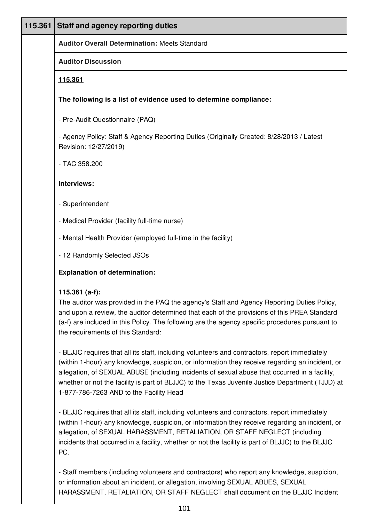| 115.361 | <b>Staff and agency reporting duties</b>                                                                                                                                                                                                                                                                                                                                                                                                         |
|---------|--------------------------------------------------------------------------------------------------------------------------------------------------------------------------------------------------------------------------------------------------------------------------------------------------------------------------------------------------------------------------------------------------------------------------------------------------|
|         | <b>Auditor Overall Determination: Meets Standard</b>                                                                                                                                                                                                                                                                                                                                                                                             |
|         | <b>Auditor Discussion</b>                                                                                                                                                                                                                                                                                                                                                                                                                        |
|         | <u>115.361</u>                                                                                                                                                                                                                                                                                                                                                                                                                                   |
|         | The following is a list of evidence used to determine compliance:                                                                                                                                                                                                                                                                                                                                                                                |
|         | - Pre-Audit Questionnaire (PAQ)                                                                                                                                                                                                                                                                                                                                                                                                                  |
|         | - Agency Policy: Staff & Agency Reporting Duties (Originally Created: 8/28/2013 / Latest<br>Revision: 12/27/2019)                                                                                                                                                                                                                                                                                                                                |
|         | - TAC 358.200                                                                                                                                                                                                                                                                                                                                                                                                                                    |
|         | Interviews:                                                                                                                                                                                                                                                                                                                                                                                                                                      |
|         | - Superintendent                                                                                                                                                                                                                                                                                                                                                                                                                                 |
|         | - Medical Provider (facility full-time nurse)                                                                                                                                                                                                                                                                                                                                                                                                    |
|         | - Mental Health Provider (employed full-time in the facility)                                                                                                                                                                                                                                                                                                                                                                                    |
|         | - 12 Randomly Selected JSOs                                                                                                                                                                                                                                                                                                                                                                                                                      |
|         | <b>Explanation of determination:</b>                                                                                                                                                                                                                                                                                                                                                                                                             |
|         | 115.361 $(a-f)$ :<br>The auditor was provided in the PAQ the agency's Staff and Agency Reporting Duties Policy,<br>and upon a review, the auditor determined that each of the provisions of this PREA Standard<br>(a-f) are included in this Policy. The following are the agency specific procedures pursuant to<br>the requirements of this Standard:                                                                                          |
|         | - BLJJC requires that all its staff, including volunteers and contractors, report immediately<br>(within 1-hour) any knowledge, suspicion, or information they receive regarding an incident, or<br>allegation, of SEXUAL ABUSE (including incidents of sexual abuse that occurred in a facility,<br>whether or not the facility is part of BLJJC) to the Texas Juvenile Justice Department (TJJD) at<br>1-877-786-7263 AND to the Facility Head |
|         | - BLJJC requires that all its staff, including volunteers and contractors, report immediately<br>(within 1-hour) any knowledge, suspicion, or information they receive regarding an incident, or<br>allegation, of SEXUAL HARASSMENT, RETALIATION, OR STAFF NEGLECT (including<br>incidents that occurred in a facility, whether or not the facility is part of BLJJC) to the BLJJC<br>PC.                                                       |

- Staff members (including volunteers and contractors) who report any knowledge, suspicion, or information about an incident, or allegation, involving SEXUAL ABUES, SEXUAL HARASSMENT, RETALIATION, OR STAFF NEGLECT shall document on the BLJJC Incident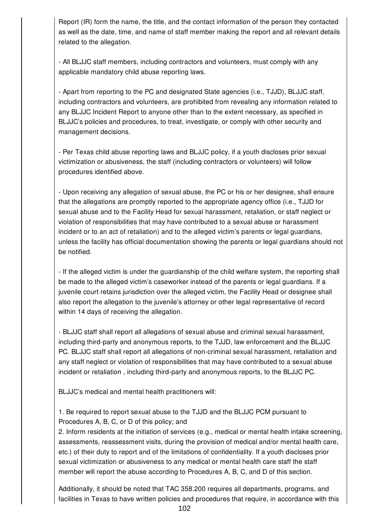Report (IR) form the name, the title, and the contact information of the person they contacted as well as the date, time, and name of staff member making the report and all relevant details related to the allegation.

- All BLJJC staff members, including contractors and volunteers, must comply with any applicable mandatory child abuse reporting laws.

- Apart from reporting to the PC and designated State agencies (i.e., TJJD), BLJJC staff, including contractors and volunteers, are prohibited from revealing any information related to any BLJJC Incident Report to anyone other than to the extent necessary, as specified in BLJJC's policies and procedures, to treat, investigate, or comply with other security and management decisions.

- Per Texas child abuse reporting laws and BLJJC policy, if a youth discloses prior sexual victimization or abusiveness, the staff (including contractors or volunteers) will follow procedures identified above.

- Upon receiving any allegation of sexual abuse, the PC or his or her designee, shall ensure that the allegations are promptly reported to the appropriate agency office (i.e., TJJD for sexual abuse and to the Facility Head for sexual harassment, retaliation, or staff neglect or violation of responsibilities that may have contributed to a sexual abuse or harassment incident or to an act of retaliation) and to the alleged victim's parents or legal guardians, unless the facility has official documentation showing the parents or legal guardians should not be notified.

- If the alleged victim is under the guardianship of the child welfare system, the reporting shall be made to the alleged victim's caseworker instead of the parents or legal guardians. If a juvenile court retains jurisdiction over the alleged victim, the Facility Head or designee shall also report the allegation to the juvenile's attorney or other legal representative of record within 14 days of receiving the allegation.

- BLJJC staff shall report all allegations of sexual abuse and criminal sexual harassment, including third-party and anonymous reports, to the TJJD, law enforcement and the BLJJC PC. BLJJC staff shall report all allegations of non-criminal sexual harassment, retaliation and any staff neglect or violation of responsibilities that may have contributed to a sexual abuse incident or retaliation , including third-party and anonymous reports, to the BLJJC PC.

BLJJC's medical and mental health practitioners will:

1. Be required to report sexual abuse to the TJJD and the BLJJC PCM pursuant to Procedures A, B, C, or D of this policy; and

2. Inform residents at the initiation of services (e.g., medical or mental health intake screening, assessments, reassessment visits, during the provision of medical and/or mental health care, etc.) of their duty to report and of the limitations of confidentiality. If a youth discloses prior sexual victimization or abusiveness to any medical or mental health care staff the staff member will report the abuse according to Procedures A, B, C, and D of this section.

Additionally, it should be noted that TAC 358.200 requires all departments, programs, and facilities in Texas to have written policies and procedures that require, in accordance with this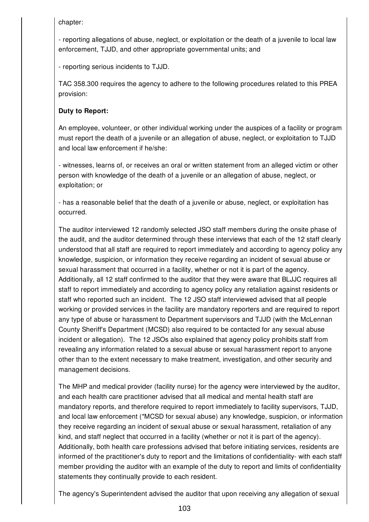chapter:

- reporting allegations of abuse, neglect, or exploitation or the death of a juvenile to local law enforcement, TJJD, and other appropriate governmental units; and

- reporting serious incidents to TJJD.

TAC 358.300 requires the agency to adhere to the following procedures related to this PREA provision:

# **Duty to Report:**

An employee, volunteer, or other individual working under the auspices of a facility or program must report the death of a juvenile or an allegation of abuse, neglect, or exploitation to TJJD and local law enforcement if he/she:

- witnesses, learns of, or receives an oral or written statement from an alleged victim or other person with knowledge of the death of a juvenile or an allegation of abuse, neglect, or exploitation; or

- has a reasonable belief that the death of a juvenile or abuse, neglect, or exploitation has occurred.

The auditor interviewed 12 randomly selected JSO staff members during the onsite phase of the audit, and the auditor determined through these interviews that each of the 12 staff clearly understood that all staff are required to report immediately and according to agency policy any knowledge, suspicion, or information they receive regarding an incident of sexual abuse or sexual harassment that occurred in a facility, whether or not it is part of the agency. Additionally, all 12 staff confirmed to the auditor that they were aware that BLJJC requires all staff to report immediately and according to agency policy any retaliation against residents or staff who reported such an incident. The 12 JSO staff interviewed advised that all people working or provided services in the facility are mandatory reporters and are required to report any type of abuse or harassment to Department supervisors and TJJD (with the McLennan County Sheriff's Department (MCSD) also required to be contacted for any sexual abuse incident or allegation). The 12 JSOs also explained that agency policy prohibits staff from revealing any information related to a sexual abuse or sexual harassment report to anyone other than to the extent necessary to make treatment, investigation, and other security and management decisions.

The MHP and medical provider (facility nurse) for the agency were interviewed by the auditor, and each health care practitioner advised that all medical and mental health staff are mandatory reports, and therefore required to report immediately to facility supervisors, TJJD, and local law enforcement (\*MCSD for sexual abuse) any knowledge, suspicion, or information they receive regarding an incident of sexual abuse or sexual harassment, retaliation of any kind, and staff neglect that occurred in a facility (whether or not it is part of the agency). Additionally, both health care professions advised that before initiating services, residents are informed of the practitioner's duty to report and the limitations of confidentiality- with each staff member providing the auditor with an example of the duty to report and limits of confidentiality statements they continually provide to each resident.

The agency's Superintendent advised the auditor that upon receiving any allegation of sexual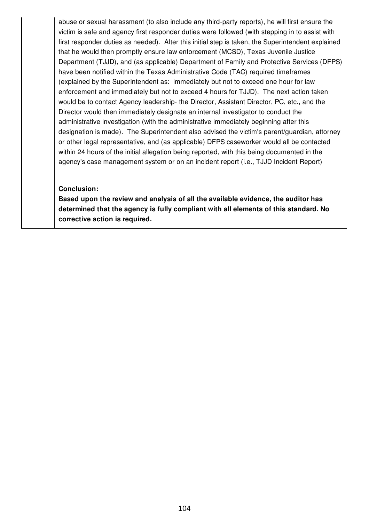abuse or sexual harassment (to also include any third-party reports), he will first ensure the victim is safe and agency first responder duties were followed (with stepping in to assist with first responder duties as needed). After this initial step is taken, the Superintendent explained that he would then promptly ensure law enforcement (MCSD), Texas Juvenile Justice Department (TJJD), and (as applicable) Department of Family and Protective Services (DFPS) have been notified within the Texas Administrative Code (TAC) required timeframes (explained by the Superintendent as: immediately but not to exceed one hour for law enforcement and immediately but not to exceed 4 hours for TJJD). The next action taken would be to contact Agency leadership- the Director, Assistant Director, PC, etc., and the Director would then immediately designate an internal investigator to conduct the administrative investigation (with the administrative immediately beginning after this designation is made). The Superintendent also advised the victim's parent/guardian, attorney or other legal representative, and (as applicable) DFPS caseworker would all be contacted within 24 hours of the initial allegation being reported, with this being documented in the agency's case management system or on an incident report (i.e., TJJD Incident Report)

#### **Conclusion:**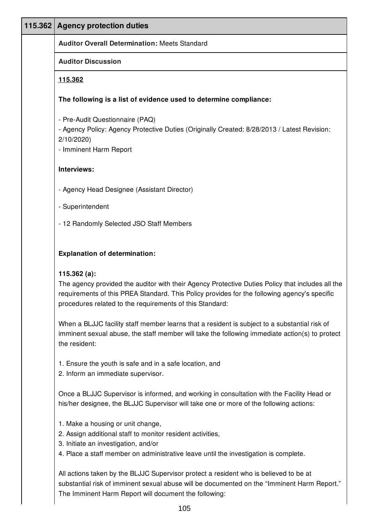| 115.362   Agency protection duties                                                                                                                                                                                                                                              |
|---------------------------------------------------------------------------------------------------------------------------------------------------------------------------------------------------------------------------------------------------------------------------------|
| <b>Auditor Overall Determination: Meets Standard</b>                                                                                                                                                                                                                            |
| <b>Auditor Discussion</b>                                                                                                                                                                                                                                                       |
| <u>115.362</u>                                                                                                                                                                                                                                                                  |
| The following is a list of evidence used to determine compliance:                                                                                                                                                                                                               |
| - Pre-Audit Questionnaire (PAQ)<br>- Agency Policy: Agency Protective Duties (Originally Created: 8/28/2013 / Latest Revision:<br>2/10/2020<br>- Imminent Harm Report                                                                                                           |
| Interviews:                                                                                                                                                                                                                                                                     |
| - Agency Head Designee (Assistant Director)                                                                                                                                                                                                                                     |
| - Superintendent                                                                                                                                                                                                                                                                |
| - 12 Randomly Selected JSO Staff Members                                                                                                                                                                                                                                        |
| <b>Explanation of determination:</b>                                                                                                                                                                                                                                            |
| 115.362 $(a)$ :<br>The agency provided the auditor with their Agency Protective Duties Policy that includes all the<br>requirements of this PREA Standard. This Policy provides for the following agency's specific<br>procedures related to the requirements of this Standard: |
| When a BLJJC facility staff member learns that a resident is subject to a substantial risk of<br>imminent sexual abuse, the staff member will take the following immediate action(s) to protect<br>the resident:                                                                |
| 1. Ensure the youth is safe and in a safe location, and<br>2. Inform an immediate supervisor.                                                                                                                                                                                   |
| Once a BLJJC Supervisor is informed, and working in consultation with the Facility Head or<br>his/her designee, the BLJJC Supervisor will take one or more of the following actions:                                                                                            |
| 1. Make a housing or unit change,<br>2. Assign additional staff to monitor resident activities,<br>3. Initiate an investigation, and/or<br>4. Place a staff member on administrative leave until the investigation is complete.                                                 |
| All actions taken by the BLJJC Supervisor protect a resident who is believed to be at<br>substantial risk of imminent sexual abuse will be documented on the "Imminent Harm Report."<br>The Imminent Harm Report will document the following:                                   |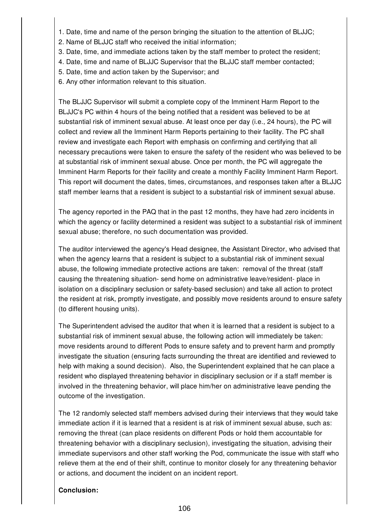- 1. Date, time and name of the person bringing the situation to the attention of BLJJC;
- 2. Name of BLJJC staff who received the initial information;
- 3. Date, time, and immediate actions taken by the staff member to protect the resident;
- 4. Date, time and name of BLJJC Supervisor that the BLJJC staff member contacted;
- 5. Date, time and action taken by the Supervisor; and
- 6. Any other information relevant to this situation.

The BLJJC Supervisor will submit a complete copy of the Imminent Harm Report to the BLJJC's PC within 4 hours of the being notified that a resident was believed to be at substantial risk of imminent sexual abuse. At least once per day (i.e., 24 hours), the PC will collect and review all the Imminent Harm Reports pertaining to their facility. The PC shall review and investigate each Report with emphasis on confirming and certifying that all necessary precautions were taken to ensure the safety of the resident who was believed to be at substantial risk of imminent sexual abuse. Once per month, the PC will aggregate the Imminent Harm Reports for their facility and create a monthly Facility Imminent Harm Report. This report will document the dates, times, circumstances, and responses taken after a BLJJC staff member learns that a resident is subject to a substantial risk of imminent sexual abuse.

The agency reported in the PAQ that in the past 12 months, they have had zero incidents in which the agency or facility determined a resident was subject to a substantial risk of imminent sexual abuse; therefore, no such documentation was provided.

The auditor interviewed the agency's Head designee, the Assistant Director, who advised that when the agency learns that a resident is subject to a substantial risk of imminent sexual abuse, the following immediate protective actions are taken: removal of the threat (staff causing the threatening situation- send home on administrative leave/resident- place in isolation on a disciplinary seclusion or safety-based seclusion) and take all action to protect the resident at risk, promptly investigate, and possibly move residents around to ensure safety (to different housing units).

The Superintendent advised the auditor that when it is learned that a resident is subject to a substantial risk of imminent sexual abuse, the following action will immediately be taken: move residents around to different Pods to ensure safety and to prevent harm and promptly investigate the situation (ensuring facts surrounding the threat are identified and reviewed to help with making a sound decision). Also, the Superintendent explained that he can place a resident who displayed threatening behavior in disciplinary seclusion or if a staff member is involved in the threatening behavior, will place him/her on administrative leave pending the outcome of the investigation.

The 12 randomly selected staff members advised during their interviews that they would take immediate action if it is learned that a resident is at risk of imminent sexual abuse, such as: removing the threat (can place residents on different Pods or hold them accountable for threatening behavior with a disciplinary seclusion), investigating the situation, advising their immediate supervisors and other staff working the Pod, communicate the issue with staff who relieve them at the end of their shift, continue to monitor closely for any threatening behavior or actions, and document the incident on an incident report.

#### **Conclusion:**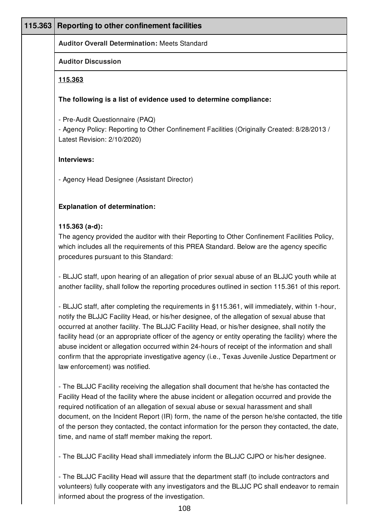| 115.363 | Reporting to other confinement facilities                                                                                                                                                                                                                                                                                                                                                                                                                                                                                                                                                                                               |
|---------|-----------------------------------------------------------------------------------------------------------------------------------------------------------------------------------------------------------------------------------------------------------------------------------------------------------------------------------------------------------------------------------------------------------------------------------------------------------------------------------------------------------------------------------------------------------------------------------------------------------------------------------------|
|         | <b>Auditor Overall Determination: Meets Standard</b>                                                                                                                                                                                                                                                                                                                                                                                                                                                                                                                                                                                    |
|         | <b>Auditor Discussion</b>                                                                                                                                                                                                                                                                                                                                                                                                                                                                                                                                                                                                               |
|         | 115.363                                                                                                                                                                                                                                                                                                                                                                                                                                                                                                                                                                                                                                 |
|         | The following is a list of evidence used to determine compliance:                                                                                                                                                                                                                                                                                                                                                                                                                                                                                                                                                                       |
|         | - Pre-Audit Questionnaire (PAQ)<br>- Agency Policy: Reporting to Other Confinement Facilities (Originally Created: 8/28/2013 /<br>Latest Revision: 2/10/2020)                                                                                                                                                                                                                                                                                                                                                                                                                                                                           |
|         | Interviews:                                                                                                                                                                                                                                                                                                                                                                                                                                                                                                                                                                                                                             |
|         | - Agency Head Designee (Assistant Director)                                                                                                                                                                                                                                                                                                                                                                                                                                                                                                                                                                                             |
|         | <b>Explanation of determination:</b>                                                                                                                                                                                                                                                                                                                                                                                                                                                                                                                                                                                                    |
|         | $115.363$ (a-d):<br>The agency provided the auditor with their Reporting to Other Confinement Facilities Policy,<br>which includes all the requirements of this PREA Standard. Below are the agency specific<br>procedures pursuant to this Standard:                                                                                                                                                                                                                                                                                                                                                                                   |
|         | - BLJJC staff, upon hearing of an allegation of prior sexual abuse of an BLJJC youth while at<br>another facility, shall follow the reporting procedures outlined in section 115.361 of this report.                                                                                                                                                                                                                                                                                                                                                                                                                                    |
|         | - BLJJC staff, after completing the requirements in §115.361, will immediately, within 1-hour,<br>notify the BLJJC Facility Head, or his/her designee, of the allegation of sexual abuse that<br>occurred at another facility. The BLJJC Facility Head, or his/her designee, shall notify the<br>facility head (or an appropriate officer of the agency or entity operating the facility) where the<br>abuse incident or allegation occurred within 24-hours of receipt of the information and shall<br>confirm that the appropriate investigative agency (i.e., Texas Juvenile Justice Department or<br>law enforcement) was notified. |
|         | - The BLJJC Facility receiving the allegation shall document that he/she has contacted the<br>Facility Head of the facility where the abuse incident or allegation occurred and provide the<br>required notification of an allegation of sexual abuse or sexual harassment and shall<br>document, on the Incident Report (IR) form, the name of the person he/she contacted, the title<br>of the person they contacted, the contact information for the person they contacted, the date,<br>time, and name of staff member making the report.                                                                                           |
|         | - The BLJJC Facility Head shall immediately inform the BLJJC CJPO or his/her designee.                                                                                                                                                                                                                                                                                                                                                                                                                                                                                                                                                  |

- The BLJJC Facility Head will assure that the department staff (to include contractors and volunteers) fully cooperate with any investigators and the BLJJC PC shall endeavor to remain informed about the progress of the investigation.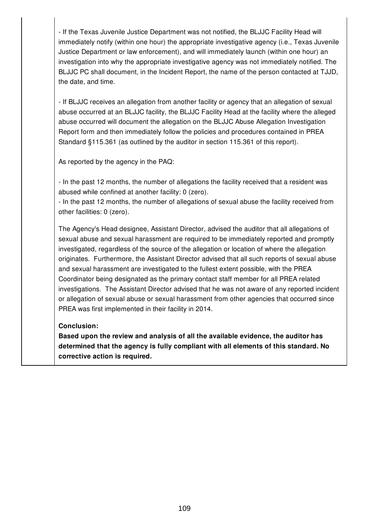- If the Texas Juvenile Justice Department was not notified, the BLJJC Facility Head will immediately notify (within one hour) the appropriate investigative agency (i.e., Texas Juvenile Justice Department or law enforcement), and will immediately launch (within one hour) an investigation into why the appropriate investigative agency was not immediately notified. The BLJJC PC shall document, in the Incident Report, the name of the person contacted at TJJD, the date, and time.

- If BLJJC receives an allegation from another facility or agency that an allegation of sexual abuse occurred at an BLJJC facility, the BLJJC Facility Head at the facility where the alleged abuse occurred will document the allegation on the BLJJC Abuse Allegation Investigation Report form and then immediately follow the policies and procedures contained in PREA Standard §115.361 (as outlined by the auditor in section 115.361 of this report).

As reported by the agency in the PAQ:

- In the past 12 months, the number of allegations the facility received that a resident was abused while confined at another facility: 0 (zero).

- In the past 12 months, the number of allegations of sexual abuse the facility received from other facilities: 0 (zero).

The Agency's Head designee, Assistant Director, advised the auditor that all allegations of sexual abuse and sexual harassment are required to be immediately reported and promptly investigated, regardless of the source of the allegation or location of where the allegation originates. Furthermore, the Assistant Director advised that all such reports of sexual abuse and sexual harassment are investigated to the fullest extent possible, with the PREA Coordinator being designated as the primary contact staff member for all PREA related investigations. The Assistant Director advised that he was not aware of any reported incident or allegation of sexual abuse or sexual harassment from other agencies that occurred since PREA was first implemented in their facility in 2014.

#### **Conclusion:**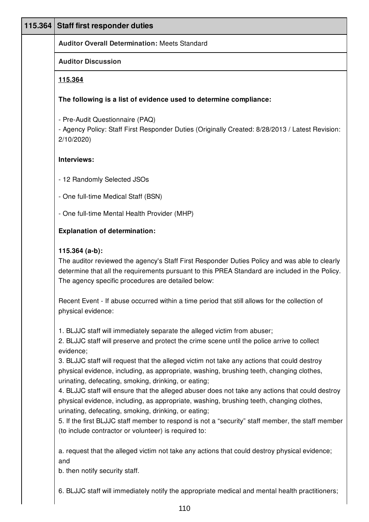| 115.364 | <b>Staff first responder duties</b>                                                                                                                                                                                                                                       |
|---------|---------------------------------------------------------------------------------------------------------------------------------------------------------------------------------------------------------------------------------------------------------------------------|
|         | <b>Auditor Overall Determination: Meets Standard</b>                                                                                                                                                                                                                      |
|         | <b>Auditor Discussion</b>                                                                                                                                                                                                                                                 |
|         | 115.364                                                                                                                                                                                                                                                                   |
|         | The following is a list of evidence used to determine compliance:                                                                                                                                                                                                         |
|         | - Pre-Audit Questionnaire (PAQ)<br>- Agency Policy: Staff First Responder Duties (Originally Created: 8/28/2013 / Latest Revision:<br>2/10/2020                                                                                                                           |
|         | Interviews:                                                                                                                                                                                                                                                               |
|         | - 12 Randomly Selected JSOs                                                                                                                                                                                                                                               |
|         | - One full-time Medical Staff (BSN)                                                                                                                                                                                                                                       |
|         | - One full-time Mental Health Provider (MHP)                                                                                                                                                                                                                              |
|         | <b>Explanation of determination:</b>                                                                                                                                                                                                                                      |
|         | $115.364$ (a-b):<br>The auditor reviewed the agency's Staff First Responder Duties Policy and was able to clearly<br>determine that all the requirements pursuant to this PREA Standard are included in the Policy.<br>The agency specific procedures are detailed below: |
|         | Recent Event - If abuse occurred within a time period that still allows for the collection of<br>physical evidence:                                                                                                                                                       |
|         | 1. BLJJC staff will immediately separate the alleged victim from abuser;<br>2. BLJJC staff will preserve and protect the crime scene until the police arrive to collect<br>evidence;                                                                                      |
|         | 3. BLJJC staff will request that the alleged victim not take any actions that could destroy<br>physical evidence, including, as appropriate, washing, brushing teeth, changing clothes,<br>urinating, defecating, smoking, drinking, or eating;                           |
|         | 4. BLJJC staff will ensure that the alleged abuser does not take any actions that could destroy<br>physical evidence, including, as appropriate, washing, brushing teeth, changing clothes,                                                                               |
|         | urinating, defecating, smoking, drinking, or eating;<br>5. If the first BLJJC staff member to respond is not a "security" staff member, the staff member<br>(to include contractor or volunteer) is required to:                                                          |
|         | a. request that the alleged victim not take any actions that could destroy physical evidence;<br>and                                                                                                                                                                      |
|         | b. then notify security staff.                                                                                                                                                                                                                                            |
|         | 6. BLJJC staff will immediately notify the appropriate medical and mental health practitioners;                                                                                                                                                                           |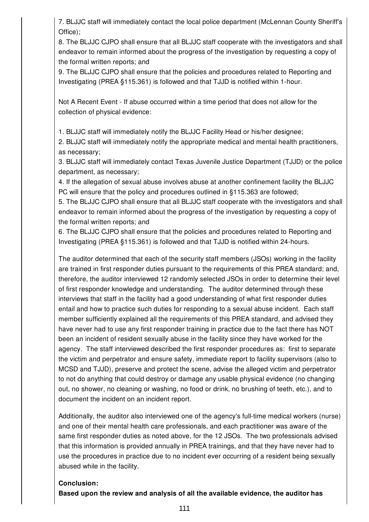7. BLJJC staff will immediately contact the local police department (McLennan County Sheriff's Office);

8. The BLJJC CJPO shall ensure that all BLJJC staff cooperate with the investigators and shall endeavor to remain informed about the progress of the investigation by requesting a copy of the formal written reports; and

9. The BLJJC CJPO shall ensure that the policies and procedures related to Reporting and Investigating (PREA §115.361) is followed and that TJJD is notified within 1-hour.

Not A Recent Event - If abuse occurred within a time period that does not allow for the collection of physical evidence:

1. BLJJC staff will immediately notify the BLJJC Facility Head or his/her designee;

2. BLJJC staff will immediately notify the appropriate medical and mental health practitioners, as necessary;

3. BLJJC staff will immediately contact Texas Juvenile Justice Department (TJJD) or the police department, as necessary;

4. If the allegation of sexual abuse involves abuse at another confinement facility the BLJJC PC will ensure that the policy and procedures outlined in §115.363 are followed;

5. The BLJJC CJPO shall ensure that all BLJJC staff cooperate with the investigators and shall endeavor to remain informed about the progress of the investigation by requesting a copy of the formal written reports; and

6. The BLJJC CJPO shall ensure that the policies and procedures related to Reporting and Investigating (PREA §115.361) is followed and that TJJD is notified within 24-hours.

The auditor determined that each of the security staff members (JSOs) working in the facility are trained in first responder duties pursuant to the requirements of this PREA standard; and, therefore, the auditor interviewed 12 randomly selected JSOs in order to determine their level of first responder knowledge and understanding. The auditor determined through these interviews that staff in the facility had a good understanding of what first responder duties entail and how to practice such duties for responding to a sexual abuse incident. Each staff member sufficiently explained all the requirements of this PREA standard, and advised they have never had to use any first responder training in practice due to the fact there has NOT been an incident of resident sexually abuse in the facility since they have worked for the agency. The staff interviewed described the first responder procedures as: first to separate the victim and perpetrator and ensure safety, immediate report to facility supervisors (also to MCSD and TJJD), preserve and protect the scene, advise the alleged victim and perpetrator to not do anything that could destroy or damage any usable physical evidence (no changing out, no shower, no cleaning or washing, no food or drink, no brushing of teeth, etc.), and to document the incident on an incident report.

Additionally, the auditor also interviewed one of the agency's full-time medical workers (nurse) and one of their mental health care professionals, and each practitioner was aware of the same first responder duties as noted above, for the 12 JSOs. The two professionals advised that this information is provided annually in PREA trainings, and that they have never had to use the procedures in practice due to no incident ever occurring of a resident being sexually abused while in the facility.

## **Conclusion:**

**Based upon the review and analysis of all the available evidence, the auditor has**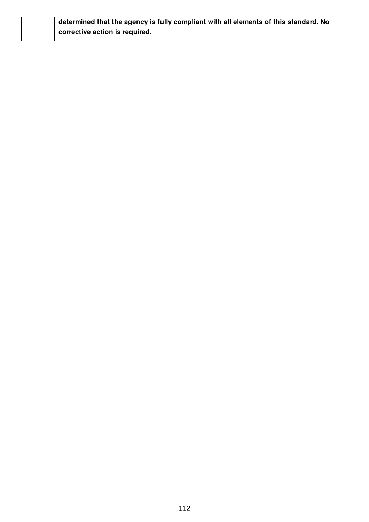## **determined that the agency is fully compliant with all elements of this standard. No corrective action is required.**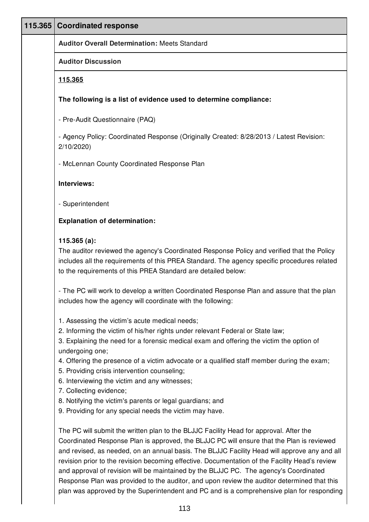| 115.365 Coordinated response                                                                                                                                                                                                                                                                                                                                                                                                                                                                                                                                                                      |
|---------------------------------------------------------------------------------------------------------------------------------------------------------------------------------------------------------------------------------------------------------------------------------------------------------------------------------------------------------------------------------------------------------------------------------------------------------------------------------------------------------------------------------------------------------------------------------------------------|
| <b>Auditor Overall Determination: Meets Standard</b>                                                                                                                                                                                                                                                                                                                                                                                                                                                                                                                                              |
| <b>Auditor Discussion</b>                                                                                                                                                                                                                                                                                                                                                                                                                                                                                                                                                                         |
| 115.365                                                                                                                                                                                                                                                                                                                                                                                                                                                                                                                                                                                           |
| The following is a list of evidence used to determine compliance:                                                                                                                                                                                                                                                                                                                                                                                                                                                                                                                                 |
| - Pre-Audit Questionnaire (PAQ)                                                                                                                                                                                                                                                                                                                                                                                                                                                                                                                                                                   |
| - Agency Policy: Coordinated Response (Originally Created: 8/28/2013 / Latest Revision:<br>2/10/2020                                                                                                                                                                                                                                                                                                                                                                                                                                                                                              |
| - McLennan County Coordinated Response Plan                                                                                                                                                                                                                                                                                                                                                                                                                                                                                                                                                       |
| Interviews:                                                                                                                                                                                                                                                                                                                                                                                                                                                                                                                                                                                       |
| - Superintendent                                                                                                                                                                                                                                                                                                                                                                                                                                                                                                                                                                                  |
| <b>Explanation of determination:</b>                                                                                                                                                                                                                                                                                                                                                                                                                                                                                                                                                              |
| $115.365(a)$ :<br>The auditor reviewed the agency's Coordinated Response Policy and verified that the Policy<br>includes all the requirements of this PREA Standard. The agency specific procedures related<br>to the requirements of this PREA Standard are detailed below:                                                                                                                                                                                                                                                                                                                      |
| - The PC will work to develop a written Coordinated Response Plan and assure that the plan<br>includes how the agency will coordinate with the following:                                                                                                                                                                                                                                                                                                                                                                                                                                         |
| 1. Assessing the victim's acute medical needs;<br>2. Informing the victim of his/her rights under relevant Federal or State law;<br>3. Explaining the need for a forensic medical exam and offering the victim the option of<br>undergoing one;<br>4. Offering the presence of a victim advocate or a qualified staff member during the exam;<br>5. Providing crisis intervention counseling;<br>6. Interviewing the victim and any witnesses;<br>7. Collecting evidence;<br>8. Notifying the victim's parents or legal guardians; and<br>9. Providing for any special needs the victim may have. |
| The PC will submit the written plan to the BLJJC Facility Head for approval. After the<br>Coordinated Response Plan is approved, the BLJJC PC will ensure that the Plan is reviewed<br>and revised, as needed, on an annual basis. The BLJJC Facility Head will approve any and all<br>revision prior to the revision becoming effective. Documentation of the Facility Head's review<br>and approval of revision will be maintained by the BLJJC PC. The agency's Coordinated<br>Response Plan was provided to the auditor, and upon review the auditor determined that this                     |

plan was approved by the Superintendent and PC and is a comprehensive plan for responding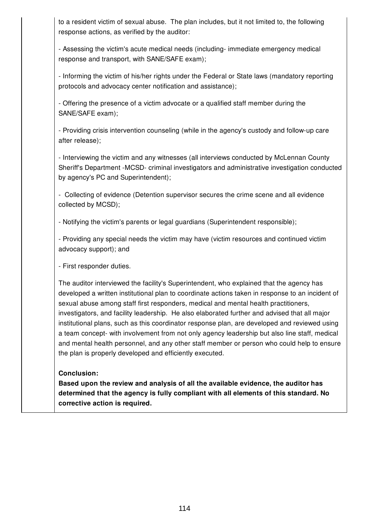| - Assessing the victim's acute medical needs (including- immediate emergency medical<br>response and transport, with SANE/SAFE exam);                                                                                                                                                                                                                                                                                                                                                                                                                                                                                                                                                                                                                                                                                                                | response actions, as verified by the auditor: |
|------------------------------------------------------------------------------------------------------------------------------------------------------------------------------------------------------------------------------------------------------------------------------------------------------------------------------------------------------------------------------------------------------------------------------------------------------------------------------------------------------------------------------------------------------------------------------------------------------------------------------------------------------------------------------------------------------------------------------------------------------------------------------------------------------------------------------------------------------|-----------------------------------------------|
| - Informing the victim of his/her rights under the Federal or State laws (mandatory reporting<br>protocols and advocacy center notification and assistance);                                                                                                                                                                                                                                                                                                                                                                                                                                                                                                                                                                                                                                                                                         |                                               |
| - Offering the presence of a victim advocate or a qualified staff member during the<br>SANE/SAFE exam);<br>after release);<br>- Interviewing the victim and any witnesses (all interviews conducted by McLennan County<br>by agency's PC and Superintendent);<br>- Collecting of evidence (Detention supervisor secures the crime scene and all evidence<br>- Notifying the victim's parents or legal guardians (Superintendent responsible);<br>advocacy support); and<br>- First responder duties.<br>The auditor interviewed the facility's Superintendent, who explained that the agency has<br>sexual abuse among staff first responders, medical and mental health practitioners,<br>investigators, and facility leadership. He also elaborated further and advised that all major<br>the plan is properly developed and efficiently executed. |                                               |
| - Providing crisis intervention counseling (while in the agency's custody and follow-up care<br>Sheriff's Department -MCSD- criminal investigators and administrative investigation conducted<br>collected by MCSD);<br>- Providing any special needs the victim may have (victim resources and continued victim<br>developed a written institutional plan to coordinate actions taken in response to an incident of<br>institutional plans, such as this coordinator response plan, are developed and reviewed using<br>a team concept- with involvement from not only agency leadership but also line staff, medical<br>and mental health personnel, and any other staff member or person who could help to ensure                                                                                                                                 |                                               |
|                                                                                                                                                                                                                                                                                                                                                                                                                                                                                                                                                                                                                                                                                                                                                                                                                                                      |                                               |
|                                                                                                                                                                                                                                                                                                                                                                                                                                                                                                                                                                                                                                                                                                                                                                                                                                                      |                                               |
|                                                                                                                                                                                                                                                                                                                                                                                                                                                                                                                                                                                                                                                                                                                                                                                                                                                      |                                               |
|                                                                                                                                                                                                                                                                                                                                                                                                                                                                                                                                                                                                                                                                                                                                                                                                                                                      |                                               |
|                                                                                                                                                                                                                                                                                                                                                                                                                                                                                                                                                                                                                                                                                                                                                                                                                                                      |                                               |
|                                                                                                                                                                                                                                                                                                                                                                                                                                                                                                                                                                                                                                                                                                                                                                                                                                                      |                                               |
|                                                                                                                                                                                                                                                                                                                                                                                                                                                                                                                                                                                                                                                                                                                                                                                                                                                      |                                               |

**corrective action is required.**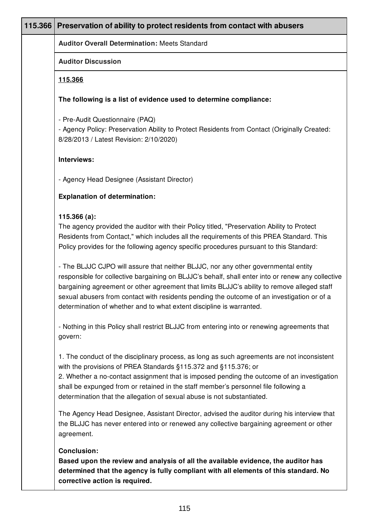| 115.366   Preservation of ability to protect residents from contact with abusers                                                                                                                                                                                                                                                                                                                                                                                                                                                                                                           |
|--------------------------------------------------------------------------------------------------------------------------------------------------------------------------------------------------------------------------------------------------------------------------------------------------------------------------------------------------------------------------------------------------------------------------------------------------------------------------------------------------------------------------------------------------------------------------------------------|
| <b>Auditor Overall Determination: Meets Standard</b>                                                                                                                                                                                                                                                                                                                                                                                                                                                                                                                                       |
| <b>Auditor Discussion</b>                                                                                                                                                                                                                                                                                                                                                                                                                                                                                                                                                                  |
| 115.366                                                                                                                                                                                                                                                                                                                                                                                                                                                                                                                                                                                    |
| The following is a list of evidence used to determine compliance:                                                                                                                                                                                                                                                                                                                                                                                                                                                                                                                          |
| - Pre-Audit Questionnaire (PAQ)<br>- Agency Policy: Preservation Ability to Protect Residents from Contact (Originally Created:<br>8/28/2013 / Latest Revision: 2/10/2020)                                                                                                                                                                                                                                                                                                                                                                                                                 |
| Interviews:                                                                                                                                                                                                                                                                                                                                                                                                                                                                                                                                                                                |
| - Agency Head Designee (Assistant Director)                                                                                                                                                                                                                                                                                                                                                                                                                                                                                                                                                |
| <b>Explanation of determination:</b>                                                                                                                                                                                                                                                                                                                                                                                                                                                                                                                                                       |
| 115.366(a):<br>The agency provided the auditor with their Policy titled, "Preservation Ability to Protect<br>Residents from Contact," which includes all the requirements of this PREA Standard. This<br>Policy provides for the following agency specific procedures pursuant to this Standard:<br>- The BLJJC CJPO will assure that neither BLJJC, nor any other governmental entity<br>responsible for collective bargaining on BLJJC's behalf, shall enter into or renew any collective<br>bargaining agreement or other agreement that limits BLJJC's ability to remove alleged staff |
| sexual abusers from contact with residents pending the outcome of an investigation or of a<br>determination of whether and to what extent discipline is warranted.<br>- Nothing in this Policy shall restrict BLJJC from entering into or renewing agreements that<br>govern:                                                                                                                                                                                                                                                                                                              |
| 1. The conduct of the disciplinary process, as long as such agreements are not inconsistent<br>with the provisions of PREA Standards §115.372 and §115.376; or<br>2. Whether a no-contact assignment that is imposed pending the outcome of an investigation<br>shall be expunged from or retained in the staff member's personnel file following a<br>determination that the allegation of sexual abuse is not substantiated.                                                                                                                                                             |
| The Agency Head Designee, Assistant Director, advised the auditor during his interview that<br>the BLJJC has never entered into or renewed any collective bargaining agreement or other<br>agreement.                                                                                                                                                                                                                                                                                                                                                                                      |
| <b>Conclusion:</b><br>Based upon the review and analysis of all the available evidence, the auditor has<br>determined that the agency is fully compliant with all elements of this standard. No<br>corrective action is required.                                                                                                                                                                                                                                                                                                                                                          |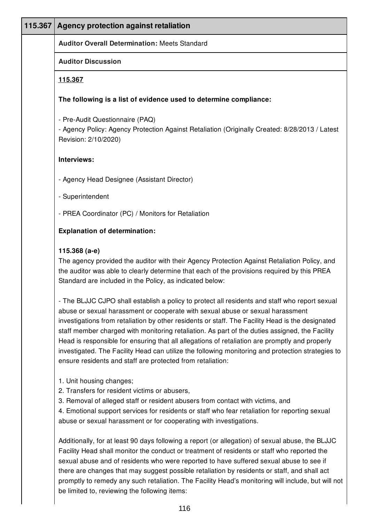| 115.367 | Agency protection against retaliation                                                                                                                                                                                                                                                                                                                                                                                                                                                                                                                                                                                                                       |
|---------|-------------------------------------------------------------------------------------------------------------------------------------------------------------------------------------------------------------------------------------------------------------------------------------------------------------------------------------------------------------------------------------------------------------------------------------------------------------------------------------------------------------------------------------------------------------------------------------------------------------------------------------------------------------|
|         | <b>Auditor Overall Determination: Meets Standard</b>                                                                                                                                                                                                                                                                                                                                                                                                                                                                                                                                                                                                        |
|         | <b>Auditor Discussion</b>                                                                                                                                                                                                                                                                                                                                                                                                                                                                                                                                                                                                                                   |
|         | 115.367                                                                                                                                                                                                                                                                                                                                                                                                                                                                                                                                                                                                                                                     |
|         | The following is a list of evidence used to determine compliance:                                                                                                                                                                                                                                                                                                                                                                                                                                                                                                                                                                                           |
|         | - Pre-Audit Questionnaire (PAQ)<br>- Agency Policy: Agency Protection Against Retaliation (Originally Created: 8/28/2013 / Latest<br>Revision: 2/10/2020)                                                                                                                                                                                                                                                                                                                                                                                                                                                                                                   |
|         | Interviews:                                                                                                                                                                                                                                                                                                                                                                                                                                                                                                                                                                                                                                                 |
|         | - Agency Head Designee (Assistant Director)                                                                                                                                                                                                                                                                                                                                                                                                                                                                                                                                                                                                                 |
|         | - Superintendent                                                                                                                                                                                                                                                                                                                                                                                                                                                                                                                                                                                                                                            |
|         | - PREA Coordinator (PC) / Monitors for Retaliation                                                                                                                                                                                                                                                                                                                                                                                                                                                                                                                                                                                                          |
|         | <b>Explanation of determination:</b>                                                                                                                                                                                                                                                                                                                                                                                                                                                                                                                                                                                                                        |
|         | 115.368 (a-e)<br>The agency provided the auditor with their Agency Protection Against Retaliation Policy, and<br>the auditor was able to clearly determine that each of the provisions required by this PREA<br>Standard are included in the Policy, as indicated below:                                                                                                                                                                                                                                                                                                                                                                                    |
|         | - The BLJJC CJPO shall establish a policy to protect all residents and staff who report sexual<br>abuse or sexual harassment or cooperate with sexual abuse or sexual harassment<br>investigations from retaliation by other residents or staff. The Facility Head is the designated<br>staff member charged with monitoring retaliation. As part of the duties assigned, the Facility<br>Head is responsible for ensuring that all allegations of retaliation are promptly and properly<br>investigated. The Facility Head can utilize the following monitoring and protection strategies to<br>ensure residents and staff are protected from retaliation: |
|         | 1. Unit housing changes;<br>2. Transfers for resident victims or abusers,<br>3. Removal of alleged staff or resident abusers from contact with victims, and<br>4. Emotional support services for residents or staff who fear retaliation for reporting sexual<br>abuse or sexual harassment or for cooperating with investigations.                                                                                                                                                                                                                                                                                                                         |
|         | Additionally, for at least 90 days following a report (or allegation) of sexual abuse, the BLJJC                                                                                                                                                                                                                                                                                                                                                                                                                                                                                                                                                            |

Facility Head shall monitor the conduct or treatment of residents or staff who reported the sexual abuse and of residents who were reported to have suffered sexual abuse to see if there are changes that may suggest possible retaliation by residents or staff, and shall act promptly to remedy any such retaliation. The Facility Head's monitoring will include, but will not be limited to, reviewing the following items: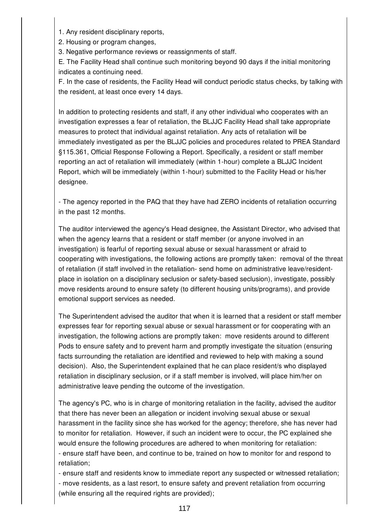1. Any resident disciplinary reports,

2. Housing or program changes,

3. Negative performance reviews or reassignments of staff.

E. The Facility Head shall continue such monitoring beyond 90 days if the initial monitoring indicates a continuing need.

F. In the case of residents, the Facility Head will conduct periodic status checks, by talking with the resident, at least once every 14 days.

In addition to protecting residents and staff, if any other individual who cooperates with an investigation expresses a fear of retaliation, the BLJJC Facility Head shall take appropriate measures to protect that individual against retaliation. Any acts of retaliation will be immediately investigated as per the BLJJC policies and procedures related to PREA Standard §115.361, Official Response Following a Report. Specifically, a resident or staff member reporting an act of retaliation will immediately (within 1-hour) complete a BLJJC Incident Report, which will be immediately (within 1-hour) submitted to the Facility Head or his/her designee.

- The agency reported in the PAQ that they have had ZERO incidents of retaliation occurring in the past 12 months.

The auditor interviewed the agency's Head designee, the Assistant Director, who advised that when the agency learns that a resident or staff member (or anyone involved in an investigation) is fearful of reporting sexual abuse or sexual harassment or afraid to cooperating with investigations, the following actions are promptly taken: removal of the threat of retaliation (if staff involved in the retaliation- send home on administrative leave/residentplace in isolation on a disciplinary seclusion or safety-based seclusion), investigate, possibly move residents around to ensure safety (to different housing units/programs), and provide emotional support services as needed.

The Superintendent advised the auditor that when it is learned that a resident or staff member expresses fear for reporting sexual abuse or sexual harassment or for cooperating with an investigation, the following actions are promptly taken: move residents around to different Pods to ensure safety and to prevent harm and promptly investigate the situation (ensuring facts surrounding the retaliation are identified and reviewed to help with making a sound decision). Also, the Superintendent explained that he can place resident/s who displayed retaliation in disciplinary seclusion, or if a staff member is involved, will place him/her on administrative leave pending the outcome of the investigation.

The agency's PC, who is in charge of monitoring retaliation in the facility, advised the auditor that there has never been an allegation or incident involving sexual abuse or sexual harassment in the facility since she has worked for the agency; therefore, she has never had to monitor for retaliation. However, if such an incident were to occur, the PC explained she would ensure the following procedures are adhered to when monitoring for retaliation: - ensure staff have been, and continue to be, trained on how to monitor for and respond to retaliation;

- ensure staff and residents know to immediate report any suspected or witnessed retaliation; - move residents, as a last resort, to ensure safety and prevent retaliation from occurring (while ensuring all the required rights are provided);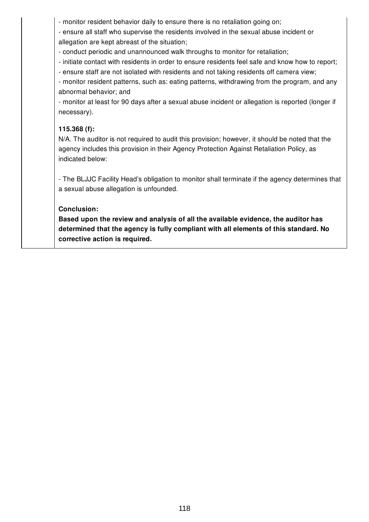- monitor resident behavior daily to ensure there is no retaliation going on;

- ensure all staff who supervise the residents involved in the sexual abuse incident or

allegation are kept abreast of the situation;

- conduct periodic and unannounced walk throughs to monitor for retaliation;

- initiate contact with residents in order to ensure residents feel safe and know how to report;

- ensure staff are not isolated with residents and not taking residents off camera view;

- monitor resident patterns, such as: eating patterns, withdrawing from the program, and any abnormal behavior; and

- monitor at least for 90 days after a sexual abuse incident or allegation is reported (longer if necessary).

## **115.368 (f):**

N/A. The auditor is not required to audit this provision; however, it should be noted that the agency includes this provision in their Agency Protection Against Retaliation Policy, as indicated below:

- The BLJJC Facility Head's obligation to monitor shall terminate if the agency determines that a sexual abuse allegation is unfounded.

## **Conclusion:**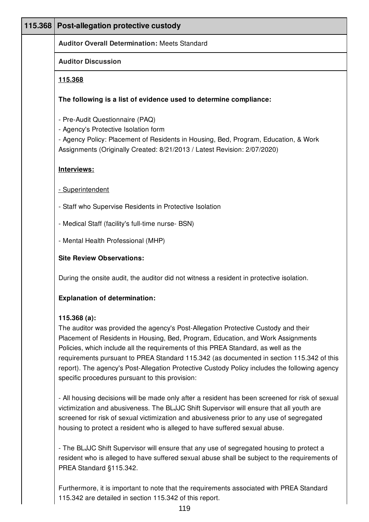| 115.368 | Post-allegation protective custody                                                                                                                                                                                                                                                                                                                                                                                                                                                                                          |
|---------|-----------------------------------------------------------------------------------------------------------------------------------------------------------------------------------------------------------------------------------------------------------------------------------------------------------------------------------------------------------------------------------------------------------------------------------------------------------------------------------------------------------------------------|
|         | <b>Auditor Overall Determination: Meets Standard</b>                                                                                                                                                                                                                                                                                                                                                                                                                                                                        |
|         | <b>Auditor Discussion</b>                                                                                                                                                                                                                                                                                                                                                                                                                                                                                                   |
|         | <u>115.368</u>                                                                                                                                                                                                                                                                                                                                                                                                                                                                                                              |
|         | The following is a list of evidence used to determine compliance:                                                                                                                                                                                                                                                                                                                                                                                                                                                           |
|         | - Pre-Audit Questionnaire (PAQ)<br>- Agency's Protective Isolation form<br>- Agency Policy: Placement of Residents in Housing, Bed, Program, Education, & Work<br>Assignments (Originally Created: 8/21/2013 / Latest Revision: 2/07/2020)                                                                                                                                                                                                                                                                                  |
|         | Interviews:                                                                                                                                                                                                                                                                                                                                                                                                                                                                                                                 |
|         | - Superintendent                                                                                                                                                                                                                                                                                                                                                                                                                                                                                                            |
|         | - Staff who Supervise Residents in Protective Isolation                                                                                                                                                                                                                                                                                                                                                                                                                                                                     |
|         | - Medical Staff (facility's full-time nurse- BSN)                                                                                                                                                                                                                                                                                                                                                                                                                                                                           |
|         | - Mental Health Professional (MHP)                                                                                                                                                                                                                                                                                                                                                                                                                                                                                          |
|         | <b>Site Review Observations:</b>                                                                                                                                                                                                                                                                                                                                                                                                                                                                                            |
|         | During the onsite audit, the auditor did not witness a resident in protective isolation.                                                                                                                                                                                                                                                                                                                                                                                                                                    |
|         | <b>Explanation of determination:</b>                                                                                                                                                                                                                                                                                                                                                                                                                                                                                        |
|         | 115.368(a):<br>The auditor was provided the agency's Post-Allegation Protective Custody and their<br>Placement of Residents in Housing, Bed, Program, Education, and Work Assignments<br>Policies, which include all the requirements of this PREA Standard, as well as the<br>requirements pursuant to PREA Standard 115.342 (as documented in section 115.342 of this<br>report). The agency's Post-Allegation Protective Custody Policy includes the following agency<br>specific procedures pursuant to this provision: |
|         | - All housing decisions will be made only after a resident has been screened for risk of sexual<br>victimization and abusiveness. The BLJJC Shift Supervisor will ensure that all youth are<br>screened for risk of sexual victimization and abusiveness prior to any use of segregated<br>housing to protect a resident who is alleged to have suffered sexual abuse.                                                                                                                                                      |

- The BLJJC Shift Supervisor will ensure that any use of segregated housing to protect a resident who is alleged to have suffered sexual abuse shall be subject to the requirements of PREA Standard §115.342.

Furthermore, it is important to note that the requirements associated with PREA Standard 115.342 are detailed in section 115.342 of this report.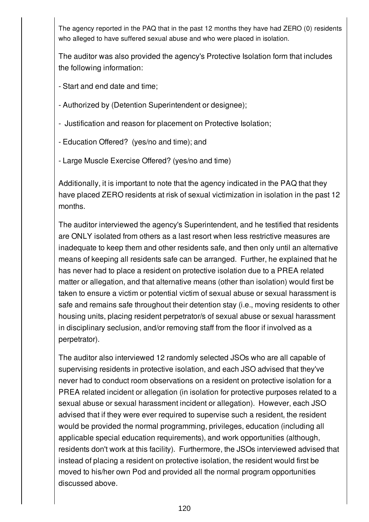The agency reported in the PAQ that in the past 12 months they have had ZERO (0) residents who alleged to have suffered sexual abuse and who were placed in isolation.

The auditor was also provided the agency's Protective Isolation form that includes the following information:

- Start and end date and time;

- Authorized by (Detention Superintendent or designee);

- Justification and reason for placement on Protective Isolation;

- Education Offered? (yes/no and time); and

- Large Muscle Exercise Offered? (yes/no and time)

Additionally, it is important to note that the agency indicated in the PAQ that they have placed ZERO residents at risk of sexual victimization in isolation in the past 12 months.

The auditor interviewed the agency's Superintendent, and he testified that residents are ONLY isolated from others as a last resort when less restrictive measures are inadequate to keep them and other residents safe, and then only until an alternative means of keeping all residents safe can be arranged. Further, he explained that he has never had to place a resident on protective isolation due to a PREA related matter or allegation, and that alternative means (other than isolation) would first be taken to ensure a victim or potential victim of sexual abuse or sexual harassment is safe and remains safe throughout their detention stay (i.e., moving residents to other housing units, placing resident perpetrator/s of sexual abuse or sexual harassment in disciplinary seclusion, and/or removing staff from the floor if involved as a perpetrator).

The auditor also interviewed 12 randomly selected JSOs who are all capable of supervising residents in protective isolation, and each JSO advised that they've never had to conduct room observations on a resident on protective isolation for a PREA related incident or allegation (in isolation for protective purposes related to a sexual abuse or sexual harassment incident or allegation). However, each JSO advised that if they were ever required to supervise such a resident, the resident would be provided the normal programming, privileges, education (including all applicable special education requirements), and work opportunities (although, residents don't work at this facility). Furthermore, the JSOs interviewed advised that instead of placing a resident on protective isolation, the resident would first be moved to his/her own Pod and provided all the normal program opportunities discussed above.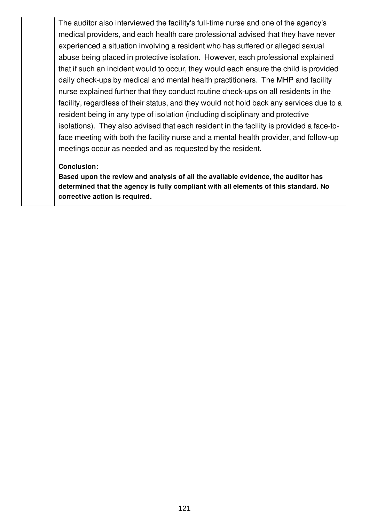The auditor also interviewed the facility's full-time nurse and one of the agency's medical providers, and each health care professional advised that they have never experienced a situation involving a resident who has suffered or alleged sexual abuse being placed in protective isolation. However, each professional explained that if such an incident would to occur, they would each ensure the child is provided daily check-ups by medical and mental health practitioners. The MHP and facility nurse explained further that they conduct routine check-ups on all residents in the facility, regardless of their status, and they would not hold back any services due to a resident being in any type of isolation (including disciplinary and protective isolations). They also advised that each resident in the facility is provided a face-toface meeting with both the facility nurse and a mental health provider, and follow-up meetings occur as needed and as requested by the resident.

## **Conclusion:**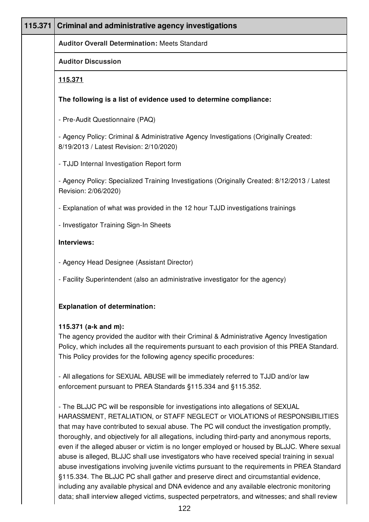| 115.371 | <b>Criminal and administrative agency investigations</b>                                                                                                                                                                                                                                 |
|---------|------------------------------------------------------------------------------------------------------------------------------------------------------------------------------------------------------------------------------------------------------------------------------------------|
|         | <b>Auditor Overall Determination: Meets Standard</b>                                                                                                                                                                                                                                     |
|         | <b>Auditor Discussion</b>                                                                                                                                                                                                                                                                |
|         | 115.371                                                                                                                                                                                                                                                                                  |
|         | The following is a list of evidence used to determine compliance:                                                                                                                                                                                                                        |
|         | - Pre-Audit Questionnaire (PAQ)                                                                                                                                                                                                                                                          |
|         | - Agency Policy: Criminal & Administrative Agency Investigations (Originally Created:<br>8/19/2013 / Latest Revision: 2/10/2020)                                                                                                                                                         |
|         | - TJJD Internal Investigation Report form                                                                                                                                                                                                                                                |
|         | - Agency Policy: Specialized Training Investigations (Originally Created: 8/12/2013 / Latest<br>Revision: 2/06/2020)                                                                                                                                                                     |
|         | - Explanation of what was provided in the 12 hour TJJD investigations trainings                                                                                                                                                                                                          |
|         | - Investigator Training Sign-In Sheets                                                                                                                                                                                                                                                   |
|         | Interviews:                                                                                                                                                                                                                                                                              |
|         | - Agency Head Designee (Assistant Director)                                                                                                                                                                                                                                              |
|         | - Facility Superintendent (also an administrative investigator for the agency)                                                                                                                                                                                                           |
|         | <b>Explanation of determination:</b>                                                                                                                                                                                                                                                     |
|         | 115.371 (a-k and m):<br>The agency provided the auditor with their Criminal & Administrative Agency Investigation<br>Policy, which includes all the requirements pursuant to each provision of this PREA Standard.<br>This Policy provides for the following agency specific procedures: |
|         | - All allegations for SEXUAL ABUSE will be immediately referred to TJJD and/or law<br>enforcement pursuant to PREA Standards §115.334 and §115.352.                                                                                                                                      |
|         | - The BLJJC PC will be responsible for investigations into allegations of SEXUAL                                                                                                                                                                                                         |

HARASSMENT, RETALIATION, or STAFF NEGLECT or VIOLATIONS of RESPONSIBILITIES that may have contributed to sexual abuse. The PC will conduct the investigation promptly, thoroughly, and objectively for all allegations, including third-party and anonymous reports, even if the alleged abuser or victim is no longer employed or housed by BLJJC. Where sexual abuse is alleged, BLJJC shall use investigators who have received special training in sexual abuse investigations involving juvenile victims pursuant to the requirements in PREA Standard §115.334. The BLJJC PC shall gather and preserve direct and circumstantial evidence, including any available physical and DNA evidence and any available electronic monitoring data; shall interview alleged victims, suspected perpetrators, and witnesses; and shall review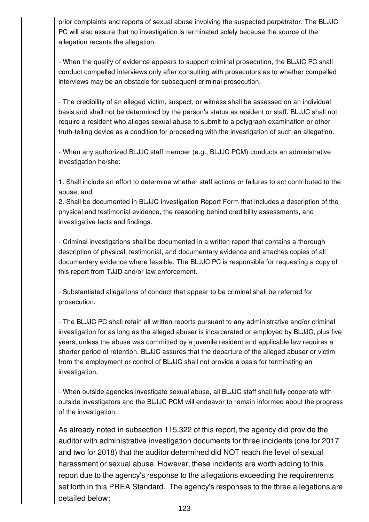prior complaints and reports of sexual abuse involving the suspected perpetrator. The BLJJC PC will also assure that no investigation is terminated solely because the source of the allegation recants the allegation.

- When the quality of evidence appears to support criminal prosecution, the BLJJC PC shall conduct compelled interviews only after consulting with prosecutors as to whether compelled interviews may be an obstacle for subsequent criminal prosecution.

- The credibility of an alleged victim, suspect, or witness shall be assessed on an individual basis and shall not be determined by the person's status as resident or staff. BLJJC shall not require a resident who alleges sexual abuse to submit to a polygraph examination or other truth-telling device as a condition for proceeding with the investigation of such an allegation.

- When any authorized BLJJC staff member (e.g., BLJJC PCM) conducts an administrative investigation he/she:

1. Shall include an effort to determine whether staff actions or failures to act contributed to the abuse; and

2. Shall be documented in BLJJC Investigation Report Form that includes a description of the physical and testimonial evidence, the reasoning behind credibility assessments, and investigative facts and findings.

- Criminal investigations shall be documented in a written report that contains a thorough description of physical, testimonial, and documentary evidence and attaches copies of all documentary evidence where feasible. The BLJJC PC is responsible for requesting a copy of this report from TJJD and/or law enforcement.

- Substantiated allegations of conduct that appear to be criminal shall be referred for prosecution.

- The BLJJC PC shall retain all written reports pursuant to any administrative and/or criminal investigation for as long as the alleged abuser is incarcerated or employed by BLJJC, plus five years, unless the abuse was committed by a juvenile resident and applicable law requires a shorter period of retention. BLJJC assures that the departure of the alleged abuser or victim from the employment or control of BLJJC shall not provide a basis for terminating an investigation.

- When outside agencies investigate sexual abuse, all BLJJC staff shall fully cooperate with outside investigators and the BLJJC PCM will endeavor to remain informed about the progress of the investigation.

As already noted in subsection 115.322 of this report, the agency did provide the auditor with administrative investigation documents for three incidents (one for 2017 and two for 2018) that the auditor determined did NOT reach the level of sexual harassment or sexual abuse. However, these incidents are worth adding to this report due to the agency's response to the allegations exceeding the requirements set forth in this PREA Standard. The agency's responses to the three allegations are detailed below: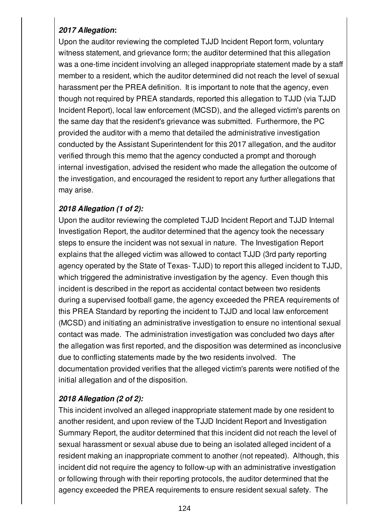# *2017 Allegation***:**

Upon the auditor reviewing the completed TJJD Incident Report form, voluntary witness statement, and grievance form; the auditor determined that this allegation was a one-time incident involving an alleged inappropriate statement made by a staff member to a resident, which the auditor determined did not reach the level of sexual harassment per the PREA definition. It is important to note that the agency, even though not required by PREA standards, reported this allegation to TJJD (via TJJD Incident Report), local law enforcement (MCSD), and the alleged victim's parents on the same day that the resident's grievance was submitted. Furthermore, the PC provided the auditor with a memo that detailed the administrative investigation conducted by the Assistant Superintendent for this 2017 allegation, and the auditor verified through this memo that the agency conducted a prompt and thorough internal investigation, advised the resident who made the allegation the outcome of the investigation, and encouraged the resident to report any further allegations that may arise.

## *2018 Allegation (1 of 2):*

Upon the auditor reviewing the completed TJJD Incident Report and TJJD Internal Investigation Report, the auditor determined that the agency took the necessary steps to ensure the incident was not sexual in nature. The Investigation Report explains that the alleged victim was allowed to contact TJJD (3rd party reporting agency operated by the State of Texas- TJJD) to report this alleged incident to TJJD, which triggered the administrative investigation by the agency. Even though this incident is described in the report as accidental contact between two residents during a supervised football game, the agency exceeded the PREA requirements of this PREA Standard by reporting the incident to TJJD and local law enforcement (MCSD) and initiating an administrative investigation to ensure no intentional sexual contact was made. The administration investigation was concluded two days after the allegation was first reported, and the disposition was determined as inconclusive due to conflicting statements made by the two residents involved. The documentation provided verifies that the alleged victim's parents were notified of the initial allegation and of the disposition.

# *2018 Allegation (2 of 2):*

This incident involved an alleged inappropriate statement made by one resident to another resident, and upon review of the TJJD Incident Report and Investigation Summary Report, the auditor determined that this incident did not reach the level of sexual harassment or sexual abuse due to being an isolated alleged incident of a resident making an inappropriate comment to another (not repeated). Although, this incident did not require the agency to follow-up with an administrative investigation or following through with their reporting protocols, the auditor determined that the agency exceeded the PREA requirements to ensure resident sexual safety. The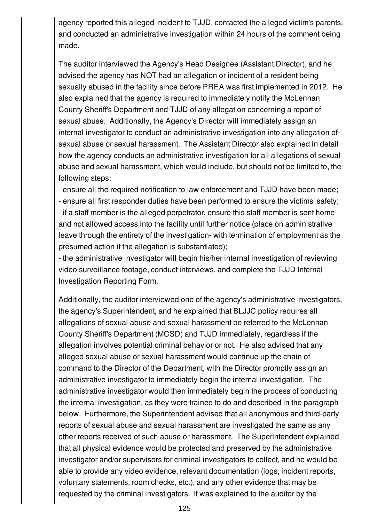agency reported this alleged incident to TJJD, contacted the alleged victim's parents, and conducted an administrative investigation within 24 hours of the comment being made.

The auditor interviewed the Agency's Head Designee (Assistant Director), and he advised the agency has NOT had an allegation or incident of a resident being sexually abused in the facility since before PREA was first implemented in 2012. He also explained that the agency is required to immediately notify the McLennan County Sheriff's Department and TJJD of any allegation concerning a report of sexual abuse. Additionally, the Agency's Director will immediately assign an internal investigator to conduct an administrative investigation into any allegation of sexual abuse or sexual harassment. The Assistant Director also explained in detail how the agency conducts an administrative investigation for all allegations of sexual abuse and sexual harassment, which would include, but should not be limited to, the following steps:

- ensure all the required notification to law enforcement and TJJD have been made; - ensure all first responder duties have been performed to ensure the victims' safety; - if a staff member is the alleged perpetrator, ensure this staff member is sent home and not allowed access into the facility until further notice (place on administrative leave through the entirety of the investigation- with termination of employment as the presumed action if the allegation is substantiated);

- the administrative investigator will begin his/her internal investigation of reviewing video surveillance footage, conduct interviews, and complete the TJJD Internal Investigation Reporting Form.

Additionally, the auditor interviewed one of the agency's administrative investigators, the agency's Superintendent, and he explained that BLJJC policy requires all allegations of sexual abuse and sexual harassment be referred to the McLennan County Sheriff's Department (MCSD) and TJJD immediately, regardless if the allegation involves potential criminal behavior or not. He also advised that any alleged sexual abuse or sexual harassment would continue up the chain of command to the Director of the Department, with the Director promptly assign an administrative investigator to immediately begin the internal investigation. The administrative investigator would then immediately begin the process of conducting the internal investigation, as they were trained to do and described in the paragraph below. Furthermore, the Superintendent advised that all anonymous and third-party reports of sexual abuse and sexual harassment are investigated the same as any other reports received of such abuse or harassment. The Superintendent explained that all physical evidence would be protected and preserved by the administrative investigator and/or supervisors for criminal investigators to collect, and he would be able to provide any video evidence, relevant documentation (logs, incident reports, voluntary statements, room checks, etc.), and any other evidence that may be requested by the criminal investigators. It was explained to the auditor by the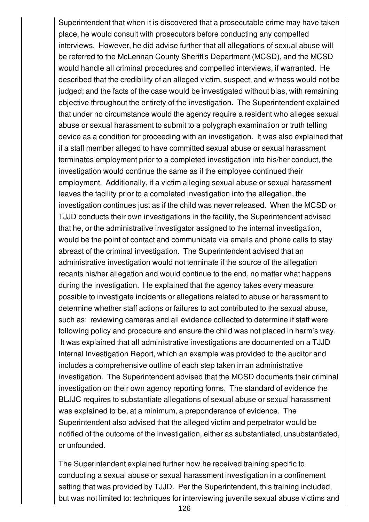Superintendent that when it is discovered that a prosecutable crime may have taken place, he would consult with prosecutors before conducting any compelled interviews. However, he did advise further that all allegations of sexual abuse will be referred to the McLennan County Sheriff's Department (MCSD), and the MCSD would handle all criminal procedures and compelled interviews, if warranted. He described that the credibility of an alleged victim, suspect, and witness would not be judged; and the facts of the case would be investigated without bias, with remaining objective throughout the entirety of the investigation. The Superintendent explained that under no circumstance would the agency require a resident who alleges sexual abuse or sexual harassment to submit to a polygraph examination or truth telling device as a condition for proceeding with an investigation. It was also explained that if a staff member alleged to have committed sexual abuse or sexual harassment terminates employment prior to a completed investigation into his/her conduct, the investigation would continue the same as if the employee continued their employment. Additionally, if a victim alleging sexual abuse or sexual harassment leaves the facility prior to a completed investigation into the allegation, the investigation continues just as if the child was never released. When the MCSD or TJJD conducts their own investigations in the facility, the Superintendent advised that he, or the administrative investigator assigned to the internal investigation, would be the point of contact and communicate via emails and phone calls to stay abreast of the criminal investigation. The Superintendent advised that an administrative investigation would not terminate if the source of the allegation recants his/her allegation and would continue to the end, no matter what happens during the investigation. He explained that the agency takes every measure possible to investigate incidents or allegations related to abuse or harassment to determine whether staff actions or failures to act contributed to the sexual abuse, such as: reviewing cameras and all evidence collected to determine if staff were following policy and procedure and ensure the child was not placed in harm's way. It was explained that all administrative investigations are documented on a TJJD Internal Investigation Report, which an example was provided to the auditor and includes a comprehensive outline of each step taken in an administrative investigation. The Superintendent advised that the MCSD documents their criminal investigation on their own agency reporting forms. The standard of evidence the BLJJC requires to substantiate allegations of sexual abuse or sexual harassment was explained to be, at a minimum, a preponderance of evidence. The Superintendent also advised that the alleged victim and perpetrator would be notified of the outcome of the investigation, either as substantiated, unsubstantiated, or unfounded.

The Superintendent explained further how he received training specific to conducting a sexual abuse or sexual harassment investigation in a confinement setting that was provided by TJJD. Per the Superintendent, this training included, but was not limited to: techniques for interviewing juvenile sexual abuse victims and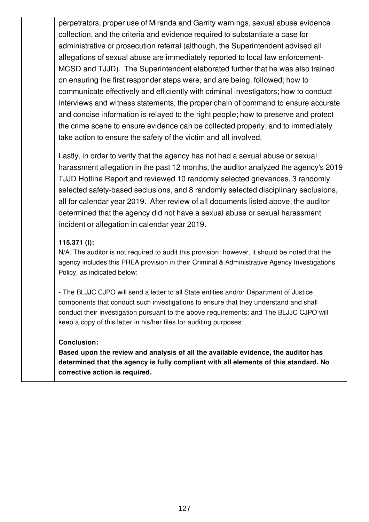perpetrators, proper use of Miranda and Garrity warnings, sexual abuse evidence collection, and the criteria and evidence required to substantiate a case for administrative or prosecution referral (although, the Superintendent advised all allegations of sexual abuse are immediately reported to local law enforcement-MCSD and TJJD). The Superintendent elaborated further that he was also trained on ensuring the first responder steps were, and are being, followed; how to communicate effectively and efficiently with criminal investigators; how to conduct interviews and witness statements, the proper chain of command to ensure accurate and concise information is relayed to the right people; how to preserve and protect the crime scene to ensure evidence can be collected properly; and to immediately take action to ensure the safety of the victim and all involved.

Lastly, in order to verify that the agency has not had a sexual abuse or sexual harassment allegation in the past 12 months, the auditor analyzed the agency's 2019 TJJD Hotline Report and reviewed 10 randomly selected grievances, 3 randomly selected safety-based seclusions, and 8 randomly selected disciplinary seclusions, all for calendar year 2019. After review of all documents listed above, the auditor determined that the agency did not have a sexual abuse or sexual harassment incident or allegation in calendar year 2019.

## **115.371 (l):**

N/A. The auditor is not required to audit this provision; however, it should be noted that the agency includes this PREA provision in their Criminal & Administrative Agency Investigations Policy, as indicated below:

- The BLJJC CJPO will send a letter to all State entities and/or Department of Justice components that conduct such investigations to ensure that they understand and shall conduct their investigation pursuant to the above requirements; and The BLJJC CJPO will keep a copy of this letter in his/her files for auditing purposes.

## **Conclusion:**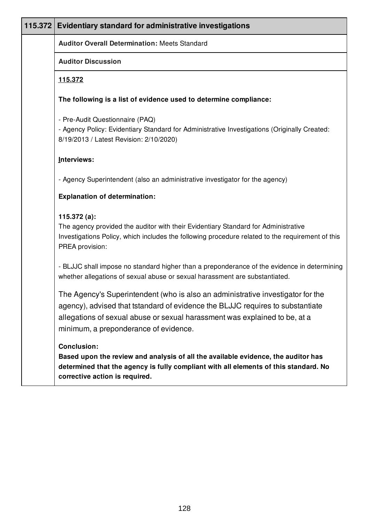| 115.372 | Evidentiary standard for administrative investigations                                                                                                                                                                                                                                   |
|---------|------------------------------------------------------------------------------------------------------------------------------------------------------------------------------------------------------------------------------------------------------------------------------------------|
|         | <b>Auditor Overall Determination: Meets Standard</b>                                                                                                                                                                                                                                     |
|         | <b>Auditor Discussion</b>                                                                                                                                                                                                                                                                |
|         | <u>115.372</u>                                                                                                                                                                                                                                                                           |
|         | The following is a list of evidence used to determine compliance:                                                                                                                                                                                                                        |
|         | - Pre-Audit Questionnaire (PAQ)<br>- Agency Policy: Evidentiary Standard for Administrative Investigations (Originally Created:<br>8/19/2013 / Latest Revision: 2/10/2020)                                                                                                               |
|         | Interviews:                                                                                                                                                                                                                                                                              |
|         | - Agency Superintendent (also an administrative investigator for the agency)                                                                                                                                                                                                             |
|         | <b>Explanation of determination:</b>                                                                                                                                                                                                                                                     |
|         | 115.372 $(a)$ :<br>The agency provided the auditor with their Evidentiary Standard for Administrative<br>Investigations Policy, which includes the following procedure related to the requirement of this<br>PREA provision:                                                             |
|         | - BLJJC shall impose no standard higher than a preponderance of the evidence in determining<br>whether allegations of sexual abuse or sexual harassment are substantiated.                                                                                                               |
|         | The Agency's Superintendent (who is also an administrative investigator for the<br>agency), advised that tstandard of evidence the BLJJC requires to substantiate<br>allegations of sexual abuse or sexual harassment was explained to be, at a<br>minimum, a preponderance of evidence. |
|         | <b>Conclusion:</b><br>Based upon the review and analysis of all the available evidence, the auditor has<br>determined that the agency is fully compliant with all elements of this standard. No<br>corrective action is required.                                                        |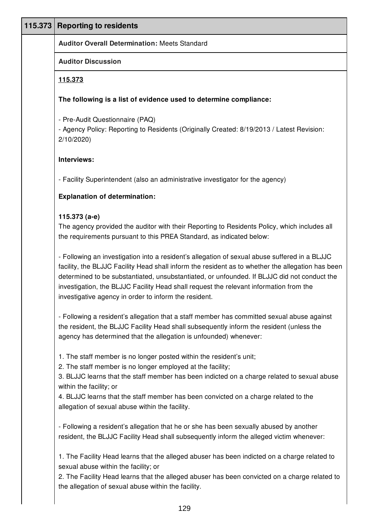| 115.373 | <b>Reporting to residents</b>                                                                                                                                                                                                                                                                                                                                                                                                                        |
|---------|------------------------------------------------------------------------------------------------------------------------------------------------------------------------------------------------------------------------------------------------------------------------------------------------------------------------------------------------------------------------------------------------------------------------------------------------------|
|         | <b>Auditor Overall Determination: Meets Standard</b>                                                                                                                                                                                                                                                                                                                                                                                                 |
|         | <b>Auditor Discussion</b>                                                                                                                                                                                                                                                                                                                                                                                                                            |
|         | 115.373                                                                                                                                                                                                                                                                                                                                                                                                                                              |
|         | The following is a list of evidence used to determine compliance:                                                                                                                                                                                                                                                                                                                                                                                    |
|         | - Pre-Audit Questionnaire (PAQ)<br>- Agency Policy: Reporting to Residents (Originally Created: 8/19/2013 / Latest Revision:<br>2/10/2020                                                                                                                                                                                                                                                                                                            |
|         | Interviews:                                                                                                                                                                                                                                                                                                                                                                                                                                          |
|         | - Facility Superintendent (also an administrative investigator for the agency)                                                                                                                                                                                                                                                                                                                                                                       |
|         | <b>Explanation of determination:</b>                                                                                                                                                                                                                                                                                                                                                                                                                 |
|         | 115.373 (a-e)<br>The agency provided the auditor with their Reporting to Residents Policy, which includes all<br>the requirements pursuant to this PREA Standard, as indicated below:                                                                                                                                                                                                                                                                |
|         | - Following an investigation into a resident's allegation of sexual abuse suffered in a BLJJC<br>facility, the BLJJC Facility Head shall inform the resident as to whether the allegation has been<br>determined to be substantiated, unsubstantiated, or unfounded. If BLJJC did not conduct the<br>investigation, the BLJJC Facility Head shall request the relevant information from the<br>investigative agency in order to inform the resident. |
|         | - Following a resident's allegation that a staff member has committed sexual abuse against<br>the resident, the BLJJC Facility Head shall subsequently inform the resident (unless the<br>agency has determined that the allegation is unfounded) whenever:                                                                                                                                                                                          |
|         | 1. The staff member is no longer posted within the resident's unit;<br>2. The staff member is no longer employed at the facility;<br>3. BLJJC learns that the staff member has been indicted on a charge related to sexual abuse<br>within the facility; or                                                                                                                                                                                          |
|         | 4. BLJJC learns that the staff member has been convicted on a charge related to the<br>allegation of sexual abuse within the facility.                                                                                                                                                                                                                                                                                                               |
|         | - Following a resident's allegation that he or she has been sexually abused by another<br>resident, the BLJJC Facility Head shall subsequently inform the alleged victim whenever:                                                                                                                                                                                                                                                                   |
|         | 1. The Facility Head learns that the alleged abuser has been indicted on a charge related to<br>sexual abuse within the facility; or                                                                                                                                                                                                                                                                                                                 |
|         | 2. The Facility Head learns that the alleged abuser has been convicted on a charge related to<br>the allegation of sexual abuse within the facility.                                                                                                                                                                                                                                                                                                 |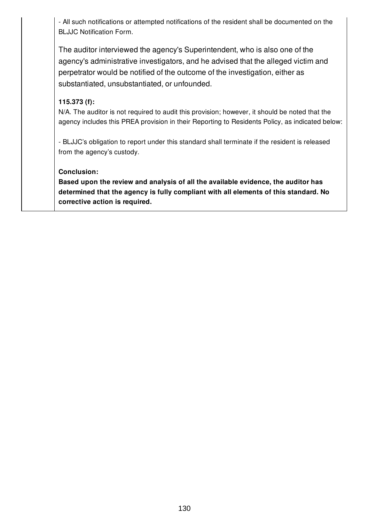- All such notifications or attempted notifications of the resident shall be documented on the BLJJC Notification Form.

The auditor interviewed the agency's Superintendent, who is also one of the agency's administrative investigators, and he advised that the alleged victim and perpetrator would be notified of the outcome of the investigation, either as substantiated, unsubstantiated, or unfounded.

## **115.373 (f):**

N/A. The auditor is not required to audit this provision; however, it should be noted that the agency includes this PREA provision in their Reporting to Residents Policy, as indicated below:

- BLJJC's obligation to report under this standard shall terminate if the resident is released from the agency's custody.

#### **Conclusion:**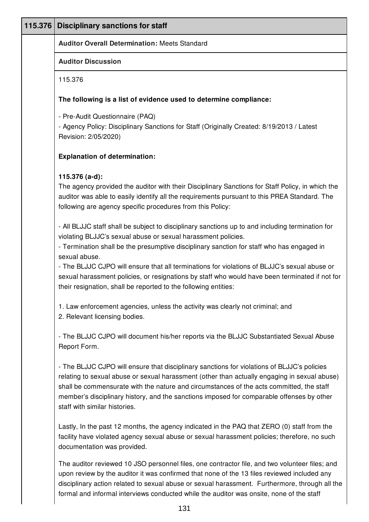| 115.376 | <b>Disciplinary sanctions for staff</b>                                                                                                                                                                                                                                                                                                                                                                               |
|---------|-----------------------------------------------------------------------------------------------------------------------------------------------------------------------------------------------------------------------------------------------------------------------------------------------------------------------------------------------------------------------------------------------------------------------|
|         | <b>Auditor Overall Determination: Meets Standard</b>                                                                                                                                                                                                                                                                                                                                                                  |
|         | <b>Auditor Discussion</b>                                                                                                                                                                                                                                                                                                                                                                                             |
|         | 115.376                                                                                                                                                                                                                                                                                                                                                                                                               |
|         | The following is a list of evidence used to determine compliance:                                                                                                                                                                                                                                                                                                                                                     |
|         | - Pre-Audit Questionnaire (PAQ)                                                                                                                                                                                                                                                                                                                                                                                       |
|         | - Agency Policy: Disciplinary Sanctions for Staff (Originally Created: 8/19/2013 / Latest<br>Revision: 2/05/2020)                                                                                                                                                                                                                                                                                                     |
|         | <b>Explanation of determination:</b>                                                                                                                                                                                                                                                                                                                                                                                  |
|         | 115.376 (a-d):                                                                                                                                                                                                                                                                                                                                                                                                        |
|         | The agency provided the auditor with their Disciplinary Sanctions for Staff Policy, in which the<br>auditor was able to easily identify all the requirements pursuant to this PREA Standard. The<br>following are agency specific procedures from this Policy:                                                                                                                                                        |
|         | - All BLJJC staff shall be subject to disciplinary sanctions up to and including termination for<br>violating BLJJC's sexual abuse or sexual harassment policies.<br>- Termination shall be the presumptive disciplinary sanction for staff who has engaged in<br>sexual abuse.                                                                                                                                       |
|         | - The BLJJC CJPO will ensure that all terminations for violations of BLJJC's sexual abuse or<br>sexual harassment policies, or resignations by staff who would have been terminated if not for<br>their resignation, shall be reported to the following entities:                                                                                                                                                     |
|         | 1. Law enforcement agencies, unless the activity was clearly not criminal; and<br>2. Relevant licensing bodies.                                                                                                                                                                                                                                                                                                       |
|         | - The BLJJC CJPO will document his/her reports via the BLJJC Substantiated Sexual Abuse<br>Report Form.                                                                                                                                                                                                                                                                                                               |
|         | - The BLJJC CJPO will ensure that disciplinary sanctions for violations of BLJJC's policies<br>relating to sexual abuse or sexual harassment (other than actually engaging in sexual abuse)<br>shall be commensurate with the nature and circumstances of the acts committed, the staff<br>member's disciplinary history, and the sanctions imposed for comparable offenses by other<br>staff with similar histories. |
|         | Lastly, In the past 12 months, the agency indicated in the PAQ that ZERO (0) staff from the<br>facility have violated agency sexual abuse or sexual harassment policies; therefore, no such<br>documentation was provided.                                                                                                                                                                                            |
|         | The auditor reviewed 10 JSO personnel files, one contractor file, and two volunteer files; and<br>upon review by the auditor it was confirmed that none of the 13 files reviewed included any<br>disciplinary action related to sexual abuse or sexual harassment. Furthermore, through all the                                                                                                                       |

formal and informal interviews conducted while the auditor was onsite, none of the staff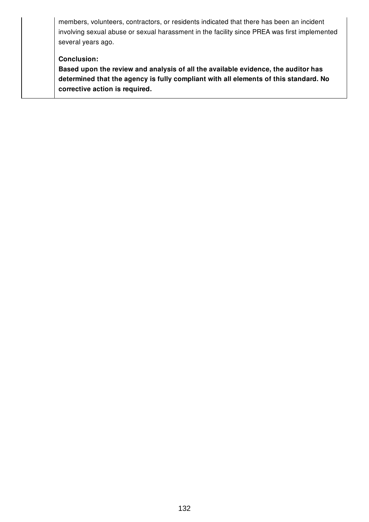members, volunteers, contractors, or residents indicated that there has been an incident involving sexual abuse or sexual harassment in the facility since PREA was first implemented several years ago.

#### **Conclusion:**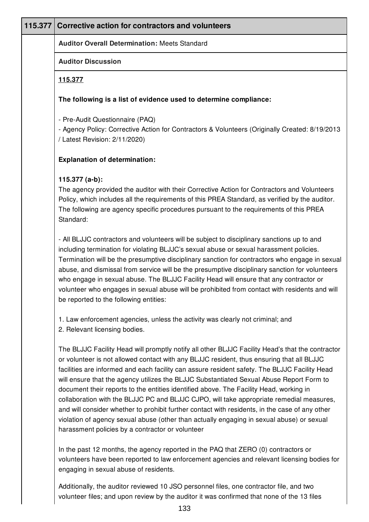## **115.377 Corrective action for contractors and volunteers**

**Auditor Overall Determination:** Meets Standard

#### **Auditor Discussion**

#### **115.377**

#### **The following is a list of evidence used to determine compliance:**

- Pre-Audit Questionnaire (PAQ)

- Agency Policy: Corrective Action for Contractors & Volunteers (Originally Created: 8/19/2013 / Latest Revision: 2/11/2020)

#### **Explanation of determination:**

#### **115.377 (a-b):**

The agency provided the auditor with their Corrective Action for Contractors and Volunteers Policy, which includes all the requirements of this PREA Standard, as verified by the auditor. The following are agency specific procedures pursuant to the requirements of this PREA Standard:

- All BLJJC contractors and volunteers will be subject to disciplinary sanctions up to and including termination for violating BLJJC's sexual abuse or sexual harassment policies. Termination will be the presumptive disciplinary sanction for contractors who engage in sexual abuse, and dismissal from service will be the presumptive disciplinary sanction for volunteers who engage in sexual abuse. The BLJJC Facility Head will ensure that any contractor or volunteer who engages in sexual abuse will be prohibited from contact with residents and will be reported to the following entities:

1. Law enforcement agencies, unless the activity was clearly not criminal; and 2. Relevant licensing bodies.

The BLJJC Facility Head will promptly notify all other BLJJC Facility Head's that the contractor or volunteer is not allowed contact with any BLJJC resident, thus ensuring that all BLJJC facilities are informed and each facility can assure resident safety. The BLJJC Facility Head will ensure that the agency utilizes the BLJJC Substantiated Sexual Abuse Report Form to document their reports to the entities identified above. The Facility Head, working in collaboration with the BLJJC PC and BLJJC CJPO, will take appropriate remedial measures, and will consider whether to prohibit further contact with residents, in the case of any other violation of agency sexual abuse (other than actually engaging in sexual abuse) or sexual harassment policies by a contractor or volunteer

In the past 12 months, the agency reported in the PAQ that ZERO (0) contractors or volunteers have been reported to law enforcement agencies and relevant licensing bodies for engaging in sexual abuse of residents.

Additionally, the auditor reviewed 10 JSO personnel files, one contractor file, and two volunteer files; and upon review by the auditor it was confirmed that none of the 13 files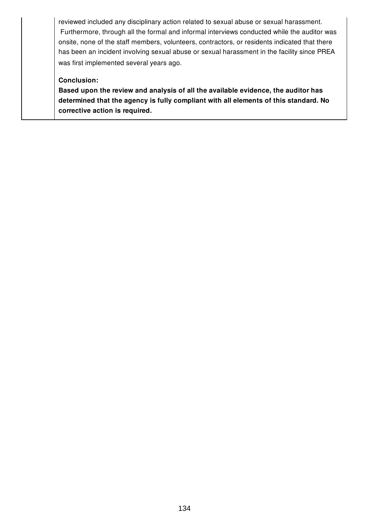reviewed included any disciplinary action related to sexual abuse or sexual harassment. Furthermore, through all the formal and informal interviews conducted while the auditor was onsite, none of the staff members, volunteers, contractors, or residents indicated that there has been an incident involving sexual abuse or sexual harassment in the facility since PREA was first implemented several years ago.

#### **Conclusion:**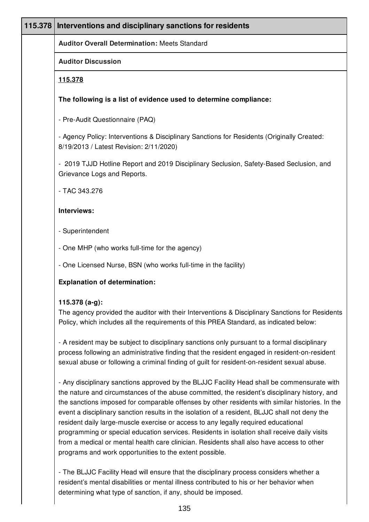| 115.378 | Interventions and disciplinary sanctions for residents                                                                                                                                                                                                                                                                                                                                                                                                                                                                                                                                                                                                                               |
|---------|--------------------------------------------------------------------------------------------------------------------------------------------------------------------------------------------------------------------------------------------------------------------------------------------------------------------------------------------------------------------------------------------------------------------------------------------------------------------------------------------------------------------------------------------------------------------------------------------------------------------------------------------------------------------------------------|
|         | <b>Auditor Overall Determination: Meets Standard</b>                                                                                                                                                                                                                                                                                                                                                                                                                                                                                                                                                                                                                                 |
|         | <b>Auditor Discussion</b>                                                                                                                                                                                                                                                                                                                                                                                                                                                                                                                                                                                                                                                            |
|         | 115.378                                                                                                                                                                                                                                                                                                                                                                                                                                                                                                                                                                                                                                                                              |
|         | The following is a list of evidence used to determine compliance:                                                                                                                                                                                                                                                                                                                                                                                                                                                                                                                                                                                                                    |
|         | - Pre-Audit Questionnaire (PAQ)                                                                                                                                                                                                                                                                                                                                                                                                                                                                                                                                                                                                                                                      |
|         | - Agency Policy: Interventions & Disciplinary Sanctions for Residents (Originally Created:<br>8/19/2013 / Latest Revision: 2/11/2020)                                                                                                                                                                                                                                                                                                                                                                                                                                                                                                                                                |
|         | - 2019 TJJD Hotline Report and 2019 Disciplinary Seclusion, Safety-Based Seclusion, and<br>Grievance Logs and Reports.                                                                                                                                                                                                                                                                                                                                                                                                                                                                                                                                                               |
|         | - TAC 343.276                                                                                                                                                                                                                                                                                                                                                                                                                                                                                                                                                                                                                                                                        |
|         | Interviews:                                                                                                                                                                                                                                                                                                                                                                                                                                                                                                                                                                                                                                                                          |
|         | - Superintendent                                                                                                                                                                                                                                                                                                                                                                                                                                                                                                                                                                                                                                                                     |
|         | - One MHP (who works full-time for the agency)                                                                                                                                                                                                                                                                                                                                                                                                                                                                                                                                                                                                                                       |
|         | - One Licensed Nurse, BSN (who works full-time in the facility)                                                                                                                                                                                                                                                                                                                                                                                                                                                                                                                                                                                                                      |
|         | <b>Explanation of determination:</b>                                                                                                                                                                                                                                                                                                                                                                                                                                                                                                                                                                                                                                                 |
|         | 115.378 (a-g):                                                                                                                                                                                                                                                                                                                                                                                                                                                                                                                                                                                                                                                                       |
|         | The agency provided the auditor with their Interventions & Disciplinary Sanctions for Residents<br>Policy, which includes all the requirements of this PREA Standard, as indicated below:                                                                                                                                                                                                                                                                                                                                                                                                                                                                                            |
|         | - A resident may be subject to disciplinary sanctions only pursuant to a formal disciplinary<br>process following an administrative finding that the resident engaged in resident-on-resident<br>sexual abuse or following a criminal finding of guilt for resident-on-resident sexual abuse.                                                                                                                                                                                                                                                                                                                                                                                        |
|         | - Any disciplinary sanctions approved by the BLJJC Facility Head shall be commensurate with<br>the nature and circumstances of the abuse committed, the resident's disciplinary history, and<br>the sanctions imposed for comparable offenses by other residents with similar histories. In the<br>event a disciplinary sanction results in the isolation of a resident, BLJJC shall not deny the<br>resident daily large-muscle exercise or access to any legally required educational<br>programming or special education services. Residents in isolation shall receive daily visits<br>from a medical or mental health care clinician. Residents shall also have access to other |

programs and work opportunities to the extent possible.

- The BLJJC Facility Head will ensure that the disciplinary process considers whether a resident's mental disabilities or mental illness contributed to his or her behavior when determining what type of sanction, if any, should be imposed.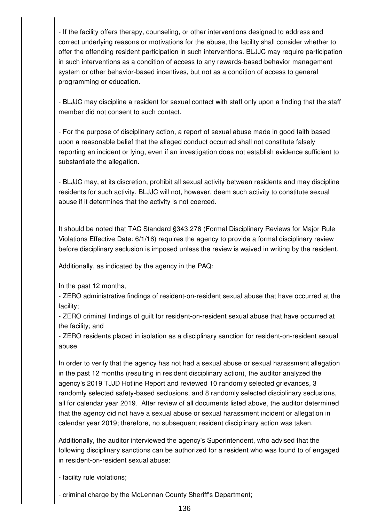- If the facility offers therapy, counseling, or other interventions designed to address and correct underlying reasons or motivations for the abuse, the facility shall consider whether to offer the offending resident participation in such interventions. BLJJC may require participation in such interventions as a condition of access to any rewards-based behavior management system or other behavior-based incentives, but not as a condition of access to general programming or education.

- BLJJC may discipline a resident for sexual contact with staff only upon a finding that the staff member did not consent to such contact.

- For the purpose of disciplinary action, a report of sexual abuse made in good faith based upon a reasonable belief that the alleged conduct occurred shall not constitute falsely reporting an incident or lying, even if an investigation does not establish evidence sufficient to substantiate the allegation.

- BLJJC may, at its discretion, prohibit all sexual activity between residents and may discipline residents for such activity. BLJJC will not, however, deem such activity to constitute sexual abuse if it determines that the activity is not coerced.

It should be noted that TAC Standard §343.276 (Formal Disciplinary Reviews for Major Rule Violations Effective Date: 6/1/16) requires the agency to provide a formal disciplinary review before disciplinary seclusion is imposed unless the review is waived in writing by the resident.

Additionally, as indicated by the agency in the PAQ:

In the past 12 months,

- ZERO administrative findings of resident-on-resident sexual abuse that have occurred at the facility;

- ZERO criminal findings of guilt for resident-on-resident sexual abuse that have occurred at the facility; and

- ZERO residents placed in isolation as a disciplinary sanction for resident-on-resident sexual abuse.

In order to verify that the agency has not had a sexual abuse or sexual harassment allegation in the past 12 months (resulting in resident disciplinary action), the auditor analyzed the agency's 2019 TJJD Hotline Report and reviewed 10 randomly selected grievances, 3 randomly selected safety-based seclusions, and 8 randomly selected disciplinary seclusions, all for calendar year 2019. After review of all documents listed above, the auditor determined that the agency did not have a sexual abuse or sexual harassment incident or allegation in calendar year 2019; therefore, no subsequent resident disciplinary action was taken.

Additionally, the auditor interviewed the agency's Superintendent, who advised that the following disciplinary sanctions can be authorized for a resident who was found to of engaged in resident-on-resident sexual abuse:

- facility rule violations;

- criminal charge by the McLennan County Sheriff's Department;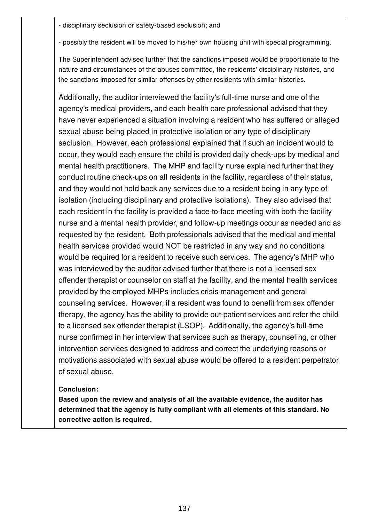- disciplinary seclusion or safety-based seclusion; and

- possibly the resident will be moved to his/her own housing unit with special programming.

The Superintendent advised further that the sanctions imposed would be proportionate to the nature and circumstances of the abuses committed, the residents' disciplinary histories, and the sanctions imposed for similar offenses by other residents with similar histories.

Additionally, the auditor interviewed the facility's full-time nurse and one of the agency's medical providers, and each health care professional advised that they have never experienced a situation involving a resident who has suffered or alleged sexual abuse being placed in protective isolation or any type of disciplinary seclusion. However, each professional explained that if such an incident would to occur, they would each ensure the child is provided daily check-ups by medical and mental health practitioners. The MHP and facility nurse explained further that they conduct routine check-ups on all residents in the facility, regardless of their status, and they would not hold back any services due to a resident being in any type of isolation (including disciplinary and protective isolations). They also advised that each resident in the facility is provided a face-to-face meeting with both the facility nurse and a mental health provider, and follow-up meetings occur as needed and as requested by the resident. Both professionals advised that the medical and mental health services provided would NOT be restricted in any way and no conditions would be required for a resident to receive such services. The agency's MHP who was interviewed by the auditor advised further that there is not a licensed sex offender therapist or counselor on staff at the facility, and the mental health services provided by the employed MHPs includes crisis management and general counseling services. However, if a resident was found to benefit from sex offender therapy, the agency has the ability to provide out-patient services and refer the child to a licensed sex offender therapist (LSOP). Additionally, the agency's full-time nurse confirmed in her interview that services such as therapy, counseling, or other intervention services designed to address and correct the underlying reasons or motivations associated with sexual abuse would be offered to a resident perpetrator of sexual abuse.

## **Conclusion:**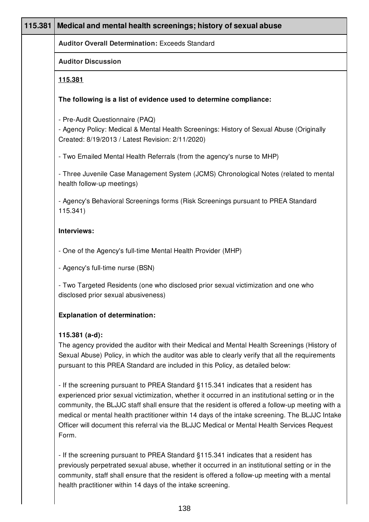| 115.381 | Medical and mental health screenings; history of sexual abuse                                                                                                                                                                                                                                                                                                                                                                                                                                         |
|---------|-------------------------------------------------------------------------------------------------------------------------------------------------------------------------------------------------------------------------------------------------------------------------------------------------------------------------------------------------------------------------------------------------------------------------------------------------------------------------------------------------------|
|         | <b>Auditor Overall Determination: Exceeds Standard</b>                                                                                                                                                                                                                                                                                                                                                                                                                                                |
|         | <b>Auditor Discussion</b>                                                                                                                                                                                                                                                                                                                                                                                                                                                                             |
|         | 115.381                                                                                                                                                                                                                                                                                                                                                                                                                                                                                               |
|         | The following is a list of evidence used to determine compliance:                                                                                                                                                                                                                                                                                                                                                                                                                                     |
|         | - Pre-Audit Questionnaire (PAQ)<br>- Agency Policy: Medical & Mental Health Screenings: History of Sexual Abuse (Originally<br>Created: 8/19/2013 / Latest Revision: 2/11/2020)                                                                                                                                                                                                                                                                                                                       |
|         | - Two Emailed Mental Health Referrals (from the agency's nurse to MHP)                                                                                                                                                                                                                                                                                                                                                                                                                                |
|         | - Three Juvenile Case Management System (JCMS) Chronological Notes (related to mental<br>health follow-up meetings)                                                                                                                                                                                                                                                                                                                                                                                   |
|         | - Agency's Behavioral Screenings forms (Risk Screenings pursuant to PREA Standard<br>115.341)                                                                                                                                                                                                                                                                                                                                                                                                         |
|         | Interviews:                                                                                                                                                                                                                                                                                                                                                                                                                                                                                           |
|         | - One of the Agency's full-time Mental Health Provider (MHP)                                                                                                                                                                                                                                                                                                                                                                                                                                          |
|         | - Agency's full-time nurse (BSN)                                                                                                                                                                                                                                                                                                                                                                                                                                                                      |
|         | - Two Targeted Residents (one who disclosed prior sexual victimization and one who<br>disclosed prior sexual abusiveness)                                                                                                                                                                                                                                                                                                                                                                             |
|         | <b>Explanation of determination:</b>                                                                                                                                                                                                                                                                                                                                                                                                                                                                  |
|         | 115.381 $(a-d)$ :<br>The agency provided the auditor with their Medical and Mental Health Screenings (History of<br>Sexual Abuse) Policy, in which the auditor was able to clearly verify that all the requirements<br>pursuant to this PREA Standard are included in this Policy, as detailed below:                                                                                                                                                                                                 |
|         | - If the screening pursuant to PREA Standard §115.341 indicates that a resident has<br>experienced prior sexual victimization, whether it occurred in an institutional setting or in the<br>community, the BLJJC staff shall ensure that the resident is offered a follow-up meeting with a<br>medical or mental health practitioner within 14 days of the intake screening. The BLJJC Intake<br>Officer will document this referral via the BLJJC Medical or Mental Health Services Request<br>Form. |
|         | - If the screening pursuant to PREA Standard §115.341 indicates that a resident has<br>previously perpetrated sexual abuse, whether it occurred in an institutional setting or in the<br>community, staff shall ensure that the resident is offered a follow-up meeting with a mental                                                                                                                                                                                                                 |

health practitioner within 14 days of the intake screening.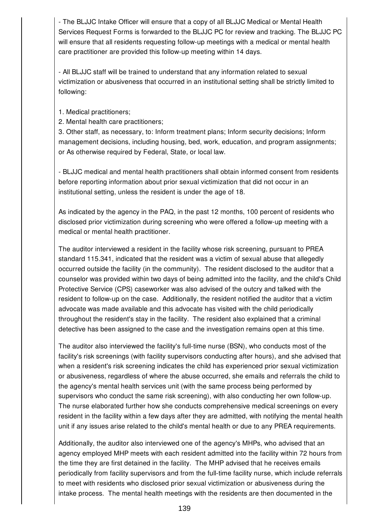- The BLJJC Intake Officer will ensure that a copy of all BLJJC Medical or Mental Health Services Request Forms is forwarded to the BLJJC PC for review and tracking. The BLJJC PC will ensure that all residents requesting follow-up meetings with a medical or mental health care practitioner are provided this follow-up meeting within 14 days.

- All BLJJC staff will be trained to understand that any information related to sexual victimization or abusiveness that occurred in an institutional setting shall be strictly limited to following:

1. Medical practitioners;

2. Mental health care practitioners;

3. Other staff, as necessary, to: Inform treatment plans; Inform security decisions; Inform management decisions, including housing, bed, work, education, and program assignments; or As otherwise required by Federal, State, or local law.

- BLJJC medical and mental health practitioners shall obtain informed consent from residents before reporting information about prior sexual victimization that did not occur in an institutional setting, unless the resident is under the age of 18.

As indicated by the agency in the PAQ, in the past 12 months, 100 percent of residents who disclosed prior victimization during screening who were offered a follow-up meeting with a medical or mental health practitioner.

The auditor interviewed a resident in the facility whose risk screening, pursuant to PREA standard 115.341, indicated that the resident was a victim of sexual abuse that allegedly occurred outside the facility (in the community). The resident disclosed to the auditor that a counselor was provided within two days of being admitted into the facility, and the child's Child Protective Service (CPS) caseworker was also advised of the outcry and talked with the resident to follow-up on the case. Additionally, the resident notified the auditor that a victim advocate was made available and this advocate has visited with the child periodically throughout the resident's stay in the facility. The resident also explained that a criminal detective has been assigned to the case and the investigation remains open at this time.

The auditor also interviewed the facility's full-time nurse (BSN), who conducts most of the facility's risk screenings (with facility supervisors conducting after hours), and she advised that when a resident's risk screening indicates the child has experienced prior sexual victimization or abusiveness, regardless of where the abuse occurred, she emails and referrals the child to the agency's mental health services unit (with the same process being performed by supervisors who conduct the same risk screening), with also conducting her own follow-up. The nurse elaborated further how she conducts comprehensive medical screenings on every resident in the facility within a few days after they are admitted, with notifying the mental health unit if any issues arise related to the child's mental health or due to any PREA requirements.

Additionally, the auditor also interviewed one of the agency's MHPs, who advised that an agency employed MHP meets with each resident admitted into the facility within 72 hours from the time they are first detained in the facility. The MHP advised that he receives emails periodically from facility supervisors and from the full-time facility nurse, which include referrals to meet with residents who disclosed prior sexual victimization or abusiveness during the intake process. The mental health meetings with the residents are then documented in the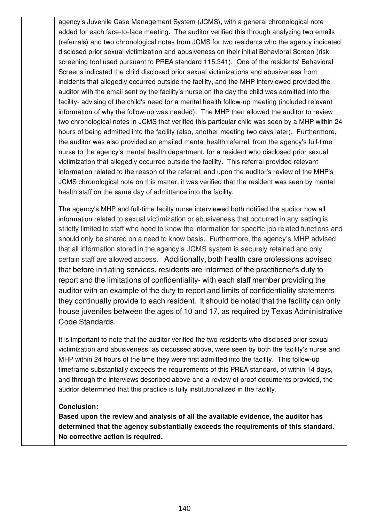agency's Juvenile Case Management System (JCMS), with a general chronological note added for each face-to-face meeting. The auditor verified this through analyzing two emails (referrals) and two chronological notes from JCMS for two residents who the agency indicated disclosed prior sexual victimization and abusiveness on their initial Behavioral Screen (risk screening tool used pursuant to PREA standard 115.341). One of the residents' Behavioral Screens indicated the child disclosed prior sexual victimizations and abusiveness from incidents that allegedly occurred outside the facility, and the MHP interviewed provided the auditor with the email sent by the facility's nurse on the day the child was admitted into the facility- advising of the child's need for a mental health follow-up meeting (included relevant information of why the follow-up was needed). The MHP then allowed the auditor to review two chronological notes in JCMS that verified this particular child was seen by a MHP within 24 hours of being admitted into the facility (also, another meeting two days later). Furthermore, the auditor was also provided an emailed mental health referral, from the agency's full-time nurse to the agency's mental health department, for a resident who disclosed prior sexual victimization that allegedly occurred outside the facility. This referral provided relevant information related to the reason of the referral; and upon the auditor's review of the MHP's JCMS chronological note on this matter, it was verified that the resident was seen by mental health staff on the same day of admittance into the facility.

The agency's MHP and full-time facilty nurse interviewed both notified the auditor how all information related to sexual victimization or abusiveness that occurred in any setting is strictly limited to staff who need to know the information for specific job related functions and should only be shared on a need to know basis. Furthermore, the agency's MHP advised that all information stored in the agency's JCMS system is securely retained and only certain staff are allowed access. Additionally, both health care professions advised that before initiating services, residents are informed of the practitioner's duty to report and the limitations of confidentiality- with each staff member providing the auditor with an example of the duty to report and limits of confidentiality statements they continually provide to each resident. It should be noted that the facility can only house juveniles between the ages of 10 and 17, as required by Texas Administrative Code Standards.

It is important to note that the auditor verified the two residents who disclosed prior sexual victimization and abusiveness, as discussed above, were seen by both the facility's nurse and MHP within 24 hours of the time they were first admitted into the facility. This follow-up timeframe substantially exceeds the requirements of this PREA standard, of within 14 days, and through the interviews described above and a review of proof documents provided, the auditor determined that this practice is fully institutionalized in the facility.

#### **Conclusion:**

**Based upon the review and analysis of all the available evidence, the auditor has determined that the agency substantially exceeds the requirements of this standard. No corrective action is required.**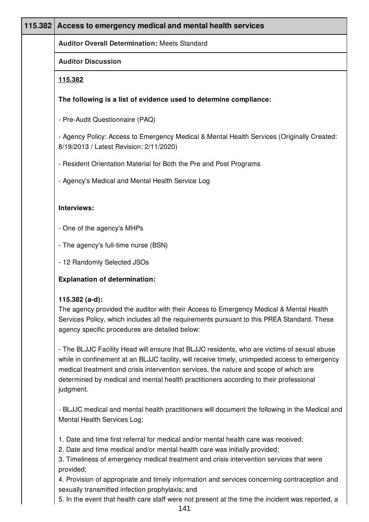| 115.382 | Access to emergency medical and mental health services                                                                                                                                                                                                                                                                                                                                      |
|---------|---------------------------------------------------------------------------------------------------------------------------------------------------------------------------------------------------------------------------------------------------------------------------------------------------------------------------------------------------------------------------------------------|
|         | <b>Auditor Overall Determination: Meets Standard</b>                                                                                                                                                                                                                                                                                                                                        |
|         | <b>Auditor Discussion</b>                                                                                                                                                                                                                                                                                                                                                                   |
|         | <u>115.382</u>                                                                                                                                                                                                                                                                                                                                                                              |
|         | The following is a list of evidence used to determine compliance:                                                                                                                                                                                                                                                                                                                           |
|         | - Pre-Audit Questionnaire (PAQ)                                                                                                                                                                                                                                                                                                                                                             |
|         | - Agency Policy: Access to Emergency Medical & Mental Health Services (Originally Created:<br>8/19/2013 / Latest Revision: 2/11/2020)                                                                                                                                                                                                                                                       |
|         | - Resident Orientation Material for Both the Pre and Post Programs                                                                                                                                                                                                                                                                                                                          |
|         | - Agency's Medical and Mental Health Service Log                                                                                                                                                                                                                                                                                                                                            |
|         | Interviews:                                                                                                                                                                                                                                                                                                                                                                                 |
|         |                                                                                                                                                                                                                                                                                                                                                                                             |
|         | - One of the agency's MHPs                                                                                                                                                                                                                                                                                                                                                                  |
|         | - The agency's full-time nurse (BSN)                                                                                                                                                                                                                                                                                                                                                        |
|         | - 12 Randomly Selected JSOs                                                                                                                                                                                                                                                                                                                                                                 |
|         | <b>Explanation of determination:</b>                                                                                                                                                                                                                                                                                                                                                        |
|         | 115.382 $(a-d)$ :<br>The agency provided the auditor with their Access to Emergency Medical & Mental Health<br>Services Policy, which includes all the requirements pursuant to this PREA Standard. These<br>agency specific procedures are detailed below:                                                                                                                                 |
|         | - The BLJJC Facility Head will ensure that BLJJC residents, who are victims of sexual abuse<br>while in confinement at an BLJJC facility, will receive timely, unimpeded access to emergency<br>medical treatment and crisis intervention services, the nature and scope of which are<br>determined by medical and mental health practitioners according to their professional<br>judgment. |
|         | - BLJJC medical and mental health practitioners will document the following in the Medical and<br>Mental Health Services Log:                                                                                                                                                                                                                                                               |
|         | 1. Date and time first referral for medical and/or mental health care was received;<br>2. Date and time medical and/or mental health care was initially provided;<br>3. Timeliness of emergency medical treatment and crisis intervention services that were                                                                                                                                |

provided;

4. Provision of appropriate and timely information and services concerning contraception and sexually transmitted infection prophylaxis; and

5. In the event that health care staff were not present at the time the incident was reported, a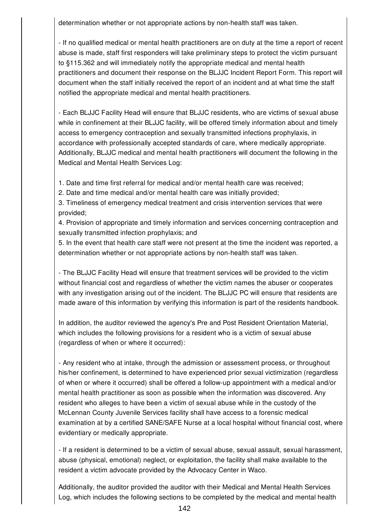determination whether or not appropriate actions by non-health staff was taken.

- If no qualified medical or mental health practitioners are on duty at the time a report of recent abuse is made, staff first responders will take preliminary steps to protect the victim pursuant to §115.362 and will immediately notify the appropriate medical and mental health practitioners and document their response on the BLJJC Incident Report Form. This report will document when the staff initially received the report of an incident and at what time the staff notified the appropriate medical and mental health practitioners.

- Each BLJJC Facility Head will ensure that BLJJC residents, who are victims of sexual abuse while in confinement at their BLJJC facility, will be offered timely information about and timely access to emergency contraception and sexually transmitted infections prophylaxis, in accordance with professionally accepted standards of care, where medically appropriate. Additionally, BLJJC medical and mental health practitioners will document the following in the Medical and Mental Health Services Log:

1. Date and time first referral for medical and/or mental health care was received;

2. Date and time medical and/or mental health care was initially provided;

3. Timeliness of emergency medical treatment and crisis intervention services that were provided;

4. Provision of appropriate and timely information and services concerning contraception and sexually transmitted infection prophylaxis; and

5. In the event that health care staff were not present at the time the incident was reported, a determination whether or not appropriate actions by non-health staff was taken.

- The BLJJC Facility Head will ensure that treatment services will be provided to the victim without financial cost and regardless of whether the victim names the abuser or cooperates with any investigation arising out of the incident. The BLJJC PC will ensure that residents are made aware of this information by verifying this information is part of the residents handbook.

In addition, the auditor reviewed the agency's Pre and Post Resident Orientation Material, which includes the following provisions for a resident who is a victim of sexual abuse (regardless of when or where it occurred):

- Any resident who at intake, through the admission or assessment process, or throughout his/her confinement, is determined to have experienced prior sexual victimization (regardless of when or where it occurred) shall be offered a follow-up appointment with a medical and/or mental health practitioner as soon as possible when the information was discovered. Any resident who alleges to have been a victim of sexual abuse while in the custody of the McLennan County Juvenile Services facility shall have access to a forensic medical examination at by a certified SANE/SAFE Nurse at a local hospital without financial cost, where evidentiary or medically appropriate.

- If a resident is determined to be a victim of sexual abuse, sexual assault, sexual harassment, abuse (physical, emotional) neglect, or exploitation, the facility shall make available to the resident a victim advocate provided by the Advocacy Center in Waco.

Additionally, the auditor provided the auditor with their Medical and Mental Health Services Log, which includes the following sections to be completed by the medical and mental health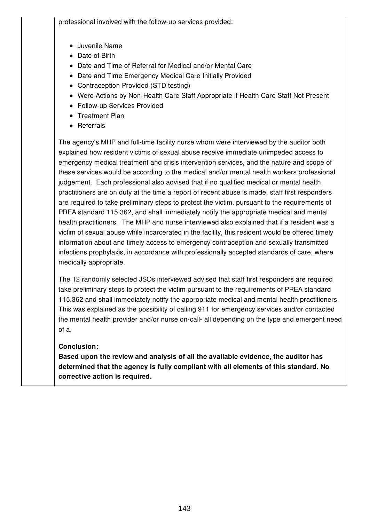professional involved with the follow-up services provided:

- Juvenile Name
- Date of Birth
- Date and Time of Referral for Medical and/or Mental Care
- Date and Time Emergency Medical Care Initially Provided
- Contraception Provided (STD testing)
- Were Actions by Non-Health Care Staff Appropriate if Health Care Staff Not Present
- Follow-up Services Provided
- Treatment Plan
- Referrals

The agency's MHP and full-time facility nurse whom were interviewed by the auditor both explained how resident victims of sexual abuse receive immediate unimpeded access to emergency medical treatment and crisis intervention services, and the nature and scope of these services would be according to the medical and/or mental health workers professional judgement. Each professional also advised that if no qualified medical or mental health practitioners are on duty at the time a report of recent abuse is made, staff first responders are required to take preliminary steps to protect the victim, pursuant to the requirements of PREA standard 115.362, and shall immediately notify the appropriate medical and mental health practitioners. The MHP and nurse interviewed also explained that if a resident was a victim of sexual abuse while incarcerated in the facility, this resident would be offered timely information about and timely access to emergency contraception and sexually transmitted infections prophylaxis, in accordance with professionally accepted standards of care, where medically appropriate.

The 12 randomly selected JSOs interviewed advised that staff first responders are required take preliminary steps to protect the victim pursuant to the requirements of PREA standard 115.362 and shall immediately notify the appropriate medical and mental health practitioners. This was explained as the possibility of calling 911 for emergency services and/or contacted the mental health provider and/or nurse on-call- all depending on the type and emergent need of a.

## **Conclusion:**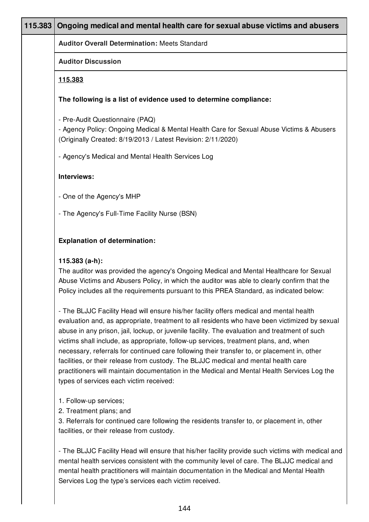| 115.383 | Ongoing medical and mental health care for sexual abuse victims and abusers                                                                                                                                                                                                                                                                                                                                                                                                                                                                                                                                                                                                                                        |
|---------|--------------------------------------------------------------------------------------------------------------------------------------------------------------------------------------------------------------------------------------------------------------------------------------------------------------------------------------------------------------------------------------------------------------------------------------------------------------------------------------------------------------------------------------------------------------------------------------------------------------------------------------------------------------------------------------------------------------------|
|         | <b>Auditor Overall Determination: Meets Standard</b>                                                                                                                                                                                                                                                                                                                                                                                                                                                                                                                                                                                                                                                               |
|         | <b>Auditor Discussion</b>                                                                                                                                                                                                                                                                                                                                                                                                                                                                                                                                                                                                                                                                                          |
|         | 115.383                                                                                                                                                                                                                                                                                                                                                                                                                                                                                                                                                                                                                                                                                                            |
|         | The following is a list of evidence used to determine compliance:                                                                                                                                                                                                                                                                                                                                                                                                                                                                                                                                                                                                                                                  |
|         | - Pre-Audit Questionnaire (PAQ)<br>- Agency Policy: Ongoing Medical & Mental Health Care for Sexual Abuse Victims & Abusers<br>(Originally Created: 8/19/2013 / Latest Revision: 2/11/2020)                                                                                                                                                                                                                                                                                                                                                                                                                                                                                                                        |
|         | - Agency's Medical and Mental Health Services Log                                                                                                                                                                                                                                                                                                                                                                                                                                                                                                                                                                                                                                                                  |
|         | Interviews:                                                                                                                                                                                                                                                                                                                                                                                                                                                                                                                                                                                                                                                                                                        |
|         | - One of the Agency's MHP                                                                                                                                                                                                                                                                                                                                                                                                                                                                                                                                                                                                                                                                                          |
|         | - The Agency's Full-Time Facility Nurse (BSN)                                                                                                                                                                                                                                                                                                                                                                                                                                                                                                                                                                                                                                                                      |
|         | <b>Explanation of determination:</b>                                                                                                                                                                                                                                                                                                                                                                                                                                                                                                                                                                                                                                                                               |
|         | $115.383$ (a-h):<br>The auditor was provided the agency's Ongoing Medical and Mental Healthcare for Sexual<br>Abuse Victims and Abusers Policy, in which the auditor was able to clearly confirm that the<br>Policy includes all the requirements pursuant to this PREA Standard, as indicated below:                                                                                                                                                                                                                                                                                                                                                                                                              |
|         | - The BLJJC Facility Head will ensure his/her facility offers medical and mental health<br>evaluation and, as appropriate, treatment to all residents who have been victimized by sexual<br>abuse in any prison, jail, lockup, or juvenile facility. The evaluation and treatment of such<br>victims shall include, as appropriate, follow-up services, treatment plans, and, when<br>necessary, referrals for continued care following their transfer to, or placement in, other<br>facilities, or their release from custody. The BLJJC medical and mental health care<br>practitioners will maintain documentation in the Medical and Mental Health Services Log the<br>types of services each victim received: |
|         | 1. Follow-up services;<br>2. Treatment plans; and<br>3. Referrals for continued care following the residents transfer to, or placement in, other<br>facilities, or their release from custody.                                                                                                                                                                                                                                                                                                                                                                                                                                                                                                                     |
|         | - The BLJJC Facility Head will ensure that his/her facility provide such victims with medical and                                                                                                                                                                                                                                                                                                                                                                                                                                                                                                                                                                                                                  |

mental health services consistent with the community level of care. The BLJJC medical and mental health practitioners will maintain documentation in the Medical and Mental Health Services Log the type's services each victim received.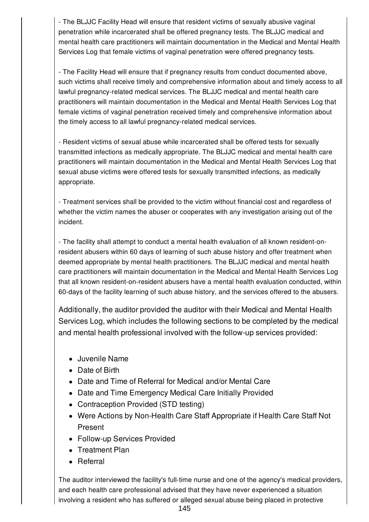- The BLJJC Facility Head will ensure that resident victims of sexually abusive vaginal penetration while incarcerated shall be offered pregnancy tests. The BLJJC medical and mental health care practitioners will maintain documentation in the Medical and Mental Health Services Log that female victims of vaginal penetration were offered pregnancy tests.

- The Facility Head will ensure that if pregnancy results from conduct documented above, such victims shall receive timely and comprehensive information about and timely access to all lawful pregnancy-related medical services. The BLJJC medical and mental health care practitioners will maintain documentation in the Medical and Mental Health Services Log that female victims of vaginal penetration received timely and comprehensive information about the timely access to all lawful pregnancy-related medical services.

- Resident victims of sexual abuse while incarcerated shall be offered tests for sexually transmitted infections as medically appropriate. The BLJJC medical and mental health care practitioners will maintain documentation in the Medical and Mental Health Services Log that sexual abuse victims were offered tests for sexually transmitted infections, as medically appropriate.

- Treatment services shall be provided to the victim without financial cost and regardless of whether the victim names the abuser or cooperates with any investigation arising out of the incident.

- The facility shall attempt to conduct a mental health evaluation of all known resident-onresident abusers within 60 days of learning of such abuse history and offer treatment when deemed appropriate by mental health practitioners. The BLJJC medical and mental health care practitioners will maintain documentation in the Medical and Mental Health Services Log that all known resident-on-resident abusers have a mental health evaluation conducted, within 60-days of the facility learning of such abuse history, and the services offered to the abusers.

Additionally, the auditor provided the auditor with their Medical and Mental Health Services Log, which includes the following sections to be completed by the medical and mental health professional involved with the follow-up services provided:

- Juvenile Name
- Date of Birth
- Date and Time of Referral for Medical and/or Mental Care
- Date and Time Emergency Medical Care Initially Provided
- Contraception Provided (STD testing)
- Were Actions by Non-Health Care Staff Appropriate if Health Care Staff Not Present
- Follow-up Services Provided
- Treatment Plan
- Referral

The auditor interviewed the facility's full-time nurse and one of the agency's medical providers, and each health care professional advised that they have never experienced a situation involving a resident who has suffered or alleged sexual abuse being placed in protective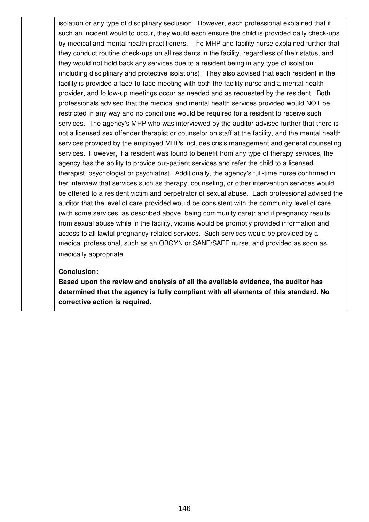isolation or any type of disciplinary seclusion. However, each professional explained that if such an incident would to occur, they would each ensure the child is provided daily check-ups by medical and mental health practitioners. The MHP and facility nurse explained further that they conduct routine check-ups on all residents in the facility, regardless of their status, and they would not hold back any services due to a resident being in any type of isolation (including disciplinary and protective isolations). They also advised that each resident in the facility is provided a face-to-face meeting with both the facility nurse and a mental health provider, and follow-up meetings occur as needed and as requested by the resident. Both professionals advised that the medical and mental health services provided would NOT be restricted in any way and no conditions would be required for a resident to receive such services. The agency's MHP who was interviewed by the auditor advised further that there is not a licensed sex offender therapist or counselor on staff at the facility, and the mental health services provided by the employed MHPs includes crisis management and general counseling services. However, if a resident was found to benefit from any type of therapy services, the agency has the ability to provide out-patient services and refer the child to a licensed therapist, psychologist or psychiatrist. Additionally, the agency's full-time nurse confirmed in her interview that services such as therapy, counseling, or other intervention services would be offered to a resident victim and perpetrator of sexual abuse. Each professional advised the auditor that the level of care provided would be consistent with the community level of care (with some services, as described above, being community care); and if pregnancy results from sexual abuse while in the facility, victims would be promptly provided information and access to all lawful pregnancy-related services. Such services would be provided by a medical professional, such as an OBGYN or SANE/SAFE nurse, and provided as soon as medically appropriate.

#### **Conclusion:**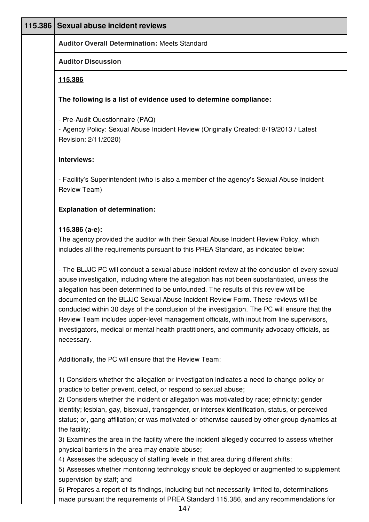| 115.386                                                                                                                                                                                      | <b>Sexual abuse incident reviews</b>                                                                                                                                                                                                                                                                                                                                                                                                                                                                                                                                                                                                                                          |  |  |
|----------------------------------------------------------------------------------------------------------------------------------------------------------------------------------------------|-------------------------------------------------------------------------------------------------------------------------------------------------------------------------------------------------------------------------------------------------------------------------------------------------------------------------------------------------------------------------------------------------------------------------------------------------------------------------------------------------------------------------------------------------------------------------------------------------------------------------------------------------------------------------------|--|--|
|                                                                                                                                                                                              | <b>Auditor Overall Determination: Meets Standard</b>                                                                                                                                                                                                                                                                                                                                                                                                                                                                                                                                                                                                                          |  |  |
|                                                                                                                                                                                              | <b>Auditor Discussion</b>                                                                                                                                                                                                                                                                                                                                                                                                                                                                                                                                                                                                                                                     |  |  |
|                                                                                                                                                                                              | 115.386                                                                                                                                                                                                                                                                                                                                                                                                                                                                                                                                                                                                                                                                       |  |  |
|                                                                                                                                                                                              | The following is a list of evidence used to determine compliance:                                                                                                                                                                                                                                                                                                                                                                                                                                                                                                                                                                                                             |  |  |
|                                                                                                                                                                                              | - Pre-Audit Questionnaire (PAQ)<br>- Agency Policy: Sexual Abuse Incident Review (Originally Created: 8/19/2013 / Latest<br>Revision: 2/11/2020)                                                                                                                                                                                                                                                                                                                                                                                                                                                                                                                              |  |  |
|                                                                                                                                                                                              | Interviews:                                                                                                                                                                                                                                                                                                                                                                                                                                                                                                                                                                                                                                                                   |  |  |
|                                                                                                                                                                                              | - Facility's Superintendent (who is also a member of the agency's Sexual Abuse Incident<br>Review Team)                                                                                                                                                                                                                                                                                                                                                                                                                                                                                                                                                                       |  |  |
|                                                                                                                                                                                              | <b>Explanation of determination:</b>                                                                                                                                                                                                                                                                                                                                                                                                                                                                                                                                                                                                                                          |  |  |
| 115.386 (a-e):<br>The agency provided the auditor with their Sexual Abuse Incident Review Policy, which<br>includes all the requirements pursuant to this PREA Standard, as indicated below: |                                                                                                                                                                                                                                                                                                                                                                                                                                                                                                                                                                                                                                                                               |  |  |
|                                                                                                                                                                                              | - The BLJJC PC will conduct a sexual abuse incident review at the conclusion of every sexual<br>abuse investigation, including where the allegation has not been substantiated, unless the<br>allegation has been determined to be unfounded. The results of this review will be<br>documented on the BLJJC Sexual Abuse Incident Review Form. These reviews will be<br>conducted within 30 days of the conclusion of the investigation. The PC will ensure that the<br>Review Team includes upper-level management officials, with input from line supervisors,<br>investigators, medical or mental health practitioners, and community advocacy officials, as<br>necessary. |  |  |
|                                                                                                                                                                                              | Additionally, the PC will ensure that the Review Team:                                                                                                                                                                                                                                                                                                                                                                                                                                                                                                                                                                                                                        |  |  |
|                                                                                                                                                                                              | 1) Considers whether the allegation or investigation indicates a need to change policy or<br>practice to better prevent, detect, or respond to sexual abuse;<br>2) Considers whether the incident or allegation was motivated by race; ethnicity; gender<br>identity; lesbian, gay, bisexual, transgender, or intersex identification, status, or perceived<br>status; or, gang affiliation; or was motivated or otherwise caused by other group dynamics at<br>the facility;<br>3) Examines the area in the facility where the incident allegedly occurred to assess whether<br>physical barriers in the area may enable abuse;                                              |  |  |
|                                                                                                                                                                                              | 4) Assesses the adequacy of staffing levels in that area during different shifts;<br>5) Assesses whether monitoring technology should be deployed or augmented to supplement<br>supervision by staff; and<br>6) Prenares a report of its findings, including but not pecessarily limited to determinations                                                                                                                                                                                                                                                                                                                                                                    |  |  |

6) Prepares a report of its findings, including but not necessarily limited to, determinations made pursuant the requirements of PREA Standard 115.386, and any recommendations for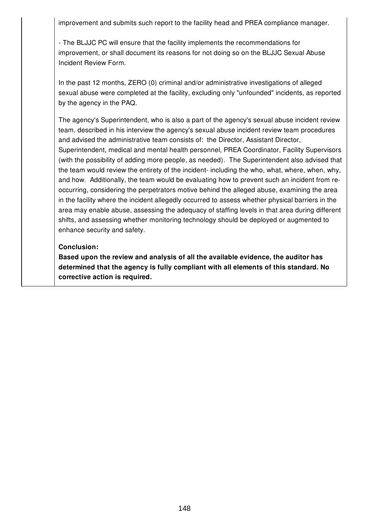improvement and submits such report to the facility head and PREA compliance manager.

- The BLJJC PC will ensure that the facility implements the recommendations for improvement, or shall document its reasons for not doing so on the BLJJC Sexual Abuse Incident Review Form.

In the past 12 months, ZERO (0) criminal and/or administrative investigations of alleged sexual abuse were completed at the facility, excluding only "unfounded" incidents, as reported by the agency in the PAQ.

The agency's Superintendent, who is also a part of the agency's sexual abuse incident review team, described in his interview the agency's sexual abuse incident review team procedures and advised the administrative team consists of: the Director, Assistant Director, Superintendent, medical and mental health personnel, PREA Coordinator, Facility Supervisors (with the possibility of adding more people, as needed). The Superintendent also advised that the team would review the entirety of the incident- including the who, what, where, when, why, and how. Additionally, the team would be evaluating how to prevent such an incident from reoccurring, considering the perpetrators motive behind the alleged abuse, examining the area in the facility where the incident allegedly occurred to assess whether physical barriers in the area may enable abuse, assessing the adequacy of staffing levels in that area during different shifts, and assessing whether monitoring technology should be deployed or augmented to enhance security and safety.

### **Conclusion:**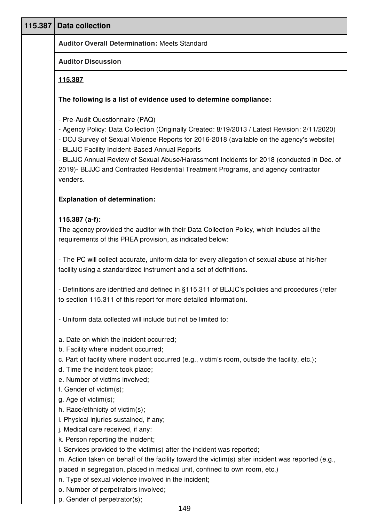| 115.387 | <b>Data collection</b>                                                                                                                                                                                                                                                                                                                                                                                                                                                        |
|---------|-------------------------------------------------------------------------------------------------------------------------------------------------------------------------------------------------------------------------------------------------------------------------------------------------------------------------------------------------------------------------------------------------------------------------------------------------------------------------------|
|         | <b>Auditor Overall Determination: Meets Standard</b>                                                                                                                                                                                                                                                                                                                                                                                                                          |
|         | <b>Auditor Discussion</b>                                                                                                                                                                                                                                                                                                                                                                                                                                                     |
|         | 115.387                                                                                                                                                                                                                                                                                                                                                                                                                                                                       |
|         | The following is a list of evidence used to determine compliance:                                                                                                                                                                                                                                                                                                                                                                                                             |
|         | - Pre-Audit Questionnaire (PAQ)<br>- Agency Policy: Data Collection (Originally Created: 8/19/2013 / Latest Revision: 2/11/2020)<br>- DOJ Survey of Sexual Violence Reports for 2016-2018 (available on the agency's website)<br>- BLJJC Facility Incident-Based Annual Reports<br>- BLJJC Annual Review of Sexual Abuse/Harassment Incidents for 2018 (conducted in Dec. of<br>2019)- BLJJC and Contracted Residential Treatment Programs, and agency contractor<br>venders. |
|         | <b>Explanation of determination:</b>                                                                                                                                                                                                                                                                                                                                                                                                                                          |
|         | 115.387 $(a-f)$ :<br>The agency provided the auditor with their Data Collection Policy, which includes all the<br>requirements of this PREA provision, as indicated below:                                                                                                                                                                                                                                                                                                    |
|         | - The PC will collect accurate, uniform data for every allegation of sexual abuse at his/her<br>facility using a standardized instrument and a set of definitions.                                                                                                                                                                                                                                                                                                            |
|         | - Definitions are identified and defined in §115.311 of BLJJC's policies and procedures (refer<br>to section 115.311 of this report for more detailed information).                                                                                                                                                                                                                                                                                                           |
|         | - Uniform data collected will include but not be limited to:                                                                                                                                                                                                                                                                                                                                                                                                                  |
|         | a. Date on which the incident occurred;<br>b. Facility where incident occurred;<br>c. Part of facility where incident occurred (e.g., victim's room, outside the facility, etc.);<br>d. Time the incident took place;<br>e. Number of victims involved;<br>f. Gender of victim(s);                                                                                                                                                                                            |
|         | g. Age of victim(s);<br>h. Race/ethnicity of victim(s);<br>i. Physical injuries sustained, if any;<br>j. Medical care received, if any:<br>k. Person reporting the incident;<br>I. Services provided to the victim(s) after the incident was reported;                                                                                                                                                                                                                        |
|         | m. Action taken on behalf of the facility toward the victim(s) after incident was reported (e.g.,<br>placed in segregation, placed in medical unit, confined to own room, etc.)<br>n. Type of sexual violence involved in the incident;<br>o. Number of perpetrators involved;                                                                                                                                                                                                |

p. Gender of perpetrator(s);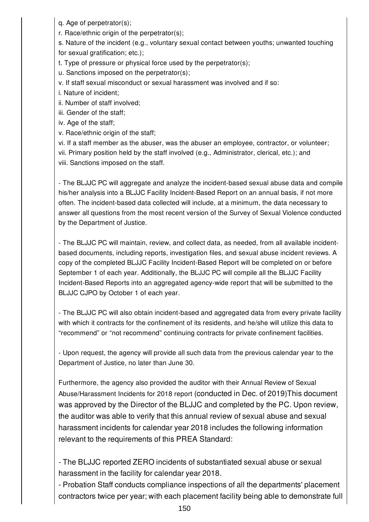- q. Age of perpetrator(s);
- r. Race/ethnic origin of the perpetrator(s);

s. Nature of the incident (e.g., voluntary sexual contact between youths; unwanted touching for sexual gratification; etc.);

t. Type of pressure or physical force used by the perpetrator(s);

u. Sanctions imposed on the perpetrator(s);

- v. If staff sexual misconduct or sexual harassment was involved and if so:
- i. Nature of incident;
- ii. Number of staff involved;
- iii. Gender of the staff;
- iv. Age of the staff;
- v. Race/ethnic origin of the staff;

vi. If a staff member as the abuser, was the abuser an employee, contractor, or volunteer;

- vii. Primary position held by the staff involved (e.g., Administrator, clerical, etc.); and
- viii. Sanctions imposed on the staff.

- The BLJJC PC will aggregate and analyze the incident-based sexual abuse data and compile his/her analysis into a BLJJC Facility Incident-Based Report on an annual basis, if not more often. The incident-based data collected will include, at a minimum, the data necessary to answer all questions from the most recent version of the Survey of Sexual Violence conducted by the Department of Justice.

- The BLJJC PC will maintain, review, and collect data, as needed, from all available incidentbased documents, including reports, investigation files, and sexual abuse incident reviews. A copy of the completed BLJJC Facility Incident-Based Report will be completed on or before September 1 of each year. Additionally, the BLJJC PC will compile all the BLJJC Facility Incident-Based Reports into an aggregated agency-wide report that will be submitted to the BLJJC CJPO by October 1 of each year.

- The BLJJC PC will also obtain incident-based and aggregated data from every private facility with which it contracts for the confinement of its residents, and he/she will utilize this data to "recommend" or "not recommend" continuing contracts for private confinement facilities.

- Upon request, the agency will provide all such data from the previous calendar year to the Department of Justice, no later than June 30.

Furthermore, the agency also provided the auditor with their Annual Review of Sexual Abuse/Harassment Incidents for 2018 report (conducted in Dec. of 2019)This document was approved by the Director of the BLJJC and completed by the PC. Upon review, the auditor was able to verify that this annual review of sexual abuse and sexual harassment incidents for calendar year 2018 includes the following information relevant to the requirements of this PREA Standard:

- The BLJJC reported ZERO incidents of substantiated sexual abuse or sexual harassment in the facility for calendar year 2018.

- Probation Staff conducts compliance inspections of all the departments' placement contractors twice per year; with each placement facility being able to demonstrate full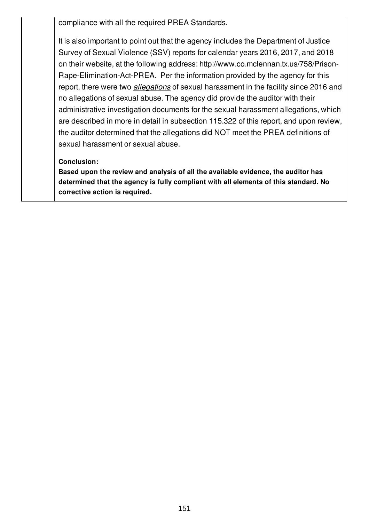compliance with all the required PREA Standards.

It is also important to point out that the agency includes the Department of Justice Survey of Sexual Violence (SSV) reports for calendar years 2016, 2017, and 2018 on their website, at the following address: http://www.co.mclennan.tx.us/758/Prison-Rape-Elimination-Act-PREA. Per the information provided by the agency for this report, there were two *allegations* of sexual harassment in the facility since 2016 and no allegations of sexual abuse. The agency did provide the auditor with their administrative investigation documents for the sexual harassment allegations, which are described in more in detail in subsection 115.322 of this report, and upon review, the auditor determined that the allegations did NOT meet the PREA definitions of sexual harassment or sexual abuse.

## **Conclusion:**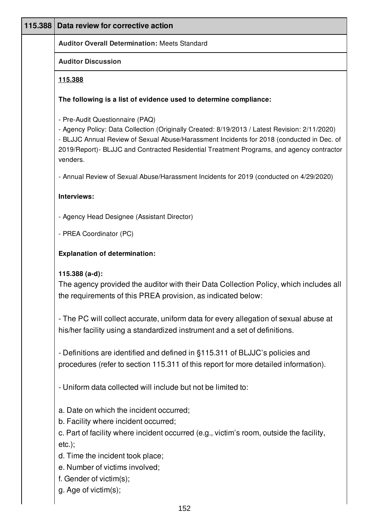| 115.388 | Data review for corrective action                                                                                                                                                                                                                                                                                                     |
|---------|---------------------------------------------------------------------------------------------------------------------------------------------------------------------------------------------------------------------------------------------------------------------------------------------------------------------------------------|
|         | <b>Auditor Overall Determination: Meets Standard</b>                                                                                                                                                                                                                                                                                  |
|         | <b>Auditor Discussion</b>                                                                                                                                                                                                                                                                                                             |
|         | 115.388                                                                                                                                                                                                                                                                                                                               |
|         | The following is a list of evidence used to determine compliance:                                                                                                                                                                                                                                                                     |
|         | - Pre-Audit Questionnaire (PAQ)<br>- Agency Policy: Data Collection (Originally Created: 8/19/2013 / Latest Revision: 2/11/2020)<br>- BLJJC Annual Review of Sexual Abuse/Harassment Incidents for 2018 (conducted in Dec. of<br>2019/Report)- BLJJC and Contracted Residential Treatment Programs, and agency contractor<br>venders. |
|         | - Annual Review of Sexual Abuse/Harassment Incidents for 2019 (conducted on 4/29/2020)                                                                                                                                                                                                                                                |
|         | Interviews:                                                                                                                                                                                                                                                                                                                           |
|         | - Agency Head Designee (Assistant Director)                                                                                                                                                                                                                                                                                           |
|         | - PREA Coordinator (PC)                                                                                                                                                                                                                                                                                                               |
|         | <b>Explanation of determination:</b>                                                                                                                                                                                                                                                                                                  |
|         | 115.388 $(a-d)$ :<br>The agency provided the auditor with their Data Collection Policy, which includes all<br>the requirements of this PREA provision, as indicated below:                                                                                                                                                            |
|         | - The PC will collect accurate, uniform data for every allegation of sexual abuse at<br>his/her facility using a standardized instrument and a set of definitions.                                                                                                                                                                    |
|         | - Definitions are identified and defined in §115.311 of BLJJC's policies and<br>procedures (refer to section 115.311 of this report for more detailed information).                                                                                                                                                                   |
|         | - Uniform data collected will include but not be limited to:                                                                                                                                                                                                                                                                          |
|         | a. Date on which the incident occurred;<br>b. Facility where incident occurred;<br>c. Part of facility where incident occurred (e.g., victim's room, outside the facility,<br>$etc.$ ;                                                                                                                                                |
|         | d. Time the incident took place;<br>e. Number of victims involved;<br>f. Gender of victim(s);<br>g. Age of victim(s);                                                                                                                                                                                                                 |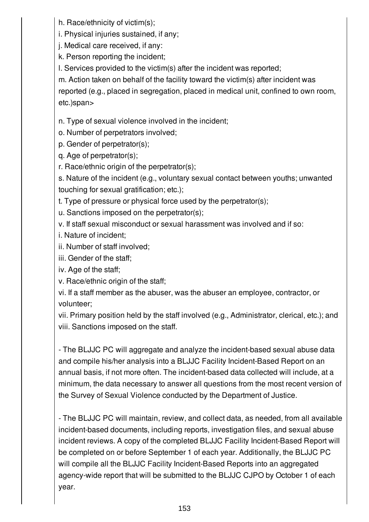h. Race/ethnicity of victim(s);

i. Physical injuries sustained, if any;

j. Medical care received, if any:

k. Person reporting the incident;

l. Services provided to the victim(s) after the incident was reported;

m. Action taken on behalf of the facility toward the victim(s) after incident was

reported (e.g., placed in segregation, placed in medical unit, confined to own room, etc.)span>

n. Type of sexual violence involved in the incident;

o. Number of perpetrators involved;

p. Gender of perpetrator(s);

q. Age of perpetrator(s);

r. Race/ethnic origin of the perpetrator(s);

s. Nature of the incident (e.g., voluntary sexual contact between youths; unwanted touching for sexual gratification; etc.);

t. Type of pressure or physical force used by the perpetrator(s);

u. Sanctions imposed on the perpetrator(s);

v. If staff sexual misconduct or sexual harassment was involved and if so:

i. Nature of incident;

ii. Number of staff involved;

iii. Gender of the staff;

iv. Age of the staff;

v. Race/ethnic origin of the staff;

vi. If a staff member as the abuser, was the abuser an employee, contractor, or volunteer;

vii. Primary position held by the staff involved (e.g., Administrator, clerical, etc.); and viii. Sanctions imposed on the staff.

- The BLJJC PC will aggregate and analyze the incident-based sexual abuse data and compile his/her analysis into a BLJJC Facility Incident-Based Report on an annual basis, if not more often. The incident-based data collected will include, at a minimum, the data necessary to answer all questions from the most recent version of the Survey of Sexual Violence conducted by the Department of Justice.

- The BLJJC PC will maintain, review, and collect data, as needed, from all available incident-based documents, including reports, investigation files, and sexual abuse incident reviews. A copy of the completed BLJJC Facility Incident-Based Report will be completed on or before September 1 of each year. Additionally, the BLJJC PC will compile all the BLJJC Facility Incident-Based Reports into an aggregated agency-wide report that will be submitted to the BLJJC CJPO by October 1 of each year.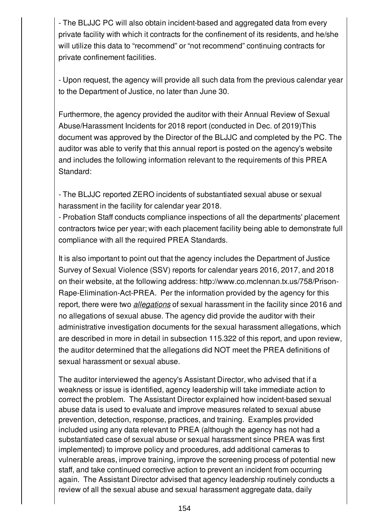- The BLJJC PC will also obtain incident-based and aggregated data from every private facility with which it contracts for the confinement of its residents, and he/she will utilize this data to "recommend" or "not recommend" continuing contracts for private confinement facilities.

- Upon request, the agency will provide all such data from the previous calendar year to the Department of Justice, no later than June 30.

Furthermore, the agency provided the auditor with their Annual Review of Sexual Abuse/Harassment Incidents for 2018 report (conducted in Dec. of 2019)This document was approved by the Director of the BLJJC and completed by the PC. The auditor was able to verify that this annual report is posted on the agency's website and includes the following information relevant to the requirements of this PREA Standard:

- The BLJJC reported ZERO incidents of substantiated sexual abuse or sexual harassment in the facility for calendar year 2018.

- Probation Staff conducts compliance inspections of all the departments' placement contractors twice per year; with each placement facility being able to demonstrate full compliance with all the required PREA Standards.

It is also important to point out that the agency includes the Department of Justice Survey of Sexual Violence (SSV) reports for calendar years 2016, 2017, and 2018 on their website, at the following address: http://www.co.mclennan.tx.us/758/Prison-Rape-Elimination-Act-PREA. Per the information provided by the agency for this report, there were two *allegations* of sexual harassment in the facility since 2016 and no allegations of sexual abuse. The agency did provide the auditor with their administrative investigation documents for the sexual harassment allegations, which are described in more in detail in subsection 115.322 of this report, and upon review, the auditor determined that the allegations did NOT meet the PREA definitions of sexual harassment or sexual abuse.

The auditor interviewed the agency's Assistant Director, who advised that if a weakness or issue is identified, agency leadership will take immediate action to correct the problem. The Assistant Director explained how incident-based sexual abuse data is used to evaluate and improve measures related to sexual abuse prevention, detection, response, practices, and training. Examples provided included using any data relevant to PREA (although the agency has not had a substantiated case of sexual abuse or sexual harassment since PREA was first implemented) to improve policy and procedures, add additional cameras to vulnerable areas, improve training, improve the screening process of potential new staff, and take continued corrective action to prevent an incident from occurring again. The Assistant Director advised that agency leadership routinely conducts a review of all the sexual abuse and sexual harassment aggregate data, daily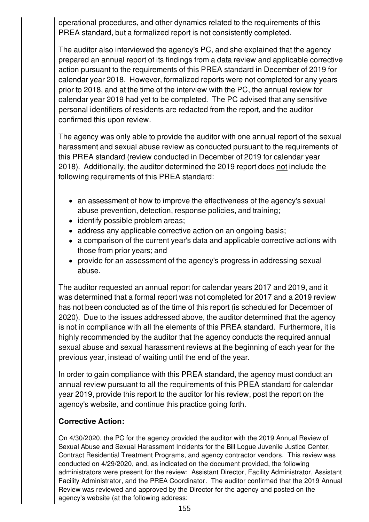operational procedures, and other dynamics related to the requirements of this PREA standard, but a formalized report is not consistently completed.

The auditor also interviewed the agency's PC, and she explained that the agency prepared an annual report of its findings from a data review and applicable corrective action pursuant to the requirements of this PREA standard in December of 2019 for calendar year 2018. However, formalized reports were not completed for any years prior to 2018, and at the time of the interview with the PC, the annual review for calendar year 2019 had yet to be completed. The PC advised that any sensitive personal identifiers of residents are redacted from the report, and the auditor confirmed this upon review.

The agency was only able to provide the auditor with one annual report of the sexual harassment and sexual abuse review as conducted pursuant to the requirements of this PREA standard (review conducted in December of 2019 for calendar year 2018). Additionally, the auditor determined the 2019 report does not include the following requirements of this PREA standard:

- an assessment of how to improve the effectiveness of the agency's sexual abuse prevention, detection, response policies, and training;
- identify possible problem areas;
- address any applicable corrective action on an ongoing basis;
- a comparison of the current year's data and applicable corrective actions with those from prior years; and
- provide for an assessment of the agency's progress in addressing sexual abuse.

The auditor requested an annual report for calendar years 2017 and 2019, and it was determined that a formal report was not completed for 2017 and a 2019 review has not been conducted as of the time of this report (is scheduled for December of 2020). Due to the issues addressed above, the auditor determined that the agency is not in compliance with all the elements of this PREA standard. Furthermore, it is highly recommended by the auditor that the agency conducts the required annual sexual abuse and sexual harassment reviews at the beginning of each year for the previous year, instead of waiting until the end of the year.

In order to gain compliance with this PREA standard, the agency must conduct an annual review pursuant to all the requirements of this PREA standard for calendar year 2019, provide this report to the auditor for his review, post the report on the agency's website, and continue this practice going forth.

# **Corrective Action:**

On 4/30/2020, the PC for the agency provided the auditor with the 2019 Annual Review of Sexual Abuse and Sexual Harassment Incidents for the Bill Logue Juvenile Justice Center, Contract Residential Treatment Programs, and agency contractor vendors. This review was conducted on 4/29/2020, and, as indicated on the document provided, the following administrators were present for the review: Assistant Director, Facility Administrator, Assistant Facility Administrator, and the PREA Coordinator. The auditor confirmed that the 2019 Annual Review was reviewed and approved by the Director for the agency and posted on the agency's website (at the following address: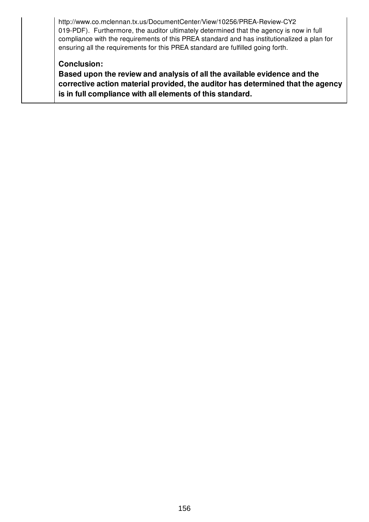http://www.co.mclennan.tx.us/DocumentCenter/View/10256/PREA-Review-CY2 019-PDF). Furthermore, the auditor ultimately determined that the agency is now in full compliance with the requirements of this PREA standard and has institutionalized a plan for ensuring all the requirements for this PREA standard are fulfilled going forth.

## **Conclusion:**

**Based upon the review and analysis of all the available evidence and the corrective action material provided, the auditor has determined that the agency is in full compliance with all elements of this standard.**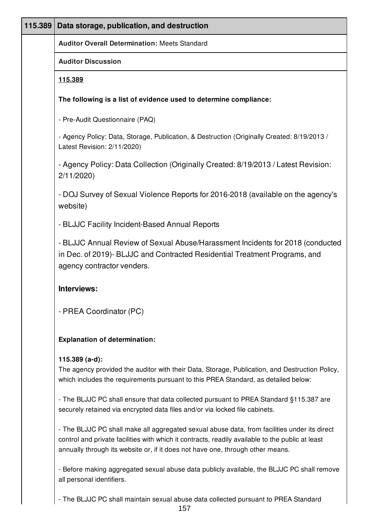| 115.389 | Data storage, publication, and destruction                                                                                                                                                                                                                                         |
|---------|------------------------------------------------------------------------------------------------------------------------------------------------------------------------------------------------------------------------------------------------------------------------------------|
|         | <b>Auditor Overall Determination: Meets Standard</b>                                                                                                                                                                                                                               |
|         | <b>Auditor Discussion</b>                                                                                                                                                                                                                                                          |
|         | <u>115.389</u>                                                                                                                                                                                                                                                                     |
|         | The following is a list of evidence used to determine compliance:                                                                                                                                                                                                                  |
|         | - Pre-Audit Questionnaire (PAQ)                                                                                                                                                                                                                                                    |
|         | - Agency Policy: Data, Storage, Publication, & Destruction (Originally Created: 8/19/2013 /<br>Latest Revision: 2/11/2020)                                                                                                                                                         |
|         | - Agency Policy: Data Collection (Originally Created: 8/19/2013 / Latest Revision:<br>2/11/2020                                                                                                                                                                                    |
|         | - DOJ Survey of Sexual Violence Reports for 2016-2018 (available on the agency's<br>website)                                                                                                                                                                                       |
|         | - BLJJC Facility Incident-Based Annual Reports                                                                                                                                                                                                                                     |
|         | - BLJJC Annual Review of Sexual Abuse/Harassment Incidents for 2018 (conducted<br>in Dec. of 2019)- BLJJC and Contracted Residential Treatment Programs, and<br>agency contractor venders.                                                                                         |
|         | Interviews:                                                                                                                                                                                                                                                                        |
|         | - PREA Coordinator (PC)                                                                                                                                                                                                                                                            |
|         | <b>Explanation of determination:</b>                                                                                                                                                                                                                                               |
|         | $115.389$ (a-d):<br>The agency provided the auditor with their Data, Storage, Publication, and Destruction Policy,<br>which includes the requirements pursuant to this PREA Standard, as detailed below:                                                                           |
|         | - The BLJJC PC shall ensure that data collected pursuant to PREA Standard §115.387 are<br>securely retained via encrypted data files and/or via locked file cabinets.                                                                                                              |
|         | - The BLJJC PC shall make all aggregated sexual abuse data, from facilities under its direct<br>control and private facilities with which it contracts, readily available to the public at least<br>annually through its website or, if it does not have one, through other means. |
|         | - Before making aggregated sexual abuse data publicly available, the BLJJC PC shall remove<br>all personal identifiers.                                                                                                                                                            |

- The BLJJC PC shall maintain sexual abuse data collected pursuant to PREA Standard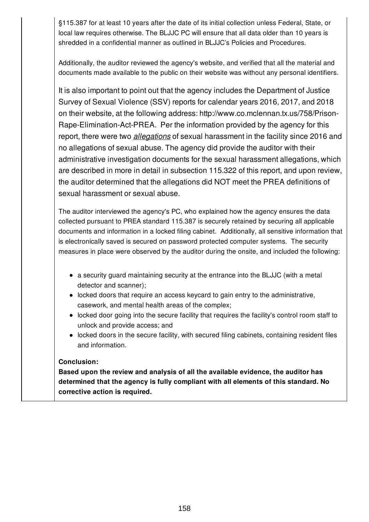§115.387 for at least 10 years after the date of its initial collection unless Federal, State, or local law requires otherwise. The BLJJC PC will ensure that all data older than 10 years is shredded in a confidential manner as outlined in BLJJC's Policies and Procedures.

Additionally, the auditor reviewed the agency's website, and verified that all the material and documents made available to the public on their website was without any personal identifiers.

It is also important to point out that the agency includes the Department of Justice Survey of Sexual Violence (SSV) reports for calendar years 2016, 2017, and 2018 on their website, at the following address: http://www.co.mclennan.tx.us/758/Prison-Rape-Elimination-Act-PREA. Per the information provided by the agency for this report, there were two *allegations* of sexual harassment in the facility since 2016 and no allegations of sexual abuse. The agency did provide the auditor with their administrative investigation documents for the sexual harassment allegations, which are described in more in detail in subsection 115.322 of this report, and upon review, the auditor determined that the allegations did NOT meet the PREA definitions of sexual harassment or sexual abuse.

The auditor interviewed the agency's PC, who explained how the agency ensures the data collected pursuant to PREA standard 115.387 is securely retained by securing all applicable documents and information in a locked filing cabinet. Additionally, all sensitive information that is electronically saved is secured on password protected computer systems. The security measures in place were observed by the auditor during the onsite, and included the following:

- a security guard maintaining security at the entrance into the BLJJC (with a metal detector and scanner);
- locked doors that require an access keycard to gain entry to the administrative, casework, and mental health areas of the complex;
- locked door going into the secure facility that requires the facility's control room staff to unlock and provide access; and
- locked doors in the secure facility, with secured filing cabinets, containing resident files and information.

### **Conclusion:**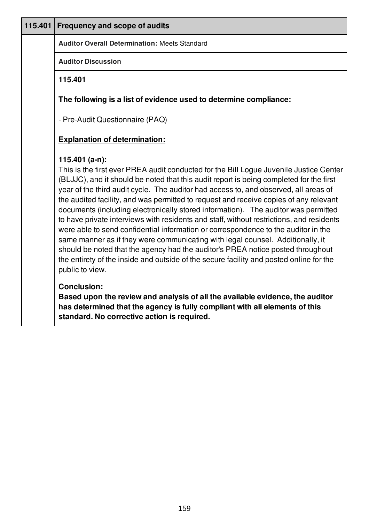| 115.401 | <b>Frequency and scope of audits</b>                                                                                                                                                                                                                                                                                                                                                                                                                                                                                                                                                                                                                                                                                                                                                                                                                                                                                                            |
|---------|-------------------------------------------------------------------------------------------------------------------------------------------------------------------------------------------------------------------------------------------------------------------------------------------------------------------------------------------------------------------------------------------------------------------------------------------------------------------------------------------------------------------------------------------------------------------------------------------------------------------------------------------------------------------------------------------------------------------------------------------------------------------------------------------------------------------------------------------------------------------------------------------------------------------------------------------------|
|         | <b>Auditor Overall Determination: Meets Standard</b>                                                                                                                                                                                                                                                                                                                                                                                                                                                                                                                                                                                                                                                                                                                                                                                                                                                                                            |
|         | <b>Auditor Discussion</b>                                                                                                                                                                                                                                                                                                                                                                                                                                                                                                                                                                                                                                                                                                                                                                                                                                                                                                                       |
|         | 115.401                                                                                                                                                                                                                                                                                                                                                                                                                                                                                                                                                                                                                                                                                                                                                                                                                                                                                                                                         |
|         | The following is a list of evidence used to determine compliance:                                                                                                                                                                                                                                                                                                                                                                                                                                                                                                                                                                                                                                                                                                                                                                                                                                                                               |
|         | - Pre-Audit Questionnaire (PAQ)                                                                                                                                                                                                                                                                                                                                                                                                                                                                                                                                                                                                                                                                                                                                                                                                                                                                                                                 |
|         | <b>Explanation of determination:</b>                                                                                                                                                                                                                                                                                                                                                                                                                                                                                                                                                                                                                                                                                                                                                                                                                                                                                                            |
|         | 115.401 (a-n):<br>This is the first ever PREA audit conducted for the Bill Logue Juvenile Justice Center<br>(BLJJC), and it should be noted that this audit report is being completed for the first<br>year of the third audit cycle. The auditor had access to, and observed, all areas of<br>the audited facility, and was permitted to request and receive copies of any relevant<br>documents (including electronically stored information). The auditor was permitted<br>to have private interviews with residents and staff, without restrictions, and residents<br>were able to send confidential information or correspondence to the auditor in the<br>same manner as if they were communicating with legal counsel. Additionally, it<br>should be noted that the agency had the auditor's PREA notice posted throughout<br>the entirety of the inside and outside of the secure facility and posted online for the<br>public to view. |
|         | <b>Conclusion:</b><br>Based upon the review and analysis of all the available evidence, the auditor<br>has determined that the agency is fully compliant with all elements of this<br>standard. No corrective action is required.                                                                                                                                                                                                                                                                                                                                                                                                                                                                                                                                                                                                                                                                                                               |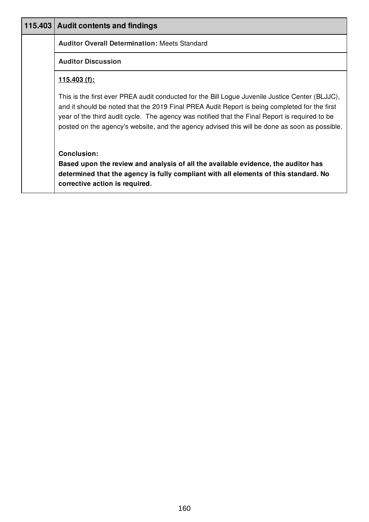|                | 115.403   Audit contents and findings                                                                                                                                                                                                                                                                                                                                                               |
|----------------|-----------------------------------------------------------------------------------------------------------------------------------------------------------------------------------------------------------------------------------------------------------------------------------------------------------------------------------------------------------------------------------------------------|
|                | <b>Auditor Overall Determination: Meets Standard</b>                                                                                                                                                                                                                                                                                                                                                |
|                | <b>Auditor Discussion</b>                                                                                                                                                                                                                                                                                                                                                                           |
| $115.403(f)$ : |                                                                                                                                                                                                                                                                                                                                                                                                     |
|                | This is the first ever PREA audit conducted for the Bill Logue Juvenile Justice Center (BLJJC),<br>and it should be noted that the 2019 Final PREA Audit Report is being completed for the first<br>year of the third audit cycle. The agency was notified that the Final Report is required to be<br>posted on the agency's website, and the agency advised this will be done as soon as possible. |
|                | <b>Conclusion:</b><br>Based upon the review and analysis of all the available evidence, the auditor has<br>determined that the agency is fully compliant with all elements of this standard. No<br>corrective action is required.                                                                                                                                                                   |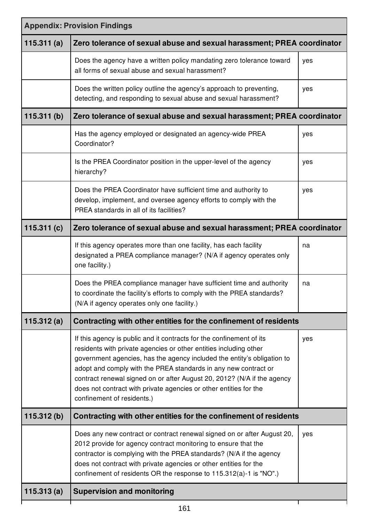| <b>Appendix: Provision Findings</b> |                                                                                                                                                                                                                                                                                                                                                                                                                                                                       |     |
|-------------------------------------|-----------------------------------------------------------------------------------------------------------------------------------------------------------------------------------------------------------------------------------------------------------------------------------------------------------------------------------------------------------------------------------------------------------------------------------------------------------------------|-----|
| 115.311(a)                          | Zero tolerance of sexual abuse and sexual harassment; PREA coordinator                                                                                                                                                                                                                                                                                                                                                                                                |     |
|                                     | Does the agency have a written policy mandating zero tolerance toward<br>all forms of sexual abuse and sexual harassment?                                                                                                                                                                                                                                                                                                                                             | yes |
|                                     | Does the written policy outline the agency's approach to preventing,<br>detecting, and responding to sexual abuse and sexual harassment?                                                                                                                                                                                                                                                                                                                              | yes |
| 115.311(b)                          | Zero tolerance of sexual abuse and sexual harassment; PREA coordinator                                                                                                                                                                                                                                                                                                                                                                                                |     |
|                                     | Has the agency employed or designated an agency-wide PREA<br>Coordinator?                                                                                                                                                                                                                                                                                                                                                                                             | yes |
|                                     | Is the PREA Coordinator position in the upper-level of the agency<br>hierarchy?                                                                                                                                                                                                                                                                                                                                                                                       | yes |
|                                     | Does the PREA Coordinator have sufficient time and authority to<br>develop, implement, and oversee agency efforts to comply with the<br>PREA standards in all of its facilities?                                                                                                                                                                                                                                                                                      | yes |
| 115.311(c)                          | Zero tolerance of sexual abuse and sexual harassment; PREA coordinator                                                                                                                                                                                                                                                                                                                                                                                                |     |
|                                     | If this agency operates more than one facility, has each facility<br>designated a PREA compliance manager? (N/A if agency operates only<br>one facility.)                                                                                                                                                                                                                                                                                                             | na  |
|                                     | Does the PREA compliance manager have sufficient time and authority<br>to coordinate the facility's efforts to comply with the PREA standards?<br>(N/A if agency operates only one facility.)                                                                                                                                                                                                                                                                         | na  |
| 115.312 $(a)$                       | Contracting with other entities for the confinement of residents                                                                                                                                                                                                                                                                                                                                                                                                      |     |
|                                     | If this agency is public and it contracts for the confinement of its<br>residents with private agencies or other entities including other<br>government agencies, has the agency included the entity's obligation to<br>adopt and comply with the PREA standards in any new contract or<br>contract renewal signed on or after August 20, 2012? (N/A if the agency<br>does not contract with private agencies or other entities for the<br>confinement of residents.) | yes |
| 115.312(b)                          | Contracting with other entities for the confinement of residents                                                                                                                                                                                                                                                                                                                                                                                                      |     |
|                                     | Does any new contract or contract renewal signed on or after August 20,<br>2012 provide for agency contract monitoring to ensure that the<br>contractor is complying with the PREA standards? (N/A if the agency<br>does not contract with private agencies or other entities for the<br>confinement of residents OR the response to 115.312(a)-1 is "NO".)                                                                                                           | yes |
| 115.313(a)                          | <b>Supervision and monitoring</b>                                                                                                                                                                                                                                                                                                                                                                                                                                     |     |
|                                     |                                                                                                                                                                                                                                                                                                                                                                                                                                                                       |     |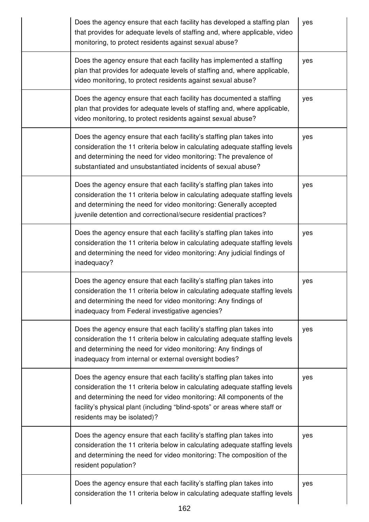| Does the agency ensure that each facility has developed a staffing plan<br>that provides for adequate levels of staffing and, where applicable, video<br>monitoring, to protect residents against sexual abuse?                                                                                                                          | yes |
|------------------------------------------------------------------------------------------------------------------------------------------------------------------------------------------------------------------------------------------------------------------------------------------------------------------------------------------|-----|
| Does the agency ensure that each facility has implemented a staffing<br>plan that provides for adequate levels of staffing and, where applicable,<br>video monitoring, to protect residents against sexual abuse?                                                                                                                        | yes |
| Does the agency ensure that each facility has documented a staffing<br>plan that provides for adequate levels of staffing and, where applicable,<br>video monitoring, to protect residents against sexual abuse?                                                                                                                         | yes |
| Does the agency ensure that each facility's staffing plan takes into<br>consideration the 11 criteria below in calculating adequate staffing levels<br>and determining the need for video monitoring: The prevalence of<br>substantiated and unsubstantiated incidents of sexual abuse?                                                  | yes |
| Does the agency ensure that each facility's staffing plan takes into<br>consideration the 11 criteria below in calculating adequate staffing levels<br>and determining the need for video monitoring: Generally accepted<br>juvenile detention and correctional/secure residential practices?                                            | yes |
| Does the agency ensure that each facility's staffing plan takes into<br>consideration the 11 criteria below in calculating adequate staffing levels<br>and determining the need for video monitoring: Any judicial findings of<br>inadequacy?                                                                                            | yes |
| Does the agency ensure that each facility's staffing plan takes into<br>consideration the 11 criteria below in calculating adequate staffing levels<br>and determining the need for video monitoring: Any findings of<br>inadequacy from Federal investigative agencies?                                                                 | yes |
| Does the agency ensure that each facility's staffing plan takes into<br>consideration the 11 criteria below in calculating adequate staffing levels<br>and determining the need for video monitoring: Any findings of<br>inadequacy from internal or external oversight bodies?                                                          | yes |
| Does the agency ensure that each facility's staffing plan takes into<br>consideration the 11 criteria below in calculating adequate staffing levels<br>and determining the need for video monitoring: All components of the<br>facility's physical plant (including "blind-spots" or areas where staff or<br>residents may be isolated)? | yes |
| Does the agency ensure that each facility's staffing plan takes into<br>consideration the 11 criteria below in calculating adequate staffing levels<br>and determining the need for video monitoring: The composition of the<br>resident population?                                                                                     | yes |
| Does the agency ensure that each facility's staffing plan takes into<br>consideration the 11 criteria below in calculating adequate staffing levels                                                                                                                                                                                      | yes |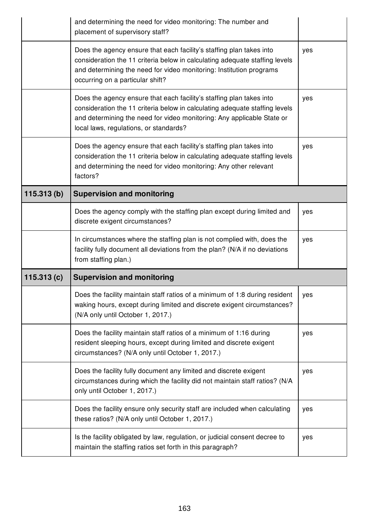|            | and determining the need for video monitoring: The number and<br>placement of supervisory staff?                                                                                                                                                                        |     |
|------------|-------------------------------------------------------------------------------------------------------------------------------------------------------------------------------------------------------------------------------------------------------------------------|-----|
|            | Does the agency ensure that each facility's staffing plan takes into<br>consideration the 11 criteria below in calculating adequate staffing levels<br>and determining the need for video monitoring: Institution programs<br>occurring on a particular shift?          | yes |
|            | Does the agency ensure that each facility's staffing plan takes into<br>consideration the 11 criteria below in calculating adequate staffing levels<br>and determining the need for video monitoring: Any applicable State or<br>local laws, regulations, or standards? | yes |
|            | Does the agency ensure that each facility's staffing plan takes into<br>consideration the 11 criteria below in calculating adequate staffing levels<br>and determining the need for video monitoring: Any other relevant<br>factors?                                    | yes |
| 115.313(b) | <b>Supervision and monitoring</b>                                                                                                                                                                                                                                       |     |
|            | Does the agency comply with the staffing plan except during limited and<br>discrete exigent circumstances?                                                                                                                                                              | yes |
|            |                                                                                                                                                                                                                                                                         |     |
|            | In circumstances where the staffing plan is not complied with, does the<br>facility fully document all deviations from the plan? (N/A if no deviations<br>from staffing plan.)                                                                                          | yes |
| 115.313(c) | <b>Supervision and monitoring</b>                                                                                                                                                                                                                                       |     |
|            | Does the facility maintain staff ratios of a minimum of 1:8 during resident<br>waking hours, except during limited and discrete exigent circumstances?<br>(N/A only until October 1, 2017.)                                                                             | yes |
|            | Does the facility maintain staff ratios of a minimum of 1:16 during<br>resident sleeping hours, except during limited and discrete exigent<br>circumstances? (N/A only until October 1, 2017.)                                                                          | yes |
|            | Does the facility fully document any limited and discrete exigent<br>circumstances during which the facility did not maintain staff ratios? (N/A<br>only until October 1, 2017.)                                                                                        | yes |
|            | Does the facility ensure only security staff are included when calculating<br>these ratios? (N/A only until October 1, 2017.)                                                                                                                                           | yes |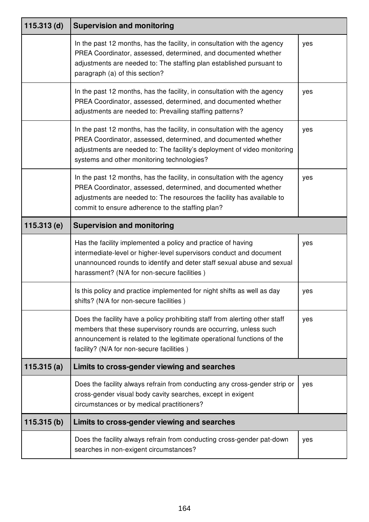| $115.313$ (d) | <b>Supervision and monitoring</b>                                                                                                                                                                                                                                        |     |
|---------------|--------------------------------------------------------------------------------------------------------------------------------------------------------------------------------------------------------------------------------------------------------------------------|-----|
|               | In the past 12 months, has the facility, in consultation with the agency<br>PREA Coordinator, assessed, determined, and documented whether<br>adjustments are needed to: The staffing plan established pursuant to<br>paragraph (a) of this section?                     | yes |
|               | In the past 12 months, has the facility, in consultation with the agency<br>PREA Coordinator, assessed, determined, and documented whether<br>adjustments are needed to: Prevailing staffing patterns?                                                                   | yes |
|               | In the past 12 months, has the facility, in consultation with the agency<br>PREA Coordinator, assessed, determined, and documented whether<br>adjustments are needed to: The facility's deployment of video monitoring<br>systems and other monitoring technologies?     | yes |
|               | In the past 12 months, has the facility, in consultation with the agency<br>PREA Coordinator, assessed, determined, and documented whether<br>adjustments are needed to: The resources the facility has available to<br>commit to ensure adherence to the staffing plan? | yes |
| 115.313(e)    | <b>Supervision and monitoring</b>                                                                                                                                                                                                                                        |     |
|               | Has the facility implemented a policy and practice of having<br>intermediate-level or higher-level supervisors conduct and document<br>unannounced rounds to identify and deter staff sexual abuse and sexual<br>harassment? (N/A for non-secure facilities)             | yes |
|               | Is this policy and practice implemented for night shifts as well as day<br>shifts? (N/A for non-secure facilities)                                                                                                                                                       | yes |
|               | Does the facility have a policy prohibiting staff from alerting other staff<br>members that these supervisory rounds are occurring, unless such<br>announcement is related to the legitimate operational functions of the<br>facility? (N/A for non-secure facilities)   | yes |
| 115.315(a)    | Limits to cross-gender viewing and searches                                                                                                                                                                                                                              |     |
|               | Does the facility always refrain from conducting any cross-gender strip or<br>cross-gender visual body cavity searches, except in exigent<br>circumstances or by medical practitioners?                                                                                  | yes |
| 115.315(b)    | Limits to cross-gender viewing and searches                                                                                                                                                                                                                              |     |
|               | Does the facility always refrain from conducting cross-gender pat-down<br>searches in non-exigent circumstances?                                                                                                                                                         | yes |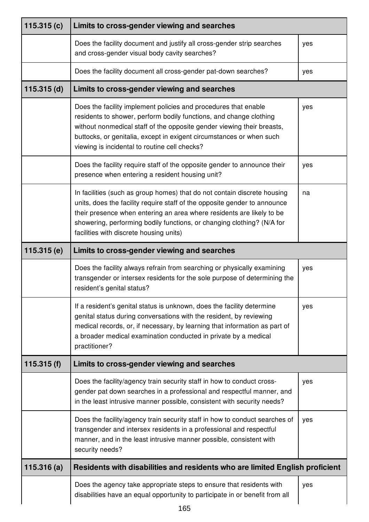| 115.315 $(c)$ | Limits to cross-gender viewing and searches                                                                                                                                                                                                                                                                                                         |     |
|---------------|-----------------------------------------------------------------------------------------------------------------------------------------------------------------------------------------------------------------------------------------------------------------------------------------------------------------------------------------------------|-----|
|               | Does the facility document and justify all cross-gender strip searches<br>and cross-gender visual body cavity searches?                                                                                                                                                                                                                             | yes |
|               | Does the facility document all cross-gender pat-down searches?                                                                                                                                                                                                                                                                                      | yes |
| $115.315$ (d) | Limits to cross-gender viewing and searches                                                                                                                                                                                                                                                                                                         |     |
|               | Does the facility implement policies and procedures that enable<br>residents to shower, perform bodily functions, and change clothing<br>without nonmedical staff of the opposite gender viewing their breasts,<br>buttocks, or genitalia, except in exigent circumstances or when such<br>viewing is incidental to routine cell checks?            | yes |
|               | Does the facility require staff of the opposite gender to announce their<br>presence when entering a resident housing unit?                                                                                                                                                                                                                         | yes |
|               | In facilities (such as group homes) that do not contain discrete housing<br>units, does the facility require staff of the opposite gender to announce<br>their presence when entering an area where residents are likely to be<br>showering, performing bodily functions, or changing clothing? (N/A for<br>facilities with discrete housing units) | na  |
| 115.315(e)    | Limits to cross-gender viewing and searches                                                                                                                                                                                                                                                                                                         |     |
|               | Does the facility always refrain from searching or physically examining<br>transgender or intersex residents for the sole purpose of determining the<br>resident's genital status?                                                                                                                                                                  | yes |
|               | If a resident's genital status is unknown, does the facility determine<br>genital status during conversations with the resident, by reviewing<br>medical records, or, if necessary, by learning that information as part of<br>a broader medical examination conducted in private by a medical<br>practitioner?                                     | yes |
| 115.315(f)    | Limits to cross-gender viewing and searches                                                                                                                                                                                                                                                                                                         |     |
|               | Does the facility/agency train security staff in how to conduct cross-<br>gender pat down searches in a professional and respectful manner, and<br>in the least intrusive manner possible, consistent with security needs?                                                                                                                          | yes |
|               | Does the facility/agency train security staff in how to conduct searches of<br>transgender and intersex residents in a professional and respectful<br>manner, and in the least intrusive manner possible, consistent with<br>security needs?                                                                                                        | yes |
| 115.316(a)    | Residents with disabilities and residents who are limited English proficient                                                                                                                                                                                                                                                                        |     |
|               | Does the agency take appropriate steps to ensure that residents with<br>disabilities have an equal opportunity to participate in or benefit from all                                                                                                                                                                                                | yes |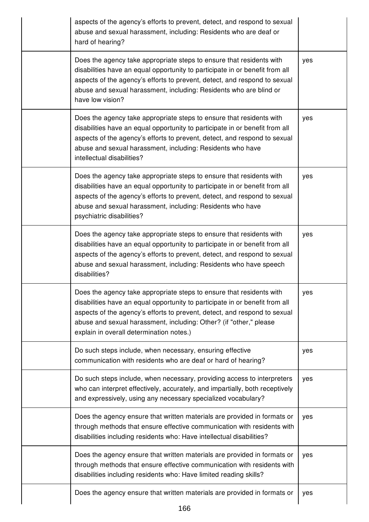|  | aspects of the agency's efforts to prevent, detect, and respond to sexual<br>abuse and sexual harassment, including: Residents who are deaf or<br>hard of hearing?                                                                                                                                                                                  |     |
|--|-----------------------------------------------------------------------------------------------------------------------------------------------------------------------------------------------------------------------------------------------------------------------------------------------------------------------------------------------------|-----|
|  | Does the agency take appropriate steps to ensure that residents with<br>disabilities have an equal opportunity to participate in or benefit from all<br>aspects of the agency's efforts to prevent, detect, and respond to sexual<br>abuse and sexual harassment, including: Residents who are blind or<br>have low vision?                         | yes |
|  | Does the agency take appropriate steps to ensure that residents with<br>disabilities have an equal opportunity to participate in or benefit from all<br>aspects of the agency's efforts to prevent, detect, and respond to sexual<br>abuse and sexual harassment, including: Residents who have<br>intellectual disabilities?                       | yes |
|  | Does the agency take appropriate steps to ensure that residents with<br>disabilities have an equal opportunity to participate in or benefit from all<br>aspects of the agency's efforts to prevent, detect, and respond to sexual<br>abuse and sexual harassment, including: Residents who have<br>psychiatric disabilities?                        | yes |
|  | Does the agency take appropriate steps to ensure that residents with<br>disabilities have an equal opportunity to participate in or benefit from all<br>aspects of the agency's efforts to prevent, detect, and respond to sexual<br>abuse and sexual harassment, including: Residents who have speech<br>disabilities?                             | yes |
|  | Does the agency take appropriate steps to ensure that residents with<br>disabilities have an equal opportunity to participate in or benefit from all<br>aspects of the agency's efforts to prevent, detect, and respond to sexual<br>abuse and sexual harassment, including: Other? (if "other," please<br>explain in overall determination notes.) | yes |
|  | Do such steps include, when necessary, ensuring effective<br>communication with residents who are deaf or hard of hearing?                                                                                                                                                                                                                          | yes |
|  | Do such steps include, when necessary, providing access to interpreters<br>who can interpret effectively, accurately, and impartially, both receptively<br>and expressively, using any necessary specialized vocabulary?                                                                                                                            | yes |
|  | Does the agency ensure that written materials are provided in formats or<br>through methods that ensure effective communication with residents with<br>disabilities including residents who: Have intellectual disabilities?                                                                                                                        | yes |
|  | Does the agency ensure that written materials are provided in formats or<br>through methods that ensure effective communication with residents with<br>disabilities including residents who: Have limited reading skills?                                                                                                                           | yes |
|  | Does the agency ensure that written materials are provided in formats or                                                                                                                                                                                                                                                                            | yes |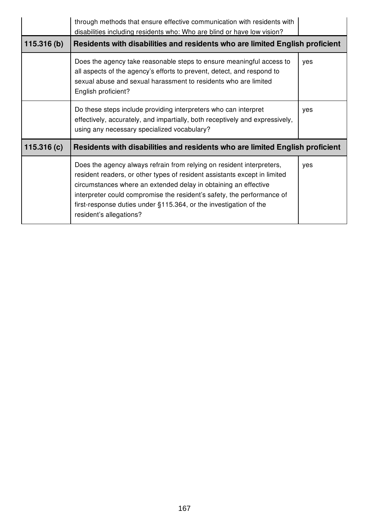|            | through methods that ensure effective communication with residents with<br>disabilities including residents who: Who are blind or have low vision?                                                                                                                                                                                                                                              |     |
|------------|-------------------------------------------------------------------------------------------------------------------------------------------------------------------------------------------------------------------------------------------------------------------------------------------------------------------------------------------------------------------------------------------------|-----|
| 115.316(b) | Residents with disabilities and residents who are limited English proficient                                                                                                                                                                                                                                                                                                                    |     |
|            | Does the agency take reasonable steps to ensure meaningful access to<br>all aspects of the agency's efforts to prevent, detect, and respond to<br>sexual abuse and sexual harassment to residents who are limited<br>English proficient?                                                                                                                                                        | yes |
|            | Do these steps include providing interpreters who can interpret<br>effectively, accurately, and impartially, both receptively and expressively,<br>using any necessary specialized vocabulary?                                                                                                                                                                                                  | yes |
| 115.316(c) | Residents with disabilities and residents who are limited English proficient                                                                                                                                                                                                                                                                                                                    |     |
|            | Does the agency always refrain from relying on resident interpreters,<br>resident readers, or other types of resident assistants except in limited<br>circumstances where an extended delay in obtaining an effective<br>interpreter could compromise the resident's safety, the performance of<br>first-response duties under §115.364, or the investigation of the<br>resident's allegations? | yes |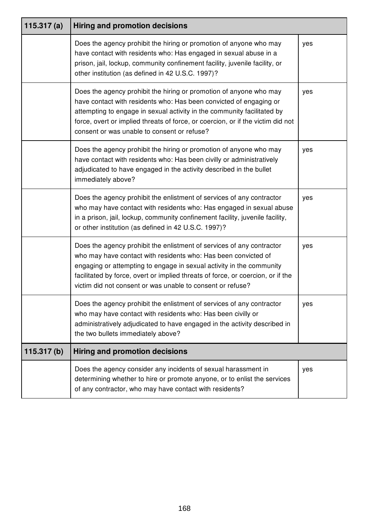| 115.317(a) | <b>Hiring and promotion decisions</b>                                                                                                                                                                                                                                                                                                                            |     |
|------------|------------------------------------------------------------------------------------------------------------------------------------------------------------------------------------------------------------------------------------------------------------------------------------------------------------------------------------------------------------------|-----|
|            | Does the agency prohibit the hiring or promotion of anyone who may<br>have contact with residents who: Has engaged in sexual abuse in a<br>prison, jail, lockup, community confinement facility, juvenile facility, or<br>other institution (as defined in 42 U.S.C. 1997)?                                                                                      | yes |
|            | Does the agency prohibit the hiring or promotion of anyone who may<br>have contact with residents who: Has been convicted of engaging or<br>attempting to engage in sexual activity in the community facilitated by<br>force, overt or implied threats of force, or coercion, or if the victim did not<br>consent or was unable to consent or refuse?            | yes |
|            | Does the agency prohibit the hiring or promotion of anyone who may<br>have contact with residents who: Has been civilly or administratively<br>adjudicated to have engaged in the activity described in the bullet<br>immediately above?                                                                                                                         | yes |
|            | Does the agency prohibit the enlistment of services of any contractor<br>who may have contact with residents who: Has engaged in sexual abuse<br>in a prison, jail, lockup, community confinement facility, juvenile facility,<br>or other institution (as defined in 42 U.S.C. 1997)?                                                                           | yes |
|            | Does the agency prohibit the enlistment of services of any contractor<br>who may have contact with residents who: Has been convicted of<br>engaging or attempting to engage in sexual activity in the community<br>facilitated by force, overt or implied threats of force, or coercion, or if the<br>victim did not consent or was unable to consent or refuse? | yes |
|            | Does the agency prohibit the enlistment of services of any contractor<br>who may have contact with residents who: Has been civilly or<br>administratively adjudicated to have engaged in the activity described in<br>the two bullets immediately above?                                                                                                         | yes |
| 115.317(b) | <b>Hiring and promotion decisions</b>                                                                                                                                                                                                                                                                                                                            |     |
|            | Does the agency consider any incidents of sexual harassment in<br>determining whether to hire or promote anyone, or to enlist the services<br>of any contractor, who may have contact with residents?                                                                                                                                                            | yes |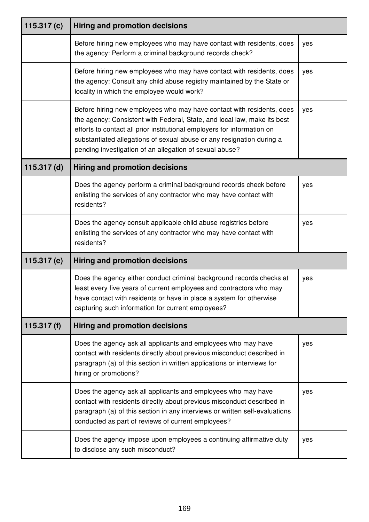| 115.317 $(c)$ | <b>Hiring and promotion decisions</b>                                                                                                                                                                                                                                                                                                                            |     |
|---------------|------------------------------------------------------------------------------------------------------------------------------------------------------------------------------------------------------------------------------------------------------------------------------------------------------------------------------------------------------------------|-----|
|               | Before hiring new employees who may have contact with residents, does<br>the agency: Perform a criminal background records check?                                                                                                                                                                                                                                | yes |
|               | Before hiring new employees who may have contact with residents, does<br>the agency: Consult any child abuse registry maintained by the State or<br>locality in which the employee would work?                                                                                                                                                                   | yes |
|               | Before hiring new employees who may have contact with residents, does<br>the agency: Consistent with Federal, State, and local law, make its best<br>efforts to contact all prior institutional employers for information on<br>substantiated allegations of sexual abuse or any resignation during a<br>pending investigation of an allegation of sexual abuse? | yes |
| $115.317$ (d) | <b>Hiring and promotion decisions</b>                                                                                                                                                                                                                                                                                                                            |     |
|               | Does the agency perform a criminal background records check before<br>enlisting the services of any contractor who may have contact with<br>residents?                                                                                                                                                                                                           | yes |
|               | Does the agency consult applicable child abuse registries before<br>enlisting the services of any contractor who may have contact with<br>residents?                                                                                                                                                                                                             | yes |
| 115.317 $(e)$ | <b>Hiring and promotion decisions</b>                                                                                                                                                                                                                                                                                                                            |     |
|               | Does the agency either conduct criminal background records checks at<br>least every five years of current employees and contractors who may<br>have contact with residents or have in place a system for otherwise<br>capturing such information for current employees?                                                                                          | yes |
| 115.317 $(f)$ | <b>Hiring and promotion decisions</b>                                                                                                                                                                                                                                                                                                                            |     |
|               | Does the agency ask all applicants and employees who may have<br>contact with residents directly about previous misconduct described in<br>paragraph (a) of this section in written applications or interviews for<br>hiring or promotions?                                                                                                                      | yes |
|               | Does the agency ask all applicants and employees who may have<br>contact with residents directly about previous misconduct described in<br>paragraph (a) of this section in any interviews or written self-evaluations<br>conducted as part of reviews of current employees?                                                                                     | yes |
|               | Does the agency impose upon employees a continuing affirmative duty<br>to disclose any such misconduct?                                                                                                                                                                                                                                                          | yes |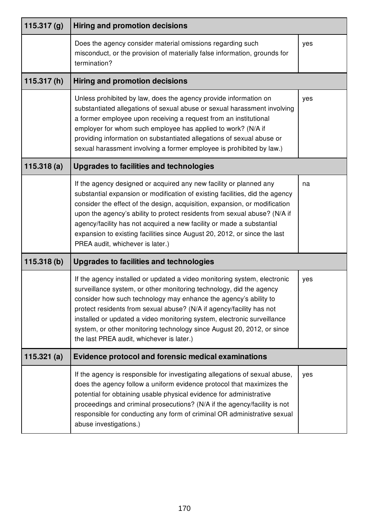| 115.317 $(g)$ | <b>Hiring and promotion decisions</b>                                                                                                                                                                                                                                                                                                                                                                                                                                                                   |     |
|---------------|---------------------------------------------------------------------------------------------------------------------------------------------------------------------------------------------------------------------------------------------------------------------------------------------------------------------------------------------------------------------------------------------------------------------------------------------------------------------------------------------------------|-----|
|               | Does the agency consider material omissions regarding such<br>misconduct, or the provision of materially false information, grounds for<br>termination?                                                                                                                                                                                                                                                                                                                                                 | yes |
| 115.317(h)    | <b>Hiring and promotion decisions</b>                                                                                                                                                                                                                                                                                                                                                                                                                                                                   |     |
|               | Unless prohibited by law, does the agency provide information on<br>substantiated allegations of sexual abuse or sexual harassment involving<br>a former employee upon receiving a request from an institutional<br>employer for whom such employee has applied to work? (N/A if<br>providing information on substantiated allegations of sexual abuse or<br>sexual harassment involving a former employee is prohibited by law.)                                                                       | yes |
| 115.318(a)    | <b>Upgrades to facilities and technologies</b>                                                                                                                                                                                                                                                                                                                                                                                                                                                          |     |
|               | If the agency designed or acquired any new facility or planned any<br>substantial expansion or modification of existing facilities, did the agency<br>consider the effect of the design, acquisition, expansion, or modification<br>upon the agency's ability to protect residents from sexual abuse? (N/A if<br>agency/facility has not acquired a new facility or made a substantial<br>expansion to existing facilities since August 20, 2012, or since the last<br>PREA audit, whichever is later.) | na  |
| 115.318(b)    | <b>Upgrades to facilities and technologies</b>                                                                                                                                                                                                                                                                                                                                                                                                                                                          |     |
|               | If the agency installed or updated a video monitoring system, electronic<br>surveillance system, or other monitoring technology, did the agency<br>consider how such technology may enhance the agency's ability to<br>protect residents from sexual abuse? (N/A if agency/facility has not<br>installed or updated a video monitoring system, electronic surveillance<br>system, or other monitoring technology since August 20, 2012, or since<br>the last PREA audit, whichever is later.)           | yes |
| 115.321(a)    | <b>Evidence protocol and forensic medical examinations</b>                                                                                                                                                                                                                                                                                                                                                                                                                                              |     |
|               | If the agency is responsible for investigating allegations of sexual abuse,<br>does the agency follow a uniform evidence protocol that maximizes the<br>potential for obtaining usable physical evidence for administrative<br>proceedings and criminal prosecutions? (N/A if the agency/facility is not<br>responsible for conducting any form of criminal OR administrative sexual<br>abuse investigations.)                                                                                          | yes |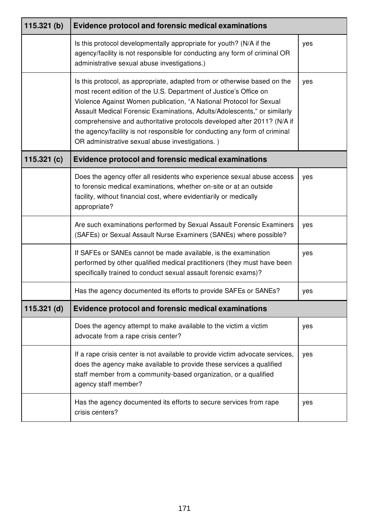| 115.321(b)    | <b>Evidence protocol and forensic medical examinations</b>                                                                                                                                                                                                                                                                                                                                                                                                                                                   |     |
|---------------|--------------------------------------------------------------------------------------------------------------------------------------------------------------------------------------------------------------------------------------------------------------------------------------------------------------------------------------------------------------------------------------------------------------------------------------------------------------------------------------------------------------|-----|
|               | Is this protocol developmentally appropriate for youth? (N/A if the<br>agency/facility is not responsible for conducting any form of criminal OR<br>administrative sexual abuse investigations.)                                                                                                                                                                                                                                                                                                             | yes |
|               | Is this protocol, as appropriate, adapted from or otherwise based on the<br>most recent edition of the U.S. Department of Justice's Office on<br>Violence Against Women publication, "A National Protocol for Sexual<br>Assault Medical Forensic Examinations, Adults/Adolescents," or similarly<br>comprehensive and authoritative protocols developed after 2011? (N/A if<br>the agency/facility is not responsible for conducting any form of criminal<br>OR administrative sexual abuse investigations.) | yes |
| 115.321 $(c)$ | <b>Evidence protocol and forensic medical examinations</b>                                                                                                                                                                                                                                                                                                                                                                                                                                                   |     |
|               | Does the agency offer all residents who experience sexual abuse access<br>to forensic medical examinations, whether on-site or at an outside<br>facility, without financial cost, where evidentiarily or medically<br>appropriate?                                                                                                                                                                                                                                                                           | yes |
|               | Are such examinations performed by Sexual Assault Forensic Examiners<br>(SAFEs) or Sexual Assault Nurse Examiners (SANEs) where possible?                                                                                                                                                                                                                                                                                                                                                                    | yes |
|               | If SAFEs or SANEs cannot be made available, is the examination<br>performed by other qualified medical practitioners (they must have been<br>specifically trained to conduct sexual assault forensic exams)?                                                                                                                                                                                                                                                                                                 | yes |
|               | Has the agency documented its efforts to provide SAFEs or SANEs?                                                                                                                                                                                                                                                                                                                                                                                                                                             | yes |
| $115.321$ (d) | <b>Evidence protocol and forensic medical examinations</b>                                                                                                                                                                                                                                                                                                                                                                                                                                                   |     |
|               | Does the agency attempt to make available to the victim a victim<br>advocate from a rape crisis center?                                                                                                                                                                                                                                                                                                                                                                                                      | yes |
|               | If a rape crisis center is not available to provide victim advocate services,<br>does the agency make available to provide these services a qualified<br>staff member from a community-based organization, or a qualified<br>agency staff member?                                                                                                                                                                                                                                                            | yes |
|               | Has the agency documented its efforts to secure services from rape<br>crisis centers?                                                                                                                                                                                                                                                                                                                                                                                                                        | yes |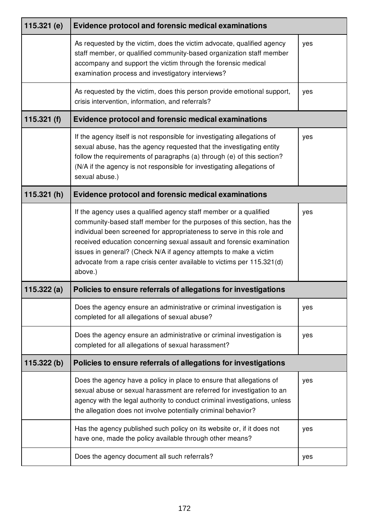| 115.321 $(e)$ | <b>Evidence protocol and forensic medical examinations</b>                                                                                                                                                                                                                                                                                                                                                                                               |     |
|---------------|----------------------------------------------------------------------------------------------------------------------------------------------------------------------------------------------------------------------------------------------------------------------------------------------------------------------------------------------------------------------------------------------------------------------------------------------------------|-----|
|               | As requested by the victim, does the victim advocate, qualified agency<br>staff member, or qualified community-based organization staff member<br>accompany and support the victim through the forensic medical<br>examination process and investigatory interviews?                                                                                                                                                                                     | yes |
|               | As requested by the victim, does this person provide emotional support,<br>crisis intervention, information, and referrals?                                                                                                                                                                                                                                                                                                                              | yes |
| 115.321 $(f)$ | <b>Evidence protocol and forensic medical examinations</b>                                                                                                                                                                                                                                                                                                                                                                                               |     |
|               | If the agency itself is not responsible for investigating allegations of<br>sexual abuse, has the agency requested that the investigating entity<br>follow the requirements of paragraphs (a) through (e) of this section?<br>(N/A if the agency is not responsible for investigating allegations of<br>sexual abuse.)                                                                                                                                   | yes |
| 115.321(h)    | <b>Evidence protocol and forensic medical examinations</b>                                                                                                                                                                                                                                                                                                                                                                                               |     |
|               | If the agency uses a qualified agency staff member or a qualified<br>community-based staff member for the purposes of this section, has the<br>individual been screened for appropriateness to serve in this role and<br>received education concerning sexual assault and forensic examination<br>issues in general? (Check N/A if agency attempts to make a victim<br>advocate from a rape crisis center available to victims per 115.321(d)<br>above.) | yes |
| 115.322(a)    | Policies to ensure referrals of allegations for investigations                                                                                                                                                                                                                                                                                                                                                                                           |     |
|               | Does the agency ensure an administrative or criminal investigation is<br>completed for all allegations of sexual abuse?                                                                                                                                                                                                                                                                                                                                  | yes |
|               | Does the agency ensure an administrative or criminal investigation is<br>completed for all allegations of sexual harassment?                                                                                                                                                                                                                                                                                                                             | yes |
| 115.322(b)    | Policies to ensure referrals of allegations for investigations                                                                                                                                                                                                                                                                                                                                                                                           |     |
|               | Does the agency have a policy in place to ensure that allegations of<br>sexual abuse or sexual harassment are referred for investigation to an<br>agency with the legal authority to conduct criminal investigations, unless<br>the allegation does not involve potentially criminal behavior?                                                                                                                                                           | yes |
|               | Has the agency published such policy on its website or, if it does not<br>have one, made the policy available through other means?                                                                                                                                                                                                                                                                                                                       | yes |
|               | Does the agency document all such referrals?                                                                                                                                                                                                                                                                                                                                                                                                             | yes |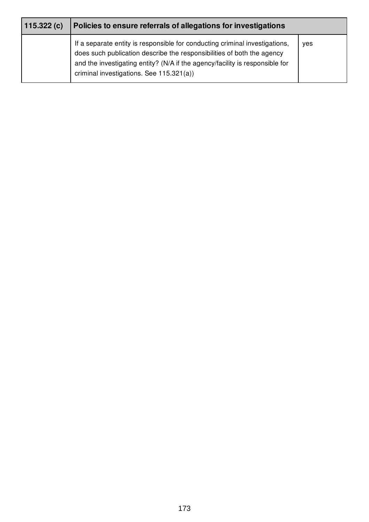| 115.322(c) | Policies to ensure referrals of allegations for investigations                                                                                                                                                                                                                    |     |
|------------|-----------------------------------------------------------------------------------------------------------------------------------------------------------------------------------------------------------------------------------------------------------------------------------|-----|
|            | If a separate entity is responsible for conducting criminal investigations,<br>does such publication describe the responsibilities of both the agency<br>and the investigating entity? (N/A if the agency/facility is responsible for<br>criminal investigations. See 115.321(a)) | ves |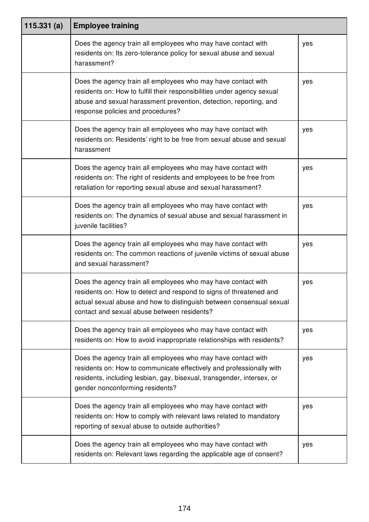| 115.331(a) | <b>Employee training</b>                                                                                                                                                                                                                                   |     |
|------------|------------------------------------------------------------------------------------------------------------------------------------------------------------------------------------------------------------------------------------------------------------|-----|
|            | Does the agency train all employees who may have contact with<br>residents on: Its zero-tolerance policy for sexual abuse and sexual<br>harassment?                                                                                                        | yes |
|            | Does the agency train all employees who may have contact with<br>residents on: How to fulfill their responsibilities under agency sexual<br>abuse and sexual harassment prevention, detection, reporting, and<br>response policies and procedures?         | yes |
|            | Does the agency train all employees who may have contact with<br>residents on: Residents' right to be free from sexual abuse and sexual<br>harassment                                                                                                      | yes |
|            | Does the agency train all employees who may have contact with<br>residents on: The right of residents and employees to be free from<br>retaliation for reporting sexual abuse and sexual harassment?                                                       | yes |
|            | Does the agency train all employees who may have contact with<br>residents on: The dynamics of sexual abuse and sexual harassment in<br>juvenile facilities?                                                                                               | yes |
|            | Does the agency train all employees who may have contact with<br>residents on: The common reactions of juvenile victims of sexual abuse<br>and sexual harassment?                                                                                          | yes |
|            | Does the agency train all employees who may have contact with<br>residents on: How to detect and respond to signs of threatened and<br>actual sexual abuse and how to distinguish between consensual sexual<br>contact and sexual abuse between residents? | yes |
|            | Does the agency train all employees who may have contact with<br>residents on: How to avoid inappropriate relationships with residents?                                                                                                                    | yes |
|            | Does the agency train all employees who may have contact with<br>residents on: How to communicate effectively and professionally with<br>residents, including lesbian, gay, bisexual, transgender, intersex, or<br>gender nonconforming residents?         | yes |
|            | Does the agency train all employees who may have contact with<br>residents on: How to comply with relevant laws related to mandatory<br>reporting of sexual abuse to outside authorities?                                                                  | yes |
|            | Does the agency train all employees who may have contact with<br>residents on: Relevant laws regarding the applicable age of consent?                                                                                                                      | yes |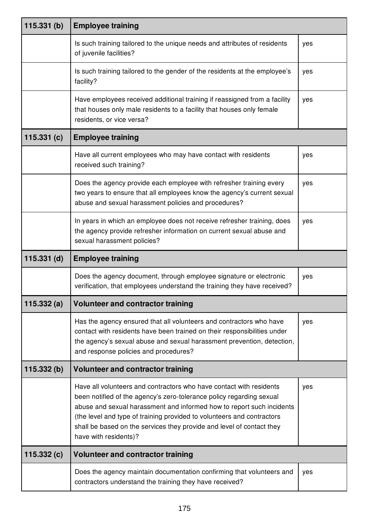| 115.331(b)    | <b>Employee training</b>                                                                                                                                                                                                                                                                                                                                                                         |     |
|---------------|--------------------------------------------------------------------------------------------------------------------------------------------------------------------------------------------------------------------------------------------------------------------------------------------------------------------------------------------------------------------------------------------------|-----|
|               | Is such training tailored to the unique needs and attributes of residents<br>of juvenile facilities?                                                                                                                                                                                                                                                                                             | yes |
|               | Is such training tailored to the gender of the residents at the employee's<br>facility?                                                                                                                                                                                                                                                                                                          | yes |
|               | Have employees received additional training if reassigned from a facility<br>that houses only male residents to a facility that houses only female<br>residents, or vice versa?                                                                                                                                                                                                                  | yes |
| 115.331(c)    | <b>Employee training</b>                                                                                                                                                                                                                                                                                                                                                                         |     |
|               | Have all current employees who may have contact with residents<br>received such training?                                                                                                                                                                                                                                                                                                        | yes |
|               | Does the agency provide each employee with refresher training every<br>two years to ensure that all employees know the agency's current sexual<br>abuse and sexual harassment policies and procedures?                                                                                                                                                                                           | yes |
|               | In years in which an employee does not receive refresher training, does<br>the agency provide refresher information on current sexual abuse and<br>sexual harassment policies?                                                                                                                                                                                                                   | yes |
| $115.331$ (d) | <b>Employee training</b>                                                                                                                                                                                                                                                                                                                                                                         |     |
|               | Does the agency document, through employee signature or electronic<br>verification, that employees understand the training they have received?                                                                                                                                                                                                                                                   | yes |
| 115.332(a)    | <b>Volunteer and contractor training</b>                                                                                                                                                                                                                                                                                                                                                         |     |
|               | Has the agency ensured that all volunteers and contractors who have<br>contact with residents have been trained on their responsibilities under<br>the agency's sexual abuse and sexual harassment prevention, detection,<br>and response policies and procedures?                                                                                                                               | yes |
| 115.332(b)    | <b>Volunteer and contractor training</b>                                                                                                                                                                                                                                                                                                                                                         |     |
|               | Have all volunteers and contractors who have contact with residents<br>been notified of the agency's zero-tolerance policy regarding sexual<br>abuse and sexual harassment and informed how to report such incidents<br>(the level and type of training provided to volunteers and contractors<br>shall be based on the services they provide and level of contact they<br>have with residents)? | yes |
| 115.332(c)    | <b>Volunteer and contractor training</b>                                                                                                                                                                                                                                                                                                                                                         |     |
|               | Does the agency maintain documentation confirming that volunteers and<br>contractors understand the training they have received?                                                                                                                                                                                                                                                                 | yes |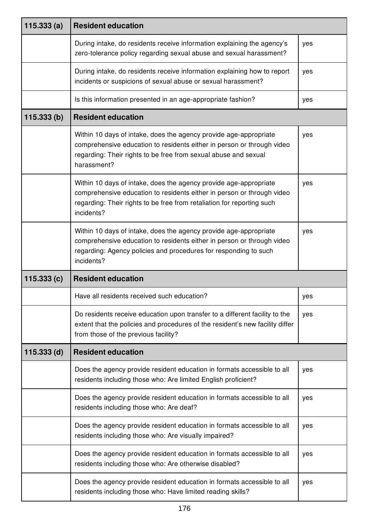| 115.333(a)    | <b>Resident education</b>                                                                                                                                                                                                           |     |
|---------------|-------------------------------------------------------------------------------------------------------------------------------------------------------------------------------------------------------------------------------------|-----|
|               | During intake, do residents receive information explaining the agency's<br>zero-tolerance policy regarding sexual abuse and sexual harassment?                                                                                      | yes |
|               | During intake, do residents receive information explaining how to report<br>incidents or suspicions of sexual abuse or sexual harassment?                                                                                           | yes |
|               | Is this information presented in an age-appropriate fashion?                                                                                                                                                                        | yes |
| 115.333(b)    | <b>Resident education</b>                                                                                                                                                                                                           |     |
|               | Within 10 days of intake, does the agency provide age-appropriate<br>comprehensive education to residents either in person or through video<br>regarding: Their rights to be free from sexual abuse and sexual<br>harassment?       | yes |
|               | Within 10 days of intake, does the agency provide age-appropriate<br>comprehensive education to residents either in person or through video<br>regarding: Their rights to be free from retaliation for reporting such<br>incidents? | yes |
|               | Within 10 days of intake, does the agency provide age-appropriate<br>comprehensive education to residents either in person or through video<br>regarding: Agency policies and procedures for responding to such<br>incidents?       | yes |
| 115.333(c)    | <b>Resident education</b>                                                                                                                                                                                                           |     |
|               | Have all residents received such education?                                                                                                                                                                                         | yes |
|               | Do residents receive education upon transfer to a different facility to the<br>extent that the policies and procedures of the resident's new facility differ<br>from those of the previous facility?                                | yes |
| $115.333$ (d) | <b>Resident education</b>                                                                                                                                                                                                           |     |
|               | Does the agency provide resident education in formats accessible to all<br>residents including those who: Are limited English proficient?                                                                                           | yes |
|               | Does the agency provide resident education in formats accessible to all<br>residents including those who: Are deaf?                                                                                                                 | yes |
|               | Does the agency provide resident education in formats accessible to all<br>residents including those who: Are visually impaired?                                                                                                    | yes |
|               | Does the agency provide resident education in formats accessible to all<br>residents including those who: Are otherwise disabled?                                                                                                   | yes |
|               | Does the agency provide resident education in formats accessible to all<br>residents including those who: Have limited reading skills?                                                                                              | yes |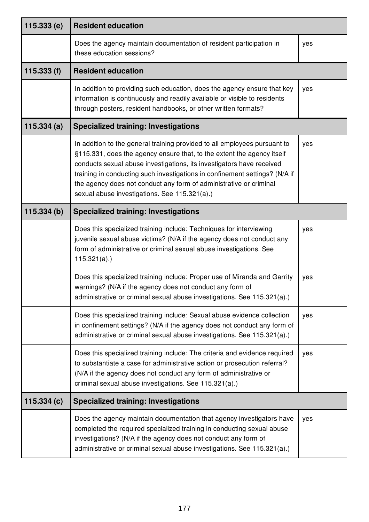| 115.333(e)  | <b>Resident education</b>                                                                                                                                                                                                                                                                                                                                                                                                          |     |
|-------------|------------------------------------------------------------------------------------------------------------------------------------------------------------------------------------------------------------------------------------------------------------------------------------------------------------------------------------------------------------------------------------------------------------------------------------|-----|
|             | Does the agency maintain documentation of resident participation in<br>these education sessions?                                                                                                                                                                                                                                                                                                                                   | yes |
| 115.333 (f) | <b>Resident education</b>                                                                                                                                                                                                                                                                                                                                                                                                          |     |
|             | In addition to providing such education, does the agency ensure that key<br>information is continuously and readily available or visible to residents<br>through posters, resident handbooks, or other written formats?                                                                                                                                                                                                            | yes |
| 115.334(a)  | <b>Specialized training: Investigations</b>                                                                                                                                                                                                                                                                                                                                                                                        |     |
|             | In addition to the general training provided to all employees pursuant to<br>§115.331, does the agency ensure that, to the extent the agency itself<br>conducts sexual abuse investigations, its investigators have received<br>training in conducting such investigations in confinement settings? (N/A if<br>the agency does not conduct any form of administrative or criminal<br>sexual abuse investigations. See 115.321(a).) | yes |
| 115.334(b)  | <b>Specialized training: Investigations</b>                                                                                                                                                                                                                                                                                                                                                                                        |     |
|             | Does this specialized training include: Techniques for interviewing<br>juvenile sexual abuse victims? (N/A if the agency does not conduct any<br>form of administrative or criminal sexual abuse investigations. See<br>$115.321(a)$ .)                                                                                                                                                                                            | yes |
|             | Does this specialized training include: Proper use of Miranda and Garrity<br>warnings? (N/A if the agency does not conduct any form of<br>administrative or criminal sexual abuse investigations. See 115.321(a).)                                                                                                                                                                                                                 | yes |
|             | Does this specialized training include: Sexual abuse evidence collection<br>in confinement settings? (N/A if the agency does not conduct any form of<br>administrative or criminal sexual abuse investigations. See 115.321(a).)                                                                                                                                                                                                   | yes |
|             | Does this specialized training include: The criteria and evidence required<br>to substantiate a case for administrative action or prosecution referral?<br>(N/A if the agency does not conduct any form of administrative or<br>criminal sexual abuse investigations. See 115.321(a).)                                                                                                                                             | yes |
| 115.334(c)  | <b>Specialized training: Investigations</b>                                                                                                                                                                                                                                                                                                                                                                                        |     |
|             | Does the agency maintain documentation that agency investigators have<br>completed the required specialized training in conducting sexual abuse<br>investigations? (N/A if the agency does not conduct any form of<br>administrative or criminal sexual abuse investigations. See 115.321(a).)                                                                                                                                     | yes |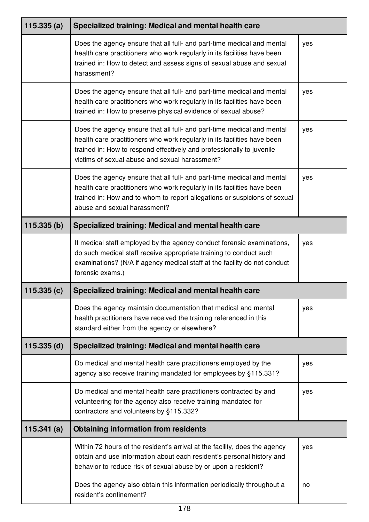| 115.335(a)    | Specialized training: Medical and mental health care                                                                                                                                                                                                                          |     |
|---------------|-------------------------------------------------------------------------------------------------------------------------------------------------------------------------------------------------------------------------------------------------------------------------------|-----|
|               | Does the agency ensure that all full- and part-time medical and mental<br>health care practitioners who work regularly in its facilities have been<br>trained in: How to detect and assess signs of sexual abuse and sexual<br>harassment?                                    | yes |
|               | Does the agency ensure that all full- and part-time medical and mental<br>health care practitioners who work regularly in its facilities have been<br>trained in: How to preserve physical evidence of sexual abuse?                                                          | yes |
|               | Does the agency ensure that all full- and part-time medical and mental<br>health care practitioners who work regularly in its facilities have been<br>trained in: How to respond effectively and professionally to juvenile<br>victims of sexual abuse and sexual harassment? | yes |
|               | Does the agency ensure that all full- and part-time medical and mental<br>health care practitioners who work regularly in its facilities have been<br>trained in: How and to whom to report allegations or suspicions of sexual<br>abuse and sexual harassment?               | yes |
| 115.335(b)    | Specialized training: Medical and mental health care                                                                                                                                                                                                                          |     |
|               | If medical staff employed by the agency conduct forensic examinations,<br>do such medical staff receive appropriate training to conduct such<br>examinations? (N/A if agency medical staff at the facility do not conduct<br>forensic exams.)                                 | yes |
| 115.335(c)    | Specialized training: Medical and mental health care                                                                                                                                                                                                                          |     |
|               | Does the agency maintain documentation that medical and mental<br>health practitioners have received the training referenced in this<br>standard either from the agency or elsewhere?                                                                                         | yes |
| $115.335$ (d) | Specialized training: Medical and mental health care                                                                                                                                                                                                                          |     |
|               | Do medical and mental health care practitioners employed by the<br>agency also receive training mandated for employees by §115.331?                                                                                                                                           | yes |
|               | Do medical and mental health care practitioners contracted by and<br>volunteering for the agency also receive training mandated for<br>contractors and volunteers by §115.332?                                                                                                | yes |
| 115.341(a)    | <b>Obtaining information from residents</b>                                                                                                                                                                                                                                   |     |
|               | Within 72 hours of the resident's arrival at the facility, does the agency<br>obtain and use information about each resident's personal history and<br>behavior to reduce risk of sexual abuse by or upon a resident?                                                         | yes |
|               | Does the agency also obtain this information periodically throughout a<br>resident's confinement?                                                                                                                                                                             | no  |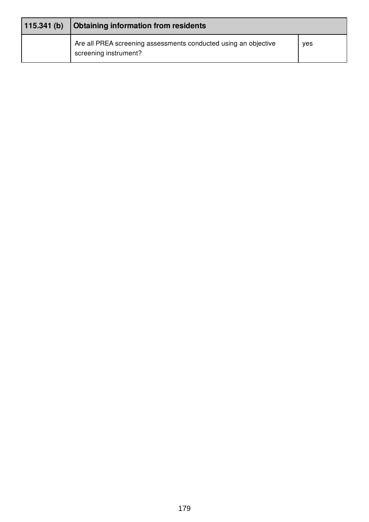| 115.341(b) | Obtaining information from residents                                                     |     |  |
|------------|------------------------------------------------------------------------------------------|-----|--|
|            | Are all PREA screening assessments conducted using an objective<br>screening instrument? | yes |  |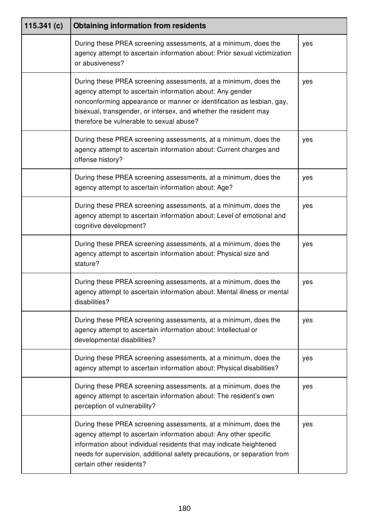| 115.341 $(c)$ | <b>Obtaining information from residents</b>                                                                                                                                                                                                                                                                           |     |
|---------------|-----------------------------------------------------------------------------------------------------------------------------------------------------------------------------------------------------------------------------------------------------------------------------------------------------------------------|-----|
|               | During these PREA screening assessments, at a minimum, does the<br>agency attempt to ascertain information about: Prior sexual victimization<br>or abusiveness?                                                                                                                                                       | yes |
|               | During these PREA screening assessments, at a minimum, does the<br>agency attempt to ascertain information about: Any gender<br>nonconforming appearance or manner or identification as lesbian, gay,<br>bisexual, transgender, or intersex, and whether the resident may<br>therefore be vulnerable to sexual abuse? | yes |
|               | During these PREA screening assessments, at a minimum, does the<br>agency attempt to ascertain information about: Current charges and<br>offense history?                                                                                                                                                             | yes |
|               | During these PREA screening assessments, at a minimum, does the<br>agency attempt to ascertain information about: Age?                                                                                                                                                                                                | yes |
|               | During these PREA screening assessments, at a minimum, does the<br>agency attempt to ascertain information about: Level of emotional and<br>cognitive development?                                                                                                                                                    | yes |
|               | During these PREA screening assessments, at a minimum, does the<br>agency attempt to ascertain information about: Physical size and<br>stature?                                                                                                                                                                       | yes |
|               | During these PREA screening assessments, at a minimum, does the<br>agency attempt to ascertain information about: Mental illness or mental<br>disabilities?                                                                                                                                                           | yes |
|               | During these PREA screening assessments, at a minimum, does the<br>agency attempt to ascertain information about: Intellectual or<br>developmental disabilities?                                                                                                                                                      | yes |
|               | During these PREA screening assessments, at a minimum, does the<br>agency attempt to ascertain information about: Physical disabilities?                                                                                                                                                                              | yes |
|               | During these PREA screening assessments, at a minimum, does the<br>agency attempt to ascertain information about: The resident's own<br>perception of vulnerability?                                                                                                                                                  | yes |
|               | During these PREA screening assessments, at a minimum, does the<br>agency attempt to ascertain information about: Any other specific<br>information about individual residents that may indicate heightened<br>needs for supervision, additional safety precautions, or separation from<br>certain other residents?   | yes |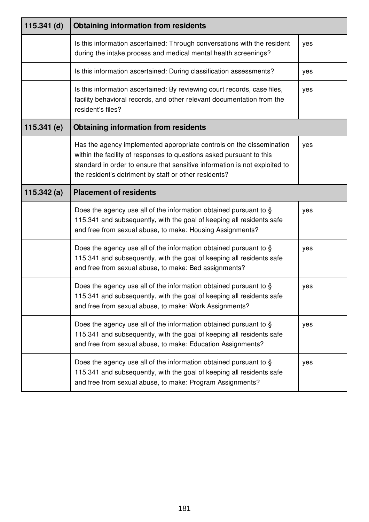| $115.341$ (d) | <b>Obtaining information from residents</b>                                                                                                                                                                                                                                         |     |
|---------------|-------------------------------------------------------------------------------------------------------------------------------------------------------------------------------------------------------------------------------------------------------------------------------------|-----|
|               | Is this information ascertained: Through conversations with the resident<br>during the intake process and medical mental health screenings?                                                                                                                                         | yes |
|               | Is this information ascertained: During classification assessments?                                                                                                                                                                                                                 | yes |
|               | Is this information ascertained: By reviewing court records, case files,<br>facility behavioral records, and other relevant documentation from the<br>resident's files?                                                                                                             | yes |
| 115.341 (e)   | <b>Obtaining information from residents</b>                                                                                                                                                                                                                                         |     |
|               | Has the agency implemented appropriate controls on the dissemination<br>within the facility of responses to questions asked pursuant to this<br>standard in order to ensure that sensitive information is not exploited to<br>the resident's detriment by staff or other residents? | yes |
| 115.342 $(a)$ | <b>Placement of residents</b>                                                                                                                                                                                                                                                       |     |
|               | Does the agency use all of the information obtained pursuant to §<br>115.341 and subsequently, with the goal of keeping all residents safe<br>and free from sexual abuse, to make: Housing Assignments?                                                                             | yes |
|               | Does the agency use all of the information obtained pursuant to §<br>115.341 and subsequently, with the goal of keeping all residents safe<br>and free from sexual abuse, to make: Bed assignments?                                                                                 | yes |
|               | Does the agency use all of the information obtained pursuant to §<br>115.341 and subsequently, with the goal of keeping all residents safe<br>and free from sexual abuse, to make: Work Assignments?                                                                                | yes |
|               | Does the agency use all of the information obtained pursuant to §<br>115.341 and subsequently, with the goal of keeping all residents safe<br>and free from sexual abuse, to make: Education Assignments?                                                                           | yes |
|               | Does the agency use all of the information obtained pursuant to §<br>115.341 and subsequently, with the goal of keeping all residents safe<br>and free from sexual abuse, to make: Program Assignments?                                                                             | yes |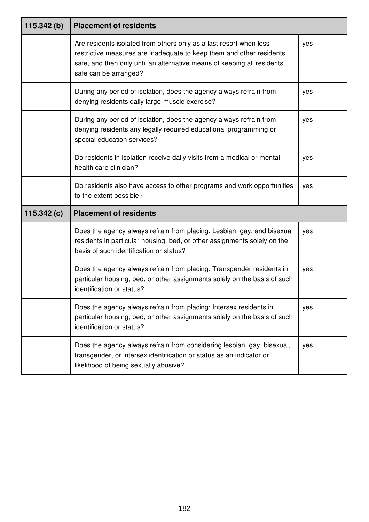| 115.342(b)    | <b>Placement of residents</b>                                                                                                                                                                                                                  |     |
|---------------|------------------------------------------------------------------------------------------------------------------------------------------------------------------------------------------------------------------------------------------------|-----|
|               | Are residents isolated from others only as a last resort when less<br>restrictive measures are inadequate to keep them and other residents<br>safe, and then only until an alternative means of keeping all residents<br>safe can be arranged? | yes |
|               | During any period of isolation, does the agency always refrain from<br>denying residents daily large-muscle exercise?                                                                                                                          | yes |
|               | During any period of isolation, does the agency always refrain from<br>denying residents any legally required educational programming or<br>special education services?                                                                        | yes |
|               | Do residents in isolation receive daily visits from a medical or mental<br>health care clinician?                                                                                                                                              | yes |
|               | Do residents also have access to other programs and work opportunities<br>to the extent possible?                                                                                                                                              | yes |
| 115.342 $(c)$ | <b>Placement of residents</b>                                                                                                                                                                                                                  |     |
|               | Does the agency always refrain from placing: Lesbian, gay, and bisexual<br>residents in particular housing, bed, or other assignments solely on the<br>basis of such identification or status?                                                 | yes |
|               | Does the agency always refrain from placing: Transgender residents in<br>particular housing, bed, or other assignments solely on the basis of such<br>identification or status?                                                                | yes |
|               | Does the agency always refrain from placing: Intersex residents in<br>particular housing, bed, or other assignments solely on the basis of such<br>identification or status?                                                                   | yes |
|               | Does the agency always refrain from considering lesbian, gay, bisexual,<br>transgender, or intersex identification or status as an indicator or<br>likelihood of being sexually abusive?                                                       | yes |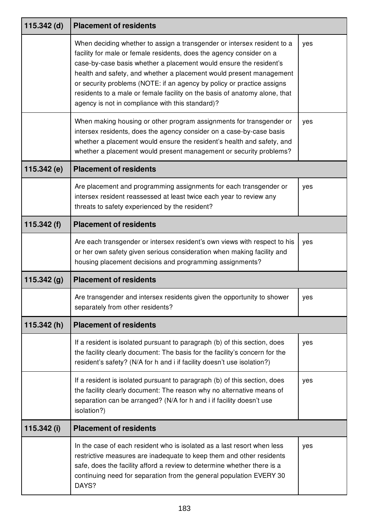| 115.342 (d)   | <b>Placement of residents</b>                                                                                                                                                                                                                                                                                                                                                                                                                                                                            |     |
|---------------|----------------------------------------------------------------------------------------------------------------------------------------------------------------------------------------------------------------------------------------------------------------------------------------------------------------------------------------------------------------------------------------------------------------------------------------------------------------------------------------------------------|-----|
|               | When deciding whether to assign a transgender or intersex resident to a<br>facility for male or female residents, does the agency consider on a<br>case-by-case basis whether a placement would ensure the resident's<br>health and safety, and whether a placement would present management<br>or security problems (NOTE: if an agency by policy or practice assigns<br>residents to a male or female facility on the basis of anatomy alone, that<br>agency is not in compliance with this standard)? | yes |
|               | When making housing or other program assignments for transgender or<br>intersex residents, does the agency consider on a case-by-case basis<br>whether a placement would ensure the resident's health and safety, and<br>whether a placement would present management or security problems?                                                                                                                                                                                                              | yes |
| 115.342(e)    | <b>Placement of residents</b>                                                                                                                                                                                                                                                                                                                                                                                                                                                                            |     |
|               | Are placement and programming assignments for each transgender or<br>intersex resident reassessed at least twice each year to review any<br>threats to safety experienced by the resident?                                                                                                                                                                                                                                                                                                               | yes |
| 115.342 $(f)$ | <b>Placement of residents</b>                                                                                                                                                                                                                                                                                                                                                                                                                                                                            |     |
|               | Are each transgender or intersex resident's own views with respect to his<br>or her own safety given serious consideration when making facility and<br>housing placement decisions and programming assignments?                                                                                                                                                                                                                                                                                          | yes |
| 115.342(g)    | <b>Placement of residents</b>                                                                                                                                                                                                                                                                                                                                                                                                                                                                            |     |
|               | Are transgender and intersex residents given the opportunity to shower<br>separately from other residents?                                                                                                                                                                                                                                                                                                                                                                                               | yes |
| 115.342(h)    | <b>Placement of residents</b>                                                                                                                                                                                                                                                                                                                                                                                                                                                                            |     |
|               | If a resident is isolated pursuant to paragraph (b) of this section, does<br>the facility clearly document: The basis for the facility's concern for the<br>resident's safety? (N/A for h and i if facility doesn't use isolation?)                                                                                                                                                                                                                                                                      | yes |
|               | If a resident is isolated pursuant to paragraph (b) of this section, does<br>the facility clearly document: The reason why no alternative means of<br>separation can be arranged? (N/A for h and i if facility doesn't use<br>isolation?)                                                                                                                                                                                                                                                                | yes |
| 115.342 (i)   | <b>Placement of residents</b>                                                                                                                                                                                                                                                                                                                                                                                                                                                                            |     |
|               | In the case of each resident who is isolated as a last resort when less<br>restrictive measures are inadequate to keep them and other residents<br>safe, does the facility afford a review to determine whether there is a<br>continuing need for separation from the general population EVERY 30<br>DAYS?                                                                                                                                                                                               | yes |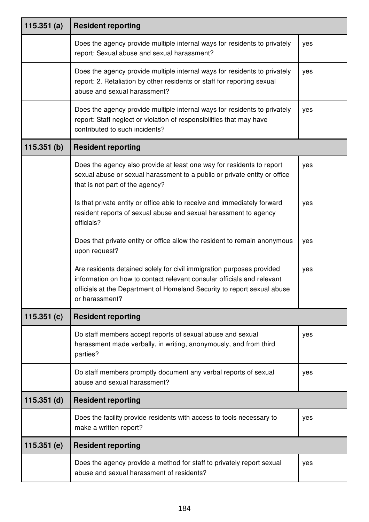| 115.351 $(a)$ | <b>Resident reporting</b>                                                                                                                                                                                                                    |     |
|---------------|----------------------------------------------------------------------------------------------------------------------------------------------------------------------------------------------------------------------------------------------|-----|
|               | Does the agency provide multiple internal ways for residents to privately<br>report: Sexual abuse and sexual harassment?                                                                                                                     | yes |
|               | Does the agency provide multiple internal ways for residents to privately<br>report: 2. Retaliation by other residents or staff for reporting sexual<br>abuse and sexual harassment?                                                         | yes |
|               | Does the agency provide multiple internal ways for residents to privately<br>report: Staff neglect or violation of responsibilities that may have<br>contributed to such incidents?                                                          | yes |
| 115.351(b)    | <b>Resident reporting</b>                                                                                                                                                                                                                    |     |
|               | Does the agency also provide at least one way for residents to report<br>sexual abuse or sexual harassment to a public or private entity or office<br>that is not part of the agency?                                                        | yes |
|               | Is that private entity or office able to receive and immediately forward<br>resident reports of sexual abuse and sexual harassment to agency<br>officials?                                                                                   | yes |
|               | Does that private entity or office allow the resident to remain anonymous<br>upon request?                                                                                                                                                   | yes |
|               | Are residents detained solely for civil immigration purposes provided<br>information on how to contact relevant consular officials and relevant<br>officials at the Department of Homeland Security to report sexual abuse<br>or harassment? | yes |
| 115.351(c)    | <b>Resident reporting</b>                                                                                                                                                                                                                    |     |
|               | Do staff members accept reports of sexual abuse and sexual<br>harassment made verbally, in writing, anonymously, and from third<br>parties?                                                                                                  | yes |
|               | Do staff members promptly document any verbal reports of sexual<br>abuse and sexual harassment?                                                                                                                                              | yes |
| $115.351$ (d) | <b>Resident reporting</b>                                                                                                                                                                                                                    |     |
|               | Does the facility provide residents with access to tools necessary to<br>make a written report?                                                                                                                                              | yes |
| 115.351 (e)   | <b>Resident reporting</b>                                                                                                                                                                                                                    |     |
|               | Does the agency provide a method for staff to privately report sexual<br>abuse and sexual harassment of residents?                                                                                                                           | yes |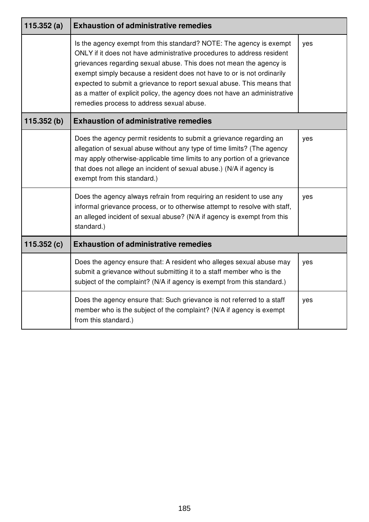| 115.352(a)    | <b>Exhaustion of administrative remedies</b>                                                                                                                                                                                                                                                                                                                                                                                                                                                        |     |
|---------------|-----------------------------------------------------------------------------------------------------------------------------------------------------------------------------------------------------------------------------------------------------------------------------------------------------------------------------------------------------------------------------------------------------------------------------------------------------------------------------------------------------|-----|
|               | Is the agency exempt from this standard? NOTE: The agency is exempt<br>ONLY if it does not have administrative procedures to address resident<br>grievances regarding sexual abuse. This does not mean the agency is<br>exempt simply because a resident does not have to or is not ordinarily<br>expected to submit a grievance to report sexual abuse. This means that<br>as a matter of explicit policy, the agency does not have an administrative<br>remedies process to address sexual abuse. | yes |
| 115.352(b)    | <b>Exhaustion of administrative remedies</b>                                                                                                                                                                                                                                                                                                                                                                                                                                                        |     |
|               | Does the agency permit residents to submit a grievance regarding an<br>allegation of sexual abuse without any type of time limits? (The agency<br>may apply otherwise-applicable time limits to any portion of a grievance<br>that does not allege an incident of sexual abuse.) (N/A if agency is<br>exempt from this standard.)                                                                                                                                                                   | yes |
|               | Does the agency always refrain from requiring an resident to use any<br>informal grievance process, or to otherwise attempt to resolve with staff,<br>an alleged incident of sexual abuse? (N/A if agency is exempt from this<br>standard.)                                                                                                                                                                                                                                                         | yes |
| 115.352 $(c)$ | <b>Exhaustion of administrative remedies</b>                                                                                                                                                                                                                                                                                                                                                                                                                                                        |     |
|               | Does the agency ensure that: A resident who alleges sexual abuse may<br>submit a grievance without submitting it to a staff member who is the<br>subject of the complaint? (N/A if agency is exempt from this standard.)                                                                                                                                                                                                                                                                            | yes |
|               | Does the agency ensure that: Such grievance is not referred to a staff<br>member who is the subject of the complaint? (N/A if agency is exempt<br>from this standard.)                                                                                                                                                                                                                                                                                                                              | yes |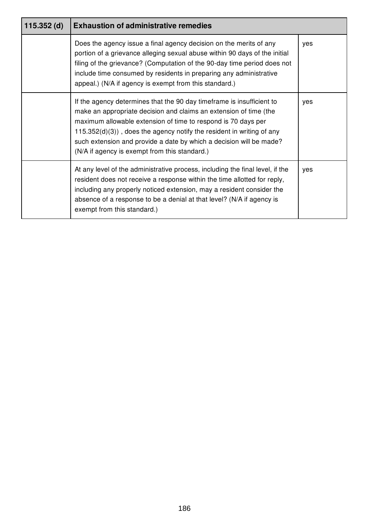| $115.352$ (d) | <b>Exhaustion of administrative remedies</b>                                                                                                                                                                                                                                                                                                                                                                    |     |
|---------------|-----------------------------------------------------------------------------------------------------------------------------------------------------------------------------------------------------------------------------------------------------------------------------------------------------------------------------------------------------------------------------------------------------------------|-----|
|               | Does the agency issue a final agency decision on the merits of any<br>portion of a grievance alleging sexual abuse within 90 days of the initial<br>filing of the grievance? (Computation of the 90-day time period does not<br>include time consumed by residents in preparing any administrative<br>appeal.) (N/A if agency is exempt from this standard.)                                                    | yes |
|               | If the agency determines that the 90 day time frame is insufficient to<br>make an appropriate decision and claims an extension of time (the<br>maximum allowable extension of time to respond is 70 days per<br>$115.352(d)(3)$ , does the agency notify the resident in writing of any<br>such extension and provide a date by which a decision will be made?<br>(N/A if agency is exempt from this standard.) | yes |
|               | At any level of the administrative process, including the final level, if the<br>resident does not receive a response within the time allotted for reply,<br>including any properly noticed extension, may a resident consider the<br>absence of a response to be a denial at that level? (N/A if agency is<br>exempt from this standard.)                                                                      | yes |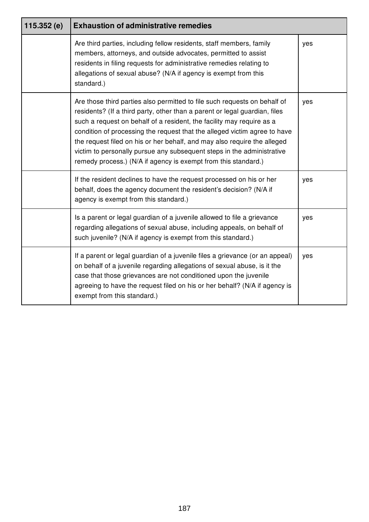| 115.352(e) | <b>Exhaustion of administrative remedies</b>                                                                                                                                                                                                                                                                                                                                                                                                                                                                                          |     |
|------------|---------------------------------------------------------------------------------------------------------------------------------------------------------------------------------------------------------------------------------------------------------------------------------------------------------------------------------------------------------------------------------------------------------------------------------------------------------------------------------------------------------------------------------------|-----|
|            | Are third parties, including fellow residents, staff members, family<br>members, attorneys, and outside advocates, permitted to assist<br>residents in filing requests for administrative remedies relating to<br>allegations of sexual abuse? (N/A if agency is exempt from this<br>standard.)                                                                                                                                                                                                                                       | yes |
|            | Are those third parties also permitted to file such requests on behalf of<br>residents? (If a third party, other than a parent or legal guardian, files<br>such a request on behalf of a resident, the facility may require as a<br>condition of processing the request that the alleged victim agree to have<br>the request filed on his or her behalf, and may also require the alleged<br>victim to personally pursue any subsequent steps in the administrative<br>remedy process.) (N/A if agency is exempt from this standard.) | yes |
|            | If the resident declines to have the request processed on his or her<br>behalf, does the agency document the resident's decision? (N/A if<br>agency is exempt from this standard.)                                                                                                                                                                                                                                                                                                                                                    | yes |
|            | Is a parent or legal guardian of a juvenile allowed to file a grievance<br>regarding allegations of sexual abuse, including appeals, on behalf of<br>such juvenile? (N/A if agency is exempt from this standard.)                                                                                                                                                                                                                                                                                                                     | yes |
|            | If a parent or legal guardian of a juvenile files a grievance (or an appeal)<br>on behalf of a juvenile regarding allegations of sexual abuse, is it the<br>case that those grievances are not conditioned upon the juvenile<br>agreeing to have the request filed on his or her behalf? (N/A if agency is<br>exempt from this standard.)                                                                                                                                                                                             | yes |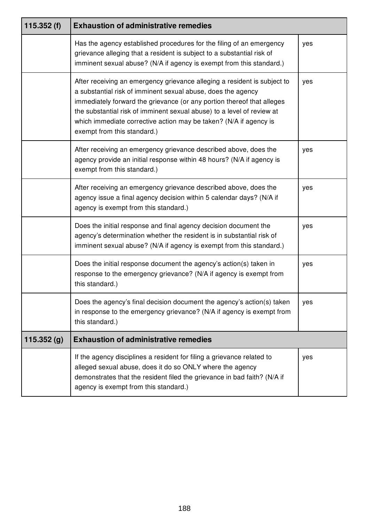| 115.352(f) | <b>Exhaustion of administrative remedies</b>                                                                                                                                                                                                                                                                                                                                                     |     |
|------------|--------------------------------------------------------------------------------------------------------------------------------------------------------------------------------------------------------------------------------------------------------------------------------------------------------------------------------------------------------------------------------------------------|-----|
|            | Has the agency established procedures for the filing of an emergency<br>grievance alleging that a resident is subject to a substantial risk of<br>imminent sexual abuse? (N/A if agency is exempt from this standard.)                                                                                                                                                                           | yes |
|            | After receiving an emergency grievance alleging a resident is subject to<br>a substantial risk of imminent sexual abuse, does the agency<br>immediately forward the grievance (or any portion thereof that alleges<br>the substantial risk of imminent sexual abuse) to a level of review at<br>which immediate corrective action may be taken? (N/A if agency is<br>exempt from this standard.) | yes |
|            | After receiving an emergency grievance described above, does the<br>agency provide an initial response within 48 hours? (N/A if agency is<br>exempt from this standard.)                                                                                                                                                                                                                         | yes |
|            | After receiving an emergency grievance described above, does the<br>agency issue a final agency decision within 5 calendar days? (N/A if<br>agency is exempt from this standard.)                                                                                                                                                                                                                | yes |
|            | Does the initial response and final agency decision document the<br>agency's determination whether the resident is in substantial risk of<br>imminent sexual abuse? (N/A if agency is exempt from this standard.)                                                                                                                                                                                | yes |
|            | Does the initial response document the agency's action(s) taken in<br>response to the emergency grievance? (N/A if agency is exempt from<br>this standard.)                                                                                                                                                                                                                                      | yes |
|            | Does the agency's final decision document the agency's action(s) taken<br>in response to the emergency grievance? (N/A if agency is exempt from<br>this standard.)                                                                                                                                                                                                                               | yes |
| 115.352(g) | <b>Exhaustion of administrative remedies</b>                                                                                                                                                                                                                                                                                                                                                     |     |
|            | If the agency disciplines a resident for filing a grievance related to<br>alleged sexual abuse, does it do so ONLY where the agency<br>demonstrates that the resident filed the grievance in bad faith? (N/A if<br>agency is exempt from this standard.)                                                                                                                                         | yes |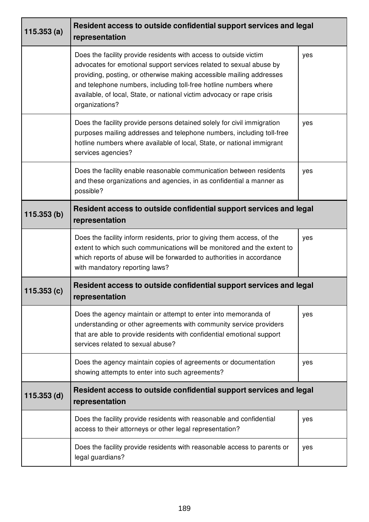| 115.353(a)    | Resident access to outside confidential support services and legal<br>representation                                                                                                                                                                                                                                                                                             |     |
|---------------|----------------------------------------------------------------------------------------------------------------------------------------------------------------------------------------------------------------------------------------------------------------------------------------------------------------------------------------------------------------------------------|-----|
|               | Does the facility provide residents with access to outside victim<br>advocates for emotional support services related to sexual abuse by<br>providing, posting, or otherwise making accessible mailing addresses<br>and telephone numbers, including toll-free hotline numbers where<br>available, of local, State, or national victim advocacy or rape crisis<br>organizations? | yes |
|               | Does the facility provide persons detained solely for civil immigration<br>purposes mailing addresses and telephone numbers, including toll-free<br>hotline numbers where available of local, State, or national immigrant<br>services agencies?                                                                                                                                 | yes |
|               | Does the facility enable reasonable communication between residents<br>and these organizations and agencies, in as confidential a manner as<br>possible?                                                                                                                                                                                                                         | yes |
| 115.353(b)    | Resident access to outside confidential support services and legal<br>representation                                                                                                                                                                                                                                                                                             |     |
|               | Does the facility inform residents, prior to giving them access, of the<br>extent to which such communications will be monitored and the extent to<br>which reports of abuse will be forwarded to authorities in accordance<br>with mandatory reporting laws?                                                                                                                    | yes |
| 115.353(c)    | Resident access to outside confidential support services and legal<br>representation                                                                                                                                                                                                                                                                                             |     |
|               | Does the agency maintain or attempt to enter into memoranda of<br>understanding or other agreements with community service providers<br>that are able to provide residents with confidential emotional support<br>services related to sexual abuse?                                                                                                                              | yes |
|               | Does the agency maintain copies of agreements or documentation<br>showing attempts to enter into such agreements?                                                                                                                                                                                                                                                                | yes |
| $115.353$ (d) | Resident access to outside confidential support services and legal<br>representation                                                                                                                                                                                                                                                                                             |     |
|               | Does the facility provide residents with reasonable and confidential<br>access to their attorneys or other legal representation?                                                                                                                                                                                                                                                 | yes |
|               | Does the facility provide residents with reasonable access to parents or<br>legal guardians?                                                                                                                                                                                                                                                                                     | yes |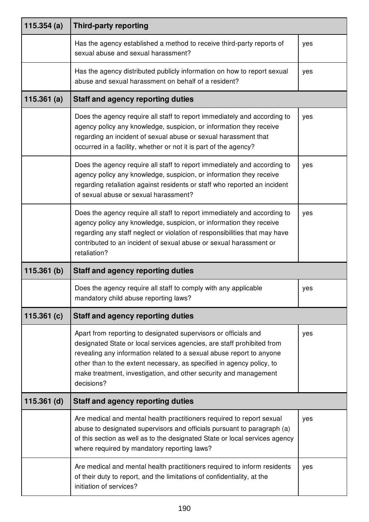| 115.354(a)    | <b>Third-party reporting</b>                                                                                                                                                                                                                                                                                                                                                 |     |
|---------------|------------------------------------------------------------------------------------------------------------------------------------------------------------------------------------------------------------------------------------------------------------------------------------------------------------------------------------------------------------------------------|-----|
|               | Has the agency established a method to receive third-party reports of<br>sexual abuse and sexual harassment?                                                                                                                                                                                                                                                                 | yes |
|               | Has the agency distributed publicly information on how to report sexual<br>abuse and sexual harassment on behalf of a resident?                                                                                                                                                                                                                                              | yes |
| 115.361(a)    | <b>Staff and agency reporting duties</b>                                                                                                                                                                                                                                                                                                                                     |     |
|               | Does the agency require all staff to report immediately and according to<br>agency policy any knowledge, suspicion, or information they receive<br>regarding an incident of sexual abuse or sexual harassment that<br>occurred in a facility, whether or not it is part of the agency?                                                                                       | yes |
|               | Does the agency require all staff to report immediately and according to<br>agency policy any knowledge, suspicion, or information they receive<br>regarding retaliation against residents or staff who reported an incident<br>of sexual abuse or sexual harassment?                                                                                                        | yes |
|               | Does the agency require all staff to report immediately and according to<br>agency policy any knowledge, suspicion, or information they receive<br>regarding any staff neglect or violation of responsibilities that may have<br>contributed to an incident of sexual abuse or sexual harassment or<br>retaliation?                                                          | yes |
| 115.361(b)    | <b>Staff and agency reporting duties</b>                                                                                                                                                                                                                                                                                                                                     |     |
|               | Does the agency require all staff to comply with any applicable<br>mandatory child abuse reporting laws?                                                                                                                                                                                                                                                                     | yes |
| 115.361 $(c)$ | <b>Staff and agency reporting duties</b>                                                                                                                                                                                                                                                                                                                                     |     |
|               | Apart from reporting to designated supervisors or officials and<br>designated State or local services agencies, are staff prohibited from<br>revealing any information related to a sexual abuse report to anyone<br>other than to the extent necessary, as specified in agency policy, to<br>make treatment, investigation, and other security and management<br>decisions? | yes |
| $115.361$ (d) | <b>Staff and agency reporting duties</b>                                                                                                                                                                                                                                                                                                                                     |     |
|               | Are medical and mental health practitioners required to report sexual<br>abuse to designated supervisors and officials pursuant to paragraph (a)<br>of this section as well as to the designated State or local services agency<br>where required by mandatory reporting laws?                                                                                               | yes |
|               | Are medical and mental health practitioners required to inform residents<br>of their duty to report, and the limitations of confidentiality, at the<br>initiation of services?                                                                                                                                                                                               | yes |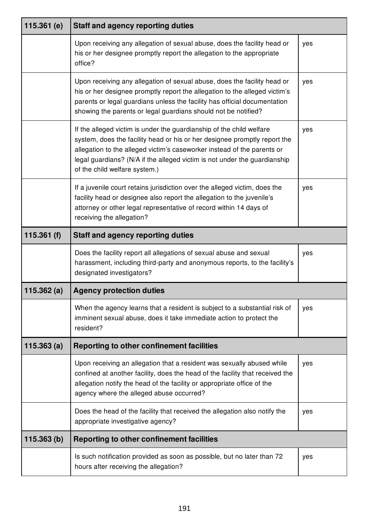| 115.361 $(e)$ | <b>Staff and agency reporting duties</b>                                                                                                                                                                                                                                                                                                   |     |
|---------------|--------------------------------------------------------------------------------------------------------------------------------------------------------------------------------------------------------------------------------------------------------------------------------------------------------------------------------------------|-----|
|               | Upon receiving any allegation of sexual abuse, does the facility head or<br>his or her designee promptly report the allegation to the appropriate<br>office?                                                                                                                                                                               | yes |
|               | Upon receiving any allegation of sexual abuse, does the facility head or<br>his or her designee promptly report the allegation to the alleged victim's<br>parents or legal guardians unless the facility has official documentation<br>showing the parents or legal guardians should not be notified?                                      | yes |
|               | If the alleged victim is under the guardianship of the child welfare<br>system, does the facility head or his or her designee promptly report the<br>allegation to the alleged victim's caseworker instead of the parents or<br>legal guardians? (N/A if the alleged victim is not under the guardianship<br>of the child welfare system.) | yes |
|               | If a juvenile court retains jurisdiction over the alleged victim, does the<br>facility head or designee also report the allegation to the juvenile's<br>attorney or other legal representative of record within 14 days of<br>receiving the allegation?                                                                                    | yes |
| 115.361 $(f)$ | <b>Staff and agency reporting duties</b>                                                                                                                                                                                                                                                                                                   |     |
|               | Does the facility report all allegations of sexual abuse and sexual                                                                                                                                                                                                                                                                        | yes |
|               | harassment, including third-party and anonymous reports, to the facility's<br>designated investigators?                                                                                                                                                                                                                                    |     |
| 115.362(a)    | <b>Agency protection duties</b>                                                                                                                                                                                                                                                                                                            |     |
|               | When the agency learns that a resident is subject to a substantial risk of<br>imminent sexual abuse, does it take immediate action to protect the<br>resident?                                                                                                                                                                             | yes |
| 115.363(a)    | Reporting to other confinement facilities                                                                                                                                                                                                                                                                                                  |     |
|               | Upon receiving an allegation that a resident was sexually abused while<br>confined at another facility, does the head of the facility that received the<br>allegation notify the head of the facility or appropriate office of the<br>agency where the alleged abuse occurred?                                                             | yes |
|               | Does the head of the facility that received the allegation also notify the<br>appropriate investigative agency?                                                                                                                                                                                                                            | yes |
| 115.363(b)    | <b>Reporting to other confinement facilities</b>                                                                                                                                                                                                                                                                                           |     |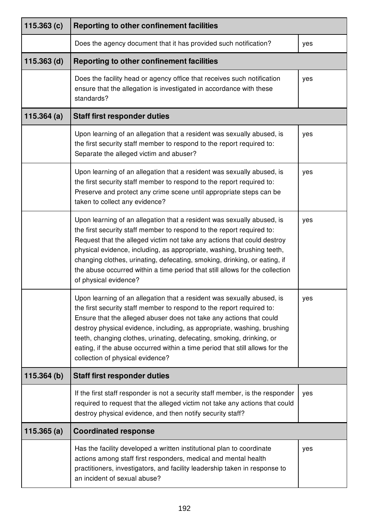| 115.363(c)    | Reporting to other confinement facilities                                                                                                                                                                                                                                                                                                                                                                                                                                                      |     |
|---------------|------------------------------------------------------------------------------------------------------------------------------------------------------------------------------------------------------------------------------------------------------------------------------------------------------------------------------------------------------------------------------------------------------------------------------------------------------------------------------------------------|-----|
|               | Does the agency document that it has provided such notification?                                                                                                                                                                                                                                                                                                                                                                                                                               | yes |
| $115.363$ (d) | <b>Reporting to other confinement facilities</b>                                                                                                                                                                                                                                                                                                                                                                                                                                               |     |
|               | Does the facility head or agency office that receives such notification<br>ensure that the allegation is investigated in accordance with these<br>standards?                                                                                                                                                                                                                                                                                                                                   | yes |
| 115.364(a)    | <b>Staff first responder duties</b>                                                                                                                                                                                                                                                                                                                                                                                                                                                            |     |
|               | Upon learning of an allegation that a resident was sexually abused, is<br>the first security staff member to respond to the report required to:<br>Separate the alleged victim and abuser?                                                                                                                                                                                                                                                                                                     | yes |
|               | Upon learning of an allegation that a resident was sexually abused, is<br>the first security staff member to respond to the report required to:<br>Preserve and protect any crime scene until appropriate steps can be<br>taken to collect any evidence?                                                                                                                                                                                                                                       | yes |
|               | Upon learning of an allegation that a resident was sexually abused, is<br>the first security staff member to respond to the report required to:<br>Request that the alleged victim not take any actions that could destroy<br>physical evidence, including, as appropriate, washing, brushing teeth,<br>changing clothes, urinating, defecating, smoking, drinking, or eating, if<br>the abuse occurred within a time period that still allows for the collection<br>of physical evidence?     | yes |
|               | Upon learning of an allegation that a resident was sexually abused, is<br>the first security staff member to respond to the report required to:<br>Ensure that the alleged abuser does not take any actions that could<br>destroy physical evidence, including, as appropriate, washing, brushing<br>teeth, changing clothes, urinating, defecating, smoking, drinking, or<br>eating, if the abuse occurred within a time period that still allows for the<br>collection of physical evidence? | yes |
| 115.364(b)    | <b>Staff first responder duties</b>                                                                                                                                                                                                                                                                                                                                                                                                                                                            |     |
|               | If the first staff responder is not a security staff member, is the responder<br>required to request that the alleged victim not take any actions that could<br>destroy physical evidence, and then notify security staff?                                                                                                                                                                                                                                                                     | yes |
| 115.365(a)    | <b>Coordinated response</b>                                                                                                                                                                                                                                                                                                                                                                                                                                                                    |     |
|               | Has the facility developed a written institutional plan to coordinate<br>actions among staff first responders, medical and mental health<br>practitioners, investigators, and facility leadership taken in response to<br>an incident of sexual abuse?                                                                                                                                                                                                                                         | yes |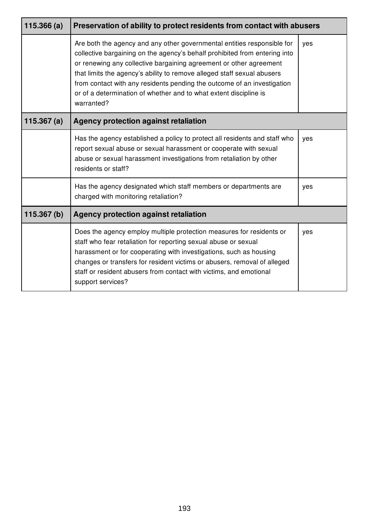| 115.366(a)    | Preservation of ability to protect residents from contact with abusers                                                                                                                                                                                                                                                                                                                                                                                               |     |
|---------------|----------------------------------------------------------------------------------------------------------------------------------------------------------------------------------------------------------------------------------------------------------------------------------------------------------------------------------------------------------------------------------------------------------------------------------------------------------------------|-----|
|               | Are both the agency and any other governmental entities responsible for<br>collective bargaining on the agency's behalf prohibited from entering into<br>or renewing any collective bargaining agreement or other agreement<br>that limits the agency's ability to remove alleged staff sexual abusers<br>from contact with any residents pending the outcome of an investigation<br>or of a determination of whether and to what extent discipline is<br>warranted? | yes |
| 115.367 $(a)$ | Agency protection against retaliation                                                                                                                                                                                                                                                                                                                                                                                                                                |     |
|               | Has the agency established a policy to protect all residents and staff who<br>report sexual abuse or sexual harassment or cooperate with sexual<br>abuse or sexual harassment investigations from retaliation by other<br>residents or staff?                                                                                                                                                                                                                        | yes |
|               | Has the agency designated which staff members or departments are<br>charged with monitoring retaliation?                                                                                                                                                                                                                                                                                                                                                             | yes |
| 115.367(b)    | <b>Agency protection against retaliation</b>                                                                                                                                                                                                                                                                                                                                                                                                                         |     |
|               | Does the agency employ multiple protection measures for residents or<br>staff who fear retaliation for reporting sexual abuse or sexual<br>harassment or for cooperating with investigations, such as housing<br>changes or transfers for resident victims or abusers, removal of alleged<br>staff or resident abusers from contact with victims, and emotional<br>support services?                                                                                 | yes |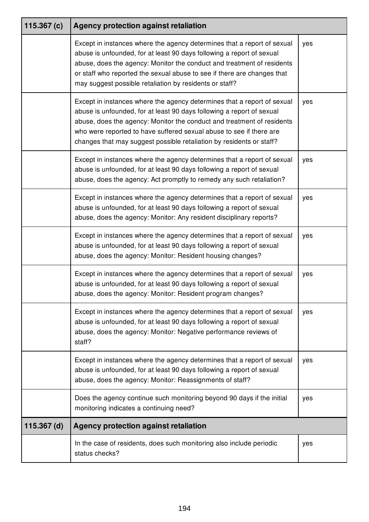| 115.367 $(c)$ | Agency protection against retaliation                                                                                                                                                                                                                                                                                                                                     |     |
|---------------|---------------------------------------------------------------------------------------------------------------------------------------------------------------------------------------------------------------------------------------------------------------------------------------------------------------------------------------------------------------------------|-----|
|               | Except in instances where the agency determines that a report of sexual<br>abuse is unfounded, for at least 90 days following a report of sexual<br>abuse, does the agency: Monitor the conduct and treatment of residents<br>or staff who reported the sexual abuse to see if there are changes that<br>may suggest possible retaliation by residents or staff?          | yes |
|               | Except in instances where the agency determines that a report of sexual<br>abuse is unfounded, for at least 90 days following a report of sexual<br>abuse, does the agency: Monitor the conduct and treatment of residents<br>who were reported to have suffered sexual abuse to see if there are<br>changes that may suggest possible retaliation by residents or staff? | yes |
|               | Except in instances where the agency determines that a report of sexual<br>abuse is unfounded, for at least 90 days following a report of sexual<br>abuse, does the agency: Act promptly to remedy any such retaliation?                                                                                                                                                  | yes |
|               | Except in instances where the agency determines that a report of sexual<br>abuse is unfounded, for at least 90 days following a report of sexual<br>abuse, does the agency: Monitor: Any resident disciplinary reports?                                                                                                                                                   | yes |
|               | Except in instances where the agency determines that a report of sexual<br>abuse is unfounded, for at least 90 days following a report of sexual<br>abuse, does the agency: Monitor: Resident housing changes?                                                                                                                                                            | yes |
|               | Except in instances where the agency determines that a report of sexual<br>abuse is unfounded, for at least 90 days following a report of sexual<br>abuse, does the agency: Monitor: Resident program changes?                                                                                                                                                            | yes |
|               | Except in instances where the agency determines that a report of sexual<br>abuse is unfounded, for at least 90 days following a report of sexual<br>abuse, does the agency: Monitor: Negative performance reviews of<br>staff?                                                                                                                                            | yes |
|               | Except in instances where the agency determines that a report of sexual<br>abuse is unfounded, for at least 90 days following a report of sexual<br>abuse, does the agency: Monitor: Reassignments of staff?                                                                                                                                                              | yes |
|               | Does the agency continue such monitoring beyond 90 days if the initial<br>monitoring indicates a continuing need?                                                                                                                                                                                                                                                         | yes |
| $115.367$ (d) | Agency protection against retaliation                                                                                                                                                                                                                                                                                                                                     |     |
|               | In the case of residents, does such monitoring also include periodic<br>status checks?                                                                                                                                                                                                                                                                                    | yes |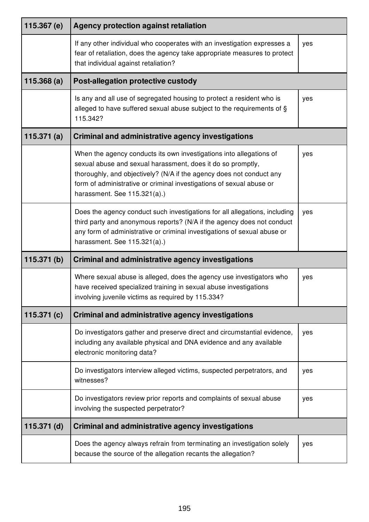| 115.367 (e)   | <b>Agency protection against retaliation</b>                                                                                                                                                                                                                                                                       |     |
|---------------|--------------------------------------------------------------------------------------------------------------------------------------------------------------------------------------------------------------------------------------------------------------------------------------------------------------------|-----|
|               | If any other individual who cooperates with an investigation expresses a<br>fear of retaliation, does the agency take appropriate measures to protect<br>that individual against retaliation?                                                                                                                      | yes |
| 115.368(a)    | Post-allegation protective custody                                                                                                                                                                                                                                                                                 |     |
|               | Is any and all use of segregated housing to protect a resident who is<br>alleged to have suffered sexual abuse subject to the requirements of §<br>115.342?                                                                                                                                                        | yes |
| 115.371 $(a)$ | <b>Criminal and administrative agency investigations</b>                                                                                                                                                                                                                                                           |     |
|               | When the agency conducts its own investigations into allegations of<br>sexual abuse and sexual harassment, does it do so promptly,<br>thoroughly, and objectively? (N/A if the agency does not conduct any<br>form of administrative or criminal investigations of sexual abuse or<br>harassment. See 115.321(a).) | yes |
|               | Does the agency conduct such investigations for all allegations, including<br>third party and anonymous reports? (N/A if the agency does not conduct<br>any form of administrative or criminal investigations of sexual abuse or<br>harassment. See 115.321(a).)                                                   | yes |
| 115.371(b)    | <b>Criminal and administrative agency investigations</b>                                                                                                                                                                                                                                                           |     |
|               | Where sexual abuse is alleged, does the agency use investigators who<br>have received specialized training in sexual abuse investigations<br>involving juvenile victims as required by 115.334?                                                                                                                    | yes |
| 115.371 $(c)$ | <b>Criminal and administrative agency investigations</b>                                                                                                                                                                                                                                                           |     |
|               | Do investigators gather and preserve direct and circumstantial evidence,<br>including any available physical and DNA evidence and any available<br>electronic monitoring data?                                                                                                                                     | yes |
|               | Do investigators interview alleged victims, suspected perpetrators, and<br>witnesses?                                                                                                                                                                                                                              | yes |
|               | Do investigators review prior reports and complaints of sexual abuse<br>involving the suspected perpetrator?                                                                                                                                                                                                       | yes |
| $115.371$ (d) | <b>Criminal and administrative agency investigations</b>                                                                                                                                                                                                                                                           |     |
|               | Does the agency always refrain from terminating an investigation solely<br>because the source of the allegation recants the allegation?                                                                                                                                                                            | yes |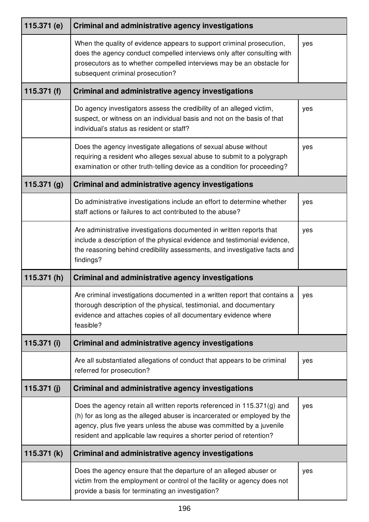| 115.371 (e)   | <b>Criminal and administrative agency investigations</b>                                                                                                                                                                                                                                           |     |
|---------------|----------------------------------------------------------------------------------------------------------------------------------------------------------------------------------------------------------------------------------------------------------------------------------------------------|-----|
|               | When the quality of evidence appears to support criminal prosecution,<br>does the agency conduct compelled interviews only after consulting with<br>prosecutors as to whether compelled interviews may be an obstacle for<br>subsequent criminal prosecution?                                      | yes |
| 115.371 $(f)$ | <b>Criminal and administrative agency investigations</b>                                                                                                                                                                                                                                           |     |
|               | Do agency investigators assess the credibility of an alleged victim,<br>suspect, or witness on an individual basis and not on the basis of that<br>individual's status as resident or staff?                                                                                                       | yes |
|               | Does the agency investigate allegations of sexual abuse without<br>requiring a resident who alleges sexual abuse to submit to a polygraph<br>examination or other truth-telling device as a condition for proceeding?                                                                              | yes |
| 115.371(g)    | <b>Criminal and administrative agency investigations</b>                                                                                                                                                                                                                                           |     |
|               | Do administrative investigations include an effort to determine whether<br>staff actions or failures to act contributed to the abuse?                                                                                                                                                              | yes |
|               | Are administrative investigations documented in written reports that<br>include a description of the physical evidence and testimonial evidence,<br>the reasoning behind credibility assessments, and investigative facts and<br>findings?                                                         | yes |
| 115.371 $(h)$ | <b>Criminal and administrative agency investigations</b>                                                                                                                                                                                                                                           |     |
|               | Are criminal investigations documented in a written report that contains a<br>thorough description of the physical, testimonial, and documentary<br>evidence and attaches copies of all documentary evidence where<br>feasible?                                                                    | yes |
| 115.371 (i)   | Criminal and administrative agency investigations                                                                                                                                                                                                                                                  |     |
|               | Are all substantiated allegations of conduct that appears to be criminal<br>referred for prosecution?                                                                                                                                                                                              | yes |
| 115.371 $(j)$ | <b>Criminal and administrative agency investigations</b>                                                                                                                                                                                                                                           |     |
|               | Does the agency retain all written reports referenced in 115.371(g) and<br>(h) for as long as the alleged abuser is incarcerated or employed by the<br>agency, plus five years unless the abuse was committed by a juvenile<br>resident and applicable law requires a shorter period of retention? | yes |
| 115.371 $(k)$ | <b>Criminal and administrative agency investigations</b>                                                                                                                                                                                                                                           |     |
|               | Does the agency ensure that the departure of an alleged abuser or<br>victim from the employment or control of the facility or agency does not<br>provide a basis for terminating an investigation?                                                                                                 | yes |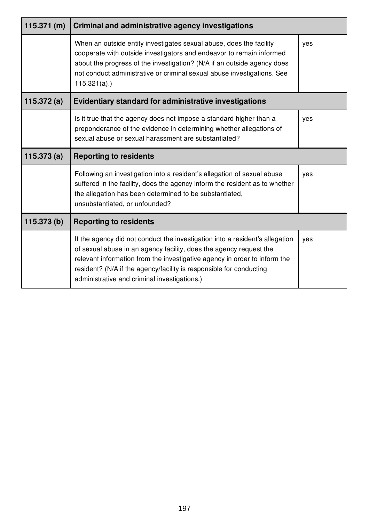| 115.371(m)    | <b>Criminal and administrative agency investigations</b>                                                                                                                                                                                                                                                                                               |     |
|---------------|--------------------------------------------------------------------------------------------------------------------------------------------------------------------------------------------------------------------------------------------------------------------------------------------------------------------------------------------------------|-----|
|               | When an outside entity investigates sexual abuse, does the facility<br>cooperate with outside investigators and endeavor to remain informed<br>about the progress of the investigation? (N/A if an outside agency does<br>not conduct administrative or criminal sexual abuse investigations. See<br>$115.321(a)$ .)                                   | yes |
| 115.372 $(a)$ | <b>Evidentiary standard for administrative investigations</b>                                                                                                                                                                                                                                                                                          |     |
|               | Is it true that the agency does not impose a standard higher than a<br>preponderance of the evidence in determining whether allegations of<br>sexual abuse or sexual harassment are substantiated?                                                                                                                                                     | yes |
| 115.373(a)    | <b>Reporting to residents</b>                                                                                                                                                                                                                                                                                                                          |     |
|               | Following an investigation into a resident's allegation of sexual abuse<br>suffered in the facility, does the agency inform the resident as to whether<br>the allegation has been determined to be substantiated,<br>unsubstantiated, or unfounded?                                                                                                    | yes |
| 115.373 (b)   | <b>Reporting to residents</b>                                                                                                                                                                                                                                                                                                                          |     |
|               | If the agency did not conduct the investigation into a resident's allegation<br>of sexual abuse in an agency facility, does the agency request the<br>relevant information from the investigative agency in order to inform the<br>resident? (N/A if the agency/facility is responsible for conducting<br>administrative and criminal investigations.) | yes |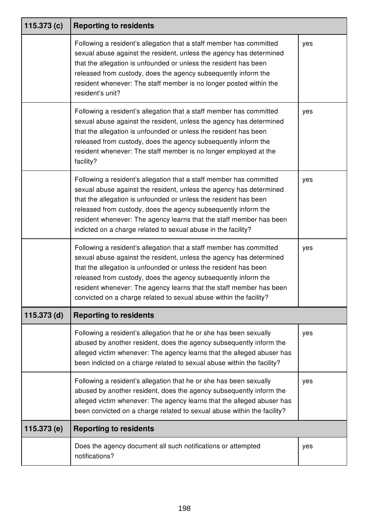| 115.373(c)  | <b>Reporting to residents</b>                                                                                                                                                                                                                                                                                                                                                                                                 |     |
|-------------|-------------------------------------------------------------------------------------------------------------------------------------------------------------------------------------------------------------------------------------------------------------------------------------------------------------------------------------------------------------------------------------------------------------------------------|-----|
|             | Following a resident's allegation that a staff member has committed<br>sexual abuse against the resident, unless the agency has determined<br>that the allegation is unfounded or unless the resident has been<br>released from custody, does the agency subsequently inform the<br>resident whenever: The staff member is no longer posted within the<br>resident's unit?                                                    | yes |
|             | Following a resident's allegation that a staff member has committed<br>sexual abuse against the resident, unless the agency has determined<br>that the allegation is unfounded or unless the resident has been<br>released from custody, does the agency subsequently inform the<br>resident whenever: The staff member is no longer employed at the<br>facility?                                                             | yes |
|             | Following a resident's allegation that a staff member has committed<br>sexual abuse against the resident, unless the agency has determined<br>that the allegation is unfounded or unless the resident has been<br>released from custody, does the agency subsequently inform the<br>resident whenever: The agency learns that the staff member has been<br>indicted on a charge related to sexual abuse in the facility?      | yes |
|             | Following a resident's allegation that a staff member has committed<br>sexual abuse against the resident, unless the agency has determined<br>that the allegation is unfounded or unless the resident has been<br>released from custody, does the agency subsequently inform the<br>resident whenever: The agency learns that the staff member has been<br>convicted on a charge related to sexual abuse within the facility? | yes |
| 115.373 (d) | <b>Reporting to residents</b>                                                                                                                                                                                                                                                                                                                                                                                                 |     |
|             | Following a resident's allegation that he or she has been sexually<br>abused by another resident, does the agency subsequently inform the<br>alleged victim whenever: The agency learns that the alleged abuser has<br>been indicted on a charge related to sexual abuse within the facility?                                                                                                                                 | yes |
|             | Following a resident's allegation that he or she has been sexually<br>abused by another resident, does the agency subsequently inform the<br>alleged victim whenever: The agency learns that the alleged abuser has<br>been convicted on a charge related to sexual abuse within the facility?                                                                                                                                | yes |
| 115.373 (e) | <b>Reporting to residents</b>                                                                                                                                                                                                                                                                                                                                                                                                 |     |
|             | Does the agency document all such notifications or attempted<br>notifications?                                                                                                                                                                                                                                                                                                                                                | yes |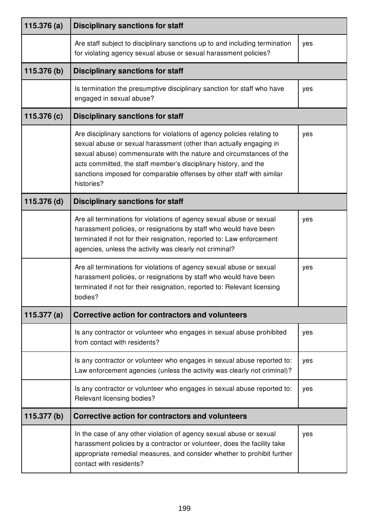| 115.376(a)    | <b>Disciplinary sanctions for staff</b>                                                                                                                                                                                                                                                                                                                                          |     |
|---------------|----------------------------------------------------------------------------------------------------------------------------------------------------------------------------------------------------------------------------------------------------------------------------------------------------------------------------------------------------------------------------------|-----|
|               | Are staff subject to disciplinary sanctions up to and including termination<br>for violating agency sexual abuse or sexual harassment policies?                                                                                                                                                                                                                                  | yes |
| 115.376 (b)   | <b>Disciplinary sanctions for staff</b>                                                                                                                                                                                                                                                                                                                                          |     |
|               | Is termination the presumptive disciplinary sanction for staff who have<br>engaged in sexual abuse?                                                                                                                                                                                                                                                                              | yes |
| 115.376 (c)   | <b>Disciplinary sanctions for staff</b>                                                                                                                                                                                                                                                                                                                                          |     |
|               | Are disciplinary sanctions for violations of agency policies relating to<br>sexual abuse or sexual harassment (other than actually engaging in<br>sexual abuse) commensurate with the nature and circumstances of the<br>acts committed, the staff member's disciplinary history, and the<br>sanctions imposed for comparable offenses by other staff with similar<br>histories? | yes |
| 115.376 (d)   | <b>Disciplinary sanctions for staff</b>                                                                                                                                                                                                                                                                                                                                          |     |
|               | Are all terminations for violations of agency sexual abuse or sexual<br>harassment policies, or resignations by staff who would have been<br>terminated if not for their resignation, reported to: Law enforcement<br>agencies, unless the activity was clearly not criminal?                                                                                                    | yes |
|               | Are all terminations for violations of agency sexual abuse or sexual<br>harassment policies, or resignations by staff who would have been<br>terminated if not for their resignation, reported to: Relevant licensing<br>bodies?                                                                                                                                                 | yes |
| 115.377 $(a)$ | Corrective action for contractors and volunteers                                                                                                                                                                                                                                                                                                                                 |     |
|               | Is any contractor or volunteer who engages in sexual abuse prohibited<br>from contact with residents?                                                                                                                                                                                                                                                                            | yes |
|               | Is any contractor or volunteer who engages in sexual abuse reported to:<br>Law enforcement agencies (unless the activity was clearly not criminal)?                                                                                                                                                                                                                              | yes |
|               | Is any contractor or volunteer who engages in sexual abuse reported to:<br>Relevant licensing bodies?                                                                                                                                                                                                                                                                            | yes |
| 115.377 (b)   | Corrective action for contractors and volunteers                                                                                                                                                                                                                                                                                                                                 |     |
|               | In the case of any other violation of agency sexual abuse or sexual<br>harassment policies by a contractor or volunteer, does the facility take<br>appropriate remedial measures, and consider whether to prohibit further<br>contact with residents?                                                                                                                            | yes |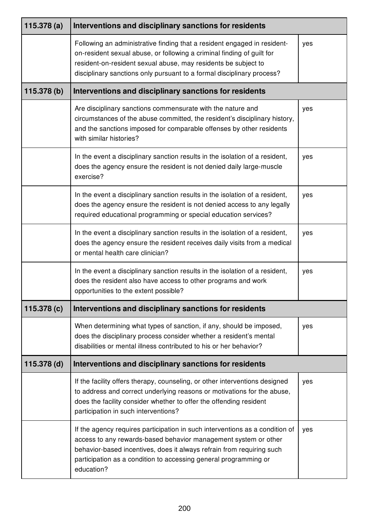| 115.378(a)  | Interventions and disciplinary sanctions for residents                                                                                                                                                                                                                                                     |     |
|-------------|------------------------------------------------------------------------------------------------------------------------------------------------------------------------------------------------------------------------------------------------------------------------------------------------------------|-----|
|             | Following an administrative finding that a resident engaged in resident-<br>on-resident sexual abuse, or following a criminal finding of guilt for<br>resident-on-resident sexual abuse, may residents be subject to<br>disciplinary sanctions only pursuant to a formal disciplinary process?             | yes |
| 115.378 (b) | Interventions and disciplinary sanctions for residents                                                                                                                                                                                                                                                     |     |
|             | Are disciplinary sanctions commensurate with the nature and<br>circumstances of the abuse committed, the resident's disciplinary history,<br>and the sanctions imposed for comparable offenses by other residents<br>with similar histories?                                                               | yes |
|             | In the event a disciplinary sanction results in the isolation of a resident,<br>does the agency ensure the resident is not denied daily large-muscle<br>exercise?                                                                                                                                          | yes |
|             | In the event a disciplinary sanction results in the isolation of a resident,<br>does the agency ensure the resident is not denied access to any legally<br>required educational programming or special education services?                                                                                 | yes |
|             | In the event a disciplinary sanction results in the isolation of a resident,<br>does the agency ensure the resident receives daily visits from a medical<br>or mental health care clinician?                                                                                                               | yes |
|             | In the event a disciplinary sanction results in the isolation of a resident,<br>does the resident also have access to other programs and work<br>opportunities to the extent possible?                                                                                                                     | yes |
| 115.378 (c) | Interventions and disciplinary sanctions for residents                                                                                                                                                                                                                                                     |     |
|             | When determining what types of sanction, if any, should be imposed,<br>does the disciplinary process consider whether a resident's mental<br>disabilities or mental illness contributed to his or her behavior?                                                                                            | yes |
| 115.378 (d) | Interventions and disciplinary sanctions for residents                                                                                                                                                                                                                                                     |     |
|             | If the facility offers therapy, counseling, or other interventions designed<br>to address and correct underlying reasons or motivations for the abuse,<br>does the facility consider whether to offer the offending resident<br>participation in such interventions?                                       | yes |
|             | If the agency requires participation in such interventions as a condition of<br>access to any rewards-based behavior management system or other<br>behavior-based incentives, does it always refrain from requiring such<br>participation as a condition to accessing general programming or<br>education? | yes |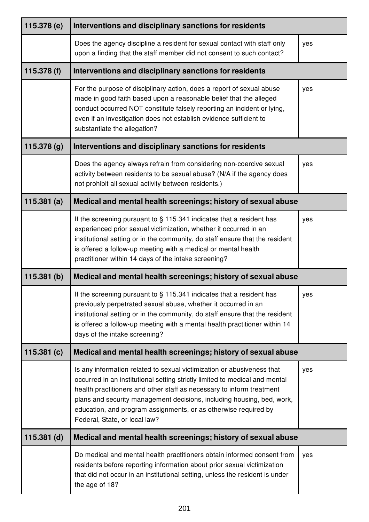| 115.378 (e)   | Interventions and disciplinary sanctions for residents                                                                                                                                                                                                                                                                                                                                                       |     |
|---------------|--------------------------------------------------------------------------------------------------------------------------------------------------------------------------------------------------------------------------------------------------------------------------------------------------------------------------------------------------------------------------------------------------------------|-----|
|               | Does the agency discipline a resident for sexual contact with staff only<br>upon a finding that the staff member did not consent to such contact?                                                                                                                                                                                                                                                            | yes |
| 115.378 (f)   | Interventions and disciplinary sanctions for residents                                                                                                                                                                                                                                                                                                                                                       |     |
|               | For the purpose of disciplinary action, does a report of sexual abuse<br>made in good faith based upon a reasonable belief that the alleged<br>conduct occurred NOT constitute falsely reporting an incident or lying,<br>even if an investigation does not establish evidence sufficient to<br>substantiate the allegation?                                                                                 | yes |
| 115.378 (g)   | Interventions and disciplinary sanctions for residents                                                                                                                                                                                                                                                                                                                                                       |     |
|               | Does the agency always refrain from considering non-coercive sexual<br>activity between residents to be sexual abuse? (N/A if the agency does<br>not prohibit all sexual activity between residents.)                                                                                                                                                                                                        | yes |
| 115.381(a)    | Medical and mental health screenings; history of sexual abuse                                                                                                                                                                                                                                                                                                                                                |     |
|               | If the screening pursuant to $\S$ 115.341 indicates that a resident has<br>experienced prior sexual victimization, whether it occurred in an<br>institutional setting or in the community, do staff ensure that the resident<br>is offered a follow-up meeting with a medical or mental health<br>practitioner within 14 days of the intake screening?                                                       | yes |
| 115.381(b)    | Medical and mental health screenings; history of sexual abuse                                                                                                                                                                                                                                                                                                                                                |     |
|               | If the screening pursuant to $\S$ 115.341 indicates that a resident has<br>previously perpetrated sexual abuse, whether it occurred in an<br>institutional setting or in the community, do staff ensure that the resident<br>is offered a follow-up meeting with a mental health practitioner within 14<br>days of the intake screening?                                                                     | yes |
| 115.381(c)    | Medical and mental health screenings; history of sexual abuse                                                                                                                                                                                                                                                                                                                                                |     |
|               | Is any information related to sexual victimization or abusiveness that<br>occurred in an institutional setting strictly limited to medical and mental<br>health practitioners and other staff as necessary to inform treatment<br>plans and security management decisions, including housing, bed, work,<br>education, and program assignments, or as otherwise required by<br>Federal, State, or local law? | yes |
| $115.381$ (d) | Medical and mental health screenings; history of sexual abuse                                                                                                                                                                                                                                                                                                                                                |     |
|               | Do medical and mental health practitioners obtain informed consent from<br>residents before reporting information about prior sexual victimization<br>that did not occur in an institutional setting, unless the resident is under<br>the age of 18?                                                                                                                                                         | yes |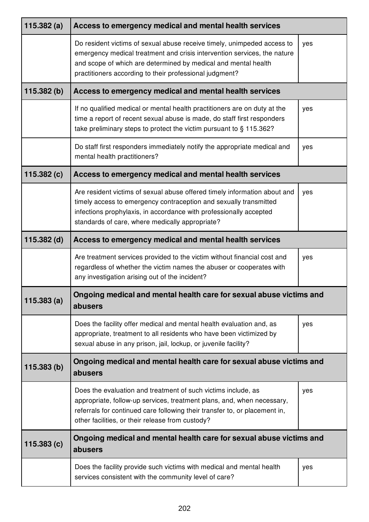| 115.382(a)  | Access to emergency medical and mental health services                                                                                                                                                                                                                           |     |
|-------------|----------------------------------------------------------------------------------------------------------------------------------------------------------------------------------------------------------------------------------------------------------------------------------|-----|
|             | Do resident victims of sexual abuse receive timely, unimpeded access to<br>emergency medical treatment and crisis intervention services, the nature<br>and scope of which are determined by medical and mental health<br>practitioners according to their professional judgment? | yes |
| 115.382(b)  | Access to emergency medical and mental health services                                                                                                                                                                                                                           |     |
|             | If no qualified medical or mental health practitioners are on duty at the<br>time a report of recent sexual abuse is made, do staff first responders<br>take preliminary steps to protect the victim pursuant to § 115.362?                                                      | yes |
|             | Do staff first responders immediately notify the appropriate medical and<br>mental health practitioners?                                                                                                                                                                         | yes |
| 115.382(c)  | Access to emergency medical and mental health services                                                                                                                                                                                                                           |     |
|             | Are resident victims of sexual abuse offered timely information about and<br>timely access to emergency contraception and sexually transmitted<br>infections prophylaxis, in accordance with professionally accepted<br>standards of care, where medically appropriate?          | yes |
| 115.382 (d) | Access to emergency medical and mental health services                                                                                                                                                                                                                           |     |
|             | Are treatment services provided to the victim without financial cost and<br>regardless of whether the victim names the abuser or cooperates with<br>any investigation arising out of the incident?                                                                               | yes |
| 115.383(a)  | Ongoing medical and mental health care for sexual abuse victims and<br>abusers                                                                                                                                                                                                   |     |
|             | Does the facility offer medical and mental health evaluation and, as<br>appropriate, treatment to all residents who have been victimized by<br>sexual abuse in any prison, jail, lockup, or juvenile facility?                                                                   | yes |
| 115.383(b)  | Ongoing medical and mental health care for sexual abuse victims and<br>abusers                                                                                                                                                                                                   |     |
|             | Does the evaluation and treatment of such victims include, as<br>appropriate, follow-up services, treatment plans, and, when necessary,<br>referrals for continued care following their transfer to, or placement in,<br>other facilities, or their release from custody?        | yes |
| 115.383(c)  | Ongoing medical and mental health care for sexual abuse victims and<br>abusers                                                                                                                                                                                                   |     |
|             | Does the facility provide such victims with medical and mental health<br>services consistent with the community level of care?                                                                                                                                                   | yes |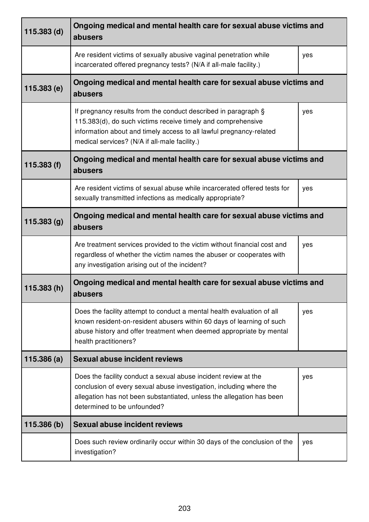| $115.383$ (d) | Ongoing medical and mental health care for sexual abuse victims and<br>abusers                                                                                                                                                                         |     |
|---------------|--------------------------------------------------------------------------------------------------------------------------------------------------------------------------------------------------------------------------------------------------------|-----|
|               | Are resident victims of sexually abusive vaginal penetration while<br>incarcerated offered pregnancy tests? (N/A if all-male facility.)                                                                                                                | yes |
| 115.383 (e)   | Ongoing medical and mental health care for sexual abuse victims and<br>abusers                                                                                                                                                                         |     |
|               | If pregnancy results from the conduct described in paragraph §<br>115.383(d), do such victims receive timely and comprehensive<br>information about and timely access to all lawful pregnancy-related<br>medical services? (N/A if all-male facility.) | yes |
| 115.383(f)    | Ongoing medical and mental health care for sexual abuse victims and<br>abusers                                                                                                                                                                         |     |
|               | Are resident victims of sexual abuse while incarcerated offered tests for<br>sexually transmitted infections as medically appropriate?                                                                                                                 | yes |
| 115.383 (g)   | Ongoing medical and mental health care for sexual abuse victims and<br>abusers                                                                                                                                                                         |     |
|               | Are treatment services provided to the victim without financial cost and<br>regardless of whether the victim names the abuser or cooperates with<br>any investigation arising out of the incident?                                                     | yes |
| 115.383(h)    | Ongoing medical and mental health care for sexual abuse victims and<br>abusers                                                                                                                                                                         |     |
|               | Does the facility attempt to conduct a mental health evaluation of all<br>known resident-on-resident abusers within 60 days of learning of such<br>abuse history and offer treatment when deemed appropriate by mental<br>health practitioners?        | yes |
| 115.386(a)    | <b>Sexual abuse incident reviews</b>                                                                                                                                                                                                                   |     |
|               | Does the facility conduct a sexual abuse incident review at the<br>conclusion of every sexual abuse investigation, including where the<br>allegation has not been substantiated, unless the allegation has been<br>determined to be unfounded?         | yes |
| 115.386 (b)   | <b>Sexual abuse incident reviews</b>                                                                                                                                                                                                                   |     |
|               | Does such review ordinarily occur within 30 days of the conclusion of the<br>investigation?                                                                                                                                                            | yes |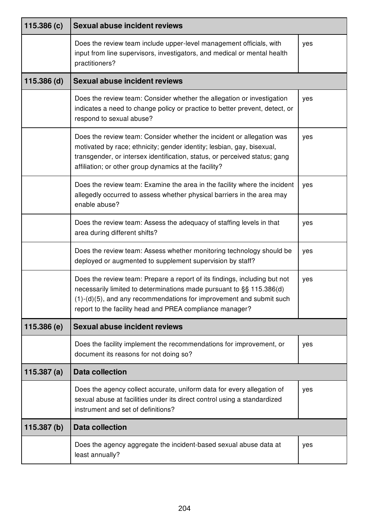| 115.386(c)    | <b>Sexual abuse incident reviews</b>                                                                                                                                                                                                                                                    |     |
|---------------|-----------------------------------------------------------------------------------------------------------------------------------------------------------------------------------------------------------------------------------------------------------------------------------------|-----|
|               | Does the review team include upper-level management officials, with<br>input from line supervisors, investigators, and medical or mental health<br>practitioners?                                                                                                                       | yes |
| $115.386$ (d) | <b>Sexual abuse incident reviews</b>                                                                                                                                                                                                                                                    |     |
|               | Does the review team: Consider whether the allegation or investigation<br>indicates a need to change policy or practice to better prevent, detect, or<br>respond to sexual abuse?                                                                                                       | yes |
|               | Does the review team: Consider whether the incident or allegation was<br>motivated by race; ethnicity; gender identity; lesbian, gay, bisexual,<br>transgender, or intersex identification, status, or perceived status; gang<br>affiliation; or other group dynamics at the facility?  | yes |
|               | Does the review team: Examine the area in the facility where the incident<br>allegedly occurred to assess whether physical barriers in the area may<br>enable abuse?                                                                                                                    | yes |
|               | Does the review team: Assess the adequacy of staffing levels in that<br>area during different shifts?                                                                                                                                                                                   | yes |
|               | Does the review team: Assess whether monitoring technology should be<br>deployed or augmented to supplement supervision by staff?                                                                                                                                                       | yes |
|               | Does the review team: Prepare a report of its findings, including but not<br>necessarily limited to determinations made pursuant to §§ 115.386(d)<br>$(1)-(d)(5)$ , and any recommendations for improvement and submit such<br>report to the facility head and PREA compliance manager? | yes |
| 115.386 (e)   | <b>Sexual abuse incident reviews</b>                                                                                                                                                                                                                                                    |     |
|               | Does the facility implement the recommendations for improvement, or<br>document its reasons for not doing so?                                                                                                                                                                           | yes |
| 115.387(a)    | <b>Data collection</b>                                                                                                                                                                                                                                                                  |     |
|               | Does the agency collect accurate, uniform data for every allegation of<br>sexual abuse at facilities under its direct control using a standardized<br>instrument and set of definitions?                                                                                                | yes |
| 115.387(b)    | <b>Data collection</b>                                                                                                                                                                                                                                                                  |     |
|               | Does the agency aggregate the incident-based sexual abuse data at<br>least annually?                                                                                                                                                                                                    | yes |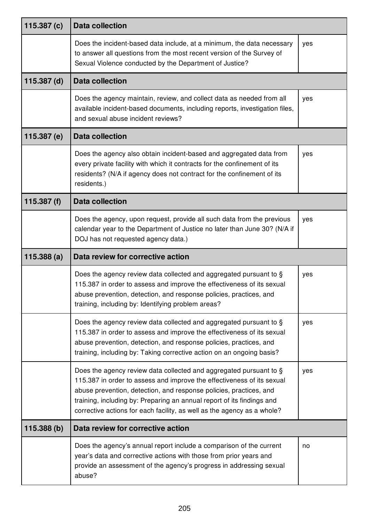| 115.387 $(c)$ | <b>Data collection</b>                                                                                                                                                                                                                                                                                                                                                  |     |
|---------------|-------------------------------------------------------------------------------------------------------------------------------------------------------------------------------------------------------------------------------------------------------------------------------------------------------------------------------------------------------------------------|-----|
|               | Does the incident-based data include, at a minimum, the data necessary<br>to answer all questions from the most recent version of the Survey of<br>Sexual Violence conducted by the Department of Justice?                                                                                                                                                              | yes |
| $115.387$ (d) | <b>Data collection</b>                                                                                                                                                                                                                                                                                                                                                  |     |
|               | Does the agency maintain, review, and collect data as needed from all<br>available incident-based documents, including reports, investigation files,<br>and sexual abuse incident reviews?                                                                                                                                                                              | yes |
| 115.387 (e)   | <b>Data collection</b>                                                                                                                                                                                                                                                                                                                                                  |     |
|               | Does the agency also obtain incident-based and aggregated data from<br>every private facility with which it contracts for the confinement of its<br>residents? (N/A if agency does not contract for the confinement of its<br>residents.)                                                                                                                               | yes |
| 115.387 (f)   | <b>Data collection</b>                                                                                                                                                                                                                                                                                                                                                  |     |
|               | Does the agency, upon request, provide all such data from the previous<br>calendar year to the Department of Justice no later than June 30? (N/A if<br>DOJ has not requested agency data.)                                                                                                                                                                              | yes |
| 115.388(a)    | Data review for corrective action                                                                                                                                                                                                                                                                                                                                       |     |
|               | Does the agency review data collected and aggregated pursuant to §<br>115.387 in order to assess and improve the effectiveness of its sexual<br>abuse prevention, detection, and response policies, practices, and<br>training, including by: Identifying problem areas?                                                                                                | yes |
|               | Does the agency review data collected and aggregated pursuant to §<br>115.387 in order to assess and improve the effectiveness of its sexual<br>abuse prevention, detection, and response policies, practices, and<br>training, including by: Taking corrective action on an ongoing basis?                                                                             | yes |
|               | Does the agency review data collected and aggregated pursuant to §<br>115.387 in order to assess and improve the effectiveness of its sexual<br>abuse prevention, detection, and response policies, practices, and<br>training, including by: Preparing an annual report of its findings and<br>corrective actions for each facility, as well as the agency as a whole? | yes |
| 115.388 (b)   | Data review for corrective action                                                                                                                                                                                                                                                                                                                                       |     |
|               | Does the agency's annual report include a comparison of the current<br>year's data and corrective actions with those from prior years and<br>provide an assessment of the agency's progress in addressing sexual                                                                                                                                                        | no  |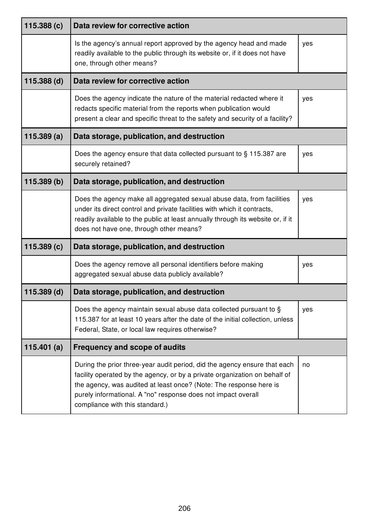| 115.388 (c)   | Data review for corrective action                                                                                                                                                                                                                                                                                                 |     |  |
|---------------|-----------------------------------------------------------------------------------------------------------------------------------------------------------------------------------------------------------------------------------------------------------------------------------------------------------------------------------|-----|--|
|               | Is the agency's annual report approved by the agency head and made<br>readily available to the public through its website or, if it does not have<br>one, through other means?                                                                                                                                                    | yes |  |
| $115.388$ (d) | Data review for corrective action                                                                                                                                                                                                                                                                                                 |     |  |
|               | Does the agency indicate the nature of the material redacted where it<br>redacts specific material from the reports when publication would<br>present a clear and specific threat to the safety and security of a facility?                                                                                                       | yes |  |
| 115.389(a)    | Data storage, publication, and destruction                                                                                                                                                                                                                                                                                        |     |  |
|               | Does the agency ensure that data collected pursuant to § 115.387 are<br>securely retained?                                                                                                                                                                                                                                        | yes |  |
| 115.389(b)    | Data storage, publication, and destruction                                                                                                                                                                                                                                                                                        |     |  |
|               | Does the agency make all aggregated sexual abuse data, from facilities<br>under its direct control and private facilities with which it contracts,<br>readily available to the public at least annually through its website or, if it<br>does not have one, through other means?                                                  | yes |  |
| 115.389(c)    | Data storage, publication, and destruction                                                                                                                                                                                                                                                                                        |     |  |
|               | Does the agency remove all personal identifiers before making<br>aggregated sexual abuse data publicly available?                                                                                                                                                                                                                 | yes |  |
| $115.389$ (d) | Data storage, publication, and destruction                                                                                                                                                                                                                                                                                        |     |  |
|               | Does the agency maintain sexual abuse data collected pursuant to §<br>115.387 for at least 10 years after the date of the initial collection, unless<br>Federal, State, or local law requires otherwise?                                                                                                                          | yes |  |
| 115.401 $(a)$ | <b>Frequency and scope of audits</b>                                                                                                                                                                                                                                                                                              |     |  |
|               | During the prior three-year audit period, did the agency ensure that each<br>facility operated by the agency, or by a private organization on behalf of<br>the agency, was audited at least once? (Note: The response here is<br>purely informational. A "no" response does not impact overall<br>compliance with this standard.) | no  |  |